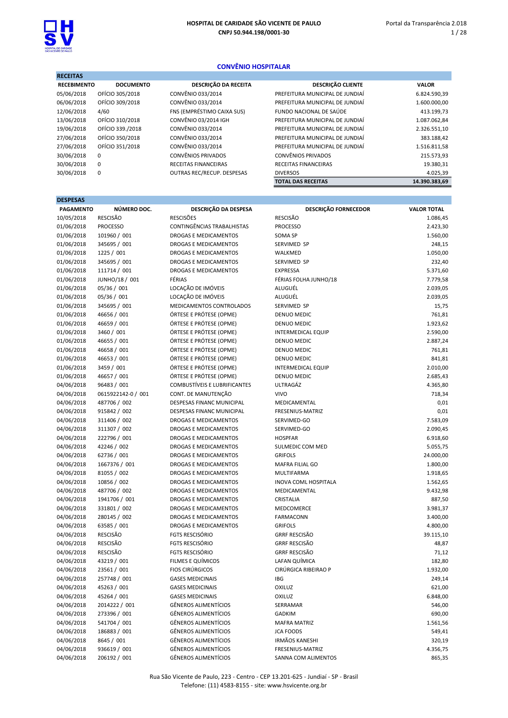#### CONVÊNIO HOSPITALAR

| <b>RECEITAS</b>    |                  |                                   |                                 |               |
|--------------------|------------------|-----------------------------------|---------------------------------|---------------|
| <b>RECEBIMENTO</b> | <b>DOCUMENTO</b> | DESCRIÇÃO DA RECEITA              | <b>DESCRIÇÃO CLIENTE</b>        | <b>VALOR</b>  |
| 05/06/2018         | OFÍCIO 305/2018  | CONVÊNIO 033/2014                 | PREFEITURA MUNICIPAL DE JUNDIAÍ | 6.824.590,39  |
| 06/06/2018         | OFÍCIO 309/2018  | CONVÊNIO 033/2014                 | PREFEITURA MUNICIPAL DE JUNDIAÍ | 1.600.000,00  |
| 12/06/2018         | 4/60             | FNS (EMPRÉSTIMO CAIXA SUS)        | FUNDO NACIONAL DE SAÚDE         | 413.199,73    |
| 13/06/2018         | OFÍCIO 310/2018  | CONVÊNIO 03/2014 IGH              | PREFEITURA MUNICIPAL DE JUNDIAÍ | 1.087.062,84  |
| 19/06/2018         | OFÍCIO 339./2018 | CONVÊNIO 033/2014                 | PREFEITURA MUNICIPAL DE JUNDIAÍ | 2.326.551,10  |
| 27/06/2018         | OFÍCIO 350/2018  | CONVÊNIO 033/2014                 | PREFEITURA MUNICIPAL DE JUNDIAÍ | 383.188,42    |
| 27/06/2018         | OFÍCIO 351/2018  | CONVÊNIO 033/2014                 | PREFEITURA MUNICIPAL DE JUNDIAÍ | 1.516.811,58  |
| 30/06/2018         | 0                | <b>CONVÊNIOS PRIVADOS</b>         | <b>CONVÊNIOS PRIVADOS</b>       | 215.573,93    |
| 30/06/2018         | $\mathbf 0$      | <b>RECEITAS FINANCEIRAS</b>       | RECEITAS FINANCEIRAS            | 19.380,31     |
| 30/06/2018         | 0                | <b>OUTRAS REC/RECUP. DESPESAS</b> | <b>DIVERSOS</b>                 | 4.025,39      |
|                    |                  |                                   | <b>TOTAL DAS RECEITAS</b>       | 14.390.383,69 |

| ≖<br>l<br>v. |  |
|--------------|--|
|              |  |

| <b>DLJFLJAJ</b><br><b>PAGAMENTO</b> | NÚMERO DOC.                        | DESCRIÇÃO DA DESPESA                                      | <b>DESCRIÇÃO FORNECEDOR</b> | <b>VALOR TOTAL</b> |
|-------------------------------------|------------------------------------|-----------------------------------------------------------|-----------------------------|--------------------|
| 10/05/2018                          | <b>RESCISÃO</b>                    | <b>RESCISÕES</b>                                          | <b>RESCISÃO</b>             | 1.086,45           |
| 01/06/2018                          | <b>PROCESSO</b>                    | CONTINGÊNCIAS TRABALHISTAS                                | <b>PROCESSO</b>             | 2.423,30           |
| 01/06/2018                          | 101960 / 001                       | DROGAS E MEDICAMENTOS                                     | SOMA SP                     | 1.560,00           |
| 01/06/2018                          | 345695 / 001                       | DROGAS E MEDICAMENTOS                                     | SERVIMED SP                 | 248,15             |
| 01/06/2018                          | 1225 / 001                         | DROGAS E MEDICAMENTOS                                     | WALKMED                     | 1.050,00           |
| 01/06/2018                          | 345695 / 001                       | DROGAS E MEDICAMENTOS                                     | SERVIMED SP                 | 232,40             |
| 01/06/2018                          | 111714 / 001                       | DROGAS E MEDICAMENTOS                                     | <b>EXPRESSA</b>             | 5.371,60           |
| 01/06/2018                          | JUNHO/18 / 001                     | FÉRIAS                                                    | FÉRIAS FOLHA JUNHO/18       | 7.779,58           |
| 01/06/2018                          | 05/36 / 001                        | LOCAÇÃO DE IMÓVEIS                                        | ALUGUÉL                     | 2.039,05           |
| 01/06/2018                          | 05/36 / 001                        | LOCAÇÃO DE IMÓVEIS                                        | ALUGUÉL                     | 2.039,05           |
| 01/06/2018                          | 345695 / 001                       | MEDICAMENTOS CONTROLADOS                                  | SERVIMED SP                 | 15,75              |
| 01/06/2018                          | 46656 / 001                        | ÓRTESE E PRÓTESE (OPME)                                   | <b>DENUO MEDIC</b>          | 761,81             |
| 01/06/2018                          | 46659 / 001                        | ÓRTESE E PRÓTESE (OPME)                                   | DENUO MEDIC                 | 1.923,62           |
| 01/06/2018                          | 3460 / 001                         | ÓRTESE E PRÓTESE (OPME)                                   | <b>INTERMEDICAL EQUIP</b>   | 2.590,00           |
| 01/06/2018                          | 46655 / 001                        | ÓRTESE E PRÓTESE (OPME)                                   | DENUO MEDIC                 | 2.887,24           |
| 01/06/2018                          | 46658 / 001                        | ÓRTESE E PRÓTESE (OPME)                                   | DENUO MEDIC                 | 761,81             |
| 01/06/2018                          | 46653 / 001                        | ÓRTESE E PRÓTESE (OPME)                                   | DENUO MEDIC                 | 841,81             |
| 01/06/2018                          | 3459 / 001                         | ÓRTESE E PRÓTESE (OPME)                                   | <b>INTERMEDICAL EQUIP</b>   | 2.010,00           |
| 01/06/2018                          | 46657 / 001                        | ÓRTESE E PRÓTESE (OPME)                                   | <b>DENUO MEDIC</b>          | 2.685,43           |
| 04/06/2018                          | 96483 / 001                        | <b>COMBUSTÍVEIS E LUBRIFICANTES</b>                       | ULTRAGÁZ                    | 4.365,80           |
| 04/06/2018                          |                                    | CONT. DE MANUTENÇÃO                                       | <b>VIVO</b>                 |                    |
| 04/06/2018                          | 0615922142-0 / 001<br>487706 / 002 | DESPESAS FINANC MUNICIPAL                                 | MEDICAMENTAL                | 718,34<br>0,01     |
|                                     |                                    |                                                           | FRESENIUS-MATRIZ            |                    |
| 04/06/2018<br>04/06/2018            | 915842 / 002<br>311406 / 002       | DESPESAS FINANC MUNICIPAL<br><b>DROGAS E MEDICAMENTOS</b> | SERVIMED-GO                 | 0,01<br>7.583,09   |
| 04/06/2018                          | 311307 / 002                       | <b>DROGAS E MEDICAMENTOS</b>                              | SERVIMED-GO                 | 2.090,45           |
| 04/06/2018                          | 222796 / 001                       | DROGAS E MEDICAMENTOS                                     | <b>HOSPFAR</b>              | 6.918,60           |
| 04/06/2018                          | 42246 / 002                        | DROGAS E MEDICAMENTOS                                     | SULMEDIC COM MED            | 5.055,75           |
| 04/06/2018                          | 62736 / 001                        | DROGAS E MEDICAMENTOS                                     | <b>GRIFOLS</b>              | 24.000,00          |
| 04/06/2018                          | 1667376 / 001                      | DROGAS E MEDICAMENTOS                                     | MAFRA FILIAL GO             | 1.800,00           |
| 04/06/2018                          | 81055 / 002                        | DROGAS E MEDICAMENTOS                                     | MULTIFARMA                  | 1.918,65           |
| 04/06/2018                          | 10856 / 002                        | <b>DROGAS E MEDICAMENTOS</b>                              | <b>INOVA COML HOSPITALA</b> | 1.562,65           |
| 04/06/2018                          | 487706 / 002                       | DROGAS E MEDICAMENTOS                                     | MEDICAMENTAL                | 9.432,98           |
| 04/06/2018                          | 1941706 / 001                      | <b>DROGAS E MEDICAMENTOS</b>                              | CRISTALIA                   | 887,50             |
| 04/06/2018                          | 331801 / 002                       | DROGAS E MEDICAMENTOS                                     | MEDCOMERCE                  | 3.981,37           |
| 04/06/2018                          | 280145 / 002                       | DROGAS E MEDICAMENTOS                                     | <b>FARMACONN</b>            | 3.400,00           |
| 04/06/2018                          | 63585 / 001                        | <b>DROGAS E MEDICAMENTOS</b>                              | <b>GRIFOLS</b>              | 4.800,00           |
| 04/06/2018                          | <b>RESCISÃO</b>                    | <b>FGTS RESCISÓRIO</b>                                    | <b>GRRF RESCISÃO</b>        | 39.115,10          |
| 04/06/2018                          | <b>RESCISÃO</b>                    | <b>FGTS RESCISÓRIO</b>                                    | <b>GRRF RESCISÃO</b>        | 48,87              |
| 04/06/2018                          | <b>RESCISÃO</b>                    | <b>FGTS RESCISÓRIO</b>                                    | <b>GRRF RESCISÃO</b>        | 71,12              |
| 04/06/2018                          | 43219 / 001                        | FILMES E QUÍMICOS                                         | LAFAN QUÍMICA               | 182,80             |
| 04/06/2018                          | 23561 / 001                        | <b>FIOS CIRÚRGICOS</b>                                    | CIRÚRGICA RIBEIRAO P        | 1.932,00           |
| 04/06/2018                          | 257748 / 001                       | <b>GASES MEDICINAIS</b>                                   | <b>IBG</b>                  | 249,14             |
| 04/06/2018                          | 45263 / 001                        | <b>GASES MEDICINAIS</b>                                   | OXILUZ                      | 621,00             |
| 04/06/2018                          | 45264 / 001                        | <b>GASES MEDICINAIS</b>                                   | OXILUZ                      | 6.848,00           |
| 04/06/2018                          | 2014222 / 001                      | <b>GÊNEROS ALIMENTÍCIOS</b>                               | SERRAMAR                    | 546,00             |
| 04/06/2018                          | 273396 / 001                       | <b>GÊNEROS ALIMENTÍCIOS</b>                               | <b>GADKIM</b>               | 690,00             |
| 04/06/2018                          | 541704 / 001                       | <b>GÊNEROS ALIMENTÍCIOS</b>                               | <b>MAFRA MATRIZ</b>         | 1.561,56           |
| 04/06/2018                          | 186883 / 001                       | <b>GÊNEROS ALIMENTÍCIOS</b>                               | <b>JCA FOODS</b>            | 549,41             |
| 04/06/2018                          | 8645 / 001                         | <b>GÊNEROS ALIMENTÍCIOS</b>                               | <b>IRMÃOS KANESHI</b>       | 320,19             |
| 04/06/2018                          | 936619 / 001                       | <b>GÊNEROS ALIMENTÍCIOS</b>                               | FRESENIUS-MATRIZ            | 4.356,75           |
| 04/06/2018                          | 206192 / 001                       | <b>GÊNEROS ALIMENTÍCIOS</b>                               | SANNA COM ALIMENTOS         | 865,35             |
|                                     |                                    |                                                           |                             |                    |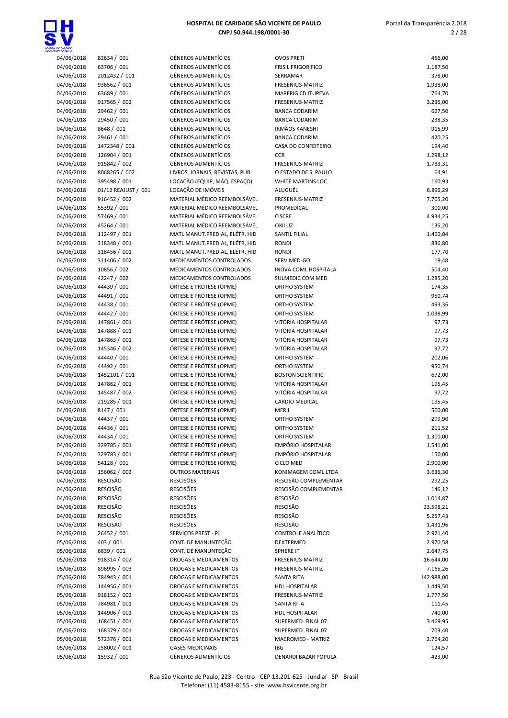

| L DE CARIDADE<br>INTE DE PAULO |                             |                                       |
|--------------------------------|-----------------------------|---------------------------------------|
| 04/06/2018                     | 82634 / 001                 | <b>GÊNEROS ALI</b>                    |
| 04/06/2018                     | 63706 / 001                 | <b>GÊNEROS ALI</b>                    |
| 04/06/2018                     | 2012432 / 001               | GÊNEROS ALI                           |
| 04/06/2018                     | 936562 / 001                | <b>GÊNEROS ALI</b>                    |
| 04/06/2018                     | 63689 / 001                 | <b>GÊNEROS ALI</b>                    |
| 04/06/2018                     | 917565 / 002                | <b>GÊNEROS ALI</b>                    |
| 04/06/2018                     | 29462 / 001                 | <b>GÊNEROS ALI</b>                    |
| 04/06/2018                     | 29450 / 001                 | <b>GÊNEROS ALI</b>                    |
| 04/06/2018                     | 8648 / 001                  | <b>GÊNEROS ALI</b>                    |
| 04/06/2018                     | 29461 / 001                 | <b>GÊNEROS ALI</b>                    |
| 04/06/2018                     | 1472348 / 001               | GÊNEROS ALI                           |
| 04/06/2018                     | 126904 / 001                | <b>GÊNEROS ALI</b>                    |
| 04/06/2018                     | 915842 / 002                | <b>GÊNEROS ALI</b>                    |
| 04/06/2018                     | 8068265 / 002               | LIVROS, JORN                          |
| 04/06/2018                     | 395498 / 001                | LOCAÇÃO (EC                           |
| 04/06/2018                     | 01/12 REAJUST / 001         | LOCAÇÃO DE                            |
| 04/06/2018                     | 916452 / 002                | <b>MATERIAL M</b>                     |
| 04/06/2018                     | 55392 / 001                 | <b>MATERIAL M</b>                     |
| 04/06/2018                     | 57469 / 001                 | <b>MATERIAL M</b>                     |
| 04/06/2018                     | 45264 / 001                 | <b>MATERIAL M</b><br><b>MATL MANU</b> |
| 04/06/2018                     | 112497 / 001                | <b>MATL MANU</b>                      |
| 04/06/2018                     | 318348 / 001                | <b>MATL MANU</b>                      |
| 04/06/2018<br>04/06/2018       | 318456 / 001                | MEDICAMEN                             |
| 04/06/2018                     | 311406 / 002<br>10856 / 002 | <b>MEDICAMEN</b>                      |
| 04/06/2018                     |                             | MEDICAMEN                             |
| 04/06/2018                     | 42247 / 002<br>44439 / 001  | <b>ÓRTESE E PR</b>                    |
| 04/06/2018                     | 44491 / 001                 | <b>ÓRTESE E PR</b>                    |
| 04/06/2018                     | 44438 / 001                 | <b>ÓRTESE E PR</b>                    |
| 04/06/2018                     | 44442 / 001                 | <b>ÓRTESE E PR</b>                    |
| 04/06/2018                     | 147861 / 001                | <b>ÓRTESE E PR</b>                    |
| 04/06/2018                     | 147888 / 001                | <b>ÓRTESE E PR</b>                    |
| 04/06/2018                     | 147863 / 001                | <b>ÓRTESE E PR</b>                    |
| 04/06/2018                     | 145346 / 002                | ÓRTESE E PRI                          |
| 04/06/2018                     | 44440 / 001                 | <b>ÓRTESE E PR</b>                    |
| 04/06/2018                     | 44492 / 001                 | <b>ÓRTESE E PR</b>                    |
| 04/06/2018                     | 1452101 / 001               | <b>ÓRTESE E PR</b>                    |
| 04/06/2018                     | 147862 / 001                | <b>ÓRTESE E PR</b>                    |
| 04/06/2018                     | 145487 / 002                | <b>ÓRTESE E PR</b>                    |
| 04/06/2018                     | 219285 / 001                | <b>ÓRTESE E PR</b>                    |
| 04/06/2018                     | 8147 / 001                  | ÓRTESE E PRI                          |
| 04/06/2018                     | 44437 / 001                 | ÓRTESE E PR                           |
| 04/06/2018                     | 44436 / 001                 | ÓRTESE E PRI                          |
| 04/06/2018                     | 44434 / 001                 | <b>ÓRTESE E PR</b>                    |
| 04/06/2018                     | 329785 / 001                | ÓRTESE E PRI                          |
| 04/06/2018                     | 329783 / 001                | <b>ÓRTESE E PR</b>                    |
| 04/06/2018                     | 54128 / 001                 | <b>ÓRTESE E PR</b>                    |
| 04/06/2018                     | 156062 / 002                | <b>OUTROS MAT</b>                     |
| 04/06/2018                     | RESCISÃO                    | <b>RESCISÕES</b>                      |
| 04/06/2018                     | <b>RESCISÃO</b>             | <b>RESCISÕES</b>                      |
| 04/06/2018                     | <b>RESCISÃO</b>             | <b>RESCISÕES</b>                      |
| 04/06/2018                     | RESCISÃO                    | <b>RESCISÕES</b>                      |
| 04/06/2018                     | <b>RESCISÃO</b>             | <b>RESCISÕES</b>                      |
| 04/06/2018                     | RESCISÃO                    | <b>RESCISÕES</b>                      |
| 04/06/2018                     | 26452 / 001                 | SERVIÇOS PR                           |
| 05/06/2018                     | 403 / 001                   | CONT. DE MA                           |
| 05/06/2018                     | 6839 / 001                  | CONT. DE MA                           |
| 05/06/2018                     | 918314 / 002                | <b>DROGAS E M</b>                     |
| 05/06/2018                     | 896995 / 003                | <b>DROGAS E M</b>                     |
| 05/06/2018                     | 784943 / 001                | <b>DROGAS E M</b>                     |
| 05/06/2018                     | 144956 / 001                | DROGAS E M                            |
| 05/06/2018                     | 918152 / 002                | <b>DROGAS E M</b>                     |
| 05/06/2018                     | 784981 / 001                | DROGAS E M                            |
| 05/06/2018                     | 144906 / 001                | DROGAS E M                            |
| 05/06/2018                     | 168451 / 001                | <b>DROGAS E M</b>                     |
| 05/06/2018                     | 168379 / 001                | <b>DROGAS E M</b>                     |
| 05/06/2018                     | 572376 / 001                | <b>DROGAS E M</b>                     |

| 04/06/2018 | 82634 / 001         | <b>GÊNEROS ALIMENTÍCIOS</b>    | <b>OVOS PRETI</b>         | 456,00     |
|------------|---------------------|--------------------------------|---------------------------|------------|
|            |                     |                                |                           |            |
| 04/06/2018 | 63706 / 001         | GÊNEROS ALIMENTÍCIOS           | <b>FRISIL FRIGORIFICO</b> | 1.187,50   |
| 04/06/2018 | 2012432 / 001       | <b>GÊNEROS ALIMENTÍCIOS</b>    | SERRAMAR                  | 378,00     |
| 04/06/2018 | 936562 / 001        | <b>GÊNEROS ALIMENTÍCIOS</b>    | FRESENIUS-MATRIZ          | 1.938,00   |
| 04/06/2018 | 63689 / 001         | <b>GÊNEROS ALIMENTÍCIOS</b>    | <b>MARFRIG CD ITUPEVA</b> | 764,70     |
| 04/06/2018 | 917565 / 002        | <b>GÊNEROS ALIMENTÍCIOS</b>    | FRESENIUS-MATRIZ          | 3.236,00   |
| 04/06/2018 | 29462 / 001         | <b>GÊNEROS ALIMENTÍCIOS</b>    | <b>BANCA CODARIM</b>      | 627,50     |
| 04/06/2018 | 29450 / 001         | <b>GÊNEROS ALIMENTÍCIOS</b>    | <b>BANCA CODARIM</b>      | 238,35     |
| 04/06/2018 | 8648 / 001          | <b>GÊNEROS ALIMENTÍCIOS</b>    | <b>IRMÃOS KANESHI</b>     | 915,99     |
|            |                     |                                |                           |            |
| 04/06/2018 | 29461 / 001         | <b>GÊNEROS ALIMENTÍCIOS</b>    | <b>BANCA CODARIM</b>      | 420,25     |
| 04/06/2018 | 1472348 / 001       | <b>GÊNEROS ALIMENTÍCIOS</b>    | CASA DO CONFEITEIRO       | 194,40     |
| 04/06/2018 | 126904 / 001        | <b>GÊNEROS ALIMENTÍCIOS</b>    | <b>CCR</b>                | 1.298,12   |
| 04/06/2018 | 915842 / 002        | <b>GÊNEROS ALIMENTÍCIOS</b>    | FRESENIUS-MATRIZ          | 1.733,31   |
| 04/06/2018 | 8068265 / 002       | LIVROS, JORNAIS, REVISTAS, PUB | O ESTADO DE S. PAULO      | 64,91      |
| 04/06/2018 | 395498 / 001        | LOCAÇÃO (EQUIP, MÁQ. ESPAÇO)   | WHITE MARTINS LOC.        | 160,93     |
| 04/06/2018 | 01/12 REAJUST / 001 | LOCAÇÃO DE IMÓVEIS             | ALUGUÉL                   | 6.896,29   |
|            |                     |                                |                           |            |
| 04/06/2018 | 916452 / 002        | MATERIAL MÉDICO REEMBOLSÁVEL   | FRESENIUS-MATRIZ          | 7.705,20   |
| 04/06/2018 | 55392 / 001         | MATERIAL MÉDICO REEMBOLSÁVEL   | PROMEDICAL                | 300,00     |
| 04/06/2018 | 57469 / 001         | MATERIAL MÉDICO REEMBOLSÁVEL   | <b>CISCRE</b>             | 4.934,25   |
| 04/06/2018 | 45264 / 001         | MATERIAL MÉDICO REEMBOLSÁVEL   | OXILUZ                    | 135,20     |
| 04/06/2018 | 112497 / 001        | MATL MANUT.PREDIAL, ELÉTR, HID | SANTIL FILIAL             | 1.460,04   |
| 04/06/2018 | 318348 / 001        | MATL MANUT.PREDIAL, ELÉTR, HID | <b>RONDI</b>              | 836,80     |
| 04/06/2018 | 318456 / 001        | MATL MANUT.PREDIAL, ELÉTR, HID | <b>RONDI</b>              | 177,70     |
|            |                     |                                |                           |            |
| 04/06/2018 | 311406 / 002        | MEDICAMENTOS CONTROLADOS       | SERVIMED-GO               | 19,48      |
| 04/06/2018 | 10856 / 002         | MEDICAMENTOS CONTROLADOS       | INOVA COML HOSPITALA      | 504,40     |
| 04/06/2018 | 42247 / 002         | MEDICAMENTOS CONTROLADOS       | SULMEDIC COM MED          | 1.285,20   |
| 04/06/2018 | 44439 / 001         | ÓRTESE E PRÓTESE (OPME)        | ORTHO SYSTEM              | 174,35     |
| 04/06/2018 | 44491 / 001         | ÓRTESE E PRÓTESE (OPME)        | ORTHO SYSTEM              | 950,74     |
| 04/06/2018 | 44438 / 001         | ÓRTESE E PRÓTESE (OPME)        | ORTHO SYSTEM              | 493,36     |
| 04/06/2018 | 44442 / 001         | ÓRTESE E PRÓTESE (OPME)        | ORTHO SYSTEM              | 1.038,99   |
| 04/06/2018 | 147861 / 001        | ÓRTESE E PRÓTESE (OPME)        | VITÓRIA HOSPITALAR        |            |
|            |                     |                                |                           | 97,73      |
| 04/06/2018 | 147888 / 001        | ÓRTESE E PRÓTESE (OPME)        | VITÓRIA HOSPITALAR        | 97,73      |
| 04/06/2018 | 147863 / 001        | ÓRTESE E PRÓTESE (OPME)        | VITÓRIA HOSPITALAR        | 97,73      |
| 04/06/2018 | 145346 / 002        | ÓRTESE E PRÓTESE (OPME)        | VITÓRIA HOSPITALAR        | 97,72      |
| 04/06/2018 | 44440 / 001         | ÓRTESE E PRÓTESE (OPME)        | ORTHO SYSTEM              | 202,06     |
| 04/06/2018 | 44492 / 001         | ÓRTESE E PRÓTESE (OPME)        | ORTHO SYSTEM              | 950,74     |
| 04/06/2018 | 1452101 / 001       | ÓRTESE E PRÓTESE (OPME)        | <b>BOSTON SCIENTIFIC</b>  | 672,00     |
| 04/06/2018 | 147862 / 001        | ÓRTESE E PRÓTESE (OPME)        | VITÓRIA HOSPITALAR        | 195,45     |
|            |                     |                                |                           |            |
| 04/06/2018 | 145487 / 002        | ÓRTESE E PRÓTESE (OPME)        | VITÓRIA HOSPITALAR        | 97,72      |
| 04/06/2018 | 219285 / 001        | ÓRTESE E PRÓTESE (OPME)        | <b>CARDIO MEDICAL</b>     | 195,45     |
| 04/06/2018 | 8147 / 001          | ÓRTESE E PRÓTESE (OPME)        | <b>MERIL</b>              | 500,00     |
| 04/06/2018 | 44437 / 001         | ÓRTESE E PRÓTESE (OPME)        | ORTHO SYSTEM              | 299,90     |
| 04/06/2018 | 44436 / 001         | ÓRTESE E PRÓTESE (OPME)        | ORTHO SYSTEM              | 211,52     |
| 04/06/2018 | 44434 / 001         | ÓRTESE E PRÓTESE (OPME)        | ORTHO SYSTEM              | 1.300,00   |
| 04/06/2018 | 329785 / 001        | ÓRTESE E PRÓTESE (OPME)        | EMPÓRIO HOSPITALAR        | 1.541,00   |
|            |                     |                                |                           |            |
| 04/06/2018 | 329783 / 001        | ÓRTESE E PRÓTESE (OPME)        | EMPÓRIO HOSPITALAR        | 150,00     |
| 04/06/2018 | 54128 / 001         | ÓRTESE E PRÓTESE (OPME)        | <b>CICLO MED</b>          | 2.900,00   |
| 04/06/2018 | 156062 / 002        | <b>OUTROS MATERIAIS</b>        | KONIMAGEM COML LTDA       | 3.636,30   |
| 04/06/2018 | <b>RESCISÃO</b>     | <b>RESCISÕES</b>               | RESCISÃO COMPLEMENTAR     | 292,25     |
| 04/06/2018 | <b>RESCISÃO</b>     | <b>RESCISÕES</b>               | RESCISÃO COMPLEMENTAR     | 146,12     |
| 04/06/2018 | <b>RESCISÃO</b>     | <b>RESCISÕES</b>               | <b>RESCISÃO</b>           | 1.014,87   |
| 04/06/2018 | RESCISÃO            | <b>RESCISÕES</b>               | <b>RESCISÃO</b>           | 23.598,21  |
|            |                     |                                |                           |            |
| 04/06/2018 | <b>RESCISÃO</b>     | <b>RESCISÕES</b>               | RESCISÃO                  | 5.257,43   |
| 04/06/2018 | RESCISÃO            | <b>RESCISÕES</b>               | <b>RESCISÃO</b>           | 1.431,96   |
| 04/06/2018 | 26452 / 001         | SERVIÇOS PREST - PJ            | CONTROLE ANALÍTICO        | 2.921,40   |
| 05/06/2018 | 403 / 001           | CONT. DE MANUNTEÇÃO            | <b>DEXTERMED</b>          | 2.970,58   |
| 05/06/2018 | 6839 / 001          | CONT. DE MANUNTEÇÃO            | SPHERE IT                 | 2.647,75   |
| 05/06/2018 | 918314 / 002        | DROGAS E MEDICAMENTOS          | FRESENIUS-MATRIZ          | 16.644,00  |
| 05/06/2018 | 896995 / 003        | DROGAS E MEDICAMENTOS          | FRESENIUS-MATRIZ          | 7.165,26   |
|            |                     |                                |                           |            |
| 05/06/2018 | 784943 / 001        | DROGAS E MEDICAMENTOS          | <b>SANTA RITA</b>         | 142.988,00 |
| 05/06/2018 | 144956 / 001        | DROGAS E MEDICAMENTOS          | <b>HDL HOSPITALAR</b>     | 1.449,50   |
| 05/06/2018 | 918152 / 002        | DROGAS E MEDICAMENTOS          | FRESENIUS-MATRIZ          | 1.777,50   |
| 05/06/2018 | 784981 / 001        | DROGAS E MEDICAMENTOS          | <b>SANTA RITA</b>         | 111,45     |
| 05/06/2018 | 144906 / 001        | DROGAS E MEDICAMENTOS          | <b>HDL HOSPITALAR</b>     | 740,00     |
| 05/06/2018 | 168451 / 001        | DROGAS E MEDICAMENTOS          | SUPERMED FINAL 07         | 3.469,95   |
| 05/06/2018 | 168379 / 001        | DROGAS E MEDICAMENTOS          | SUPERMED FINAL 07         | 709,40     |
|            |                     |                                |                           |            |
| 05/06/2018 | 572376 / 001        | DROGAS E MEDICAMENTOS          | MACROMED - MATRIZ         | 2.764,20   |
| 05/06/2018 | 258002 / 001        | <b>GASES MEDICINAIS</b>        | IBG                       | 124,57     |
| 05/06/2018 | 15932 / 001         | GÊNEROS ALIMENTÍCIOS           | DENARDI BAZAR POPULA      | 423,00     |

| <b>ITE OE PAULO</b>      |                                    |                                                              |                                               |                    |
|--------------------------|------------------------------------|--------------------------------------------------------------|-----------------------------------------------|--------------------|
| 04/06/2018               | 82634 / 001                        | <b>GÊNEROS ALIMENTÍCIOS</b>                                  | <b>OVOS PRETI</b>                             | 456,00             |
| 04/06/2018               | 63706 / 001                        | <b>GÊNEROS ALIMENTÍCIOS</b>                                  | <b>FRISIL FRIGORIFICO</b>                     | 1.187,50           |
| 04/06/2018               | 2012432 / 001                      | <b>GÊNEROS ALIMENTÍCIOS</b>                                  | SERRAMAR                                      | 378,00             |
| 04/06/2018               | 936562 / 001                       | <b>GÊNEROS ALIMENTÍCIOS</b>                                  | FRESENIUS-MATRIZ<br><b>MARFRIG CD ITUPEVA</b> | 1.938,00           |
| 04/06/2018<br>04/06/2018 | 63689 / 001<br>917565 / 002        | <b>GÊNEROS ALIMENTÍCIOS</b><br><b>GÊNEROS ALIMENTÍCIOS</b>   | <b>FRESENIUS-MATRIZ</b>                       | 764,70<br>3.236,00 |
| 04/06/2018               | 29462 / 001                        | <b>GÊNEROS ALIMENTÍCIOS</b>                                  | <b>BANCA CODARIM</b>                          | 627,50             |
| 04/06/2018               | 29450 / 001                        | <b>GÊNEROS ALIMENTÍCIOS</b>                                  | <b>BANCA CODARIM</b>                          | 238,35             |
| 04/06/2018               | 8648 / 001                         | <b>GÊNEROS ALIMENTÍCIOS</b>                                  | <b>IRMÃOS KANESHI</b>                         | 915,99             |
| 04/06/2018               | 29461 / 001                        | <b>GÊNEROS ALIMENTÍCIOS</b>                                  | <b>BANCA CODARIM</b>                          | 420,25             |
| 04/06/2018               | 1472348 / 001                      | <b>GÊNEROS ALIMENTÍCIOS</b>                                  | <b>CASA DO CONFEITEIRO</b>                    | 194,40             |
| 04/06/2018               | 126904 / 001                       | <b>GÊNEROS ALIMENTÍCIOS</b>                                  | <b>CCR</b>                                    | 1.298,12           |
| 04/06/2018               | 915842 / 002                       | <b>GÊNEROS ALIMENTÍCIOS</b>                                  | FRESENIUS-MATRIZ                              | 1.733,31           |
| 04/06/2018               | 8068265 / 002                      | LIVROS, JORNAIS, REVISTAS, PUB                               | O ESTADO DE S. PAULO                          | 64,91              |
| 04/06/2018               | 395498 / 001                       | LOCAÇÃO (EQUIP, MÁQ. ESPAÇO)                                 | WHITE MARTINS LOC.                            | 160,93             |
| 04/06/2018               | 01/12 REAJUST / 001                | LOCAÇÃO DE IMÓVEIS                                           | ALUGUÉL                                       | 6.896,29           |
| 04/06/2018               | 916452 / 002                       | MATERIAL MÉDICO REEMBOLSÁVEL                                 | FRESENIUS-MATRIZ                              | 7.705,20           |
| 04/06/2018               | 55392 / 001                        | MATERIAL MÉDICO REEMBOLSÁVEL                                 | PROMEDICAL                                    | 300,00             |
| 04/06/2018               | 57469 / 001<br>45264 / 001         | MATERIAL MÉDICO REEMBOLSÁVEL<br>MATERIAL MÉDICO REEMBOLSÁVEL | <b>CISCRE</b><br>OXILUZ                       | 4.934,25           |
| 04/06/2018<br>04/06/2018 | 112497 / 001                       | MATL MANUT.PREDIAL, ELÉTR, HID                               | SANTIL FILIAL                                 | 135,20<br>1.460,04 |
| 04/06/2018               | 318348 / 001                       | MATL MANUT.PREDIAL, ELÉTR, HID                               | <b>RONDI</b>                                  | 836,80             |
| 04/06/2018               | 318456 / 001                       | MATL MANUT.PREDIAL, ELÉTR, HID                               | <b>RONDI</b>                                  | 177,70             |
| 04/06/2018               | 311406 / 002                       | MEDICAMENTOS CONTROLADOS                                     | SERVIMED-GO                                   | 19,48              |
| 04/06/2018               | 10856 / 002                        | MEDICAMENTOS CONTROLADOS                                     | <b>INOVA COML HOSPITALA</b>                   | 504,40             |
| 04/06/2018               | 42247 / 002                        | <b>MEDICAMENTOS CONTROLADOS</b>                              | SULMEDIC COM MED                              | 1.285,20           |
| 04/06/2018               | 44439 / 001                        | ÓRTESE E PRÓTESE (OPME)                                      | ORTHO SYSTEM                                  | 174,35             |
| 04/06/2018               | 44491 / 001                        | ÓRTESE E PRÓTESE (OPME)                                      | ORTHO SYSTEM                                  | 950,74             |
| 04/06/2018               | 44438 / 001                        | ÓRTESE E PRÓTESE (OPME)                                      | ORTHO SYSTEM                                  | 493,36             |
| 04/06/2018               | 44442 / 001                        | ÓRTESE E PRÓTESE (OPME)                                      | ORTHO SYSTEM                                  | 1.038,99           |
| 04/06/2018               | 147861 / 001                       | ÓRTESE E PRÓTESE (OPME)                                      | VITÓRIA HOSPITALAR                            | 97,73              |
| 04/06/2018               | 147888 / 001                       | ÓRTESE E PRÓTESE (OPME)                                      | VITÓRIA HOSPITALAR                            | 97,73              |
| 04/06/2018               | 147863 / 001                       | ÓRTESE E PRÓTESE (OPME)                                      | VITÓRIA HOSPITALAR                            | 97,73              |
| 04/06/2018               | 145346 / 002                       | ÓRTESE E PRÓTESE (OPME)<br>ÓRTESE E PRÓTESE (OPME)           | VITÓRIA HOSPITALAR<br>ORTHO SYSTEM            | 97,72              |
| 04/06/2018<br>04/06/2018 | 44440 / 001<br>44492 / 001         | ÓRTESE E PRÓTESE (OPME)                                      | ORTHO SYSTEM                                  | 202,06<br>950,74   |
| 04/06/2018               | 1452101 / 001                      | ÓRTESE E PRÓTESE (OPME)                                      | <b>BOSTON SCIENTIFIC</b>                      | 672,00             |
| 04/06/2018               | 147862 / 001                       | ÓRTESE E PRÓTESE (OPME)                                      | VITÓRIA HOSPITALAR                            | 195,45             |
| 04/06/2018               | 145487 / 002                       | ÓRTESE E PRÓTESE (OPME)                                      | VITÓRIA HOSPITALAR                            | 97,72              |
| 04/06/2018               | 219285 / 001                       | ÓRTESE E PRÓTESE (OPME)                                      | <b>CARDIO MEDICAL</b>                         | 195,45             |
| 04/06/2018               | 8147 / 001                         | ÓRTESE E PRÓTESE (OPME)                                      | <b>MERIL</b>                                  | 500,00             |
| 04/06/2018               | 44437 / 001                        | ÓRTESE E PRÓTESE (OPME)                                      | ORTHO SYSTEM                                  | 299,90             |
| 04/06/2018               | 44436 / 001                        | ÓRTESE E PRÓTESE (OPME)                                      | <b>ORTHO SYSTEM</b>                           | 211,52             |
| 04/06/2018               | 44434 / 001                        | ÓRTESE E PRÓTESE (OPME)                                      | ORTHO SYSTEM                                  | 1.300,00           |
| 04/06/2018               | 329785 / 001                       | ÓRTESE E PRÓTESE (OPME)                                      | EMPÓRIO HOSPITALAR                            | 1.541,00           |
| 04/06/2018               | 329783 / 001                       | ÓRTESE E PRÓTESE (OPME)                                      | EMPÓRIO HOSPITALAR                            | 150,00             |
| 04/06/2018               | 54128 / 001                        | ÓRTESE E PRÓTESE (OPME)                                      | <b>CICLO MED</b>                              | 2.900,00           |
| 04/06/2018               | 156062 / 002                       | <b>OUTROS MATERIAIS</b>                                      | KONIMAGEM COML LTDA                           | 3.636,30           |
| 04/06/2018               | <b>RESCISÃO</b>                    | <b>RESCISÕES</b>                                             | RESCISÃO COMPLEMENTAR                         | 292,25             |
| 04/06/2018<br>04/06/2018 | <b>RESCISÃO</b><br><b>RESCISÃO</b> | <b>RESCISÕES</b><br><b>RESCISÕES</b>                         | RESCISÃO COMPLEMENTAR<br><b>RESCISÃO</b>      | 146,12<br>1.014,87 |
| 04/06/2018               | <b>RESCISÃO</b>                    | <b>RESCISÕES</b>                                             | <b>RESCISÃO</b>                               | 23.598,21          |
| 04/06/2018               | <b>RESCISÃO</b>                    | <b>RESCISÕES</b>                                             | <b>RESCISÃO</b>                               | 5.257,43           |
| 04/06/2018               | <b>RESCISÃO</b>                    | <b>RESCISÕES</b>                                             | <b>RESCISÃO</b>                               | 1.431,96           |
| 04/06/2018               | 26452 / 001                        | SERVIÇOS PREST - PJ                                          | CONTROLE ANALÍTICO                            | 2.921,40           |
| 05/06/2018               | 403 / 001                          | CONT. DE MANUNTEÇÃO                                          | DEXTERMED                                     | 2.970,58           |
| 05/06/2018               | 6839 / 001                         | CONT. DE MANUNTEÇÃO                                          | SPHERE IT                                     | 2.647,75           |
| 05/06/2018               | 918314 / 002                       | DROGAS E MEDICAMENTOS                                        | FRESENIUS-MATRIZ                              | 16.644,00          |
| 05/06/2018               | 896995 / 003                       | DROGAS E MEDICAMENTOS                                        | FRESENIUS-MATRIZ                              | 7.165,26           |
| 05/06/2018               | 784943 / 001                       | DROGAS E MEDICAMENTOS                                        | <b>SANTA RITA</b>                             | 142.988,00         |
| 05/06/2018               | 144956 / 001                       | DROGAS E MEDICAMENTOS                                        | <b>HDL HOSPITALAR</b>                         | 1.449,50           |
| 05/06/2018               | 918152 / 002                       | DROGAS E MEDICAMENTOS                                        | FRESENIUS-MATRIZ                              | 1.777,50           |
| 05/06/2018               | 784981 / 001                       | DROGAS E MEDICAMENTOS                                        | <b>SANTA RITA</b>                             | 111,45             |
| 05/06/2018               | 144906 / 001                       | DROGAS E MEDICAMENTOS                                        | HDL HOSPITALAR                                | 740,00             |
| 05/06/2018               | 168451 / 001                       | DROGAS E MEDICAMENTOS                                        | SUPERMED FINAL 07                             | 3.469,95           |
| 05/06/2018<br>05/06/2018 | 168379 / 001<br>572376 / 001       | DROGAS E MEDICAMENTOS<br>DROGAS E MEDICAMENTOS               | SUPERMED FINAL 07<br>MACROMED - MATRIZ        | 709,40<br>2.764,20 |
| 05/06/2018               | 258002 / 001                       | <b>GASES MEDICINAIS</b>                                      | IBG                                           | 124,57             |
|                          |                                    |                                                              |                                               |                    |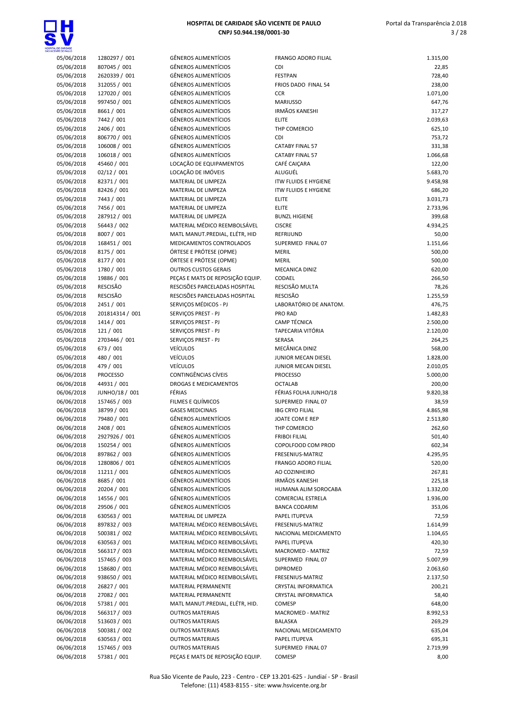



| 05/06/2018 | 1280297 / 001   | <b>GÊNEROS ALIMENTÍCIOS</b>      | <b>FRANGO ADORO FILIAL</b>        | 1.315,00 |
|------------|-----------------|----------------------------------|-----------------------------------|----------|
| 05/06/2018 | 807045 / 001    | <b>GÊNEROS ALIMENTÍCIOS</b>      | <b>CDI</b>                        | 22,85    |
| 05/06/2018 | 2620339 / 001   | <b>GÊNEROS ALIMENTÍCIOS</b>      | <b>FESTPAN</b>                    | 728,40   |
| 05/06/2018 | 312055 / 001    | <b>GÊNEROS ALIMENTÍCIOS</b>      | FRIOS DADO FINAL 54               | 238,00   |
| 05/06/2018 | 127020 / 001    | <b>GÊNEROS ALIMENTÍCIOS</b>      | <b>CCR</b>                        | 1.071,00 |
| 05/06/2018 | 997450 / 001    | <b>GÊNEROS ALIMENTÍCIOS</b>      | <b>MARIUSSO</b>                   | 647,76   |
| 05/06/2018 | 8661 / 001      | <b>GÊNEROS ALIMENTÍCIOS</b>      | <b>IRMÃOS KANESHI</b>             | 317,27   |
| 05/06/2018 | 7442 / 001      | <b>GÊNEROS ALIMENTÍCIOS</b>      | <b>ELITE</b>                      | 2.039,63 |
| 05/06/2018 | 2406 / 001      | <b>GÊNEROS ALIMENTÍCIOS</b>      | THP COMERCIO                      | 625,10   |
| 05/06/2018 | 806770 / 001    | <b>GÊNEROS ALIMENTÍCIOS</b>      | <b>CDI</b>                        | 753,72   |
| 05/06/2018 | 106008 / 001    | <b>GÊNEROS ALIMENTÍCIOS</b>      | <b>CATABY FINAL 57</b>            | 331,38   |
| 05/06/2018 | 106018 / 001    | <b>GÊNEROS ALIMENTÍCIOS</b>      | <b>CATABY FINAL 57</b>            | 1.066,68 |
| 05/06/2018 | 45460 / 001     | LOCAÇÃO DE EQUIPAMENTOS          | CAFÉ CAIÇARA                      | 122,00   |
| 05/06/2018 | 02/12 / 001     | LOCAÇÃO DE IMÓVEIS               | ALUGUÉL                           | 5.683,70 |
| 05/06/2018 | 82371 / 001     | MATERIAL DE LIMPEZA              | <b>ITW FLUIDS E HYGIENE</b>       | 9.458,98 |
|            |                 |                                  |                                   |          |
| 05/06/2018 | 82426 / 001     | MATERIAL DE LIMPEZA              | <b>ITW FLUIDS E HYGIENE</b>       | 686,20   |
| 05/06/2018 | 7443 / 001      | MATERIAL DE LIMPEZA              | <b>ELITE</b>                      | 3.031,73 |
| 05/06/2018 | 7456 / 001      | MATERIAL DE LIMPEZA              | <b>ELITE</b>                      | 2.733,96 |
| 05/06/2018 | 287912 / 001    | MATERIAL DE LIMPEZA              | <b>BUNZL HIGIENE</b>              | 399,68   |
| 05/06/2018 | 56443 / 002     | MATERIAL MÉDICO REEMBOLSÁVEL     | <b>CISCRE</b>                     | 4.934,25 |
| 05/06/2018 | 8007 / 001      | MATL MANUT.PREDIAL, ELÉTR, HID   | REFRIJUND                         | 50,00    |
| 05/06/2018 | 168451 / 001    | MEDICAMENTOS CONTROLADOS         | SUPERMED FINAL 07                 | 1.151,66 |
| 05/06/2018 | 8175 / 001      | ÓRTESE E PRÓTESE (OPME)          | <b>MERIL</b>                      | 500,00   |
| 05/06/2018 | 8177 / 001      | ÓRTESE E PRÓTESE (OPME)          | <b>MERIL</b>                      | 500,00   |
| 05/06/2018 | 1780 / 001      | <b>OUTROS CUSTOS GERAIS</b>      | MECANICA DINIZ                    | 620,00   |
| 05/06/2018 | 19886 / 001     | PECAS E MATS DE REPOSIÇÃO EQUIP. | CODAEL                            | 266,50   |
| 05/06/2018 | RESCISÃO        | RESCISÕES PARCELADAS HOSPITAL    | RESCISÃO MULTA                    | 78,26    |
| 05/06/2018 | RESCISÃO        | RESCISÕES PARCELADAS HOSPITAL    | <b>RESCISÃO</b>                   | 1.255,59 |
| 05/06/2018 | 2451 / 001      | SERVIÇOS MÉDICOS - PJ            | LABORATÓRIO DE ANATOM.            | 476,75   |
| 05/06/2018 | 201814314 / 001 | SERVIÇOS PREST - PJ              | <b>PRO RAD</b>                    | 1.482,83 |
| 05/06/2018 | 1414 / 001      | SERVIÇOS PREST - PJ              | <b>CAMP TÉCNICA</b>               | 2.500,00 |
| 05/06/2018 | 121/001         | SERVIÇOS PREST - PJ              | TAPECARIA VITÓRIA                 | 2.120,00 |
| 05/06/2018 | 2703446 / 001   | SERVIÇOS PREST - PJ              | SERASA                            | 264,25   |
| 05/06/2018 | 673 / 001       | <b>VEÍCULOS</b>                  | MECÂNICA DINIZ                    | 568,00   |
| 05/06/2018 | 480 / 001       | <b>VEÍCULOS</b>                  | JUNIOR MECAN DIESEL               | 1.828,00 |
| 05/06/2018 | 479 / 001       | <b>VEÍCULOS</b>                  | JUNIOR MECAN DIESEL               | 2.010,05 |
|            |                 | CONTINGÊNCIAS CÍVEIS             |                                   |          |
| 06/06/2018 | <b>PROCESSO</b> |                                  | <b>PROCESSO</b><br><b>OCTALAB</b> | 5.000,00 |
| 06/06/2018 | 44931 / 001     | <b>DROGAS E MEDICAMENTOS</b>     |                                   | 200,00   |
| 06/06/2018 | JUNHO/18 / 001  | FÉRIAS                           | FÉRIAS FOLHA JUNHO/18             | 9.820,38 |
| 06/06/2018 | 157465 / 003    | FILMES E QUÍMICOS                | SUPERMED FINAL 07                 | 38,59    |
| 06/06/2018 | 38799 / 001     | <b>GASES MEDICINAIS</b>          | <b>IBG CRYO FILIAL</b>            | 4.865,98 |
| 06/06/2018 | 79480 / 001     | GÊNEROS ALIMENTÍCIOS             | JOATE COM E REP                   | 2.513,80 |
| 06/06/2018 | 2408 / 001      | <b>GÊNEROS ALIMENTÍCIOS</b>      | THP COMERCIO                      | 262,60   |
| 06/06/2018 | 2927926 / 001   | <b>GËNEROS ALIMENTÍCIOS</b>      | <b>FRIBOI FILIAL</b>              | 501,40   |
| 06/06/2018 | 150254 / 001    | <b>GËNEROS ALIMENTÍCIOS</b>      | COPOLFOOD COM PROD                | 602,34   |
| 06/06/2018 | 897862 / 003    | <b>GÊNEROS ALIMENTÍCIOS</b>      | FRESENIUS-MATRIZ                  | 4.295,95 |
| 06/06/2018 | 1280806 / 001   | <b>GÊNEROS ALIMENTÍCIOS</b>      | <b>FRANGO ADORO FILIAL</b>        | 520,00   |
| 06/06/2018 | 11211 / 001     | GÊNEROS ALIMENTÍCIOS             | AO COZINHEIRO                     | 267,81   |
| 06/06/2018 | 8685 / 001      | <b>GÊNEROS ALIMENTÍCIOS</b>      | <b>IRMÃOS KANESHI</b>             | 225,18   |
| 06/06/2018 | 20204 / 001     | <b>GÊNEROS ALIMENTÍCIOS</b>      | HUMANA ALIM SOROCABA              | 1.332,00 |
| 06/06/2018 | 14556 / 001     | GÊNEROS ALIMENTÍCIOS             | <b>COMERCIAL ESTRELA</b>          | 1.936,00 |
| 06/06/2018 | 29506 / 001     | GÊNEROS ALIMENTÍCIOS             | <b>BANCA CODARIM</b>              | 353,06   |
| 06/06/2018 | 630563 / 001    | MATERIAL DE LIMPEZA              | PAPEL ITUPEVA                     | 72,59    |
| 06/06/2018 | 897832 / 003    | MATERIAL MÉDICO REEMBOLSÁVEL     | FRESENIUS-MATRIZ                  | 1.614,99 |
| 06/06/2018 | 500381 / 002    | MATERIAL MÉDICO REEMBOLSÁVEL     | NACIONAL MEDICAMENTO              | 1.104,65 |
| 06/06/2018 | 630563 / 001    | MATERIAL MÉDICO REEMBOLSÁVEL     | PAPEL ITUPEVA                     | 420,30   |
| 06/06/2018 | 566317 / 003    | MATERIAL MÉDICO REEMBOLSÁVEL     |                                   | 72,59    |
|            |                 |                                  | MACROMED - MATRIZ                 |          |
| 06/06/2018 | 157465 / 003    | MATERIAL MÉDICO REEMBOLSÁVEL     | SUPERMED FINAL 07                 | 5.007,99 |
| 06/06/2018 | 158680 / 001    | MATERIAL MÉDICO REEMBOLSÁVEL     | <b>DIPROMED</b>                   | 2.063,60 |
| 06/06/2018 | 938650 / 001    | MATERIAL MÉDICO REEMBOLSÁVEL     | FRESENIUS-MATRIZ                  | 2.137,50 |
| 06/06/2018 | 26827 / 001     | MATERIAL PERMANENTE              | CRYSTAL INFORMATICA               | 200,21   |
| 06/06/2018 | 27082 / 001     | MATERIAL PERMANENTE              | <b>CRYSTAL INFORMATICA</b>        | 58,40    |
| 06/06/2018 | 57381 / 001     | MATL MANUT.PREDIAL, ELÉTR, HID.  | COMESP                            | 648,00   |
| 06/06/2018 | 566317 / 003    | <b>OUTROS MATERIAIS</b>          | MACROMED - MATRIZ                 | 8.992,53 |
| 06/06/2018 | 513603 / 001    | <b>OUTROS MATERIAIS</b>          | <b>BALASKA</b>                    | 269,29   |
| 06/06/2018 | 500381 / 002    | <b>OUTROS MATERIAIS</b>          | NACIONAL MEDICAMENTO              | 635,04   |
| 06/06/2018 | 630563 / 001    | <b>OUTROS MATERIAIS</b>          | PAPEL ITUPEVA                     | 695,31   |
| 06/06/2018 | 157465 / 003    | <b>OUTROS MATERIAIS</b>          | SUPERMED FINAL 07                 | 2.719,99 |
| 06/06/2018 | 57381 / 001     | PEÇAS E MATS DE REPOSIÇÃO EQUIP. | COMESP                            | 8,00     |
|            |                 |                                  |                                   |          |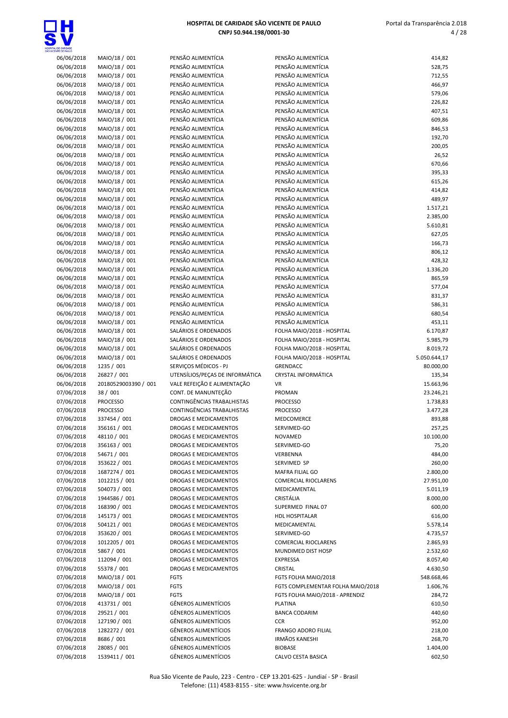

| <b>ENTE DE PAULO</b>     |                              |                                                            |                                      |                    |
|--------------------------|------------------------------|------------------------------------------------------------|--------------------------------------|--------------------|
| 06/06/2018               | MAIO/18 / 001                | PENSÃO ALIMENTÍCIA                                         | PENSÃO ALIMENTÍCIA                   | 414,82             |
| 06/06/2018               | MAIO/18 / 001                | PENSÃO ALIMENTÍCIA                                         | PENSÃO ALIMENTÍCIA                   | 528,75             |
| 06/06/2018               | MAIO/18 / 001                | PENSÃO ALIMENTÍCIA                                         | PENSÃO ALIMENTÍCIA                   | 712,55             |
| 06/06/2018               | MAIO/18 / 001                | PENSÃO ALIMENTÍCIA                                         | PENSÃO ALIMENTÍCIA                   | 466,97             |
| 06/06/2018               | MAIO/18 / 001                | PENSÃO ALIMENTÍCIA                                         | PENSÃO ALIMENTÍCIA                   | 579,06             |
|                          |                              |                                                            |                                      |                    |
| 06/06/2018               | MAIO/18 / 001                | PENSÃO ALIMENTÍCIA                                         | PENSÃO ALIMENTÍCIA                   | 226,82             |
| 06/06/2018               | MAIO/18 / 001                | PENSÃO ALIMENTÍCIA                                         | PENSÃO ALIMENTÍCIA                   | 407,51             |
| 06/06/2018               | MAIO/18 / 001                | PENSÃO ALIMENTÍCIA                                         | PENSÃO ALIMENTÍCIA                   | 609,86             |
| 06/06/2018               | MAIO/18 / 001                | PENSÃO ALIMENTÍCIA                                         | PENSÃO ALIMENTÍCIA                   | 846,53             |
|                          |                              | PENSÃO ALIMENTÍCIA                                         | PENSÃO ALIMENTÍCIA                   |                    |
| 06/06/2018               | MAIO/18 / 001                |                                                            |                                      | 192,70             |
| 06/06/2018               | MAIO/18 / 001                | PENSÃO ALIMENTÍCIA                                         | PENSÃO ALIMENTÍCIA                   | 200,05             |
| 06/06/2018               | MAIO/18 / 001                | PENSÃO ALIMENTÍCIA                                         | PENSÃO ALIMENTÍCIA                   | 26,52              |
| 06/06/2018               | MAIO/18 / 001                | PENSÃO ALIMENTÍCIA                                         | PENSÃO ALIMENTÍCIA                   | 670,66             |
| 06/06/2018               | MAIO/18 / 001                | PENSÃO ALIMENTÍCIA                                         | PENSÃO ALIMENTÍCIA                   | 395,33             |
|                          |                              |                                                            |                                      |                    |
| 06/06/2018               | MAIO/18 / 001                | PENSÃO ALIMENTÍCIA                                         | PENSÃO ALIMENTÍCIA                   | 615,26             |
| 06/06/2018               | MAIO/18 / 001                | PENSÃO ALIMENTÍCIA                                         | PENSÃO ALIMENTÍCIA                   | 414,82             |
| 06/06/2018               | MAIO/18 / 001                | PENSÃO ALIMENTÍCIA                                         | PENSÃO ALIMENTÍCIA                   | 489,97             |
| 06/06/2018               | MAIO/18 / 001                | PENSÃO ALIMENTÍCIA                                         | PENSÃO ALIMENTÍCIA                   | 1.517,21           |
|                          |                              |                                                            |                                      |                    |
| 06/06/2018               | MAIO/18 / 001                | PENSÃO ALIMENTÍCIA                                         | PENSÃO ALIMENTÍCIA                   | 2.385,00           |
| 06/06/2018               | MAIO/18 / 001                | PENSÃO ALIMENTÍCIA                                         | PENSÃO ALIMENTÍCIA                   | 5.610,81           |
| 06/06/2018               | MAIO/18 / 001                | PENSÃO ALIMENTÍCIA                                         | PENSÃO ALIMENTÍCIA                   | 627,05             |
| 06/06/2018               | MAIO/18 / 001                | PENSÃO ALIMENTÍCIA                                         | PENSÃO ALIMENTÍCIA                   | 166,73             |
|                          |                              | PENSÃO ALIMENTÍCIA                                         | PENSÃO ALIMENTÍCIA                   |                    |
| 06/06/2018               | MAIO/18 / 001                |                                                            |                                      | 806,12             |
| 06/06/2018               | MAIO/18 / 001                | PENSÃO ALIMENTÍCIA                                         | PENSÃO ALIMENTÍCIA                   | 428,32             |
| 06/06/2018               | MAIO/18 / 001                | PENSÃO ALIMENTÍCIA                                         | PENSÃO ALIMENTÍCIA                   | 1.336,20           |
| 06/06/2018               | MAIO/18 / 001                | PENSÃO ALIMENTÍCIA                                         | PENSÃO ALIMENTÍCIA                   | 865,59             |
| 06/06/2018               | MAIO/18 / 001                | PENSÃO ALIMENTÍCIA                                         | PENSÃO ALIMENTÍCIA                   | 577,04             |
|                          |                              |                                                            |                                      |                    |
| 06/06/2018               | MAIO/18 / 001                | PENSÃO ALIMENTÍCIA                                         | PENSÃO ALIMENTÍCIA                   | 831,37             |
| 06/06/2018               | MAIO/18 / 001                | PENSÃO ALIMENTÍCIA                                         | PENSÃO ALIMENTÍCIA                   | 586,31             |
| 06/06/2018               | MAIO/18 / 001                | PENSÃO ALIMENTÍCIA                                         | PENSÃO ALIMENTÍCIA                   | 680,54             |
| 06/06/2018               | MAIO/18 / 001                | PENSÃO ALIMENTÍCIA                                         | PENSÃO ALIMENTÍCIA                   | 453,11             |
|                          |                              | SALÁRIOS E ORDENADOS                                       | FOLHA MAIO/2018 - HOSPITAL           |                    |
| 06/06/2018               | MAIO/18 / 001                |                                                            |                                      | 6.170,87           |
| 06/06/2018               | MAIO/18 / 001                | SALÁRIOS E ORDENADOS                                       | FOLHA MAIO/2018 - HOSPITAL           | 5.985,79           |
|                          |                              |                                                            |                                      |                    |
| 06/06/2018               | MAIO/18 / 001                | SALÁRIOS E ORDENADOS                                       | FOLHA MAIO/2018 - HOSPITAL           | 8.019,72           |
|                          |                              |                                                            |                                      |                    |
| 06/06/2018               | MAIO/18 / 001                | SALÁRIOS E ORDENADOS                                       | FOLHA MAIO/2018 - HOSPITAL           | 5.050.644,17       |
| 06/06/2018               | 1235 / 001                   | SERVIÇOS MÉDICOS - PJ                                      | <b>GRENDACC</b>                      | 80.000,00          |
| 06/06/2018               | 26827 / 001                  | UTENSÍLIOS/PEÇAS DE INFORMÁTICA                            | CRYSTAL INFORMÁTICA                  | 135,34             |
| 06/06/2018               | 20180529003390 / 001         | VALE REFEIÇÃO E ALIMENTAÇÃO                                | VR                                   | 15.663,96          |
|                          |                              | CONT. DE MANUNTEÇÃO                                        | PROMAN                               |                    |
| 07/06/2018               | 38 / 001                     |                                                            |                                      | 23.246,21          |
| 07/06/2018               | <b>PROCESSO</b>              | CONTINGÊNCIAS TRABALHISTAS                                 | <b>PROCESSO</b>                      | 1.738,83           |
| 07/06/2018               | <b>PROCESSO</b>              | <b>CONTINGÊNCIAS TRABALHISTAS</b>                          | <b>PROCESSO</b>                      | 3.477,28           |
| 07/06/2018               | 337454 / 001                 | <b>DROGAS E MEDICAMENTOS</b>                               | MEDCOMERCE                           | 893,88             |
| 07/06/2018               | 356161 / 001                 | <b>DROGAS E MEDICAMENTOS</b>                               | SERVIMED-GO                          | 257,25             |
|                          |                              |                                                            |                                      |                    |
| 07/06/2018               | 48110 / 001                  | DROGAS E MEDICAMENTOS                                      | NOVAMED                              | 10.100,00          |
| 07/06/2018               | 356163 / 001                 | DROGAS E MEDICAMENTOS                                      | SERVIMED-GO                          | 75,20              |
| 07/06/2018               | 54671 / 001                  | DROGAS E MEDICAMENTOS                                      | VERBENNA                             | 484,00             |
| 07/06/2018               | 353622 / 001                 | DROGAS E MEDICAMENTOS                                      | SERVIMED SP                          | 260,00             |
|                          |                              | DROGAS E MEDICAMENTOS                                      |                                      |                    |
| 07/06/2018               | 1687274 / 001                |                                                            | MAFRA FILIAL GO                      | 2.800,00           |
| 07/06/2018               | 1012215 / 001                | DROGAS E MEDICAMENTOS                                      | <b>COMERCIAL RIOCLARENS</b>          | 27.951,00          |
| 07/06/2018               | 504073 / 001                 | DROGAS E MEDICAMENTOS                                      | MEDICAMENTAL                         | 5.011,19           |
| 07/06/2018               | 1944586 / 001                | DROGAS E MEDICAMENTOS                                      | CRISTÁLIA                            | 8.000,00           |
| 07/06/2018               | 168390 / 001                 | DROGAS E MEDICAMENTOS                                      | SUPERMED FINAL 07                    | 600,00             |
|                          |                              |                                                            |                                      |                    |
| 07/06/2018               | 145173 / 001                 | DROGAS E MEDICAMENTOS                                      | <b>HDL HOSPITALAR</b>                | 616,00             |
| 07/06/2018               | 504121 / 001                 | DROGAS E MEDICAMENTOS                                      | MEDICAMENTAL                         | 5.578,14           |
| 07/06/2018               | 353620 / 001                 | DROGAS E MEDICAMENTOS                                      | SERVIMED-GO                          | 4.735,57           |
| 07/06/2018               | 1012205 / 001                | DROGAS E MEDICAMENTOS                                      | <b>COMERCIAL RIOCLARENS</b>          | 2.865,93           |
|                          |                              | DROGAS E MEDICAMENTOS                                      | MUNDIMED DIST HOSP                   |                    |
| 07/06/2018               | 5867 / 001                   |                                                            |                                      | 2.532,60           |
| 07/06/2018               | 112094 / 001                 | DROGAS E MEDICAMENTOS                                      | <b>EXPRESSA</b>                      | 8.057,40           |
| 07/06/2018               | 55378 / 001                  | DROGAS E MEDICAMENTOS                                      | CRISTAL                              | 4.630,50           |
| 07/06/2018               | MAIO/18 / 001                | FGTS                                                       | FGTS FOLHA MAIO/2018                 | 548.668,46         |
| 07/06/2018               | MAIO/18 / 001                | <b>FGTS</b>                                                | FGTS COMPLEMENTAR FOLHA MAIO/2018    | 1.606,76           |
|                          |                              |                                                            |                                      |                    |
| 07/06/2018               | MAIO/18 / 001                | <b>FGTS</b>                                                | FGTS FOLHA MAIO/2018 - APRENDIZ      | 284,72             |
| 07/06/2018               | 413731 / 001                 | <b>GÊNEROS ALIMENTÍCIOS</b>                                | PLATINA                              | 610,50             |
| 07/06/2018               | 29521 / 001                  | <b>GÊNEROS ALIMENTÍCIOS</b>                                | <b>BANCA CODARIM</b>                 | 440,60             |
| 07/06/2018               | 127190 / 001                 | <b>GÊNEROS ALIMENTÍCIOS</b>                                | <b>CCR</b>                           | 952,00             |
| 07/06/2018               | 1282272 / 001                | <b>GÊNEROS ALIMENTÍCIOS</b>                                | <b>FRANGO ADORO FILIAL</b>           | 218,00             |
|                          |                              |                                                            |                                      |                    |
| 07/06/2018               | 8686 / 001                   | <b>GÊNEROS ALIMENTÍCIOS</b>                                | IRMÃOS KANESHI                       | 268,70             |
| 07/06/2018<br>07/06/2018 | 28085 / 001<br>1539411 / 001 | <b>GÊNEROS ALIMENTÍCIOS</b><br><b>GÊNEROS ALIMENTÍCIOS</b> | <b>BIOBASE</b><br>CALVO CESTA BASICA | 1.404,00<br>602,50 |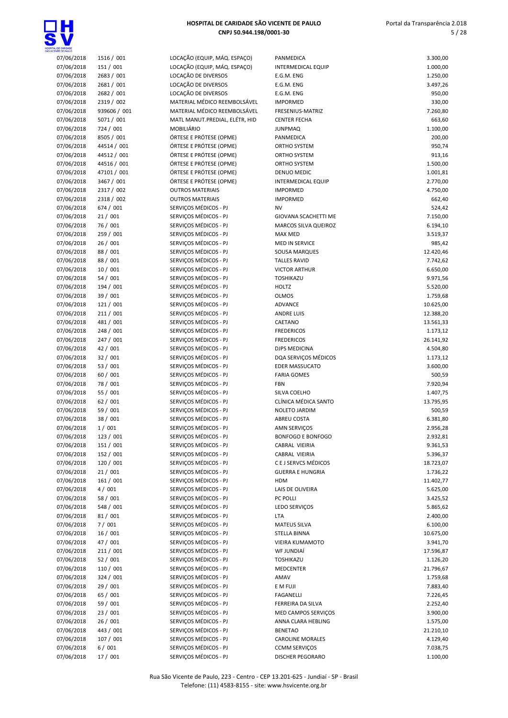

| <b>NCENTE DE PAULO</b> |              |                                |                             |           |
|------------------------|--------------|--------------------------------|-----------------------------|-----------|
| 07/06/2018             | 1516 / 001   | LOCAÇÃO (EQUIP, MÁQ. ESPAÇO)   | PANMEDICA                   | 3.300,00  |
| 07/06/2018             | 151 / 001    | LOCAÇÃO (EQUIP, MÁQ. ESPAÇO)   | <b>INTERMEDICAL EQUIP</b>   | 1.000,00  |
| 07/06/2018             | 2683 / 001   | LOCAÇÃO DE DIVERSOS            | E.G.M. ENG                  | 1.250,00  |
|                        |              |                                |                             |           |
| 07/06/2018             | 2681 / 001   | LOCAÇÃO DE DIVERSOS            | E.G.M. ENG                  | 3.497,26  |
| 07/06/2018             | 2682 / 001   | LOCAÇÃO DE DIVERSOS            | E.G.M. ENG                  | 950,00    |
| 07/06/2018             | 2319 / 002   | MATERIAL MÉDICO REEMBOLSÁVEL   | <b>IMPORMED</b>             | 330,00    |
| 07/06/2018             | 939606 / 001 | MATERIAL MÉDICO REEMBOLSÁVEL   | <b>FRESENIUS-MATRIZ</b>     | 7.260,80  |
| 07/06/2018             | 5071 / 001   | MATL MANUT.PREDIAL, ELÉTR, HID | <b>CENTER FECHA</b>         | 663,60    |
|                        |              |                                |                             |           |
| 07/06/2018             | 724 / 001    | MOBILIÁRIO                     | <b>JUNPMAQ</b>              | 1.100,00  |
| 07/06/2018             | 8505 / 001   | ÓRTESE E PRÓTESE (OPME)        | PANMEDICA                   | 200,00    |
| 07/06/2018             | 44514 / 001  | ÓRTESE E PRÓTESE (OPME)        | ORTHO SYSTEM                | 950,74    |
| 07/06/2018             | 44512 / 001  | ÓRTESE E PRÓTESE (OPME)        | ORTHO SYSTEM                | 913,16    |
| 07/06/2018             | 44516 / 001  | ÓRTESE E PRÓTESE (OPME)        | ORTHO SYSTEM                | 1.500,00  |
|                        |              |                                |                             |           |
| 07/06/2018             | 47101 / 001  | ÓRTESE E PRÓTESE (OPME)        | DENUO MEDIC                 | 1.001,81  |
| 07/06/2018             | 3467 / 001   | ÓRTESE E PRÓTESE (OPME)        | <b>INTERMEDICAL EQUIP</b>   | 2.770,00  |
| 07/06/2018             | 2317 / 002   | <b>OUTROS MATERIAIS</b>        | <b>IMPORMED</b>             | 4.750,00  |
| 07/06/2018             | 2318 / 002   | <b>OUTROS MATERIAIS</b>        | <b>IMPORMED</b>             | 662,40    |
| 07/06/2018             | 674 / 001    | SERVIÇOS MÉDICOS - PJ          | <b>NV</b>                   |           |
|                        |              |                                |                             | 524,42    |
| 07/06/2018             | 21/001       | SERVIÇOS MÉDICOS - PJ          | <b>GIOVANA SCACHETTI ME</b> | 7.150,00  |
| 07/06/2018             | 76 / 001     | SERVIÇOS MÉDICOS - PJ          | MARCOS SILVA QUEIROZ        | 6.194,10  |
| 07/06/2018             | 259 / 001    | SERVIÇOS MÉDICOS - PJ          | <b>MAX MED</b>              | 3.519,37  |
| 07/06/2018             | 26/001       | SERVIÇOS MÉDICOS - PJ          | <b>MED IN SERVICE</b>       | 985,42    |
| 07/06/2018             | 88 / 001     | SERVIÇOS MÉDICOS - PJ          | SOUSA MARQUES               | 12.420,46 |
|                        |              |                                |                             |           |
| 07/06/2018             | 88 / 001     | SERVIÇOS MÉDICOS - PJ          | <b>TALLES RAVID</b>         | 7.742,62  |
| 07/06/2018             | 10/001       | SERVIÇOS MÉDICOS - PJ          | <b>VICTOR ARTHUR</b>        | 6.650,00  |
| 07/06/2018             | 54 / 001     | SERVIÇOS MÉDICOS - PJ          | TOSHIKAZU                   | 9.971,56  |
| 07/06/2018             | 194 / 001    | SERVIÇOS MÉDICOS - PJ          | HOLTZ                       | 5.520,00  |
|                        |              |                                |                             |           |
| 07/06/2018             | 39 / 001     | SERVIÇOS MÉDICOS - PJ          | <b>OLMOS</b>                | 1.759,68  |
| 07/06/2018             | 121 / 001    | SERVIÇOS MÉDICOS - PJ          | <b>ADVANCE</b>              | 10.625,00 |
| 07/06/2018             | 211/001      | SERVIÇOS MÉDICOS - PJ          | <b>ANDRE LUIS</b>           | 12.388,20 |
| 07/06/2018             | 481 / 001    | SERVIÇOS MÉDICOS - PJ          | CAETANO                     | 13.561,33 |
| 07/06/2018             | 248 / 001    | SERVIÇOS MÉDICOS - PJ          | <b>FREDERICOS</b>           | 1.173,12  |
|                        |              |                                |                             |           |
| 07/06/2018             | 247 / 001    | SERVIÇOS MÉDICOS - PJ          | <b>FREDERICOS</b>           | 26.141,92 |
| 07/06/2018             | 42 / 001     | SERVIÇOS MÉDICOS - PJ          | DJPS MEDICINA               | 4.504,80  |
| 07/06/2018             | 32 / 001     | SERVIÇOS MÉDICOS - PJ          | DQA SERVIÇOS MÉDICOS        | 1.173,12  |
| 07/06/2018             | 53 / 001     | SERVIÇOS MÉDICOS - PJ          | <b>EDER MASSUCATO</b>       | 3.600,00  |
| 07/06/2018             | 60 / 001     | SERVIÇOS MÉDICOS - PJ          | <b>FARIA GOMES</b>          | 500,59    |
|                        | 78 / 001     | SERVIÇOS MÉDICOS - PJ          |                             |           |
| 07/06/2018             |              |                                | FBN                         | 7.920,94  |
| 07/06/2018             | 55 / 001     | SERVIÇOS MÉDICOS - PJ          | SILVA COELHO                | 1.407,75  |
| 07/06/2018             | 62 / 001     | SERVIÇOS MÉDICOS - PJ          | CLÍNICA MÉDICA SANTO        | 13.795,95 |
| 07/06/2018             | 59 / 001     | SERVIÇOS MÉDICOS - PJ          | NOLETO JARDIM               | 500,59    |
| 07/06/2018             | 38 / 001     | SERVIÇOS MÉDICOS - PJ          | <b>ABREU COSTA</b>          | 6.381,80  |
|                        |              |                                |                             |           |
| 07/06/2018             | 1/001        | SERVIÇOS MÉDICOS - PJ          | <b>AMN SERVICOS</b>         | 2.956,28  |
| 07/06/2018             | 123 / 001    | SERVIÇOS MÉDICOS - PJ          | <b>BONFOGO E BONFOGO</b>    | 2.932,81  |
| 07/06/2018             | 151 / 001    | SERVIÇOS MÉDICOS - PJ          | CABRAL VIEIRIA              | 9.361,53  |
| 07/06/2018             | 152 / 001    | SERVIÇOS MÉDICOS - PJ          | CABRAL VIEIRIA              | 5.396,37  |
| 07/06/2018             | 120 / 001    | SERVIÇOS MÉDICOS - PJ          | C E J SERVCS MÉDICOS        | 18.723,07 |
|                        |              |                                |                             |           |
| 07/06/2018             | 21/001       | SERVIÇOS MÉDICOS - PJ          | <b>GUERRA E HUNGRIA</b>     | 1.736,22  |
| 07/06/2018             | 161 / 001    | SERVIÇOS MÉDICOS - PJ          | HDM                         | 11.402,77 |
| 07/06/2018             | 4/001        | SERVIÇOS MÉDICOS - PJ          | LAIS DE OLIVEIRA            | 5.625,00  |
| 07/06/2018             | 58 / 001     | SERVIÇOS MÉDICOS - PJ          | PC POLLI                    | 3.425,52  |
| 07/06/2018             | 548 / 001    | SERVIÇOS MÉDICOS - PJ          | LEDO SERVIÇOS               | 5.865,62  |
|                        |              |                                |                             |           |
| 07/06/2018             | 81 / 001     | SERVIÇOS MÉDICOS - PJ          | LTA                         | 2.400,00  |
| 07/06/2018             | 7/001        | SERVIÇOS MÉDICOS - PJ          | <b>MATEUS SILVA</b>         | 6.100,00  |
| 07/06/2018             | 16 / 001     | SERVIÇOS MÉDICOS - PJ          | STELLA BINNA                | 10.675,00 |
| 07/06/2018             | 47 / 001     | SERVIÇOS MÉDICOS - PJ          | VIEIRA KUMAMOTO             | 3.941,70  |
| 07/06/2018             | 211 / 001    | SERVIÇOS MÉDICOS - PJ          | WF JUNDIAÍ                  | 17.596,87 |
| 07/06/2018             |              |                                |                             |           |
|                        | 52/001       | SERVIÇOS MÉDICOS - PJ          | TOSHIKAZU                   | 1.126,20  |
| 07/06/2018             | 110 / 001    | SERVIÇOS MÉDICOS - PJ          | MEDCENTER                   | 21.796,67 |
| 07/06/2018             | 324 / 001    | SERVIÇOS MÉDICOS - PJ          | AMAV                        | 1.759,68  |
| 07/06/2018             | 29 / 001     | SERVIÇOS MÉDICOS - PJ          | E M FUJI                    | 7.883,40  |
| 07/06/2018             | 65 / 001     | SERVIÇOS MÉDICOS - PJ          | FAGANELLI                   | 7.226,45  |
|                        |              |                                |                             |           |
| 07/06/2018             | 59 / 001     | SERVIÇOS MÉDICOS - PJ          | FERREIRA DA SILVA           | 2.252,40  |
| 07/06/2018             | 23 / 001     | SERVIÇOS MÉDICOS - PJ          | MED CAMPOS SERVIÇOS         | 3.900,00  |
| 07/06/2018             | 26/001       | SERVIÇOS MÉDICOS - PJ          | ANNA CLARA HEBLING          | 1.575,00  |
| 07/06/2018             | 443 / 001    | SERVIÇOS MÉDICOS - PJ          | <b>BENETAO</b>              | 21.210,10 |
| 07/06/2018             | 107 / 001    | SERVIÇOS MÉDICOS - PJ          | <b>CAROLINE MORALES</b>     | 4.129,40  |
|                        |              |                                |                             |           |
| 07/06/2018             | 6/001        | SERVIÇOS MÉDICOS - PJ          | <b>CCMM SERVIÇOS</b>        | 7.038,75  |
| 07/06/2018             | 17 / 001     | SERVIÇOS MÉDICOS - PJ          | DISCHER PEGORARO            | 1.100,00  |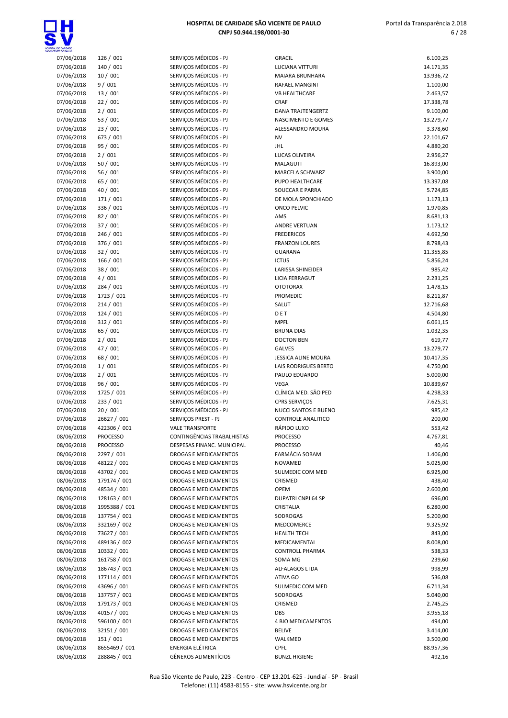

| 07/06/2018 | 126 / 001       | SERVIÇOS MÉDICOS - PJ        | <b>GRACIL</b>             | 6.100,25  |
|------------|-----------------|------------------------------|---------------------------|-----------|
| 07/06/2018 | 140 / 001       | SERVIÇOS MÉDICOS - PJ        | LUCIANA VITTURI           | 14.171,35 |
| 07/06/2018 | 10/001          | SERVIÇOS MÉDICOS - PJ        | MAIARA BRUNHARA           | 13.936,72 |
| 07/06/2018 | 9/001           | SERVIÇOS MÉDICOS - PJ        | <b>RAFAEL MANGINI</b>     | 1.100,00  |
|            |                 |                              |                           |           |
| 07/06/2018 | 13/001          | SERVIÇOS MÉDICOS - PJ        | <b>VB HEALTHCARE</b>      | 2.463,57  |
| 07/06/2018 | 22/001          | SERVIÇOS MÉDICOS - PJ        | CRAF                      | 17.338,78 |
| 07/06/2018 | 2/001           | SERVICOS MÉDICOS - PJ        | <b>DANA TRAJTENGERTZ</b>  | 9.100,00  |
|            | 53 / 001        | SERVIÇOS MÉDICOS - PJ        | NASCIMENTO E GOMES        |           |
| 07/06/2018 |                 |                              |                           | 13.279,77 |
| 07/06/2018 | 23/001          | SERVIÇOS MÉDICOS - PJ        | ALESSANDRO MOURA          | 3.378,60  |
| 07/06/2018 | 673 / 001       | SERVIÇOS MÉDICOS - PJ        | <b>NV</b>                 | 22.101,67 |
| 07/06/2018 | 95 / 001        | SERVIÇOS MÉDICOS - PJ        | JHL                       | 4.880,20  |
|            |                 |                              |                           |           |
| 07/06/2018 | 2/001           | SERVIÇOS MÉDICOS - PJ        | LUCAS OLIVEIRA            | 2.956,27  |
| 07/06/2018 | 50/001          | SERVIÇOS MÉDICOS - PJ        | <b>MALAGUTI</b>           | 16.893,00 |
| 07/06/2018 | 56 / 001        | SERVIÇOS MÉDICOS - PJ        | MARCELA SCHWARZ           | 3.900,00  |
|            |                 |                              |                           |           |
| 07/06/2018 | 65 / 001        | SERVIÇOS MÉDICOS - PJ        | PUPO HEALTHCARE           | 13.397,08 |
| 07/06/2018 | 40 / 001        | SERVIÇOS MÉDICOS - PJ        | SOUCCAR E PARRA           | 5.724,85  |
| 07/06/2018 | 171 / 001       | SERVIÇOS MÉDICOS - PJ        | DE MOLA SPONCHIADO        | 1.173,13  |
| 07/06/2018 | 336 / 001       | SERVIÇOS MÉDICOS - PJ        | <b>ONCO PELVIC</b>        | 1.970,85  |
|            |                 |                              |                           |           |
| 07/06/2018 | 82 / 001        | SERVIÇOS MÉDICOS - PJ        | AMS                       | 8.681,13  |
| 07/06/2018 | 37 / 001        | SERVIÇOS MÉDICOS - PJ        | <b>ANDRE VERTUAN</b>      | 1.173,12  |
| 07/06/2018 | 246 / 001       | SERVIÇOS MÉDICOS - PJ        | <b>FREDERICOS</b>         | 4.692,50  |
|            |                 |                              |                           |           |
| 07/06/2018 | 376 / 001       | SERVIÇOS MÉDICOS - PJ        | <b>FRANZON LOURES</b>     | 8.798,43  |
| 07/06/2018 | 32 / 001        | SERVIÇOS MÉDICOS - PJ        | <b>GUARANA</b>            | 11.355,85 |
| 07/06/2018 | 166 / 001       | SERVIÇOS MÉDICOS - PJ        | <b>ICTUS</b>              | 5.856,24  |
| 07/06/2018 | 38 / 001        | SERVIÇOS MÉDICOS - PJ        | <b>LARISSA SHINEIDER</b>  | 985,42    |
|            |                 |                              |                           |           |
| 07/06/2018 | 4/001           | SERVICOS MÉDICOS - PJ        | <b>LICIA FERRAGUT</b>     | 2.231,25  |
| 07/06/2018 | 284 / 001       | SERVIÇOS MÉDICOS - PJ        | <b>OTOTORAX</b>           | 1.478,15  |
| 07/06/2018 | 1723 / 001      | SERVIÇOS MÉDICOS - PJ        | <b>PROMEDIC</b>           | 8.211,87  |
|            |                 |                              |                           |           |
| 07/06/2018 | 214 / 001       | SERVIÇOS MÉDICOS - PJ        | SALUT                     | 12.716,68 |
| 07/06/2018 | 124 / 001       | SERVIÇOS MÉDICOS - PJ        | DET                       | 4.504,80  |
| 07/06/2018 | 312 / 001       | SERVIÇOS MÉDICOS - PJ        | <b>MPFL</b>               | 6.061,15  |
|            |                 |                              |                           |           |
| 07/06/2018 | 65 / 001        | SERVIÇOS MÉDICOS - PJ        | <b>BRUNA DIAS</b>         | 1.032,35  |
| 07/06/2018 | 2/001           | SERVIÇOS MÉDICOS - PJ        | <b>DOCTON BEN</b>         | 619,77    |
| 07/06/2018 | 47 / 001        | SERVIÇOS MÉDICOS - PJ        | <b>GALVES</b>             | 13.279,77 |
| 07/06/2018 | 68 / 001        | SERVIÇOS MÉDICOS - PJ        | JESSICA ALINE MOURA       | 10.417,35 |
|            |                 |                              |                           |           |
| 07/06/2018 | 1/001           | SERVIÇOS MÉDICOS - PJ        | LAIS RODRIGUES BERTO      | 4.750,00  |
| 07/06/2018 | 2/001           | SERVIÇOS MÉDICOS - PJ        | PAULO EDUARDO             | 5.000,00  |
| 07/06/2018 | 96/001          | SERVIÇOS MÉDICOS - PJ        | <b>VEGA</b>               | 10.839,67 |
|            |                 |                              |                           |           |
| 07/06/2018 | 1725 / 001      | SERVIÇOS MÉDICOS - PJ        | CLÍNICA MED. SÃO PED      | 4.298,33  |
| 07/06/2018 | 233 / 001       | SERVIÇOS MÉDICOS - PJ        | CPRS SERVIÇOS             | 7.625,31  |
| 07/06/2018 | 20/001          | SERVIÇOS MÉDICOS - PJ        | NUCCI SANTOS E BUENO      | 985,42    |
| 07/06/2018 | 26627 / 001     | SERVIÇOS PREST - PJ          | <b>CONTROLE ANALITICO</b> | 200,00    |
|            |                 |                              |                           |           |
| 07/06/2018 | 422306 / 001    | <b>VALE TRANSPORTE</b>       | RÁPIDO LUXO               | 553,42    |
| 08/06/2018 | <b>PROCESSO</b> | CONTINGENCIAS TRABALHISTAS   | <b>PROCESSO</b>           | 4.767,81  |
| 08/06/2018 | <b>PROCESSO</b> | DESPESAS FINANC. MUNICIPAL   | <b>PROCESSO</b>           | 40,46     |
| 08/06/2018 |                 | DROGAS E MEDICAMENTOS        |                           |           |
|            | 2297 / 001      |                              | FARMÁCIA SOBAM            | 1.406,00  |
| 08/06/2018 | 48122 / 001     | <b>DROGAS E MEDICAMENTOS</b> | <b>NOVAMED</b>            | 5.025,00  |
| 08/06/2018 | 43702 / 001     | DROGAS E MEDICAMENTOS        | SULMEDIC COM MED          | 6.925,00  |
| 08/06/2018 | 179174 / 001    | DROGAS E MEDICAMENTOS        | CRISMED                   | 438,40    |
|            |                 |                              |                           |           |
| 08/06/2018 | 48534 / 001     | DROGAS E MEDICAMENTOS        | <b>OPEM</b>               | 2.600,00  |
| 08/06/2018 | 128163 / 001    | DROGAS E MEDICAMENTOS        | DUPATRI CNPJ 64 SP        | 696,00    |
| 08/06/2018 | 1995388 / 001   | <b>DROGAS E MEDICAMENTOS</b> | CRISTALIA                 | 6.280,00  |
|            |                 |                              |                           |           |
| 08/06/2018 | 137754 / 001    | DROGAS E MEDICAMENTOS        | SODROGAS                  | 5.200,00  |
| 08/06/2018 | 332169 / 002    | DROGAS E MEDICAMENTOS        | MEDCOMERCE                | 9.325,92  |
| 08/06/2018 | 73627 / 001     | DROGAS E MEDICAMENTOS        | <b>HEALTH TECH</b>        | 843,00    |
| 08/06/2018 | 489136 / 002    | DROGAS E MEDICAMENTOS        | MEDICAMENTAL              | 8.008,00  |
|            |                 |                              |                           |           |
| 08/06/2018 | 10332 / 001     | DROGAS E MEDICAMENTOS        | <b>CONTROLL PHARMA</b>    | 538,33    |
| 08/06/2018 | 161758 / 001    | DROGAS E MEDICAMENTOS        | SOMA MG                   | 239,60    |
| 08/06/2018 | 186743 / 001    | DROGAS E MEDICAMENTOS        | ALFALAGOS LTDA            | 998,99    |
|            |                 |                              |                           |           |
| 08/06/2018 | 177114 / 001    | DROGAS E MEDICAMENTOS        | ATIVA GO                  | 536,08    |
| 08/06/2018 | 43696 / 001     | DROGAS E MEDICAMENTOS        | SULMEDIC COM MED          | 6.711,34  |
| 08/06/2018 | 137757 / 001    | DROGAS E MEDICAMENTOS        | SODROGAS                  | 5.040,00  |
| 08/06/2018 | 179173 / 001    | DROGAS E MEDICAMENTOS        | CRISMED                   | 2.745,25  |
|            |                 |                              |                           |           |
| 08/06/2018 | 40157 / 001     | DROGAS E MEDICAMENTOS        | <b>DBS</b>                | 3.955,18  |
| 08/06/2018 | 596100 / 001    | DROGAS E MEDICAMENTOS        | <b>4 BIO MEDICAMENTOS</b> | 494,00    |
| 08/06/2018 | 32151 / 001     | DROGAS E MEDICAMENTOS        | <b>BELIVE</b>             | 3.414,00  |
|            |                 |                              |                           |           |
| 08/06/2018 | 151 / 001       | DROGAS E MEDICAMENTOS        | WALKMED                   | 3.500,00  |
|            |                 |                              |                           | 88.957,36 |
| 08/06/2018 | 8655469 / 001   | ENERGIA ELÉTRICA             | <b>CPFL</b>               |           |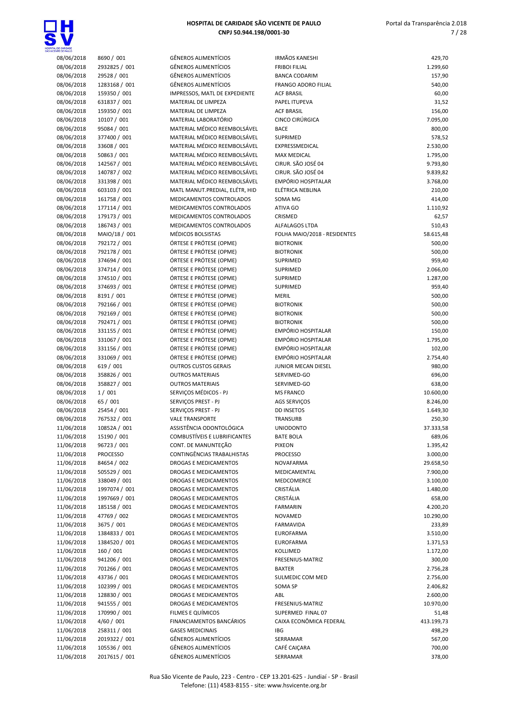

| 08/06/2018 | 8690 / 001                    | GÊN             |
|------------|-------------------------------|-----------------|
| 08/06/2018 | 2932825 / 001                 | GÊN             |
| 08/06/2018 | 29528 / 001                   | GÊN             |
| 08/06/2018 | 1283168 / 001                 | GÊN             |
| 08/06/2018 | 159350 / 001                  | IMP             |
| 08/06/2018 | 631837 / 001                  | MA <sup>®</sup> |
| 08/06/2018 | 159350 / 001                  | MA <sup>®</sup> |
| 08/06/2018 | 10107 / 001                   | MA <sup>®</sup> |
| 08/06/2018 | 95084 / 001                   | MA <sup>®</sup> |
| 08/06/2018 | 377400 / 001                  | MA <sup>®</sup> |
| 08/06/2018 | 33608 / 001                   | MA <sup>®</sup> |
| 08/06/2018 | 50863 / 001                   | MA <sup>®</sup> |
| 08/06/2018 | 142567 / 001                  | MA <sup>®</sup> |
| 08/06/2018 | 140787 / 002                  | MA <sup>®</sup> |
| 08/06/2018 | 331398 / 001                  | MA <sup>®</sup> |
| 08/06/2018 | 603103 / 001                  | MA <sup>®</sup> |
| 08/06/2018 | 161758 / 001                  | MEI             |
| 08/06/2018 | 177114 / 001                  | MEI             |
| 08/06/2018 | 179173 / 001                  | MEI             |
| 08/06/2018 | 186743 / 001                  | MEI             |
|            |                               | MÉI             |
| 08/06/2018 | MAIO/18 / 001<br>792172 / 001 |                 |
| 08/06/2018 |                               | ÓR1             |
| 08/06/2018 | 792178 / 001                  | ÓR1             |
| 08/06/2018 | 374694 / 001                  | ÓR1             |
| 08/06/2018 | 374714 / 001                  | ÓR1             |
| 08/06/2018 | 374510 / 001                  | ÓR1             |
| 08/06/2018 | 374693 / 001                  | ÓR1             |
| 08/06/2018 | 8191 / 001                    | ÓR1             |
| 08/06/2018 | 792166 / 001                  | ÓR1             |
| 08/06/2018 | 792169 / 001                  | ÓR1             |
| 08/06/2018 | 792471 / 001                  | ÓR1             |
| 08/06/2018 | 331155 / 001                  | ÓR1             |
| 08/06/2018 | 331067 / 001                  | ÓR1             |
| 08/06/2018 | 331156 / 001                  | ÓR1             |
| 08/06/2018 | 331069 / 001                  | ÓRT             |
| 08/06/2018 | 619 / 001                     | OU"             |
| 08/06/2018 | 358826 / 001                  | OU1             |
| 08/06/2018 | 358827 / 001                  | OUT             |
| 08/06/2018 | 1/001                         | <b>SER</b>      |
| 08/06/2018 | 65 / 001                      | <b>SER</b>      |
| 08/06/2018 | 25454 / 001                   | <b>SER</b>      |
| 08/06/2018 | 767532 / 001                  | VAL             |
| 11/06/2018 | 10852A / 001                  | ASS             |
| 11/06/2018 | 15190 / 001                   | <b>CON</b>      |
| 11/06/2018 | 96723 / 001                   | <b>COI</b>      |
| 11/06/2018 | <b>PROCESSO</b>               | <b>COI</b>      |
| 11/06/2018 | 84654 / 002                   | DRC             |
| 11/06/2018 | 505529 / 001                  | DRC             |
| 11/06/2018 | 338049 / 001                  | DRC             |
| 11/06/2018 | 1997074 / 001                 | DRC             |
| 11/06/2018 | 1997669 / 001                 | DRC             |
| 11/06/2018 | 185158 / 001                  | DRC             |
| 11/06/2018 | 47769 / 002                   | DRC             |
| 11/06/2018 | 3675 / 001                    | DRC             |
| 11/06/2018 | 1384833 / 001                 | DRC             |
| 11/06/2018 | 1384520 / 001                 | <b>DRC</b>      |
| 11/06/2018 | 160 / 001                     | DRC             |
| 11/06/2018 | 941206 / 001                  | DRC             |
| 11/06/2018 | 701266 / 001                  | DRC             |
| 11/06/2018 | 43736 / 001                   | DRC             |
| 11/06/2018 | 102399 / 001                  | DRC             |
| 11/06/2018 | 128830 / 001                  | DRC             |
| 11/06/2018 | 941555 / 001                  | DRC             |
| 11/06/2018 | 170990 / 001                  | FILN            |
| 11/06/2018 | 4/60 / 001                    | FIN/            |
| 11/06/2018 | 258311 / 001                  | GAS             |
| 11/06/2018 | 2019322 / 001                 | GÊN             |
| 11/06/2018 | 105536 / 001                  | GÊN             |

| INTE DE PAULO            |                              |                                                      |                              |                 |
|--------------------------|------------------------------|------------------------------------------------------|------------------------------|-----------------|
| 08/06/2018               | 8690 / 001                   | <b>GÊNEROS ALIMENTÍCIOS</b>                          | <b>IRMÃOS KANESHI</b>        | 429,70          |
| 08/06/2018               | 2932825 / 001                | <b>GÊNEROS ALIMENTÍCIOS</b>                          | <b>FRIBOI FILIAL</b>         | 1.299,60        |
| 08/06/2018               | 29528 / 001                  | <b>GÊNEROS ALIMENTÍCIOS</b>                          | <b>BANCA CODARIM</b>         | 157,90          |
| 08/06/2018               | 1283168 / 001                | <b>GÊNEROS ALIMENTÍCIOS</b>                          | <b>FRANGO ADORO FILIAL</b>   | 540,00          |
| 08/06/2018               | 159350 / 001                 | IMPRESSOS, MATL DE EXPEDIENTE                        | <b>ACF BRASIL</b>            | 60,00           |
| 08/06/2018               | 631837 / 001                 | MATERIAL DE LIMPEZA                                  | PAPEL ITUPEVA                | 31,52           |
| 08/06/2018               | 159350 / 001                 | MATERIAL DE LIMPEZA                                  | <b>ACF BRASIL</b>            | 156,00          |
| 08/06/2018               | 10107 / 001                  | MATERIAL LABORATÓRIO                                 | CINCO CIRÚRGICA              | 7.095,00        |
| 08/06/2018               | 95084 / 001                  | MATERIAL MÉDICO REEMBOLSÁVEL                         | <b>BACE</b>                  | 800,00          |
| 08/06/2018               | 377400 / 001                 | MATERIAL MÉDICO REEMBOLSÁVEL                         | SUPRIMED                     | 578,52          |
| 08/06/2018               | 33608 / 001                  | MATERIAL MÉDICO REEMBOLSÁVEL                         | EXPRESSMEDICAL               | 2.530,00        |
| 08/06/2018               | 50863 / 001                  | MATERIAL MÉDICO REEMBOLSÁVEL                         | <b>MAX MEDICAL</b>           | 1.795,00        |
| 08/06/2018               | 142567 / 001                 | MATERIAL MÉDICO REEMBOLSÁVEL                         | CIRUR. SÃO JOSÉ 04           | 9.793,80        |
| 08/06/2018               | 140787 / 002                 | MATERIAL MÉDICO REEMBOLSÁVEL                         | CIRUR. SÃO JOSÉ 04           | 9.839,82        |
| 08/06/2018               | 331398 / 001                 | MATERIAL MÉDICO REEMBOLSÁVEL                         | EMPÓRIO HOSPITALAR           | 3.768,00        |
| 08/06/2018               | 603103 / 001                 | MATL MANUT.PREDIAL, ELÉTR, HID                       | ELÉTRICA NEBLINA             | 210,00          |
| 08/06/2018               | 161758 / 001                 | MEDICAMENTOS CONTROLADOS                             | SOMA MG                      | 414,00          |
| 08/06/2018               | 177114 / 001<br>179173 / 001 | MEDICAMENTOS CONTROLADOS<br>MEDICAMENTOS CONTROLADOS | ATIVA GO<br>CRISMED          | 1.110,92        |
| 08/06/2018               | 186743 / 001                 | MEDICAMENTOS CONTROLADOS                             | <b>ALFALAGOS LTDA</b>        | 62,57<br>510,43 |
| 08/06/2018<br>08/06/2018 | MAIO/18 / 001                | MÉDICOS BOLSISTAS                                    | FOLHA MAIO/2018 - RESIDENTES | 58.615,48       |
| 08/06/2018               | 792172 / 001                 | ÓRTESE E PRÓTESE (OPME)                              | <b>BIOTRONIK</b>             | 500,00          |
| 08/06/2018               | 792178 / 001                 | ÓRTESE E PRÓTESE (OPME)                              | <b>BIOTRONIK</b>             | 500,00          |
| 08/06/2018               | 374694 / 001                 | ÓRTESE E PRÓTESE (OPME)                              | SUPRIMED                     | 959,40          |
| 08/06/2018               | 374714 / 001                 | ÓRTESE E PRÓTESE (OPME)                              | SUPRIMED                     | 2.066,00        |
| 08/06/2018               | 374510 / 001                 | ÓRTESE E PRÓTESE (OPME)                              | <b>SUPRIMED</b>              | 1.287,00        |
| 08/06/2018               | 374693 / 001                 | ÓRTESE E PRÓTESE (OPME)                              | SUPRIMED                     | 959,40          |
| 08/06/2018               | 8191 / 001                   | ÓRTESE E PRÓTESE (OPME)                              | <b>MERIL</b>                 | 500,00          |
| 08/06/2018               | 792166 / 001                 | ÓRTESE E PRÓTESE (OPME)                              | <b>BIOTRONIK</b>             | 500,00          |
| 08/06/2018               | 792169 / 001                 | ÓRTESE E PRÓTESE (OPME)                              | <b>BIOTRONIK</b>             | 500,00          |
| 08/06/2018               | 792471 / 001                 | ÓRTESE E PRÓTESE (OPME)                              | <b>BIOTRONIK</b>             | 500,00          |
| 08/06/2018               | 331155 / 001                 | ÓRTESE E PRÓTESE (OPME)                              | EMPÓRIO HOSPITALAR           | 150,00          |
| 08/06/2018               | 331067 / 001                 | ÓRTESE E PRÓTESE (OPME)                              | <b>EMPÓRIO HOSPITALAR</b>    | 1.795,00        |
| 08/06/2018               | 331156 / 001                 | ÓRTESE E PRÓTESE (OPME)                              | <b>EMPÓRIO HOSPITALAR</b>    | 102,00          |
| 08/06/2018               | 331069 / 001                 | ÓRTESE E PRÓTESE (OPME)                              | <b>EMPÓRIO HOSPITALAR</b>    | 2.754,40        |
| 08/06/2018               | 619 / 001                    | <b>OUTROS CUSTOS GERAIS</b>                          | JUNIOR MECAN DIESEL          | 980,00          |
| 08/06/2018               | 358826 / 001                 | <b>OUTROS MATERIAIS</b>                              | SERVIMED-GO                  | 696,00          |
| 08/06/2018               | 358827 / 001                 | <b>OUTROS MATERIAIS</b>                              | SERVIMED-GO                  | 638,00          |
| 08/06/2018               | 1/001                        | SERVIÇOS MÉDICOS - PJ                                | <b>MS FRANCO</b>             | 10.600,00       |
| 08/06/2018               | 65 / 001                     | SERVIÇOS PREST - PJ                                  | AGS SERVIÇOS                 | 8.246,00        |
| 08/06/2018               | 25454 / 001                  | SERVICOS PREST - PJ                                  | <b>DD INSETOS</b>            | 1.649,30        |
| 08/06/2018               | 767532 / 001                 | <b>VALE TRANSPORTE</b>                               | <b>TRANSURB</b>              | 250,30          |
| 11/06/2018               | 10852A / 001                 | ASSISTÊNCIA ODONTOLÓGICA                             | <b>UNIODONTO</b>             | 37.333,58       |
| 11/06/2018               | 15190 / 001                  | <b>COMBUSTÍVEIS E LUBRIFICANTES</b>                  | <b>BATE BOLA</b>             | 689,06          |
| 11/06/2018               | 96723 / 001                  | CONT. DE MANUNTEÇÃO                                  | <b>PIXEON</b>                | 1.395,42        |
| 11/06/2018               | <b>PROCESSO</b>              | CONTINGÊNCIAS TRABALHISTAS                           | <b>PROCESSO</b>              | 3.000,00        |
| 11/06/2018               | 84654 / 002                  | DROGAS E MEDICAMENTOS                                | <b>NOVAFARMA</b>             | 29.658,50       |
| 11/06/2018               | 505529 / 001                 | DROGAS E MEDICAMENTOS                                | MEDICAMENTAL                 | 7.900,00        |
| 11/06/2018               | 338049 / 001                 | DROGAS E MEDICAMENTOS                                | <b>MEDCOMERCE</b>            | 3.100,00        |
| 11/06/2018               | 1997074 / 001                | DROGAS E MEDICAMENTOS                                | CRISTÁLIA                    | 1.480,00        |
| 11/06/2018               | 1997669 / 001                | DROGAS E MEDICAMENTOS                                | CRISTÁLIA                    | 658,00          |
| 11/06/2018               | 185158 / 001                 | <b>DROGAS E MEDICAMENTOS</b>                         | <b>FARMARIN</b>              | 4.200,20        |
| 11/06/2018               | 47769 / 002                  | <b>DROGAS E MEDICAMENTOS</b>                         | <b>NOVAMED</b>               | 10.290,00       |
| 11/06/2018               | 3675 / 001                   | DROGAS E MEDICAMENTOS                                | FARMAVIDA                    | 233,89          |
| 11/06/2018               | 1384833 / 001                | DROGAS E MEDICAMENTOS                                | <b>EUROFARMA</b>             | 3.510,00        |
| 11/06/2018               | 1384520 / 001                | DROGAS E MEDICAMENTOS                                | <b>EUROFARMA</b>             | 1.371,53        |
| 11/06/2018               | 160 / 001                    | DROGAS E MEDICAMENTOS                                | <b>KOLLIMED</b>              | 1.172,00        |
| 11/06/2018               | 941206 / 001                 | DROGAS E MEDICAMENTOS                                | FRESENIUS-MATRIZ             | 300,00          |
| 11/06/2018               | 701266 / 001                 | DROGAS E MEDICAMENTOS                                | <b>BAXTER</b>                | 2.756,28        |
| 11/06/2018               | 43736 / 001                  | DROGAS E MEDICAMENTOS                                | SULMEDIC COM MED             | 2.756,00        |
| 11/06/2018               | 102399 / 001                 | DROGAS E MEDICAMENTOS                                | SOMA SP                      | 2.406,82        |
| 11/06/2018               | 128830 / 001                 | DROGAS E MEDICAMENTOS                                | ABL                          | 2.600,00        |
| 11/06/2018               | 941555 / 001                 | DROGAS E MEDICAMENTOS                                | FRESENIUS-MATRIZ             | 10.970,00       |
| 11/06/2018               | 170990 / 001                 | FILMES E QUÍMICOS                                    | SUPERMED FINAL 07            | 51,48           |
| 11/06/2018               | 4/60/001                     | FINANCIAMENTOS BANCÁRIOS                             | CAIXA ECONÔMICA FEDERAL      | 413.199,73      |
| 11/06/2018               | 258311 / 001                 | <b>GASES MEDICINAIS</b>                              | <b>IBG</b>                   | 498,29          |
| 11/06/2018               | 2019322 / 001                | <b>GÊNEROS ALIMENTÍCIOS</b>                          | SERRAMAR                     | 567,00          |
| 11/06/2018               | 105536 / 001                 | <b>GÊNEROS ALIMENTÍCIOS</b>                          | CAFÉ CAIÇARA                 | 700,00          |
| 11/06/2018               | 2017615 / 001                | <b>GÊNEROS ALIMENTÍCIOS</b>                          | SERRAMAR                     | 378,00          |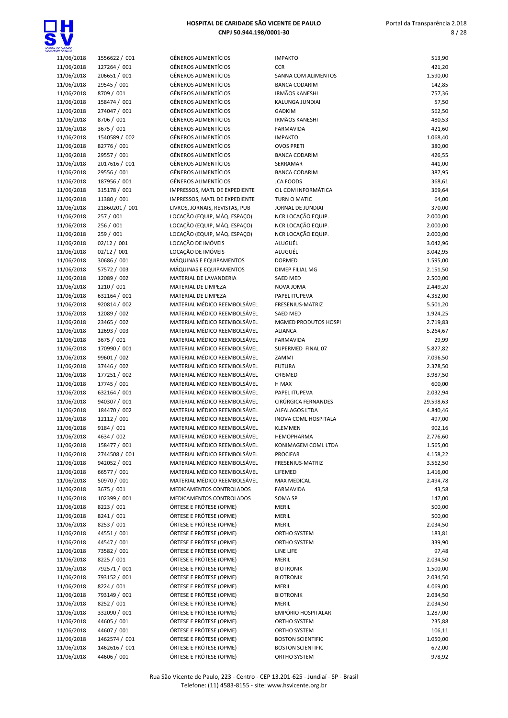

| TAL DE CARIDADE<br>CENTE DE PAULO |                            |                                                            |
|-----------------------------------|----------------------------|------------------------------------------------------------|
| 11/06/2018                        | 1556622 / 001              | <b>GÊNEROS ALIMENTÍCIOS</b>                                |
| 11/06/2018                        | 127264 / 001               | <b>GÊNEROS ALIMENTÍCIOS</b>                                |
| 11/06/2018                        | 206651 / 001               | <b>GÊNEROS ALIMENTÍCIOS</b>                                |
| 11/06/2018                        | 29545 / 001                | <b>GÊNEROS ALIMENTÍCIOS</b>                                |
| 11/06/2018                        | 8709 / 001                 | <b>GÊNEROS ALIMENTÍCIOS</b>                                |
| 11/06/2018                        | 158474 / 001               | <b>GÊNEROS ALIMENTÍCIOS</b>                                |
| 11/06/2018                        | 274047 / 001               | <b>GÊNEROS ALIMENTÍCIOS</b>                                |
| 11/06/2018                        | 8706 / 001                 | <b>GÊNEROS ALIMENTÍCIOS</b>                                |
| 11/06/2018                        | 3675 / 001                 | <b>GÊNEROS ALIMENTÍCIOS</b>                                |
| 11/06/2018                        | 1540589 / 002              | <b>GÊNEROS ALIMENTÍCIOS</b><br><b>GÊNEROS ALIMENTÍCIOS</b> |
| 11/06/2018<br>11/06/2018          | 82776 / 001<br>29557 / 001 | <b>GÊNEROS ALIMENTÍCIOS</b>                                |
| 11/06/2018                        | 2017616 / 001              | <b>GÊNEROS ALIMENTÍCIOS</b>                                |
| 11/06/2018                        | 29556 / 001                | <b>GÊNEROS ALIMENTÍCIOS</b>                                |
| 11/06/2018                        | 187956 / 001               | <b>GÊNEROS ALIMENTÍCIOS</b>                                |
| 11/06/2018                        | 315178 / 001               | IMPRESSOS, MATL DE EXPE                                    |
| 11/06/2018                        | 11380 / 001                | IMPRESSOS, MATL DE EXPE                                    |
| 11/06/2018                        | 21860201 / 001             | LIVROS, JORNAIS, REVISTAS                                  |
| 11/06/2018                        | 257 / 001                  | LOCAÇÃO (EQUIP, MÁQ. ES                                    |
| 11/06/2018                        | 256 / 001                  | LOCAÇÃO (EQUIP, MÁQ. ES                                    |
| 11/06/2018                        | 259 / 001                  | LOCAÇÃO (EQUIP, MÁQ. ES                                    |
| 11/06/2018                        | 02/12 / 001                | LOCAÇÃO DE IMÓVEIS                                         |
| 11/06/2018                        | 02/12 / 001                | LOCAÇÃO DE IMÓVEIS                                         |
| 11/06/2018                        | 30686 / 001                | MÁQUINAS E EQUIPAMENT                                      |
| 11/06/2018                        | 57572 / 003                | MÁQUINAS E EQUIPAMENT                                      |
| 11/06/2018                        | 12089 / 002                | MATERIAL DE LAVANDERIA                                     |
| 11/06/2018                        | 1210 / 001                 | MATERIAL DE LIMPEZA                                        |
| 11/06/2018                        | 632164 / 001               | MATERIAL DE LIMPEZA                                        |
| 11/06/2018                        | 920814 / 002               | MATERIAL MÉDICO REEMB                                      |
| 11/06/2018                        | 12089 / 002                | MATERIAL MÉDICO REEMB                                      |
| 11/06/2018                        | 23465 / 002                | MATERIAL MÉDICO REEMB                                      |
| 11/06/2018                        | 12693 / 003                | MATERIAL MÉDICO REEMB                                      |
| 11/06/2018                        | 3675 / 001                 | MATERIAL MÉDICO REEMB                                      |
| 11/06/2018                        | 170990 / 001               | MATERIAL MÉDICO REEMB                                      |
| 11/06/2018                        | 99601 / 002                | MATERIAL MÉDICO REEMB                                      |
| 11/06/2018                        | 37446 / 002                | MATERIAL MÉDICO REEMB                                      |
| 11/06/2018                        | 177251 / 002               | MATERIAL MÉDICO REEMB                                      |
| 11/06/2018                        | 17745 / 001                | MATERIAL MÉDICO REEMB                                      |
| 11/06/2018                        | 632164 / 001               | MATERIAL MÉDICO REEMB                                      |
| 11/06/2018                        | 940307 / 001               | MATERIAL MÉDICO REEMB                                      |
| 11/06/2018                        | 184470 / 002               | MATERIAL MÉDICO REEMB                                      |
| 11/06/2018                        | 12112 / 001                | <b>MATERIAL MÉDICO REEMB</b>                               |
| 11/06/2018                        | 9184 / 001                 | MATERIAL MÉDICO REEMB                                      |
| 11/06/2018                        | 4634 / 002                 | MATERIAL MÉDICO REEMB                                      |
| 11/06/2018                        | 158477 / 001               | MATERIAL MÉDICO REEMB                                      |
| 11/06/2018                        | 2744508 / 001              | MATERIAL MÉDICO REEMB                                      |
| 11/06/2018                        | 942052 / 001               | MATERIAL MÉDICO REEMB                                      |
| 11/06/2018                        | 66577 / 001                | MATERIAL MÉDICO REEMB                                      |
| 11/06/2018                        | 50970 / 001                | MATERIAL MÉDICO REEMB                                      |
| 11/06/2018                        | 3675 / 001                 | MEDICAMENTOS CONTROL                                       |
| 11/06/2018<br>11/06/2018          | 102399 / 001<br>8223 / 001 | MEDICAMENTOS CONTROL<br>ÓRTESE E PRÓTESE (OPME)            |
| 11/06/2018                        | 8241 / 001                 | ÓRTESE E PRÓTESE (OPME)                                    |
| 11/06/2018                        | 8253 / 001                 | ÓRTESE E PRÓTESE (OPME)                                    |
| 11/06/2018                        | 44551 / 001                | ÓRTESE E PRÓTESE (OPME)                                    |
| 11/06/2018                        | 44547 / 001                | ÓRTESE E PRÓTESE (OPME)                                    |
| 11/06/2018                        | 73582 / 001                | ÓRTESE E PRÓTESE (OPME)                                    |
| 11/06/2018                        | 8225 / 001                 | ÓRTESE E PRÓTESE (OPME)                                    |
| 11/06/2018                        | 792571 / 001               | ÓRTESE E PRÓTESE (OPME)                                    |
| 11/06/2018                        | 793152 / 001               | ÓRTESE E PRÓTESE (OPME)                                    |
| 11/06/2018                        | 8224 / 001                 | ÓRTESE E PRÓTESE (OPME)                                    |
| 11/06/2018                        | 793149 / 001               | ÓRTESE E PRÓTESE (OPME)                                    |
| 11/06/2018                        | 8252 / 001                 | ÓRTESE E PRÓTESE (OPME)                                    |
| 11/06/2018                        | 332090 / 001               | ÓRTESE E PRÓTESE (OPME)                                    |
| 11/06/2018                        | 44605 / 001                | ÓRTESE E PRÓTESE (OPME)                                    |
| 11/06/2018                        | 44607 / 001                | ÓRTESE E PRÓTESE (OPME)                                    |
| 11/06/2018                        | 1462574 / 001              | ÓRTESE E PRÓTESE (OPME)                                    |
| 11/06/2018                        | 1462616 / 001              | ÓRTESE E PRÓTESE (OPME)                                    |
| 11/06/2018                        | 44606 / 001                | ÓRTESE E PRÓTESE (OPME)                                    |

GÊNEROS ALIMENTÍCIOS GÊNEROS ALIMENTÍCIOS GÊNEROS ALIMENTÍCIOS GÊNEROS ALIMENTÍCIOS GÊNEROS ALIMENTÍCIOS GÊNEROS ALIMENTÍCIOS GÊNEROS ALIMENTÍCIOS GÊNEROS ALIMENTÍCIOS GÊNEROS ALIMENTÍCIOS GÊNEROS ALIMENTÍCIOS GÊNEROS ALIMENTÍCIOS GÊNEROS ALIMENTÍCIOS GÊNEROS ALIMENTÍCIOS GÊNEROS ALIMENTÍCIOS GÊNEROS ALIMENTÍCIOS **IMPRESSOS, MATL DE EXPEDIENTE IMPRESSOS, MATL DE EXPEDIENTE** LIVROS, JORNAIS, REVISTAS, PUB LOCAÇÃO (EQUIP, MÁQ. ESPAÇO) LOCAÇÃO (EQUIP, MÁQ. ESPAÇO) LOCAÇÃO (EQUIP, MÁQ. ESPAÇO) 1.0CAÇÃO DE IMÓVEIS LOCAÇÃO DE IMÓVEIS MÁQUINAS E EQUIPAMENTOS MÁQUINAS E EQUIPAMENTOS MATERIAL DE LAVANDERIA MATERIAL DE LIMPEZA MATERIAL DE LIMPEZA MATERIAL MÉDICO REEMBOLSÁVEL MATERIAL MÉDICO REEMBOLSÁVEL MATERIAL MÉDICO REEMBOLSÁVFI MATERIAL MÉDICO REEMBOLSÁVEL MATERIAL MÉDICO REEMBOLSÁVEL MATERIAL MÉDICO REEMBOLSÁVEL MATERIAL MÉDICO REEMBOLSÁVEL MATERIAL MÉDICO REEMBOLSÁVEL MATERIAL MÉDICO REEMBOLSÁVEL MATERIAL MÉDICO REEMBOLSÁVEL MATERIAL MÉDICO REEMBOLSÁVEL MATERIAL MÉDICO REEMBOLSÁVEL MATERIAL MÉDICO REEMBOLSÁVEL MATERIAL MÉDICO REEMBOLSÁVEL MATERIAL MÉDICO REEMBOLSÁVEL MATERIAL MÉDICO REEMBOLSÁVEL MATERIAL MÉDICO REEMBOLSÁVEL MATERIAL MÉDICO REEMBOLSÁVEL MATERIAL MÉDICO REEMBOLSÁVEL MATERIAL MÉDICO REEMBOLSÁVEL MATERIAL MÉDICO REEMBOLSÁVEL MEDICAMENTOS CONTROLADOS MEDICAMENTOS CONTROLADOS ÓRTESE E PRÓTESE (OPME) ÓRTESE E PRÓTESE (OPME) ÓRTESE E PRÓTESE (OPME) ÓRTESE E PRÓTESE (OPME) ÓRTESE E PRÓTESE (OPME) ÓRTESE E PRÓTESE (OPME) ÓRTESE E PRÓTESE (OPME) ÓRTESE E PRÓTESE (OPME) ÓRTESE E PRÓTESE (OPME) ÓRTESE E PRÓTESE (OPME) ÓRTESE E PRÓTESE (OPME) ÓRTESE E PRÓTESE (OPME) ÓRTESE E PRÓTESE (OPME) ÓRTESE E PRÓTESE (OPME) ÓRTESE E PRÓTESE (OPME) ÓRTESE E PRÓTESE (OPME)

| <b>IMPAKTO</b>                           | 513,90               |
|------------------------------------------|----------------------|
| CCR                                      | 421,20               |
| SANNA COM ALIMENTOS                      | 1.590,00             |
| <b>BANCA CODARIM</b><br>IRMÃOS KANESHI   | 142,85<br>757,36     |
| KALUNGA JUNDIAI                          | 57,50                |
| GADKIM                                   | 562,50               |
| IRMÃOS KANESHI                           | 480,53               |
| FARMAVIDA                                | 421,60               |
| <b>IMPAKTO</b>                           | 1.068,40             |
| OVOS PRETI                               | 380,00               |
| <b>BANCA CODARIM</b>                     | 426,55               |
| SERRAMAR                                 | 441,00               |
| <b>BANCA CODARIM</b><br><b>JCA FOODS</b> | 387,95<br>368,61     |
| CIL COM INFORMÁTICA                      | 369,64               |
| TURN O MATIC                             | 64,00                |
| JORNAL DE JUNDIAI                        | 370,00               |
| NCR LOCAÇÃO EQUIP.                       | 2.000,00             |
| NCR LOCAÇÃO EQUIP.                       | 2.000,00             |
| NCR LOCAÇÃO EQUIP.                       | 2.000,00             |
| ALUGUÉL                                  | 3.042,96             |
| ALUGUÉL                                  | 3.042,95             |
| DORMED<br>DIMEP FILIAL MG                | 1.595,00             |
| SAED MED                                 | 2.151,50<br>2.500,00 |
| NOVA JOMA                                | 2.449,20             |
| PAPEL ITUPEVA                            | 4.352,00             |
| FRESENIUS-MATRIZ                         | 5.501,20             |
| SAED MED                                 | 1.924,25             |
| MGMED PRODUTOS HOSPI                     | 2.719,83             |
| ALIANCA                                  | 5.264,67             |
| FARMAVIDA                                | 29,99                |
| SUPERMED FINAL 07                        | 5.827,82             |
| ZAMMI<br>FUTURA                          | 7.096,50<br>2.378,50 |
| CRISMED                                  | 3.987,50             |
| H MAX                                    | 600,00               |
| PAPEL ITUPEVA                            | 2.032,94             |
| CIRÚRGICA FERNANDES                      | 29.598,63            |
| <b>ALFALAGOS LTDA</b>                    | 4.840,46             |
| INOVA COML HOSPITALA                     | 497,00               |
| KLEMMEN                                  | 902,16               |
| HEMOPHARMA                               | 2.776,60             |
| KONIMAGEM COML LTDA<br>PROCIFAR          | 1.565,00<br>4.158,22 |
| FRESENIUS-MATRIZ                         | 3.562,50             |
| LIFEMED                                  | 1.416,00             |
| MAX MEDICAL                              | 2.494,78             |
| <b>FARMAVIDA</b>                         | 43,58                |
| SOMA SP                                  | 147,00               |
| MERIL                                    | 500,00               |
| MERIL                                    | 500,00               |
| MERIL                                    | 2.034,50             |
| ORTHO SYSTEM                             | 183,81               |
| ORTHO SYSTEM<br>LINE LIFE                | 339,90<br>97,48      |
| MERIL                                    | 2.034,50             |
| BIOTRONIK                                | 1.500,00             |
| BIOTRONIK                                | 2.034,50             |
| MERIL                                    | 4.069,00             |
| BIOTRONIK                                | 2.034,50             |
| MERIL                                    | 2.034,50             |
| EMPÓRIO HOSPITALAR                       | 1.287,00             |
| ORTHO SYSTEM                             | 235,88               |
| ORTHO SYSTEM<br><b>BOSTON SCIENTIFIC</b> | 106,11               |
| <b>BOSTON SCIENTIFIC</b>                 | 1.050,00<br>672,00   |
| ORTHO SYSTEM                             | 978,92               |
|                                          |                      |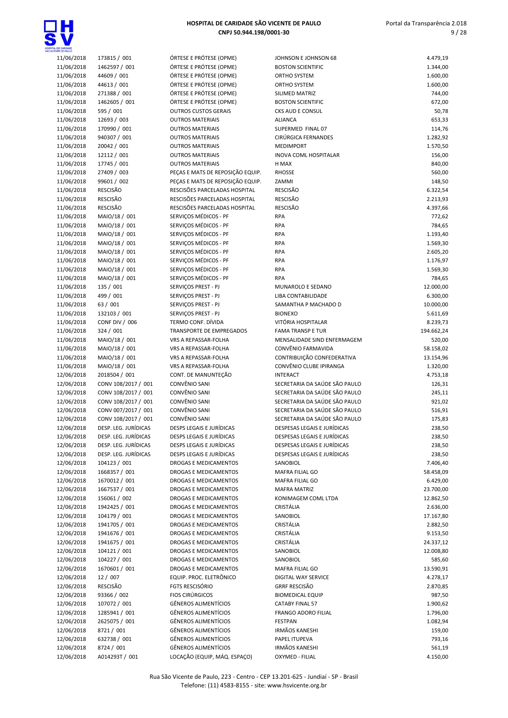

| 11/06/2018               | 173815 / 001                   | ÓRTESE E PRÓTESE (OPME)                                     | J            |
|--------------------------|--------------------------------|-------------------------------------------------------------|--------------|
| 11/06/2018               | 1462597 / 001                  | ÓRTESE E PRÓTESE (OPME)                                     | Е            |
| 11/06/2018               | 44609 / 001                    | ÓRTESE E PRÓTESE (OPME)                                     | C            |
| 11/06/2018               | 44613 / 001                    | ÓRTESE E PRÓTESE (OPME)                                     | c            |
| 11/06/2018               | 271388 / 001                   | ÓRTESE E PRÓTESE (OPME)                                     | S            |
| 11/06/2018               | 1462605 / 001                  | ÓRTESE E PRÓTESE (OPME)                                     | E            |
| 11/06/2018               | 595 / 001                      | <b>OUTROS CUSTOS GERAIS</b>                                 | C            |
| 11/06/2018               | 12693 / 003                    | <b>OUTROS MATERIAIS</b>                                     | A            |
| 11/06/2018               | 170990 / 001                   | <b>OUTROS MATERIAIS</b>                                     | S            |
| 11/06/2018               | 940307 / 001                   | <b>OUTROS MATERIAIS</b>                                     | C            |
| 11/06/2018               | 20042 / 001                    | <b>OUTROS MATERIAIS</b>                                     | ٨            |
| 11/06/2018               | 12112 / 001                    | <b>OUTROS MATERIAIS</b>                                     | Ш            |
| 11/06/2018<br>11/06/2018 | 17745 / 001<br>27409 / 003     | <b>OUTROS MATERIAIS</b><br>PEÇAS E MATS DE REPOSIÇÃO EQUIP. | H<br>R       |
| 11/06/2018               | 99601 / 002                    | PEÇAS E MATS DE REPOSIÇÃO EQUIP.                            | Z            |
| 11/06/2018               | <b>RESCISÃO</b>                | RESCISÕES PARCELADAS HOSPITAL                               | R            |
| 11/06/2018               | <b>RESCISÃO</b>                | RESCISÕES PARCELADAS HOSPITAL                               | R            |
| 11/06/2018               | <b>RESCISÃO</b>                | RESCISÕES PARCELADAS HOSPITAL                               | R            |
| 11/06/2018               | MAIO/18 / 001                  | SERVIÇOS MÉDICOS - PF                                       | R            |
| 11/06/2018               | MAIO/18 / 001                  | SERVICOS MÉDICOS - PF                                       | R            |
| 11/06/2018               | MAIO/18 / 001                  | SERVIÇOS MÉDICOS - PF                                       | R            |
| 11/06/2018               | MAIO/18 / 001                  | SERVIÇOS MÉDICOS - PF                                       | R            |
| 11/06/2018               | MAIO/18 / 001                  | SERVIÇOS MÉDICOS - PF                                       | R            |
| 11/06/2018               | MAIO/18 / 001                  | SERVIÇOS MÉDICOS - PF                                       | R            |
| 11/06/2018               | MAIO/18 / 001                  | SERVIÇOS MÉDICOS - PF                                       | R            |
| 11/06/2018               | MAIO/18 / 001                  | SERVIÇOS MÉDICOS - PF                                       | R            |
| 11/06/2018               | 135 / 001                      | SERVIÇOS PREST - PJ                                         | Λ            |
| 11/06/2018               | 499 / 001                      | SERVICOS PREST - PJ                                         | L            |
| 11/06/2018               | 63 / 001                       | SERVIÇOS PREST - PJ                                         | S            |
| 11/06/2018               | 132103 / 001                   | SERVIÇOS PREST - PJ                                         | E            |
| 11/06/2018               | CONF DIV / 006                 | TERMO CONF. DÍVIDA                                          | ١            |
| 11/06/2018               | 324 / 001                      | TRANSPORTE DE EMPREGADOS                                    | F            |
| 11/06/2018               | MAIO/18 / 001                  | VRS A REPASSAR-FOLHA                                        | Ν            |
| 11/06/2018               | MAIO/18 / 001                  | VRS A REPASSAR-FOLHA                                        | C            |
| 11/06/2018               | MAIO/18 / 001                  | VRS A REPASSAR-FOLHA<br>VRS A REPASSAR-FOLHA                | C<br>C       |
| 11/06/2018<br>12/06/2018 | MAIO/18 / 001<br>2018504 / 001 | CONT. DE MANUNTEÇÃO                                         | $\mathbf{I}$ |
| 12/06/2018               | CONV 108/2017 / 001            | CONVÊNIO SANI                                               | S            |
| 12/06/2018               | CONV 108/2017 / 001            | CONVÊNIO SANI                                               | S            |
| 12/06/2018               | CONV 108/2017 / 001            | CONVÊNIO SANI                                               | S            |
| 12/06/2018               | CONV 007/2017 / 001            | CONVÊNIO SANI                                               | S            |
| 12/06/2018               | CONV 108/2017 / 001            | CONVÊNIO SANI                                               | S            |
| 12/06/2018               | DESP. LEG. JURÍDICAS           | <b>DESPS LEGAIS E JURÍDICAS</b>                             | D            |
| 12/06/2018               | DESP. LEG. JURÍDICAS           | <b>DESPS LEGAIS E JURÍDICAS</b>                             |              |
| 12/06/2018               | DESP. LEG. JURÍDICAS           | DESPS LEGAIS E JURÍDICAS                                    | D            |
| 12/06/2018               | DESP. LEG. JURÍDICAS           | DESPS LEGAIS E JURÍDICAS                                    | С            |
| 12/06/2018               | 104123 / 001                   | <b>DROGAS E MEDICAMENTOS</b>                                | S            |
| 12/06/2018               | 1668357 / 001                  | <b>DROGAS E MEDICAMENTOS</b>                                | Ν            |
| 12/06/2018               | 1670012 / 001                  | DROGAS E MEDICAMENTOS                                       | Ν            |
| 12/06/2018               | 1667537 / 001                  | DROGAS E MEDICAMENTOS                                       | Ν            |
| 12/06/2018               | 156061 / 002                   | DROGAS E MEDICAMENTOS                                       | K            |
| 12/06/2018               | 1942425 / 001                  | DROGAS E MEDICAMENTOS                                       | C            |
| 12/06/2018               | 104179 / 001                   | DROGAS E MEDICAMENTOS                                       | S            |
| 12/06/2018<br>12/06/2018 | 1941705 / 001<br>1941676 / 001 | DROGAS E MEDICAMENTOS<br>DROGAS E MEDICAMENTOS              | C<br>C       |
| 12/06/2018               | 1941675 / 001                  | DROGAS E MEDICAMENTOS                                       | C            |
| 12/06/2018               | 104121 / 001                   | DROGAS E MEDICAMENTOS                                       | S            |
| 12/06/2018               | 104227 / 001                   | DROGAS E MEDICAMENTOS                                       | S            |
| 12/06/2018               | 1670601 / 001                  | DROGAS E MEDICAMENTOS                                       | Ν            |
| 12/06/2018               | 12 / 007                       | EQUIP. PROC. ELETRÔNICO                                     | D            |
| 12/06/2018               | <b>RESCISÃO</b>                | FGTS RESCISÓRIO                                             | G            |
| 12/06/2018               | 93366 / 002                    | <b>FIOS CIRÚRGICOS</b>                                      | Е            |
| 12/06/2018               | 107072 / 001                   | <b>GÊNEROS ALIMENTÍCIOS</b>                                 | C            |
| 12/06/2018               | 1285941 / 001                  | <b>GÊNEROS ALIMENTÍCIOS</b>                                 | F            |
| 12/06/2018               | 2625075 / 001                  | <b>GÊNEROS ALIMENTÍCIOS</b>                                 | F            |
| 12/06/2018               | 8721/001                       | GÊNEROS ALIMENTÍCIOS                                        | Ш            |
| 12/06/2018               | 632738 / 001                   | GÊNEROS ALIMENTÍCIOS                                        | P            |
| 12/06/2018               | 8724 / 001                     | GÊNEROS ALIMENTÍCIOS                                        | Ш            |
| 12/06/2018               | A014293T / 001                 | LOCACÃO (EQUIP, MÁQ, ESPACO)                                | C            |

| DE CARIDADE<br>(TE DE PAULO |                                              |                                                            |                                                            |                       |
|-----------------------------|----------------------------------------------|------------------------------------------------------------|------------------------------------------------------------|-----------------------|
| 11/06/2018                  | 173815 / 001                                 | ÓRTESE E PRÓTESE (OPME)                                    | JOHNSON E JOHNSON 68                                       | 4.479,19              |
| 11/06/2018                  | 1462597 / 001                                | ÓRTESE E PRÓTESE (OPME)                                    | <b>BOSTON SCIENTIFIC</b>                                   | 1.344,00              |
| 11/06/2018                  | 44609 / 001                                  | ÓRTESE E PRÓTESE (OPME)                                    | ORTHO SYSTEM                                               | 1.600,00              |
| 11/06/2018                  | 44613 / 001                                  | ÓRTESE E PRÓTESE (OPME)                                    | ORTHO SYSTEM                                               | 1.600,00              |
| 11/06/2018<br>11/06/2018    | 271388 / 001                                 | ÓRTESE E PRÓTESE (OPME)                                    | SILIMED MATRIZ                                             | 744,00                |
| 11/06/2018                  | 1462605 / 001<br>595 / 001                   | ÓRTESE E PRÓTESE (OPME)<br><b>OUTROS CUSTOS GERAIS</b>     | <b>BOSTON SCIENTIFIC</b><br>CKS AUD E CONSUL               | 672,00<br>50,78       |
| 11/06/2018                  | 12693 / 003                                  | <b>OUTROS MATERIAIS</b>                                    | <b>ALIANCA</b>                                             | 653,33                |
| 11/06/2018                  | 170990 / 001                                 | <b>OUTROS MATERIAIS</b>                                    | SUPERMED FINAL 07                                          | 114,76                |
| 11/06/2018                  | 940307 / 001                                 | <b>OUTROS MATERIAIS</b>                                    | CIRÚRGICA FERNANDES                                        | 1.282,92              |
| 11/06/2018                  | 20042 / 001                                  | <b>OUTROS MATERIAIS</b>                                    | <b>MEDIMPORT</b>                                           | 1.570,50              |
| 11/06/2018                  | 12112 / 001                                  | <b>OUTROS MATERIAIS</b>                                    | <b>INOVA COML HOSPITALAR</b>                               | 156,00                |
| 11/06/2018                  | 17745 / 001                                  | <b>OUTROS MATERIAIS</b>                                    | H MAX                                                      | 840,00                |
| 11/06/2018                  | 27409 / 003                                  | PEÇAS E MATS DE REPOSIÇÃO EQUIP.                           | <b>RHOSSE</b>                                              | 560,00                |
| 11/06/2018                  | 99601 / 002                                  | PEÇAS E MATS DE REPOSIÇÃO EQUIP.                           | ZAMMI                                                      | 148,50                |
| 11/06/2018                  | <b>RESCISÃO</b>                              | RESCISÕES PARCELADAS HOSPITAL                              | <b>RESCISÃO</b>                                            | 6.322,54              |
| 11/06/2018                  | RESCISÃO                                     | RESCISÕES PARCELADAS HOSPITAL                              | RESCISÃO                                                   | 2.213,93              |
| 11/06/2018                  | RESCISÃO                                     | RESCISÕES PARCELADAS HOSPITAL                              | <b>RESCISÃO</b>                                            | 4.397,66              |
| 11/06/2018                  | MAIO/18 / 001                                | SERVICOS MÉDICOS - PF                                      | <b>RPA</b>                                                 | 772,62                |
| 11/06/2018                  | MAIO/18 / 001                                | SERVICOS MÉDICOS - PF                                      | <b>RPA</b>                                                 | 784,65                |
| 11/06/2018                  | MAIO/18 / 001                                | SERVIÇOS MÉDICOS - PF                                      | <b>RPA</b>                                                 | 1.193,40              |
| 11/06/2018                  | MAIO/18 / 001                                | SERVICOS MÉDICOS - PF                                      | <b>RPA</b>                                                 | 1.569,30              |
| 11/06/2018                  | MAIO/18 / 001                                | SERVIÇOS MÉDICOS - PF                                      | <b>RPA</b>                                                 | 2.605,20              |
| 11/06/2018                  | MAIO/18 / 001                                | SERVICOS MÉDICOS - PF                                      | <b>RPA</b>                                                 | 1.176,97              |
| 11/06/2018                  | MAIO/18 / 001                                | SERVIÇOS MÉDICOS - PF                                      | <b>RPA</b>                                                 | 1.569,30              |
| 11/06/2018                  | MAIO/18 / 001                                | SERVICOS MÉDICOS - PF                                      | <b>RPA</b><br>MUNAROLO E SEDANO                            | 784,65                |
| 11/06/2018<br>11/06/2018    | 135 / 001<br>499 / 001                       | SERVIÇOS PREST - PJ<br>SERVIÇOS PREST - PJ                 | LIBA CONTABILIDADE                                         | 12.000,00<br>6.300,00 |
| 11/06/2018                  | 63 / 001                                     | SERVIÇOS PREST - PJ                                        | SAMANTHA P MACHADO D                                       | 10.000,00             |
| 11/06/2018                  | 132103 / 001                                 | SERVIÇOS PREST - PJ                                        | <b>BIONEXO</b>                                             | 5.611,69              |
| 11/06/2018                  | <b>CONF DIV / 006</b>                        | TERMO CONF. DÍVIDA                                         | VITÓRIA HOSPITALAR                                         | 8.239,73              |
| 11/06/2018                  | 324 / 001                                    | TRANSPORTE DE EMPREGADOS                                   | <b>FAMA TRANSP E TUR</b>                                   | 194.662,24            |
| 11/06/2018                  | MAIO/18 / 001                                | VRS A REPASSAR-FOLHA                                       | MENSALIDADE SIND ENFERMAGEM                                | 520,00                |
| 11/06/2018                  | MAIO/18 / 001                                | VRS A REPASSAR-FOLHA                                       | CONVÊNIO FARMAVIDA                                         | 58.158,02             |
| 11/06/2018                  | MAIO/18 / 001                                | VRS A REPASSAR-FOLHA                                       | CONTRIBUIÇÃO CONFEDERATIVA                                 | 13.154,96             |
| 11/06/2018                  | MAIO/18 / 001                                | VRS A REPASSAR-FOLHA                                       | CONVÊNIO CLUBE IPIRANGA                                    | 1.320,00              |
| 12/06/2018                  | 2018504 / 001                                | CONT. DE MANUNTEÇÃO                                        | <b>INTERACT</b>                                            | 4.753,18              |
| 12/06/2018                  | CONV 108/2017 / 001                          | CONVÊNIO SANI                                              | SECRETARIA DA SAÚDE SÃO PAULO                              | 126,31                |
| 12/06/2018                  | CONV 108/2017 / 001                          | <b>CONVÊNIO SANI</b>                                       | SECRETARIA DA SAÚDE SÃO PAULO                              | 245,11                |
| 12/06/2018                  | CONV 108/2017 / 001                          | CONVÊNIO SANI                                              | SECRETARIA DA SAÚDE SÃO PAULO                              | 921,02                |
| 12/06/2018                  | CONV 007/2017 / 001                          | CONVÊNIO SANI                                              | SECRETARIA DA SAÚDE SÃO PAULO                              | 516,91                |
| 12/06/2018                  | CONV 108/2017 / 001                          | CONVÊNIO SANI                                              | SECRETARIA DA SAÚDE SÃO PAULO                              | 175,83                |
| 12/06/2018                  | DESP. LEG. JURÍDICAS                         | <b>DESPS LEGAIS E JURÍDICAS</b>                            | DESPESAS LEGAIS E JURÍDICAS                                | 238,50                |
| 12/06/2018                  | DESP. LEG. JURÍDICAS                         | DESPS LEGAIS E JURÍDICAS                                   | DESPESAS LEGAIS E JURÍDICAS                                | 238,50                |
| 12/06/2018<br>12/06/2018    | DESP. LEG. JURÍDICAS<br>DESP. LEG. JURÍDICAS | DESPS LEGAIS E JURÍDICAS<br>DESPS LEGAIS E JURÍDICAS       | DESPESAS LEGAIS E JURÍDICAS<br>DESPESAS LEGAIS E JURÍDICAS | 238,50<br>238,50      |
| 12/06/2018                  | 104123 / 001                                 | DROGAS E MEDICAMENTOS                                      | SANOBIOL                                                   | 7.406,40              |
| 12/06/2018                  | 1668357 / 001                                | <b>DROGAS E MEDICAMENTOS</b>                               | MAFRA FILIAL GO                                            | 58.458,09             |
| 12/06/2018                  | 1670012 / 001                                | DROGAS E MEDICAMENTOS                                      | MAFRA FILIAL GO                                            | 6.429,00              |
| 12/06/2018                  | 1667537 / 001                                | DROGAS E MEDICAMENTOS                                      | <b>MAFRA MATRIZ</b>                                        | 23.700,00             |
| 12/06/2018                  | 156061 / 002                                 | DROGAS E MEDICAMENTOS                                      | KONIMAGEM COML LTDA                                        | 12.862,50             |
| 12/06/2018                  | 1942425 / 001                                | DROGAS E MEDICAMENTOS                                      | CRISTÁLIA                                                  | 2.636,00              |
| 12/06/2018                  | 104179 / 001                                 | DROGAS E MEDICAMENTOS                                      | SANOBIOL                                                   | 17.167,80             |
| 12/06/2018                  | 1941705 / 001                                | DROGAS E MEDICAMENTOS                                      | CRISTÁLIA                                                  | 2.882,50              |
| 12/06/2018                  | 1941676 / 001                                | <b>DROGAS E MEDICAMENTOS</b>                               | CRISTÁLIA                                                  | 9.153,50              |
| 12/06/2018                  | 1941675 / 001                                | DROGAS E MEDICAMENTOS                                      | CRISTÁLIA                                                  | 24.337,12             |
| 12/06/2018                  | 104121 / 001                                 | DROGAS E MEDICAMENTOS                                      | SANOBIOL                                                   | 12.008,80             |
| 12/06/2018                  | 104227 / 001                                 | DROGAS E MEDICAMENTOS                                      | SANOBIOL                                                   | 585,60                |
| 12/06/2018                  | 1670601 / 001                                | DROGAS E MEDICAMENTOS                                      | MAFRA FILIAL GO                                            | 13.590,91             |
| 12/06/2018                  | 12 / 007                                     | EQUIP. PROC. ELETRÔNICO                                    | DIGITAL WAY SERVICE                                        | 4.278,17              |
| 12/06/2018                  | <b>RESCISÃO</b>                              | <b>FGTS RESCISÓRIO</b>                                     | <b>GRRF RESCISÃO</b>                                       | 2.870,85              |
| 12/06/2018                  | 93366 / 002                                  | <b>FIOS CIRÚRGICOS</b>                                     | <b>BIOMEDICAL EQUIP</b>                                    | 987,50                |
| 12/06/2018                  | 107072 / 001                                 | <b>GÊNEROS ALIMENTÍCIOS</b>                                | <b>CATABY FINAL 57</b>                                     | 1.900,62              |
| 12/06/2018                  | 1285941 / 001                                | <b>GÊNEROS ALIMENTÍCIOS</b>                                | FRANGO ADORO FILIAL                                        | 1.796,00              |
| 12/06/2018                  | 2625075 / 001                                | <b>GÊNEROS ALIMENTÍCIOS</b>                                | <b>FESTPAN</b>                                             | 1.082,94              |
| 12/06/2018<br>12/06/2018    | 8721/001<br>632738 / 001                     | <b>GÊNEROS ALIMENTÍCIOS</b><br><b>GÊNEROS ALIMENTÍCIOS</b> | <b>IRMÃOS KANESHI</b><br>PAPEL ITUPEVA                     | 159,00<br>793,16      |
| 12/06/2018                  | 8724 / 001                                   | <b>GÊNEROS ALIMENTÍCIOS</b>                                | <b>IRMÃOS KANESHI</b>                                      | 561,19                |
| 12/06/2018                  | A014293T / 001                               | LOCAÇÃO (EQUIP, MÁQ. ESPAÇO)                               | OXYMED - FILIAL                                            | 4.150,00              |
|                             |                                              |                                                            |                                                            |                       |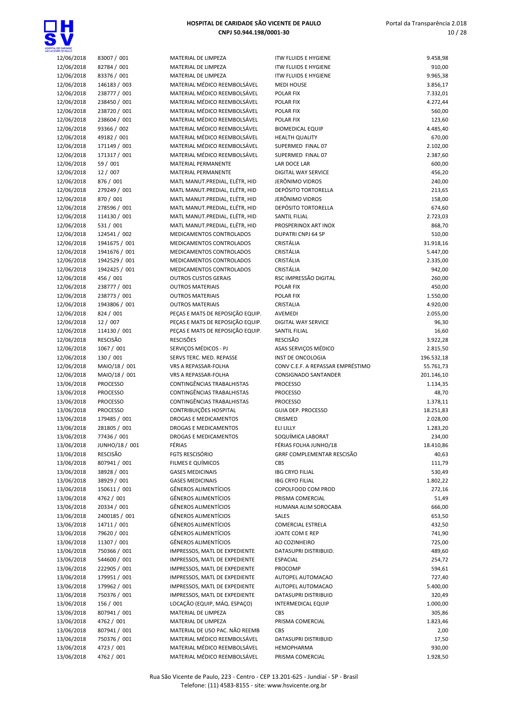

| 12/06/2018 | 83007 / 001     | MATERIAL DE LIMPEZA              | <b>ITW FLUIDS E HYGIENE</b>       | 9.458,98   |
|------------|-----------------|----------------------------------|-----------------------------------|------------|
| 12/06/2018 | 82784 / 001     | MATERIAL DE LIMPEZA              | <b>ITW FLUIDS E HYGIENE</b>       | 910,00     |
| 12/06/2018 | 83376 / 001     | MATERIAL DE LIMPEZA              | <b>ITW FLUIDS E HYGIENE</b>       | 9.965,38   |
| 12/06/2018 | 146183 / 003    | MATERIAL MÉDICO REEMBOLSÁVEL     | <b>MEDI HOUSE</b>                 | 3.856,17   |
| 12/06/2018 | 238777 / 001    | MATERIAL MÉDICO REEMBOLSÁVEL     | POLAR FIX                         | 7.332,01   |
| 12/06/2018 | 238450 / 001    | MATERIAL MÉDICO REEMBOLSÁVEL     | POLAR FIX                         | 4.272,44   |
| 12/06/2018 | 238720 / 001    | MATERIAL MÉDICO REEMBOLSÁVEL     | POLAR FIX                         | 560,00     |
| 12/06/2018 | 238604 / 001    | MATERIAL MÉDICO REEMBOLSÁVEL     | POLAR FIX                         | 123,60     |
| 12/06/2018 | 93366 / 002     | MATERIAL MÉDICO REEMBOLSÁVEL     | <b>BIOMEDICAL EQUIP</b>           | 4.485,40   |
| 12/06/2018 | 49182 / 001     | MATERIAL MÉDICO REEMBOLSÁVEL     | <b>HEALTH QUALITY</b>             | 670,00     |
| 12/06/2018 | 171149 / 001    | MATERIAL MÉDICO REEMBOLSÁVEL     | SUPERMED FINAL 07                 | 2.102,00   |
| 12/06/2018 | 171317 / 001    | MATERIAL MÉDICO REEMBOLSÁVEL     | SUPERMED FINAL 07                 | 2.387,60   |
| 12/06/2018 | 59 / 001        | <b>MATERIAL PERMANENTE</b>       | LAR DOCE LAR                      | 600,00     |
| 12/06/2018 | 12 / 007        | MATERIAL PERMANENTE              | DIGITAL WAY SERVICE               | 456,20     |
| 12/06/2018 | 876 / 001       | MATL MANUT.PREDIAL, ELÉTR, HID   | JERÔNIMO VIDROS                   | 240,00     |
| 12/06/2018 | 279249 / 001    | MATL MANUT.PREDIAL, ELÉTR, HID   | <b>DEPÓSITO TORTORELLA</b>        | 213,65     |
| 12/06/2018 | 870 / 001       | MATL MANUT.PREDIAL, ELÉTR, HID   | JERÔNIMO VIDROS                   | 158,00     |
| 12/06/2018 | 278596 / 001    | MATL MANUT.PREDIAL, ELÉTR, HID   | <b>DEPÓSITO TORTORELLA</b>        | 674,60     |
| 12/06/2018 | 114130 / 001    | MATL MANUT.PREDIAL, ELÉTR, HID   | <b>SANTIL FILIAL</b>              | 2.723,03   |
| 12/06/2018 | 531 / 001       | MATL MANUT.PREDIAL, ELÉTR, HID   | PROSPERINOX ART INOX              | 868,70     |
| 12/06/2018 | 124541 / 002    | MEDICAMENTOS CONTROLADOS         | DUPATRI CNPJ 64 SP                | 510,00     |
| 12/06/2018 | 1941675 / 001   | MEDICAMENTOS CONTROLADOS         | CRISTÁLIA                         | 31.918,16  |
| 12/06/2018 | 1941676 / 001   | MEDICAMENTOS CONTROLADOS         | CRISTÁLIA                         | 5.447,00   |
| 12/06/2018 | 1942529 / 001   | MEDICAMENTOS CONTROLADOS         | CRISTÁLIA                         | 2.335,00   |
| 12/06/2018 | 1942425 / 001   | MEDICAMENTOS CONTROLADOS         | <b>CRISTÁLIA</b>                  | 942,00     |
| 12/06/2018 | 456 / 001       | <b>OUTROS CUSTOS GERAIS</b>      | RSC IMPRESSÃO DIGITAL             | 260,00     |
| 12/06/2018 | 238777 / 001    | <b>OUTROS MATERIAIS</b>          | POLAR FIX                         | 450,00     |
| 12/06/2018 | 238773 / 001    | <b>OUTROS MATERIAIS</b>          | POLAR FIX                         | 1.550,00   |
| 12/06/2018 | 1943806 / 001   | <b>OUTROS MATERIAIS</b>          | CRISTALIA                         | 4.920,00   |
| 12/06/2018 | 824 / 001       | PEÇAS E MATS DE REPOSIÇÃO EQUIP. | AVEMEDI                           | 2.055,00   |
| 12/06/2018 | 12 / 007        | PEÇAS E MATS DE REPOSIÇÃO EQUIP. | DIGITAL WAY SERVICE               | 96,30      |
| 12/06/2018 | 114130 / 001    | PEÇAS E MATS DE REPOSIÇÃO EQUIP. | <b>SANTIL FILIAL</b>              | 16,60      |
| 12/06/2018 | RESCISÃO        | <b>RESCISÕES</b>                 | <b>RESCISÃO</b>                   | 3.922,28   |
| 12/06/2018 | 1067 / 001      | SERVIÇOS MÉDICOS - PJ            | ASAS SERVIÇOS MÉDICO              | 2.815,50   |
| 12/06/2018 | 130 / 001       | SERVS TERC. MED. REPASSE         | INST DE ONCOLOGIA                 | 196.532,18 |
| 12/06/2018 | MAIO/18 / 001   | VRS A REPASSAR-FOLHA             | CONV C.E.F. A REPASSAR EMPRÉSTIMO | 55.761,73  |
| 12/06/2018 | MAIO/18 / 001   | VRS A REPASSAR-FOLHA             | <b>CONSIGNADO SANTANDER</b>       | 201.146,10 |
| 13/06/2018 | <b>PROCESSO</b> | CONTINGÊNCIAS TRABALHISTAS       | <b>PROCESSO</b>                   | 1.134,35   |
| 13/06/2018 | <b>PROCESSO</b> | CONTINGÊNCIAS TRABALHISTAS       | <b>PROCESSO</b>                   | 48,70      |
| 13/06/2018 | <b>PROCESSO</b> | CONTINGÊNCIAS TRABALHISTAS       | <b>PROCESSO</b>                   | 1.378,11   |
| 13/06/2018 | <b>PROCESSO</b> | CONTRIBUIÇÕES HOSPITAL           | <b>GUIA DEP. PROCESSO</b>         | 18.251,83  |
| 13/06/2018 | 179485 / 001    | DROGAS E MEDICAMENTOS            | CRISMED                           | 2.028,00   |
| 13/06/2018 | 281805 / 001    | DROGAS E MEDICAMENTOS            | ELI LILLY                         | 1.283,20   |
| 13/06/2018 | 77436 / 001     | DROGAS E MEDICAMENTOS            | SOQUÍMICA LABORAT                 | 234,00     |
| 13/06/2018 | JUNHO/18 / 001  | FÉRIAS                           | FÉRIAS FOLHA JUNHO/18             | 18.410,86  |
| 13/06/2018 | <b>RESCISÃO</b> | <b>FGTS RESCISÓRIO</b>           | GRRF COMPLEMENTAR RESCISÃO        | 40,63      |
| 13/06/2018 | 807941 / 001    | FILMES E QUÍMICOS                | <b>CBS</b>                        | 111,79     |
| 13/06/2018 | 38928 / 001     | <b>GASES MEDICINAIS</b>          | <b>IBG CRYO FILIAL</b>            | 530,49     |
| 13/06/2018 | 38929 / 001     | <b>GASES MEDICINAIS</b>          | <b>IBG CRYO FILIAL</b>            | 1.802,22   |
| 13/06/2018 | 150611 / 001    | <b>GÊNEROS ALIMENTÍCIOS</b>      | COPOLFOOD COM PROD                | 272,16     |
| 13/06/2018 | 4762 / 001      | <b>GÊNEROS ALIMENTÍCIOS</b>      | PRISMA COMERCIAL                  | 51,49      |
| 13/06/2018 | 20334 / 001     | <b>GÊNEROS ALIMENTÍCIOS</b>      | HUMANA ALIM SOROCABA              | 666,00     |
| 13/06/2018 | 2400185 / 001   | <b>GÊNEROS ALIMENTÍCIOS</b>      | SALES                             | 653,50     |
| 13/06/2018 | 14711 / 001     | <b>GÊNEROS ALIMENTÍCIOS</b>      | COMERCIAL ESTRELA                 | 432,50     |
| 13/06/2018 | 79620 / 001     | <b>GÊNEROS ALIMENTÍCIOS</b>      | JOATE COM E REP                   | 741,90     |
| 13/06/2018 | 11307 / 001     | <b>GÊNEROS ALIMENTÍCIOS</b>      | AO COZINHEIRO                     | 725,00     |
| 13/06/2018 | 750366 / 001    | IMPRESSOS, MATL DE EXPEDIENTE    | DATASUPRI DISTRIBUID.             | 489,60     |
| 13/06/2018 | 544600 / 001    | IMPRESSOS, MATL DE EXPEDIENTE    | <b>ESPACIAL</b>                   | 254,72     |
| 13/06/2018 | 222905 / 001    | IMPRESSOS, MATL DE EXPEDIENTE    | PROCOMP                           | 594,61     |
| 13/06/2018 | 179951 / 001    | IMPRESSOS, MATL DE EXPEDIENTE    | AUTOPEL AUTOMACAO                 | 727,40     |
| 13/06/2018 | 179962 / 001    | IMPRESSOS, MATL DE EXPEDIENTE    | AUTOPEL AUTOMACAO                 | 5.400,00   |
| 13/06/2018 | 750376 / 001    | IMPRESSOS, MATL DE EXPEDIENTE    | DATASUPRI DISTRIBUID              | 320,49     |
| 13/06/2018 | 156 / 001       | LOCAÇÃO (EQUIP, MÁQ. ESPAÇO)     | <b>INTERMEDICAL EQUIP</b>         | 1.000,00   |
| 13/06/2018 | 807941 / 001    | MATERIAL DE LIMPEZA              | CBS                               | 305,86     |
| 13/06/2018 | 4762 / 001      | MATERIAL DE LIMPEZA              | PRISMA COMERCIAL                  | 1.823,46   |
| 13/06/2018 | 807941 / 001    | MATERIAL DE USO PAC. NÃO REEMB   | CBS                               | 2,00       |
| 13/06/2018 | 750376 / 001    | MATERIAL MÉDICO REEMBOLSÁVEL     | DATASUPRI DISTRIBUID              | 17,50      |
| 13/06/2018 | 4723 / 001      | MATERIAL MÉDICO REEMBOLSÁVEL     | HEMOPHARMA                        | 930,00     |
| 13/06/2018 | 4762 / 001      | MATERIAL MÉDICO REEMBOLSÁVEL     | PRISMA COMERCIAL                  | 1.928,50   |
|            |                 |                                  |                                   |            |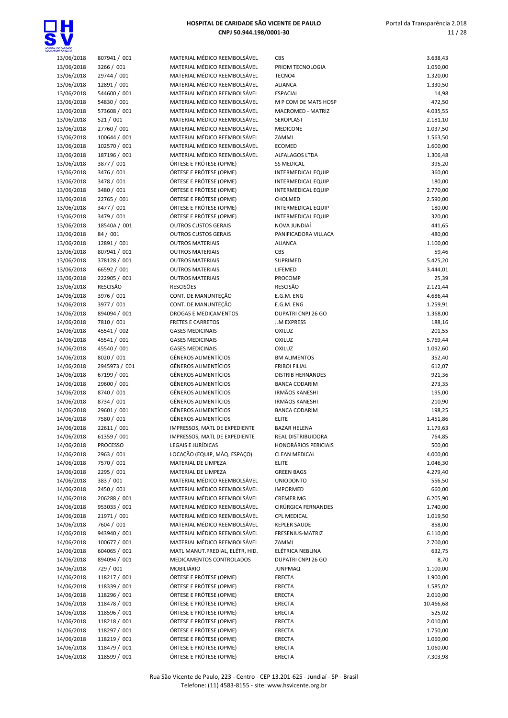

| 13/06/2018 | 807941 / 001    | MATERIAL MÉDICO REEMBOLSÁVEL    | CBS                         | 3.638,43  |
|------------|-----------------|---------------------------------|-----------------------------|-----------|
| 13/06/2018 | 3266 / 001      | MATERIAL MÉDICO REEMBOLSÁVEL    | PRIOM TECNOLOGIA            | 1.050,00  |
| 13/06/2018 | 29744 / 001     | MATERIAL MÉDICO REEMBOLSÁVEL    | TECNO4                      | 1.320,00  |
| 13/06/2018 | 12891 / 001     | MATERIAL MÉDICO REEMBOLSÁVEL    | <b>ALIANCA</b>              | 1.330,50  |
| 13/06/2018 | 544600 / 001    | MATERIAL MÉDICO REEMBOLSÁVEL    | <b>ESPACIAL</b>             | 14,98     |
| 13/06/2018 | 54830 / 001     | MATERIAL MÉDICO REEMBOLSÁVEL    | M P COM DE MATS HOSP        | 472,50    |
| 13/06/2018 | 573608 / 001    | MATERIAL MÉDICO REEMBOLSÁVEL    | MACROMED - MATRIZ           | 4.035,55  |
| 13/06/2018 | 521 / 001       | MATERIAL MÉDICO REEMBOLSÁVEL    | SEROPLAST                   | 2.181,10  |
| 13/06/2018 | 27760 / 001     | MATERIAL MÉDICO REEMBOLSÁVEL    | <b>MEDICONE</b>             | 1.037,50  |
| 13/06/2018 | 100644 / 001    | MATERIAL MÉDICO REEMBOLSÁVEL    | ZAMMI                       | 1.563,50  |
|            | 102570 / 001    | MATERIAL MÉDICO REEMBOLSÁVEL    | <b>ECOMED</b>               | 1.600,00  |
| 13/06/2018 |                 | MATERIAL MÉDICO REEMBOLSÁVEL    |                             |           |
| 13/06/2018 | 187196 / 001    |                                 | ALFALAGOS LTDA              | 1.306,48  |
| 13/06/2018 | 3877 / 001      | ÓRTESE E PRÓTESE (OPME)         | <b>SS MEDICAL</b>           | 395,20    |
| 13/06/2018 | 3476 / 001      | ÓRTESE E PRÓTESE (OPME)         | INTERMEDICAL EQUIP          | 360,00    |
| 13/06/2018 | 3478 / 001      | ÓRTESE E PRÓTESE (OPME)         | <b>INTERMEDICAL EQUIP</b>   | 180,00    |
| 13/06/2018 | 3480 / 001      | ÓRTESE E PRÓTESE (OPME)         | <b>INTERMEDICAL EQUIP</b>   | 2.770,00  |
| 13/06/2018 | 22765 / 001     | ÓRTESE E PRÓTESE (OPME)         | CHOLMED                     | 2.590,00  |
| 13/06/2018 | 3477 / 001      | ÓRTESE E PRÓTESE (OPME)         | <b>INTERMEDICAL EQUIP</b>   | 180,00    |
| 13/06/2018 | 3479 / 001      | ÓRTESE E PRÓTESE (OPME)         | <b>INTERMEDICAL EQUIP</b>   | 320,00    |
| 13/06/2018 | 18540A / 001    | <b>OUTROS CUSTOS GERAIS</b>     | NOVA JUNDIAÍ                | 441,65    |
| 13/06/2018 | 84 / 001        | <b>OUTROS CUSTOS GERAIS</b>     | PANIFICADORA VILLACA        | 480,00    |
| 13/06/2018 | 12891 / 001     | <b>OUTROS MATERIAIS</b>         | <b>ALIANCA</b>              | 1.100,00  |
| 13/06/2018 | 807941 / 001    | <b>OUTROS MATERIAIS</b>         | CBS                         | 59,46     |
|            |                 |                                 |                             |           |
| 13/06/2018 | 378128 / 001    | <b>OUTROS MATERIAIS</b>         | SUPRIMED                    | 5.425,20  |
| 13/06/2018 | 66592 / 001     | <b>OUTROS MATERIAIS</b>         | LIFEMED                     | 3.444,01  |
| 13/06/2018 | 222905 / 001    | <b>OUTROS MATERIAIS</b>         | PROCOMP                     | 25,39     |
| 13/06/2018 | <b>RESCISÃO</b> | <b>RESCISÕES</b>                | <b>RESCISÃO</b>             | 2.121,44  |
| 14/06/2018 | 3976 / 001      | CONT. DE MANUNTEÇÃO             | E.G.M. ENG                  | 4.686,44  |
| 14/06/2018 | 3977 / 001      | CONT. DE MANUNTEÇÃO             | E.G.M. ENG                  | 1.259,91  |
| 14/06/2018 | 894094 / 001    | DROGAS E MEDICAMENTOS           | DUPATRI CNPJ 26 GO          | 1.368,00  |
| 14/06/2018 | 7810 / 001      | <b>FRETES E CARRETOS</b>        | <b>J.M EXPRESS</b>          | 188,16    |
| 14/06/2018 | 45541 / 002     | <b>GASES MEDICINAIS</b>         | <b>OXILUZ</b>               | 201,55    |
| 14/06/2018 | 45541 / 001     | <b>GASES MEDICINAIS</b>         | <b>OXILUZ</b>               | 5.769,44  |
| 14/06/2018 | 45540 / 001     | <b>GASES MEDICINAIS</b>         | OXILUZ                      | 1.092,60  |
| 14/06/2018 | 8020 / 001      | GÊNEROS ALIMENTÍCIOS            | <b>BM ALIMENTOS</b>         | 352,40    |
| 14/06/2018 | 2945973 / 001   | <b>GÊNEROS ALIMENTÍCIOS</b>     | <b>FRIBOI FILIAL</b>        | 612,07    |
|            |                 |                                 |                             |           |
| 14/06/2018 | 67199 / 001     | <b>GÊNEROS ALIMENTÍCIOS</b>     | <b>DISTRIB HERNANDES</b>    | 921,36    |
| 14/06/2018 | 29600 / 001     | <b>GÊNEROS ALIMENTÍCIOS</b>     | <b>BANCA CODARIM</b>        | 273,35    |
| 14/06/2018 | 8740 / 001      | GÊNEROS ALIMENTÍCIOS            | <b>IRMÃOS KANESHI</b>       | 195,00    |
| 14/06/2018 | 8734 / 001      | GÊNEROS ALIMENTÍCIOS            | <b>IRMÃOS KANESHI</b>       | 210,90    |
| 14/06/2018 | 29601 / 001     | <b>GÊNEROS ALIMENTÍCIOS</b>     | <b>BANCA CODARIM</b>        | 198,25    |
| 14/06/2018 | 7580 / 001      | <b>GÊNEROS ALIMENTÍCIOS</b>     | <b>ELITE</b>                | 1.451,86  |
| 14/06/2018 | 22611 / 001     | IMPRESSOS, MATL DE EXPEDIENTE   | <b>BAZAR HELENA</b>         | 1.179,63  |
| 14/06/2018 | 61359 / 001     | IMPRESSOS, MATL DE EXPEDIENTE   | REAL DISTRIBUIDORA          | 764,85    |
| 14/06/2018 | <b>PROCESSO</b> | LEGAIS E JURÍDICAS              | <b>HONORÁRIOS PERICIAIS</b> | 500,00    |
| 14/06/2018 | 2963 / 001      | LOCAÇÃO (EQUIP, MÁQ. ESPAÇO)    | <b>CLEAN MEDICAL</b>        | 4.000,00  |
| 14/06/2018 | 7570 / 001      | MATERIAL DE LIMPEZA             | <b>ELITE</b>                | 1.046,30  |
| 14/06/2018 | 2295 / 001      | MATERIAL DE LIMPEZA             | <b>GREEN BAGS</b>           | 4.279,40  |
| 14/06/2018 | 383 / 001       | MATERIAL MÉDICO REEMBOLSÁVEL    | <b>UNIODONTO</b>            | 556,50    |
|            |                 | MATERIAL MÉDICO REEMBOLSÁVEL    |                             |           |
| 14/06/2018 | 2450 / 001      |                                 | <b>IMPORMED</b>             | 660,00    |
| 14/06/2018 | 206288 / 001    | MATERIAL MÉDICO REEMBOLSÁVEL    | <b>CREMER MG</b>            | 6.205,90  |
| 14/06/2018 | 953033 / 001    | MATERIAL MÉDICO REEMBOLSÁVEL    | CIRÚRGICA FERNANDES         | 1.740,00  |
| 14/06/2018 | 21971 / 001     | MATERIAL MÉDICO REEMBOLSÁVEL    | <b>CPL MEDICAL</b>          | 1.019,50  |
| 14/06/2018 | 7604 / 001      | MATERIAL MÉDICO REEMBOLSÁVEL    | <b>KEPLER SAUDE</b>         | 858,00    |
| 14/06/2018 | 943940 / 001    | MATERIAL MÉDICO REEMBOLSÁVEL    | FRESENIUS-MATRIZ            | 6.110,00  |
| 14/06/2018 | 100677 / 001    | MATERIAL MÉDICO REEMBOLSÁVEL    | ZAMMI                       | 2.700,00  |
| 14/06/2018 | 604065 / 001    | MATL MANUT.PREDIAL, ELÉTR, HID. | ELÉTRICA NEBLINA            | 632,75    |
| 14/06/2018 | 894094 / 001    | MEDICAMENTOS CONTROLADOS        | DUPATRI CNPJ 26 GO          | 8,70      |
| 14/06/2018 | 729 / 001       | MOBILIÁRIO                      | <b>JUNPMAQ</b>              | 1.100,00  |
| 14/06/2018 | 118217 / 001    | ÓRTESE E PRÓTESE (OPME)         | ERECTA                      | 1.900,00  |
| 14/06/2018 | 118339 / 001    | ÓRTESE E PRÓTESE (OPME)         | <b>ERECTA</b>               | 1.585,02  |
| 14/06/2018 | 118296 / 001    | ÓRTESE E PRÓTESE (OPME)         | ERECTA                      | 2.010,00  |
| 14/06/2018 | 118478 / 001    | ÓRTESE E PRÓTESE (OPME)         | ERECTA                      | 10.466,68 |
|            |                 | ÓRTESE E PRÓTESE (OPME)         |                             |           |
| 14/06/2018 | 118596 / 001    |                                 | <b>ERECTA</b>               | 525,02    |
| 14/06/2018 | 118218 / 001    | ÓRTESE E PRÓTESE (OPME)         | <b>ERECTA</b>               | 2.010,00  |
| 14/06/2018 | 118297 / 001    | ÓRTESE E PRÓTESE (OPME)         | ERECTA                      | 1.750,00  |
| 14/06/2018 | 118219 / 001    | ÓRTESE E PRÓTESE (OPME)         | <b>ERECTA</b>               | 1.060,00  |
| 14/06/2018 | 118479 / 001    | ÓRTESE E PRÓTESE (OPME)         | ERECTA                      | 1.060,00  |
| 14/06/2018 | 118599 / 001    | ÓRTESE E PRÓTESE (OPME)         | ERECTA                      | 7.303,98  |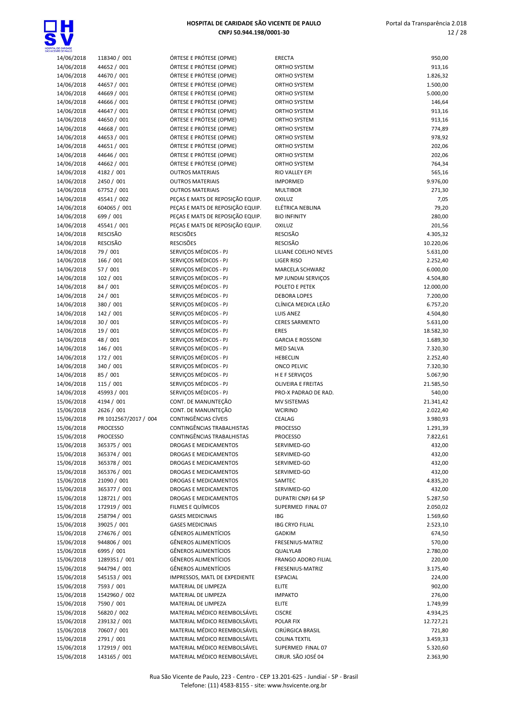

| <b>ENTE OE PAULO</b><br>14/06/2018 | 118340 / 001          | ÓRTESE E PRÓTESE (OPME)          | <b>ERECTA</b>             | 950,00    |
|------------------------------------|-----------------------|----------------------------------|---------------------------|-----------|
| 14/06/2018                         | 44652 / 001           | ÓRTESE E PRÓTESE (OPME)          | ORTHO SYSTEM              | 913,16    |
| 14/06/2018                         | 44670 / 001           | ÓRTESE E PRÓTESE (OPME)          | ORTHO SYSTEM              | 1.826,32  |
| 14/06/2018                         | 44657 / 001           | ÓRTESE E PRÓTESE (OPME)          | ORTHO SYSTEM              | 1.500,00  |
| 14/06/2018                         | 44669 / 001           | ÓRTESE E PRÓTESE (OPME)          | ORTHO SYSTEM              | 5.000,00  |
| 14/06/2018                         | 44666 / 001           | ÓRTESE E PRÓTESE (OPME)          | ORTHO SYSTEM              | 146,64    |
| 14/06/2018                         | 44647 / 001           | ÓRTESE E PRÓTESE (OPME)          | ORTHO SYSTEM              | 913,16    |
| 14/06/2018                         | 44650 / 001           | ÓRTESE E PRÓTESE (OPME)          | ORTHO SYSTEM              | 913,16    |
| 14/06/2018                         | 44668 / 001           | ÓRTESE E PRÓTESE (OPME)          | ORTHO SYSTEM              | 774,89    |
| 14/06/2018                         | 44653 / 001           | ÓRTESE E PRÓTESE (OPME)          | ORTHO SYSTEM              | 978,92    |
| 14/06/2018                         | 44651 / 001           | ÓRTESE E PRÓTESE (OPME)          | ORTHO SYSTEM              | 202,06    |
| 14/06/2018                         | 44646 / 001           | ÓRTESE E PRÓTESE (OPME)          | ORTHO SYSTEM              | 202,06    |
| 14/06/2018                         | 44662 / 001           | ÓRTESE E PRÓTESE (OPME)          | ORTHO SYSTEM              | 764,34    |
| 14/06/2018                         | 4182 / 001            | <b>OUTROS MATERIAIS</b>          | RIO VALLEY EPI            | 565,16    |
| 14/06/2018                         | 2450 / 001            | <b>OUTROS MATERIAIS</b>          | <b>IMPORMED</b>           | 9.976,00  |
| 14/06/2018                         | 67752 / 001           | <b>OUTROS MATERIAIS</b>          | <b>MULTIBOR</b>           | 271,30    |
| 14/06/2018                         | 45541 / 002           | PEÇAS E MATS DE REPOSIÇÃO EQUIP. | OXILUZ                    | 7,05      |
| 14/06/2018                         | 604065 / 001          | PEÇAS E MATS DE REPOSIÇÃO EQUIP. | ELÉTRICA NEBLINA          | 79,20     |
| 14/06/2018                         | 699 / 001             | PEÇAS E MATS DE REPOSIÇÃO EQUIP. | <b>BIO INFINITY</b>       | 280,00    |
| 14/06/2018                         | 45541 / 001           | PECAS E MATS DE REPOSIÇÃO EQUIP. | OXILUZ                    | 201,56    |
| 14/06/2018                         | <b>RESCISÃO</b>       | <b>RESCISÕES</b>                 | <b>RESCISÃO</b>           | 4.305,32  |
| 14/06/2018                         | <b>RESCISÃO</b>       | <b>RESCISÕES</b>                 | <b>RESCISÃO</b>           | 10.220,06 |
| 14/06/2018                         | 79 / 001              | SERVIÇOS MÉDICOS - PJ            | LILIANE COELHO NEVES      | 5.631,00  |
| 14/06/2018                         | 166 / 001             | SERVIÇOS MÉDICOS - PJ            | <b>LIGER RISO</b>         | 2.252,40  |
| 14/06/2018                         | 57 / 001              | SERVIÇOS MÉDICOS - PJ            | MARCELA SCHWARZ           | 6.000,00  |
| 14/06/2018                         | 102 / 001             | SERVIÇOS MÉDICOS - PJ            | MP JUNDIAI SERVICOS       | 4.504,80  |
| 14/06/2018                         | 84 / 001              | SERVIÇOS MÉDICOS - PJ            | POLETO E PETEK            | 12.000,00 |
| 14/06/2018                         | 24/001                | SERVICOS MÉDICOS - PJ            | <b>DEBORA LOPES</b>       | 7.200,00  |
| 14/06/2018                         | 380 / 001             | SERVIÇOS MÉDICOS - PJ            | CLÍNICA MEDICA LEÃO       | 6.757,20  |
| 14/06/2018                         | 142 / 001             | SERVIÇOS MÉDICOS - PJ            | <b>LUIS ANEZ</b>          | 4.504,80  |
| 14/06/2018                         | 30 / 001              | SERVIÇOS MÉDICOS - PJ            | <b>CERES SARMENTO</b>     | 5.631,00  |
| 14/06/2018                         | 19 / 001              | SERVIÇOS MÉDICOS - PJ            | <b>ERES</b>               | 18.582,30 |
| 14/06/2018                         | 48 / 001              | SERVIÇOS MÉDICOS - PJ            | <b>GARCIA E ROSSONI</b>   | 1.689,30  |
| 14/06/2018                         | 146 / 001             | SERVIÇOS MÉDICOS - PJ            | <b>MED SALVA</b>          | 7.320,30  |
| 14/06/2018                         | 172 / 001             | SERVIÇOS MÉDICOS - PJ            | <b>HEBECLIN</b>           | 2.252,40  |
| 14/06/2018                         | 340 / 001             | SERVIÇOS MÉDICOS - PJ            | <b>ONCO PELVIC</b>        | 7.320,30  |
| 14/06/2018                         | 85 / 001              | SERVIÇOS MÉDICOS - PJ            | H E F SERVIÇOS            | 5.067,90  |
| 14/06/2018                         | 115 / 001             | SERVIÇOS MÉDICOS - PJ            | <b>OLIVEIRA E FREITAS</b> | 21.585,50 |
| 14/06/2018                         | 45993 / 001           | SERVICOS MÉDICOS - PJ            | PRO-X PADRAO DE RAD.      | 540,00    |
| 15/06/2018                         | 4194 / 001            | CONT. DE MANUNTEÇÃO              | MV SISTEMAS               | 21.341,42 |
| 15/06/2018                         | 2626 / 001            | CONT. DE MANUNTEÇÃO              | <b>WCIRINO</b>            | 2.022,40  |
| 15/06/2018                         | PR 1012567/2017 / 004 | CONTINGÊNCIAS CÍVEIS             | CEALAG                    | 3.980,93  |
| 15/06/2018                         | <b>PROCESSO</b>       | CONTINGÊNCIAS TRABALHISTAS       | <b>PROCESSO</b>           | 1.291,39  |
| 15/06/2018                         | <b>PROCESSO</b>       | CONTINGENCIAS TRABALHISTAS       | PROCESSO                  | 7.822,61  |
| 15/06/2018                         | 365375 / 001          | <b>DROGAS E MEDICAMENTOS</b>     | SERVIMED-GO               | 432,00    |
| 15/06/2018                         | 365374 / 001          | DROGAS E MEDICAMENTOS            | SERVIMED-GO               | 432,00    |
| 15/06/2018                         | 365378 / 001          | DROGAS E MEDICAMENTOS            | SERVIMED-GO               | 432,00    |
| 15/06/2018                         | 365376 / 001          | DROGAS E MEDICAMENTOS            | SERVIMED-GO               | 432,00    |
| 15/06/2018                         | 21090 / 001           | <b>DROGAS E MEDICAMENTOS</b>     | SAMTEC                    | 4.835,20  |
| 15/06/2018                         | 365377 / 001          | DROGAS E MEDICAMENTOS            | SERVIMED-GO               | 432,00    |
| 15/06/2018                         | 128721 / 001          | <b>DROGAS E MEDICAMENTOS</b>     | DUPATRI CNPJ 64 SP        | 5.287,50  |
| 15/06/2018                         | 172919 / 001          | FILMES E QUÍMICOS                | SUPERMED FINAL 07         | 2.050,02  |
| 15/06/2018                         | 258794 / 001          | <b>GASES MEDICINAIS</b>          | IBG                       | 1.569,60  |
| 15/06/2018                         | 39025 / 001           | <b>GASES MEDICINAIS</b>          | <b>IBG CRYO FILIAL</b>    | 2.523,10  |
| 15/06/2018                         | 274676 / 001          | <b>GÊNEROS ALIMENTÍCIOS</b>      | <b>GADKIM</b>             | 674,50    |
| 15/06/2018                         | 944806 / 001          | GÊNEROS ALIMENTÍCIOS             | FRESENIUS-MATRIZ          | 570,00    |
| 15/06/2018                         | 6995 / 001            | <b>GÊNEROS ALIMENTÍCIOS</b>      | QUALYLAB                  | 2.780,00  |
| 15/06/2018                         | 1289351 / 001         | <b>GÊNEROS ALIMENTÍCIOS</b>      | FRANGO ADORO FILIAL       | 220,00    |
| 15/06/2018                         | 944794 / 001          | <b>GÊNEROS ALIMENTÍCIOS</b>      | FRESENIUS-MATRIZ          | 3.175,40  |
| 15/06/2018                         | 545153 / 001          | IMPRESSOS, MATL DE EXPEDIENTE    | <b>ESPACIAL</b>           | 224,00    |
| 15/06/2018                         | 7593 / 001            | MATERIAL DE LIMPEZA              | ELITE                     | 902,00    |
| 15/06/2018                         | 1542960 / 002         | MATERIAL DE LIMPEZA              | <b>IMPAKTO</b>            | 276,00    |
| 15/06/2018                         | 7590 / 001            | MATERIAL DE LIMPEZA              | ELITE                     | 1.749,99  |
| 15/06/2018                         | 56820 / 002           | MATERIAL MÉDICO REEMBOLSÁVEL     | <b>CISCRE</b>             | 4.934,25  |
| 15/06/2018                         | 239132 / 001          | MATERIAL MÉDICO REEMBOLSÁVEL     | POLAR FIX                 | 12.727,21 |
| 15/06/2018                         | 70607 / 001           | MATERIAL MÉDICO REEMBOLSÁVEL     | CIRÚRGICA BRASIL          | 721,80    |
| 15/06/2018                         | 2791 / 001            | MATERIAL MÉDICO REEMBOLSÁVEL     | <b>COLINA TEXTIL</b>      | 3.459,33  |
| 15/06/2018                         | 172919 / 001          | MATERIAL MÉDICO REEMBOLSÁVEL     | SUPERMED FINAL 07         | 5.320,60  |
| 15/06/2018                         | 143165 / 001          | MATERIAL MÉDICO REEMBOLSÁVEL     | CIRUR. SÃO JOSÉ 04        | 2.363,90  |
|                                    |                       |                                  |                           |           |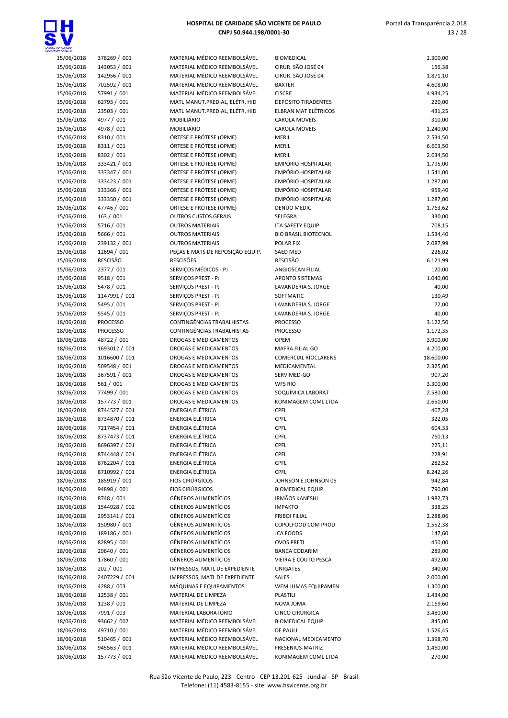

| INTE DE PAULO            |                             |                                            |                                  |                 |
|--------------------------|-----------------------------|--------------------------------------------|----------------------------------|-----------------|
| 15/06/2018               | 378269 / 001                | MATERIAL MÉDICO REEMBOLSÁVEL               | <b>BIOMEDICAL</b>                | 2.300,00        |
| 15/06/2018               | 143053 / 001                | MATERIAL MÉDICO REEMBOLSÁVEL               | CIRUR. SÃO JOSÉ 04               | 156,38          |
| 15/06/2018               | 142956 / 001                | MATERIAL MÉDICO REEMBOLSÁVEL               | CIRUR. SÃO JOSÉ 04               | 1.871,10        |
| 15/06/2018               | 702592 / 001                | MATERIAL MÉDICO REEMBOLSÁVEL               | <b>BAXTER</b>                    | 4.608,00        |
| 15/06/2018               | 57991 / 001                 | MATERIAL MÉDICO REEMBOLSÁVEL               | <b>CISCRE</b>                    | 4.934,25        |
| 15/06/2018               | 62793 / 001                 | MATL MANUT.PREDIAL, ELÉTR, HID             | <b>DEPÓSITO TIRADENTES</b>       | 220,00          |
| 15/06/2018               | 23503 / 001                 | MATL MANUT.PREDIAL, ELÉTR, HID             | <b>ELBRAN MAT ELÉTRICOS</b>      | 431,25          |
| 15/06/2018               | 4977 / 001                  | MOBILIÁRIO                                 | <b>CAROLA MOVEIS</b>             | 310,00          |
| 15/06/2018               | 4978 / 001                  | <b>MOBILIÁRIO</b>                          | CAROLA MOVEIS                    | 1.240,00        |
| 15/06/2018               | 8310 / 001                  | ÓRTESE E PRÓTESE (OPME)                    | <b>MERIL</b>                     | 2.534,50        |
| 15/06/2018               | 8311 / 001                  | ÓRTESE E PRÓTESE (OPME)                    | <b>MERIL</b>                     | 6.603,50        |
| 15/06/2018               | 8302 / 001                  | ÓRTESE E PRÓTESE (OPME)                    | <b>MERIL</b>                     | 2.034,50        |
| 15/06/2018               | 333421 / 001                | ÓRTESE E PRÓTESE (OPME)                    | <b>EMPÓRIO HOSPITALAR</b>        | 1.795,00        |
| 15/06/2018               | 333347 / 001                | ÓRTESE E PRÓTESE (OPME)                    | EMPÓRIO HOSPITALAR               | 1.541,00        |
| 15/06/2018               | 333423 / 001                | ÓRTESE E PRÓTESE (OPME)                    | <b>EMPÓRIO HOSPITALAR</b>        | 1.287,00        |
| 15/06/2018               | 333366 / 001                | ÓRTESE E PRÓTESE (OPME)                    | <b>EMPÓRIO HOSPITALAR</b>        | 959,40          |
| 15/06/2018               | 333350 / 001                | ÓRTESE E PRÓTESE (OPME)                    | <b>EMPÓRIO HOSPITALAR</b>        | 1.287,00        |
| 15/06/2018               | 47746 / 001                 | ÓRTESE E PRÓTESE (OPME)                    | <b>DENUO MEDIC</b>               | 1.763,62        |
| 15/06/2018               | 163 / 001                   | <b>OUTROS CUSTOS GERAIS</b>                | SELEGRA                          | 330,00          |
| 15/06/2018               | 5716 / 001                  | <b>OUTROS MATERIAIS</b>                    | <b>ITA SAFETY EQUIP</b>          | 708,15          |
| 15/06/2018               | 5666 / 001                  | <b>OUTROS MATERIAIS</b>                    | <b>BIO BRASIL BIOTECNOL</b>      | 1.534,40        |
| 15/06/2018               | 239132 / 001                | <b>OUTROS MATERIAIS</b>                    | POLAR FIX                        | 2.087,99        |
| 15/06/2018               | 12694 / 001                 | PEÇAS E MATS DE REPOSIÇÃO EQUIP.           | <b>SAED MED</b>                  | 226,02          |
| 15/06/2018               | <b>RESCISÃO</b>             | <b>RESCISÕES</b>                           | <b>RESCISÃO</b>                  | 6.121,99        |
| 15/06/2018               | 2377 / 001                  | SERVIÇOS MÉDICOS - PJ                      | ANGIOSCAN FILIAL                 | 120,00          |
| 15/06/2018               | 9518 / 001                  | SERVIÇOS PREST - PJ                        | <b>APONTO SISTEMAS</b>           | 1.040,00        |
| 15/06/2018               | 5478 / 001                  | SERVIÇOS PREST - PJ                        | LAVANDERIA S. JORGE              | 40,00           |
| 15/06/2018<br>15/06/2018 | 1147991 / 001<br>5495 / 001 | SERVIÇOS PREST - PJ<br>SERVIÇOS PREST - PJ | SOFTMATIC<br>LAVANDERIA S. JORGE | 130,49<br>72,00 |
| 15/06/2018               | 5545 / 001                  | SERVIÇOS PREST - PJ                        | LAVANDERIA S. JORGE              | 40,00           |
| 18/06/2018               | <b>PROCESSO</b>             | CONTINGÊNCIAS TRABALHISTAS                 | <b>PROCESSO</b>                  | 3.122,50        |
| 18/06/2018               | <b>PROCESSO</b>             | CONTINGÊNCIAS TRABALHISTAS                 | <b>PROCESSO</b>                  | 1.172,35        |
| 18/06/2018               | 48722 / 001                 | <b>DROGAS E MEDICAMENTOS</b>               | <b>OPEM</b>                      | 3.900,00        |
| 18/06/2018               | 1693012 / 001               | DROGAS E MEDICAMENTOS                      | MAFRA FILIAL GO                  | 4.200,00        |
| 18/06/2018               | 1016600 / 001               | DROGAS E MEDICAMENTOS                      | <b>COMERCIAL RIOCLARENS</b>      | 18.600,00       |
| 18/06/2018               | 509548 / 001                | DROGAS E MEDICAMENTOS                      | MEDICAMENTAL                     | 2.325,00        |
| 18/06/2018               | 367591 / 001                | DROGAS E MEDICAMENTOS                      | SERVIMED-GO                      | 907,20          |
| 18/06/2018               | 561 / 001                   | DROGAS E MEDICAMENTOS                      | <b>WFS RIO</b>                   | 3.300,00        |
| 18/06/2018               | 77499 / 001                 | DROGAS E MEDICAMENTOS                      | SOQUÍMICA LABORAT                | 2.580,00        |
| 18/06/2018               | 157773 / 001                | <b>DROGAS E MEDICAMENTOS</b>               | KONIMAGEM COML LTDA              | 2.650,00        |
| 18/06/2018               | 8744527 / 001               | <b>ENERGIA ELÉTRICA</b>                    | CPFL                             | 407,28          |
| 18/06/2018               | 8734870 / 001               | <b>ENERGIA ELÉTRICA</b>                    | CPFL                             | 322,05          |
| 18/06/2018               | 7217454 / 001               | <b>ENERGIA ELÉTRICA</b>                    | <b>CPFL</b>                      | 604,33          |
| 18/06/2018               | 8737473 / 001               | <b>ENERGIA ELÉTRICA</b>                    | <b>CPFL</b>                      | 760,13          |
| 18/06/2018               | 8696397 / 001               | <b>ENERGIA ELÉTRICA</b>                    | <b>CPFL</b>                      | 225,11          |
| 18/06/2018               | 8744448 / 001               | <b>ENERGIA ELÉTRICA</b>                    | <b>CPFL</b>                      | 228,91          |
| 18/06/2018               | 8762204 / 001               | ENERGIA ELÉTRICA                           | <b>CPFL</b>                      | 282,52          |
| 18/06/2018               | 8710992 / 001               | <b>ENERGIA ELÉTRICA</b>                    | <b>CPFL</b>                      | 8.242,26        |
| 18/06/2018               | 185919 / 001                | <b>FIOS CIRÚRGICOS</b>                     | JOHNSON E JOHNSON 05             | 942,84          |
| 18/06/2018               | 94898 / 001                 | <b>FIOS CIRÚRGICOS</b>                     | <b>BIOMEDICAL EQUIP</b>          | 790,00          |
| 18/06/2018               | 8748 / 001                  | <b>GÊNEROS ALIMENTÍCIOS</b>                | <b>IRMÃOS KANESHI</b>            | 1.982,73        |
| 18/06/2018               | 1544928 / 002               | <b>GÊNEROS ALIMENTÍCIOS</b>                | <b>IMPAKTO</b>                   | 338,25          |
| 18/06/2018               | 2953141 / 001               | <b>GÊNEROS ALIMENTÍCIOS</b>                | <b>FRIBOI FILIAL</b>             | 2.288,06        |
| 18/06/2018               | 150980 / 001                | <b>GÊNEROS ALIMENTÍCIOS</b>                | COPOLFOOD COM PROD               | 1.552,38        |
| 18/06/2018               | 189186 / 001                | <b>GÊNEROS ALIMENTÍCIOS</b>                | <b>JCA FOODS</b>                 | 147,60          |
| 18/06/2018               | 82895 / 001                 | <b>GÊNEROS ALIMENTÍCIOS</b>                | <b>OVOS PRETI</b>                | 450,00          |
| 18/06/2018               | 29640 / 001                 | <b>GÊNEROS ALIMENTÍCIOS</b>                | <b>BANCA CODARIM</b>             | 289,00          |
| 18/06/2018               | 17860 / 001                 | <b>GÊNEROS ALIMENTÍCIOS</b>                | VIEIRA E COUTO PESCA             | 492,00          |
| 18/06/2018               | 202 / 001                   | IMPRESSOS, MATL DE EXPEDIENTE              | <b>UNIGATES</b>                  | 340,00          |
| 18/06/2018               | 2407229 / 001               | IMPRESSOS, MATL DE EXPEDIENTE              | SALES                            | 2.000,00        |
| 18/06/2018               | 4288 / 003                  | MÁQUINAS E EQUIPAMENTOS                    | WEM JUMAS EQUIPAMEN              | 1.300,00        |
| 18/06/2018               | 12538 / 001                 | MATERIAL DE LIMPEZA                        | <b>PLASTILI</b>                  | 1.434,00        |
| 18/06/2018               | 1238 / 001                  | MATERIAL DE LIMPEZA                        | NOVA JOMA                        | 2.169,60        |
| 18/06/2018               | 7991 / 003                  | MATERIAL LABORATÓRIO                       | CINCO CIRÚRGICA                  | 3.480,00        |
| 18/06/2018               | 93662 / 002                 | MATERIAL MÉDICO REEMBOLSÁVEL               | <b>BIOMEDICAL EQUIP</b>          | 845,00          |
| 18/06/2018               | 49710 / 001                 | MATERIAL MÉDICO REEMBOLSÁVEL               | <b>DE PAULI</b>                  | 1.526,45        |
| 18/06/2018               | 510465 / 001                | MATERIAL MÉDICO REEMBOLSÁVEL               | NACIONAL MEDICAMENTO             | 1.398,70        |
| 18/06/2018               | 945563 / 001                | MATERIAL MÉDICO REEMBOLSÁVEL               | FRESENIUS-MATRIZ                 | 1.460,00        |
| 18/06/2018               | 157773 / 001                | MATERIAL MÉDICO REEMBOLSÁVEL               | KONIMAGEM COML LTDA              | 270,00          |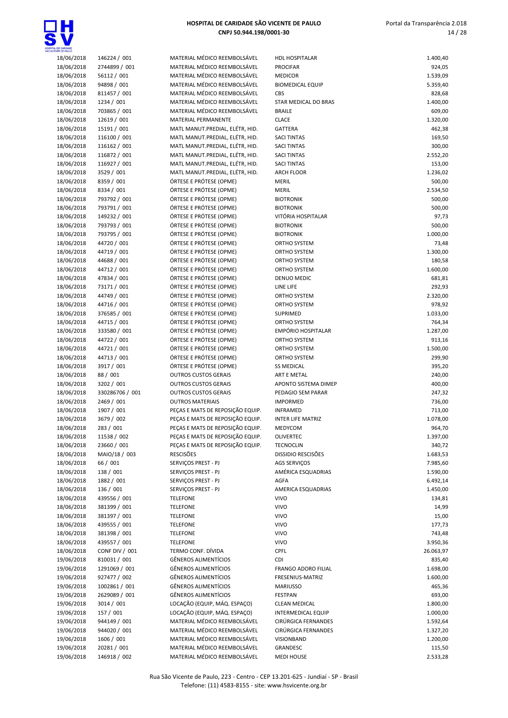

| <b>CENTE DE PAULO</b> |                 |                                  |                            |           |
|-----------------------|-----------------|----------------------------------|----------------------------|-----------|
| 18/06/2018            | 146224 / 001    | MATERIAL MÉDICO REEMBOLSÁVEL     | <b>HDL HOSPITALAR</b>      | 1.400,40  |
| 18/06/2018            | 2744899 / 001   | MATERIAL MÉDICO REEMBOLSÁVEL     | <b>PROCIFAR</b>            | 924,05    |
| 18/06/2018            | 56112 / 001     | MATERIAL MÉDICO REEMBOLSÁVEL     | <b>MEDICOR</b>             | 1.539,09  |
|                       |                 |                                  |                            |           |
| 18/06/2018            | 94898 / 001     | MATERIAL MÉDICO REEMBOLSÁVEL     | <b>BIOMEDICAL EQUIP</b>    | 5.359,40  |
| 18/06/2018            | 811457 / 001    | MATERIAL MÉDICO REEMBOLSÁVEL     | CBS                        | 828,68    |
| 18/06/2018            | 1234 / 001      | MATERIAL MÉDICO REEMBOLSÁVEL     | STAR MEDICAL DO BRAS       | 1.400,00  |
|                       |                 | MATERIAL MÉDICO REEMBOLSÁVEL     | <b>BRAILE</b>              |           |
| 18/06/2018            | 703865 / 001    |                                  |                            | 609,00    |
| 18/06/2018            | 12619 / 001     | MATERIAL PERMANENTE              | <b>CLACE</b>               | 1.320,00  |
| 18/06/2018            | 15191 / 001     | MATL MANUT.PREDIAL, ELÉTR, HID.  | GATTERA                    | 462,38    |
|                       |                 |                                  |                            |           |
| 18/06/2018            | 116100 / 001    | MATL MANUT.PREDIAL, ELÉTR, HID.  | <b>SACI TINTAS</b>         | 169,50    |
| 18/06/2018            | 116162 / 001    | MATL MANUT.PREDIAL, ELÉTR, HID.  | <b>SACI TINTAS</b>         | 300,00    |
| 18/06/2018            | 116872 / 001    | MATL MANUT.PREDIAL, ELÉTR, HID.  | <b>SACI TINTAS</b>         | 2.552,20  |
|                       |                 |                                  | <b>SACI TINTAS</b>         |           |
| 18/06/2018            | 116927 / 001    | MATL MANUT.PREDIAL, ELÉTR, HID.  |                            | 153,00    |
| 18/06/2018            | 3529 / 001      | MATL MANUT.PREDIAL, ELÉTR, HID.  | <b>ARCH FLOOR</b>          | 1.236,02  |
| 18/06/2018            | 8359 / 001      | ÓRTESE E PRÓTESE (OPME)          | <b>MERIL</b>               | 500,00    |
|                       | 8334 / 001      | ÓRTESE E PRÓTESE (OPME)          | <b>MERIL</b>               | 2.534,50  |
| 18/06/2018            |                 |                                  |                            |           |
| 18/06/2018            | 793792 / 001    | ÓRTESE E PRÓTESE (OPME)          | <b>BIOTRONIK</b>           | 500,00    |
| 18/06/2018            | 793791 / 001    | ÓRTESE E PRÓTESE (OPME)          | <b>BIOTRONIK</b>           | 500,00    |
| 18/06/2018            | 149232 / 001    | ÓRTESE E PRÓTESE (OPME)          | VITÓRIA HOSPITALAR         | 97,73     |
|                       |                 |                                  |                            |           |
| 18/06/2018            | 793793 / 001    | ÓRTESE E PRÓTESE (OPME)          | <b>BIOTRONIK</b>           | 500,00    |
| 18/06/2018            | 793795 / 001    | ÓRTESE E PRÓTESE (OPME)          | <b>BIOTRONIK</b>           | 1.000,00  |
| 18/06/2018            | 44720 / 001     | ÓRTESE E PRÓTESE (OPME)          | ORTHO SYSTEM               | 73,48     |
|                       |                 |                                  |                            |           |
| 18/06/2018            | 44719 / 001     | ÓRTESE E PRÓTESE (OPME)          | ORTHO SYSTEM               | 1.300,00  |
| 18/06/2018            | 44688 / 001     | ÓRTESE E PRÓTESE (OPME)          | ORTHO SYSTEM               | 180,58    |
| 18/06/2018            | 44712 / 001     | ÓRTESE E PRÓTESE (OPME)          | ORTHO SYSTEM               | 1.600,00  |
|                       |                 |                                  |                            |           |
| 18/06/2018            | 47834 / 001     | ÓRTESE E PRÓTESE (OPME)          | <b>DENUO MEDIC</b>         | 681,81    |
| 18/06/2018            | 73171 / 001     | ÓRTESE E PRÓTESE (OPME)          | LINE LIFE                  | 292,93    |
| 18/06/2018            | 44749 / 001     | ÓRTESE E PRÓTESE (OPME)          | ORTHO SYSTEM               | 2.320,00  |
|                       |                 |                                  |                            |           |
| 18/06/2018            | 44716 / 001     | ÓRTESE E PRÓTESE (OPME)          | ORTHO SYSTEM               | 978,92    |
| 18/06/2018            | 376585 / 001    | ÓRTESE E PRÓTESE (OPME)          | SUPRIMED                   | 1.033,00  |
| 18/06/2018            | 44715 / 001     | ÓRTESE E PRÓTESE (OPME)          | ORTHO SYSTEM               | 764,34    |
|                       |                 |                                  | EMPÓRIO HOSPITALAR         |           |
| 18/06/2018            | 333580 / 001    | ÓRTESE E PRÓTESE (OPME)          |                            | 1.287,00  |
| 18/06/2018            | 44722 / 001     | ÓRTESE E PRÓTESE (OPME)          | ORTHO SYSTEM               | 913,16    |
| 18/06/2018            | 44721 / 001     | ÓRTESE E PRÓTESE (OPME)          | ORTHO SYSTEM               | 1.500,00  |
|                       | 44713 / 001     | ÓRTESE E PRÓTESE (OPME)          |                            |           |
| 18/06/2018            |                 |                                  | ORTHO SYSTEM               | 299,90    |
| 18/06/2018            | 3917 / 001      | ÓRTESE E PRÓTESE (OPME)          | <b>SS MEDICAL</b>          | 395,20    |
| 18/06/2018            | 88 / 001        | <b>OUTROS CUSTOS GERAIS</b>      | ART E METAL                | 240,00    |
| 18/06/2018            | 3202 / 001      | <b>OUTROS CUSTOS GERAIS</b>      | APONTO SISTEMA DIMEP       | 400,00    |
|                       |                 |                                  |                            |           |
| 18/06/2018            | 330286706 / 001 | <b>OUTROS CUSTOS GERAIS</b>      | PEDAGIO SEM PARAR          | 247,32    |
| 18/06/2018            | 2469 / 001      | <b>OUTROS MATERIAIS</b>          | <b>IMPORMED</b>            | 736,00    |
| 18/06/2018            | 1907 / 001      | PEÇAS E MATS DE REPOSIÇÃO EQUIP. | <b>INFRAMED</b>            | 713,00    |
|                       |                 |                                  |                            |           |
| 18/06/2018            | 3679 / 002      | PEÇAS E MATS DE REPOSIÇÃO EQUIP. | <b>INTER LIFE MATRIZ</b>   | 1.078,00  |
| 18/06/2018            | 283 / 001       | PECAS E MATS DE REPOSIÇÃO EQUIP. | MEDYCOM                    | 964,70    |
| 18/06/2018            | 11538 / 002     | PEÇAS E MATS DE REPOSIÇÃO EQUIP. | OLIVERTEC                  | 1.397,00  |
|                       |                 |                                  |                            |           |
| 18/06/2018            | 23660 / 001     | PECAS E MATS DE REPOSIÇÃO EQUIP. | <b>TECNOCLIN</b>           | 340,72    |
| 18/06/2018            | MAIO/18 / 003   | <b>RESCISÕES</b>                 | DISSIDIO RESCISÕES         | 1.683,53  |
| 18/06/2018            | 66 / 001        | SERVIÇOS PREST - PJ              | <b>AGS SERVIÇOS</b>        | 7.985,60  |
|                       | 138 / 001       | SERVIÇOS PREST - PJ              | AMÉRICA ESQUADRIAS         | 1.590,00  |
| 18/06/2018            |                 |                                  |                            |           |
| 18/06/2018            | 1882 / 001      | SERVIÇOS PREST - PJ              | AGFA                       | 6.492,14  |
| 18/06/2018            | 136 / 001       | SERVIÇOS PREST - PJ              | AMERICA ESQUADRIAS         | 1.450,00  |
| 18/06/2018            | 439556 / 001    | <b>TELEFONE</b>                  | <b>VIVO</b>                | 134,81    |
|                       |                 |                                  |                            |           |
| 18/06/2018            | 381399 / 001    | <b>TELEFONE</b>                  | <b>VIVO</b>                | 14,99     |
| 18/06/2018            | 381397 / 001    | <b>TELEFONE</b>                  | <b>VIVO</b>                | 15,00     |
| 18/06/2018            | 439555 / 001    | <b>TELEFONE</b>                  | <b>VIVO</b>                | 177,73    |
|                       |                 |                                  |                            |           |
| 18/06/2018            | 381398 / 001    | <b>TELEFONE</b>                  | <b>VIVO</b>                | 743,48    |
| 18/06/2018            | 439557 / 001    | <b>TELEFONE</b>                  | <b>VIVO</b>                | 3.950,36  |
| 18/06/2018            | CONF DIV / 001  | TERMO CONF. DÍVIDA               | CPFL                       | 26.063,97 |
| 19/06/2018            | 810031 / 001    | <b>GÊNEROS ALIMENTÍCIOS</b>      | <b>CDI</b>                 | 835,40    |
|                       |                 |                                  |                            |           |
| 19/06/2018            | 1291069 / 001   | <b>GÊNEROS ALIMENTÍCIOS</b>      | <b>FRANGO ADORO FILIAL</b> | 1.698,00  |
| 19/06/2018            | 927477 / 002    | <b>GÊNEROS ALIMENTÍCIOS</b>      | FRESENIUS-MATRIZ           | 1.600,00  |
| 19/06/2018            | 1002861 / 001   | <b>GÊNEROS ALIMENTÍCIOS</b>      | <b>MARIUSSO</b>            | 465,36    |
|                       |                 |                                  |                            |           |
| 19/06/2018            | 2629089 / 001   | <b>GÊNEROS ALIMENTÍCIOS</b>      | <b>FESTPAN</b>             | 693,00    |
| 19/06/2018            | 3014 / 001      | LOCAÇÃO (EQUIP, MÁQ. ESPAÇO)     | <b>CLEAN MEDICAL</b>       | 1.800,00  |
| 19/06/2018            | 157 / 001       | LOCAÇÃO (EQUIP, MÁQ. ESPAÇO)     | <b>INTERMEDICAL EQUIP</b>  | 1.000,00  |
|                       |                 |                                  |                            |           |
| 19/06/2018            | 944149 / 001    | MATERIAL MÉDICO REEMBOLSÁVEL     | CIRÚRGICA FERNANDES        | 1.592,64  |
| 19/06/2018            | 944020 / 001    | MATERIAL MÉDICO REEMBOLSÁVEL     | CIRÚRGICA FERNANDES        | 1.327,20  |
| 19/06/2018            | 1606 / 001      | MATERIAL MÉDICO REEMBOLSÁVEL     | VISIONBAND                 | 1.200,00  |
|                       | 20281 / 001     | MATERIAL MÉDICO REEMBOLSÁVEL     | GRANDESC                   |           |
| 19/06/2018            |                 |                                  |                            | 115,50    |
| 19/06/2018            | 146918 / 002    | MATERIAL MÉDICO REEMBOLSÁVEL     | <b>MEDI HOUSE</b>          | 2.533,28  |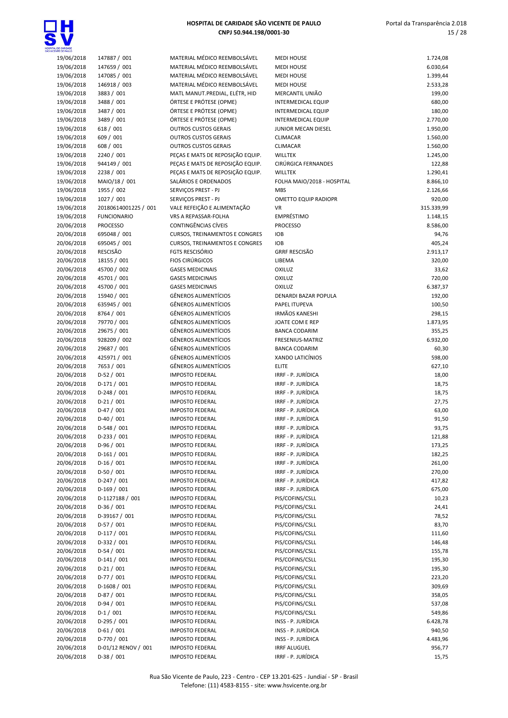

| ENTE OE PAULO |                      |                                       |                             |            |
|---------------|----------------------|---------------------------------------|-----------------------------|------------|
| 19/06/2018    | 147887 / 001         | MATERIAL MÉDICO REEMBOLSÁVEL          | <b>MEDI HOUSE</b>           | 1.724,08   |
| 19/06/2018    | 147659 / 001         | MATERIAL MÉDICO REEMBOLSÁVEL          | <b>MEDI HOUSE</b>           | 6.030,64   |
| 19/06/2018    | 147085 / 001         | MATERIAL MÉDICO REEMBOLSÁVEL          | <b>MEDI HOUSE</b>           | 1.399,44   |
| 19/06/2018    | 146918 / 003         | MATERIAL MÉDICO REEMBOLSÁVEL          | <b>MEDI HOUSE</b>           | 2.533,28   |
| 19/06/2018    | 3883 / 001           | MATL MANUT.PREDIAL, ELÉTR, HID        | MERCANTIL UNIÃO             | 199,00     |
| 19/06/2018    | 3488 / 001           | ÓRTESE E PRÓTESE (OPME)               | <b>INTERMEDICAL EQUIP</b>   | 680,00     |
| 19/06/2018    | 3487 / 001           | ÓRTESE E PRÓTESE (OPME)               | <b>INTERMEDICAL EQUIP</b>   | 180,00     |
| 19/06/2018    | 3489 / 001           | ÓRTESE E PRÓTESE (OPME)               | INTERMEDICAL EQUIP          | 2.770,00   |
| 19/06/2018    | 618 / 001            | <b>OUTROS CUSTOS GERAIS</b>           | JUNIOR MECAN DIESEL         | 1.950,00   |
| 19/06/2018    | 609 / 001            | <b>OUTROS CUSTOS GERAIS</b>           | <b>CLIMACAR</b>             | 1.560,00   |
| 19/06/2018    | 608 / 001            | <b>OUTROS CUSTOS GERAIS</b>           | CLIMACAR                    | 1.560,00   |
| 19/06/2018    | 2240 / 001           | PEÇAS E MATS DE REPOSIÇÃO EQUIP.      | <b>WILLTEK</b>              | 1.245,00   |
| 19/06/2018    | 944149 / 001         | PEÇAS E MATS DE REPOSIÇÃO EQUIP.      | CIRÚRGICA FERNANDES         | 122,88     |
| 19/06/2018    | 2238 / 001           | PEÇAS E MATS DE REPOSIÇÃO EQUIP.      | <b>WILLTEK</b>              | 1.290,41   |
| 19/06/2018    | MAIO/18 / 001        | SALÁRIOS E ORDENADOS                  | FOLHA MAIO/2018 - HOSPITAL  | 8.866,10   |
| 19/06/2018    | 1955 / 002           | SERVIÇOS PREST - PJ                   | <b>MBS</b>                  | 2.126,66   |
| 19/06/2018    | 1027 / 001           | SERVIÇOS PREST - PJ                   | <b>OMETTO EQUIP RADIOPR</b> | 920,00     |
| 19/06/2018    | 20180614001225 / 001 | VALE REFEIÇÃO E ALIMENTAÇÃO           | VR                          | 315.339,99 |
| 19/06/2018    | <b>FUNCIONARIO</b>   | VRS A REPASSAR-FOLHA                  | EMPRÉSTIMO                  | 1.148,15   |
| 20/06/2018    | <b>PROCESSO</b>      | <b>CONTINGÊNCIAS CÍVEIS</b>           | <b>PROCESSO</b>             | 8.586,00   |
| 20/06/2018    | 695048 / 001         | <b>CURSOS, TREINAMENTOS E CONGRES</b> | <b>IOB</b>                  | 94,76      |
| 20/06/2018    | 695045 / 001         | <b>CURSOS, TREINAMENTOS E CONGRES</b> | <b>IOB</b>                  | 405,24     |
| 20/06/2018    | <b>RESCISÃO</b>      | FGTS RESCISÓRIO                       | <b>GRRF RESCISÃO</b>        | 2.913,17   |
| 20/06/2018    | 18155 / 001          | <b>FIOS CIRÚRGICOS</b>                | LIBEMA                      | 320,00     |
| 20/06/2018    | 45700 / 002          | <b>GASES MEDICINAIS</b>               | <b>OXILUZ</b>               | 33,62      |
| 20/06/2018    | 45701 / 001          | <b>GASES MEDICINAIS</b>               | OXILUZ                      | 720,00     |
| 20/06/2018    | 45700 / 001          | <b>GASES MEDICINAIS</b>               | OXILUZ                      | 6.387,37   |
| 20/06/2018    | 15940 / 001          | <b>GÊNEROS ALIMENTÍCIOS</b>           | DENARDI BAZAR POPULA        | 192,00     |
| 20/06/2018    | 635945 / 001         | <b>GÊNEROS ALIMENTÍCIOS</b>           | PAPEL ITUPEVA               | 100,50     |
| 20/06/2018    | 8764 / 001           | <b>GÊNEROS ALIMENTÍCIOS</b>           | <b>IRMÃOS KANESHI</b>       | 298,15     |
| 20/06/2018    | 79770 / 001          | <b>GÊNEROS ALIMENTÍCIOS</b>           | JOATE COM E REP             | 1.873,95   |
| 20/06/2018    | 29675 / 001          | <b>GÊNEROS ALIMENTÍCIOS</b>           | <b>BANCA CODARIM</b>        | 355,25     |
| 20/06/2018    | 928209 / 002         | <b>GÊNEROS ALIMENTÍCIOS</b>           | FRESENIUS-MATRIZ            | 6.932,00   |
| 20/06/2018    | 29687 / 001          | <b>GÊNEROS ALIMENTÍCIOS</b>           | <b>BANCA CODARIM</b>        | 60,30      |
| 20/06/2018    | 425971 / 001         | <b>GÊNEROS ALIMENTÍCIOS</b>           | XANDO LATICÍNIOS            | 598,00     |
| 20/06/2018    | 7653 / 001           | <b>GÊNEROS ALIMENTÍCIOS</b>           | <b>ELITE</b>                | 627,10     |
| 20/06/2018    | $D-52/001$           | <b>IMPOSTO FEDERAL</b>                | IRRF - P. JURÍDICA          | 18,00      |
| 20/06/2018    | $D-171/001$          | <b>IMPOSTO FEDERAL</b>                | IRRF - P. JURÍDICA          | 18,75      |
| 20/06/2018    | $D-248/001$          | <b>IMPOSTO FEDERAL</b>                | IRRF - P. JURÍDICA          | 18,75      |
| 20/06/2018    | $D-21/001$           | <b>IMPOSTO FEDERAL</b>                | IRRF - P. JURÍDICA          | 27,75      |
| 20/06/2018    | $D-47/001$           | <b>IMPOSTO FEDERAL</b>                | IRRF - P. JURÍDICA          | 63,00      |
| 20/06/2018    | $D-40/001$           | <b>IMPOSTO FEDERAL</b>                | IRRF - P. JURÍDICA          | 91,50      |
| 20/06/2018    | $D-548/001$          | <b>IMPOSTO FEDERAL</b>                | IRRF - P. JURÍDICA          | 93,75      |
| 20/06/2018    | $D-233 / 001$        | <b>IMPOSTO FEDERAL</b>                | IRRF - P. JURÍDICA          | 121,88     |
| 20/06/2018    | $D-96/001$           | <b>IMPOSTO FEDERAL</b>                | IRRF - P. JURÍDICA          | 173,25     |
| 20/06/2018    | $D-161/001$          | <b>IMPOSTO FEDERAL</b>                | IRRF - P. JURÍDICA          | 182,25     |
| 20/06/2018    | $D-16/001$           | <b>IMPOSTO FEDERAL</b>                | IRRF - P. JURÍDICA          | 261,00     |
| 20/06/2018    | $D-50/001$           | <b>IMPOSTO FEDERAL</b>                | IRRF - P. JURÍDICA          | 270,00     |
| 20/06/2018    | $D-247/001$          | <b>IMPOSTO FEDERAL</b>                | IRRF - P. JURÍDICA          | 417,82     |
| 20/06/2018    | $D-169/001$          | <b>IMPOSTO FEDERAL</b>                | IRRF - P. JURÍDICA          | 675,00     |
| 20/06/2018    | D-1127188 / 001      | <b>IMPOSTO FEDERAL</b>                | PIS/COFINS/CSLL             | 10,23      |
| 20/06/2018    | $D-36/001$           | <b>IMPOSTO FEDERAL</b>                | PIS/COFINS/CSLL             | 24,41      |
| 20/06/2018    | D-39167 / 001        | <b>IMPOSTO FEDERAL</b>                | PIS/COFINS/CSLL             | 78,52      |
| 20/06/2018    | $D-57/001$           | <b>IMPOSTO FEDERAL</b>                | PIS/COFINS/CSLL             | 83,70      |
| 20/06/2018    | $D-117/001$          | <b>IMPOSTO FEDERAL</b>                | PIS/COFINS/CSLL             | 111,60     |
| 20/06/2018    | D-332 / 001          | <b>IMPOSTO FEDERAL</b>                | PIS/COFINS/CSLL             | 146,48     |
| 20/06/2018    | $D-54/001$           | <b>IMPOSTO FEDERAL</b>                | PIS/COFINS/CSLL             | 155,78     |
| 20/06/2018    | $D-141/001$          | <b>IMPOSTO FEDERAL</b>                | PIS/COFINS/CSLL             | 195,30     |
| 20/06/2018    | $D-21/001$           | <b>IMPOSTO FEDERAL</b>                | PIS/COFINS/CSLL             | 195,30     |
| 20/06/2018    | $D-77/001$           | <b>IMPOSTO FEDERAL</b>                | PIS/COFINS/CSLL             | 223,20     |
| 20/06/2018    | $D-1608 / 001$       | <b>IMPOSTO FEDERAL</b>                | PIS/COFINS/CSLL             | 309,69     |
| 20/06/2018    | $D-87/001$           | <b>IMPOSTO FEDERAL</b>                | PIS/COFINS/CSLL             | 358,05     |
| 20/06/2018    | $D-94/001$           | <b>IMPOSTO FEDERAL</b>                | PIS/COFINS/CSLL             | 537,08     |
| 20/06/2018    | $D-1/001$            | <b>IMPOSTO FEDERAL</b>                | PIS/COFINS/CSLL             | 549,86     |
| 20/06/2018    | $D-295/001$          | <b>IMPOSTO FEDERAL</b>                | INSS - P. JURÍDICA          | 6.428,78   |
| 20/06/2018    | $D-61/001$           | <b>IMPOSTO FEDERAL</b>                | INSS - P. JURÍDICA          | 940,50     |
| 20/06/2018    | D-770 / 001          | <b>IMPOSTO FEDERAL</b>                | INSS - P. JURÍDICA          | 4.483,96   |
| 20/06/2018    | D-01/12 RENOV / 001  | <b>IMPOSTO FEDERAL</b>                | <b>IRRF ALUGUEL</b>         | 956,77     |
| 20/06/2018    | $D-38/001$           | <b>IMPOSTO FEDERAL</b>                | IRRF - P. JURÍDICA          | 15,75      |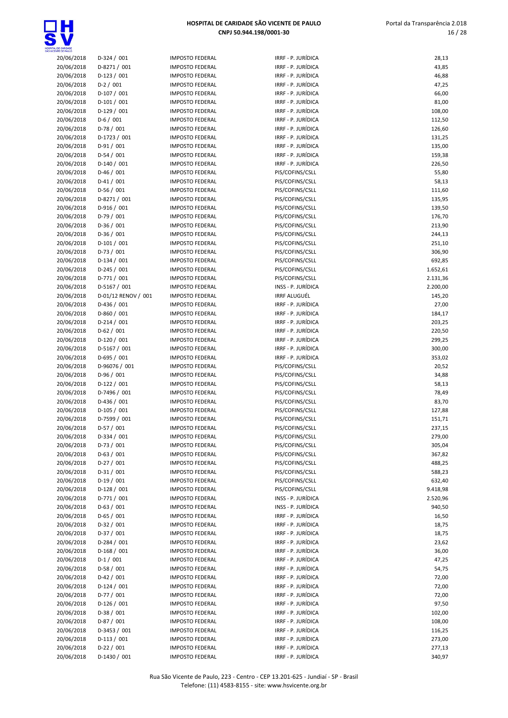

16 / 28



| HOSPITAL DE CARIDADE<br>SÃO VICENTE DE PAULO |                            |                                                  |                                          |                  |
|----------------------------------------------|----------------------------|--------------------------------------------------|------------------------------------------|------------------|
| 20/06/2018                                   | $D-324/001$                | <b>IMPOSTO FEDERAL</b>                           | IRRF - P. JURÍDICA                       | 28,13            |
| 20/06/2018                                   | D-8271 / 001               | <b>IMPOSTO FEDERAL</b>                           | IRRF - P. JURÍDICA                       | 43,85            |
| 20/06/2018                                   | $D-123/001$                | <b>IMPOSTO FEDERAL</b>                           | IRRF - P. JURÍDICA                       | 46,88            |
| 20/06/2018                                   | $D-2/001$                  | <b>IMPOSTO FEDERAL</b>                           | IRRF - P. JURÍDICA                       | 47,25            |
| 20/06/2018                                   | $D-107/001$                | <b>IMPOSTO FEDERAL</b>                           | IRRF - P. JURÍDICA                       | 66,00            |
| 20/06/2018                                   | $D-101/001$                | <b>IMPOSTO FEDERAL</b>                           | IRRF - P. JURÍDICA                       | 81,00            |
| 20/06/2018                                   | $D-129/001$                | <b>IMPOSTO FEDERAL</b>                           | IRRF - P. JURÍDICA                       | 108,00           |
| 20/06/2018                                   | $D-6/001$                  | <b>IMPOSTO FEDERAL</b>                           | IRRF - P. JURÍDICA                       | 112,50           |
| 20/06/2018                                   | $D-78/001$                 | <b>IMPOSTO FEDERAL</b>                           | IRRF - P. JURÍDICA                       | 126,60           |
| 20/06/2018                                   | $D-1723 / 001$             | <b>IMPOSTO FEDERAL</b><br><b>IMPOSTO FEDERAL</b> | IRRF - P. JURÍDICA<br>IRRF - P. JURÍDICA | 131,25           |
| 20/06/2018<br>20/06/2018                     | $D-91/001$<br>$D-54/001$   | <b>IMPOSTO FEDERAL</b>                           | IRRF - P. JURÍDICA                       | 135,00<br>159,38 |
| 20/06/2018                                   | $D-140/001$                | <b>IMPOSTO FEDERAL</b>                           | IRRF - P. JURÍDICA                       | 226,50           |
| 20/06/2018                                   | $D-46/001$                 | <b>IMPOSTO FEDERAL</b>                           | PIS/COFINS/CSLL                          | 55,80            |
| 20/06/2018                                   | $D-41/001$                 | <b>IMPOSTO FEDERAL</b>                           | PIS/COFINS/CSLL                          | 58,13            |
| 20/06/2018                                   | $D-56/001$                 | <b>IMPOSTO FEDERAL</b>                           | PIS/COFINS/CSLL                          | 111,60           |
| 20/06/2018                                   | $D-8271/001$               | <b>IMPOSTO FEDERAL</b>                           | PIS/COFINS/CSLL                          | 135,95           |
| 20/06/2018                                   | $D-916/001$                | <b>IMPOSTO FEDERAL</b>                           | PIS/COFINS/CSLL                          | 139,50           |
| 20/06/2018                                   | $D-79/001$                 | <b>IMPOSTO FEDERAL</b>                           | PIS/COFINS/CSLL                          | 176,70           |
| 20/06/2018                                   | $D-36/001$                 | <b>IMPOSTO FEDERAL</b>                           | PIS/COFINS/CSLL                          | 213,90           |
| 20/06/2018                                   | $D-36/001$                 | <b>IMPOSTO FEDERAL</b>                           | PIS/COFINS/CSLL                          | 244,13           |
| 20/06/2018                                   | $D-101/001$                | <b>IMPOSTO FEDERAL</b>                           | PIS/COFINS/CSLL                          | 251,10           |
| 20/06/2018                                   | $D-73/001$                 | <b>IMPOSTO FEDERAL</b>                           | PIS/COFINS/CSLL                          | 306,90           |
| 20/06/2018                                   | $D-134/001$                | <b>IMPOSTO FEDERAL</b>                           | PIS/COFINS/CSLL                          | 692,85           |
| 20/06/2018                                   | $D-245/001$                | <b>IMPOSTO FEDERAL</b>                           | PIS/COFINS/CSLL                          | 1.652,61         |
| 20/06/2018                                   | $D-771/001$                | <b>IMPOSTO FEDERAL</b>                           | PIS/COFINS/CSLL                          | 2.131,36         |
| 20/06/2018                                   | $D-5167/001$               | <b>IMPOSTO FEDERAL</b>                           | INSS - P. JURÍDICA                       | 2.200,00         |
| 20/06/2018                                   | D-01/12 RENOV / 001        | <b>IMPOSTO FEDERAL</b>                           | <b>IRRF ALUGUÉL</b>                      | 145,20           |
| 20/06/2018                                   | $D-436 / 001$              | <b>IMPOSTO FEDERAL</b>                           | IRRF - P. JURÍDICA                       | 27,00            |
| 20/06/2018                                   | $D-860/001$                | <b>IMPOSTO FEDERAL</b>                           | IRRF - P. JURÍDICA                       | 184,17           |
| 20/06/2018                                   | $D-214/001$                | <b>IMPOSTO FEDERAL</b>                           | IRRF - P. JURÍDICA                       | 203,25           |
| 20/06/2018                                   | $D-62 / 001$               | <b>IMPOSTO FEDERAL</b>                           | IRRF - P. JURÍDICA                       | 220,50           |
| 20/06/2018                                   | $D-120/001$                | <b>IMPOSTO FEDERAL</b>                           | IRRF - P. JURÍDICA                       | 299,25           |
| 20/06/2018                                   | $D-5167/001$               | <b>IMPOSTO FEDERAL</b>                           | IRRF - P. JURÍDICA                       | 300,00           |
| 20/06/2018                                   | $D-695/001$                | <b>IMPOSTO FEDERAL</b>                           | IRRF - P. JURÍDICA                       | 353,02           |
| 20/06/2018                                   | D-96076 / 001              | <b>IMPOSTO FEDERAL</b>                           | PIS/COFINS/CSLL                          | 20,52            |
| 20/06/2018                                   | $D-96/001$                 | <b>IMPOSTO FEDERAL</b>                           | PIS/COFINS/CSLL                          | 34,88            |
| 20/06/2018                                   | $D-122 / 001$              | <b>IMPOSTO FEDERAL</b>                           | PIS/COFINS/CSLL                          | 58,13            |
| 20/06/2018                                   | D-7496 / 001               | <b>IMPOSTO FEDERAL</b>                           | PIS/COFINS/CSLL                          | 78,49            |
| 20/06/2018                                   | $D-436 / 001$              | <b>IMPOSTO FEDERAL</b>                           | PIS/COFINS/CSLL                          | 83,70            |
| 20/06/2018                                   | $D-105/001$                | <b>IMPOSTO FEDERAL</b>                           | PIS/COFINS/CSLL                          | 127,88           |
| 20/06/2018                                   | D-7599 / 001               | <b>IMPOSTO FEDERAL</b>                           | PIS/COFINS/CSLL                          | 151,71           |
| 20/06/2018                                   | $D-57/001$                 | <b>IMPOSTO FEDERAL</b>                           | PIS/COFINS/CSLL                          | 237,15           |
| 20/06/2018                                   | $D-334 / 001$              | <b>IMPOSTO FEDERAL</b>                           | PIS/COFINS/CSLL<br>PIS/COFINS/CSLL       | 279,00           |
| 20/06/2018<br>20/06/2018                     | $D-73/001$<br>$D-63 / 001$ | <b>IMPOSTO FEDERAL</b><br><b>IMPOSTO FEDERAL</b> |                                          | 305,04<br>367,82 |
| 20/06/2018                                   | $D-27/001$                 | <b>IMPOSTO FEDERAL</b>                           | PIS/COFINS/CSLL<br>PIS/COFINS/CSLL       | 488,25           |
| 20/06/2018                                   | $D-31/001$                 | <b>IMPOSTO FEDERAL</b>                           | PIS/COFINS/CSLL                          | 588,23           |
| 20/06/2018                                   | $D-19/001$                 | <b>IMPOSTO FEDERAL</b>                           | PIS/COFINS/CSLL                          | 632,40           |
| 20/06/2018                                   | $D-128/001$                | <b>IMPOSTO FEDERAL</b>                           | PIS/COFINS/CSLL                          | 9.418,98         |
| 20/06/2018                                   | $D-771/001$                | <b>IMPOSTO FEDERAL</b>                           | INSS - P. JURÍDICA                       | 2.520,96         |
| 20/06/2018                                   | $D-63/001$                 | <b>IMPOSTO FEDERAL</b>                           | INSS - P. JURÍDICA                       | 940,50           |
| 20/06/2018                                   | $D-65/001$                 | <b>IMPOSTO FEDERAL</b>                           | IRRF - P. JURÍDICA                       | 16,50            |
| 20/06/2018                                   | $D-32 / 001$               | <b>IMPOSTO FEDERAL</b>                           | IRRF - P. JURÍDICA                       | 18,75            |
| 20/06/2018                                   | $D-37/001$                 | <b>IMPOSTO FEDERAL</b>                           | IRRF - P. JURÍDICA                       | 18,75            |
| 20/06/2018                                   | $D-284 / 001$              | <b>IMPOSTO FEDERAL</b>                           | IRRF - P. JURÍDICA                       | 23,62            |
| 20/06/2018                                   | $D-168/001$                | <b>IMPOSTO FEDERAL</b>                           | IRRF - P. JURÍDICA                       | 36,00            |
| 20/06/2018                                   | $D-1/001$                  | <b>IMPOSTO FEDERAL</b>                           | IRRF - P. JURÍDICA                       | 47,25            |
| 20/06/2018                                   | $D-58/001$                 | <b>IMPOSTO FEDERAL</b>                           | IRRF - P. JURÍDICA                       | 54,75            |
| 20/06/2018                                   | $D-42/001$                 | <b>IMPOSTO FEDERAL</b>                           | IRRF - P. JURÍDICA                       | 72,00            |
| 20/06/2018                                   | $D-124/001$                | <b>IMPOSTO FEDERAL</b>                           | IRRF - P. JURÍDICA                       | 72,00            |
| 20/06/2018                                   | $D-77/001$                 | <b>IMPOSTO FEDERAL</b>                           | IRRF - P. JURÍDICA                       | 72,00            |
| 20/06/2018                                   | $D-126/001$                | <b>IMPOSTO FEDERAL</b>                           | IRRF - P. JURÍDICA                       | 97,50            |
| 20/06/2018                                   | $D-38/001$                 | <b>IMPOSTO FEDERAL</b>                           | IRRF - P. JURÍDICA                       | 102,00           |
| 20/06/2018                                   | $D-87/001$                 | <b>IMPOSTO FEDERAL</b>                           | IRRF - P. JURÍDICA                       | 108,00           |
| 20/06/2018                                   | D-3453 / 001               | <b>IMPOSTO FEDERAL</b>                           | IRRF - P. JURÍDICA                       | 116,25           |
| 20/06/2018                                   | $D-113/001$                | <b>IMPOSTO FEDERAL</b>                           | IRRF - P. JURÍDICA                       | 273,00           |
| 20/06/2018                                   | $D-22 / 001$               | <b>IMPOSTO FEDERAL</b>                           | IRRF - P. JURÍDICA                       | 277,13           |
| 20/06/2018                                   | D-1430 / 001               | <b>IMPOSTO FEDERAL</b>                           | IRRF - P. JURÍDICA                       | 340,97           |

| F - P. JURÍDICA                       | 28,13                |
|---------------------------------------|----------------------|
| F - P. JURÍDICA                       | 43,85                |
| F - P. JURÍDICA<br>F - P. JURÍDICA    | 46,88<br>47,25       |
| F - P. JURÍDICA                       | 66,00                |
| F - P. JURÍDICA                       | 81,00                |
| F - P. JURÍDICA                       | 108,00               |
| F - P. JURÍDICA                       | 112,50               |
| F - P. JURÍDICA                       | 126,60               |
| F - P. JURÍDICA<br>F - P. JURÍDICA    | 131,25               |
| F - P. JURÍDICA                       | 135,00<br>159,38     |
| F - P. JURÍDICA                       | 226,50               |
| COFINS/CSLL                           | 55,80                |
| COFINS/CSLL                           | 58,13                |
| COFINS/CSLL                           | 111,60               |
| COFINS/CSLL                           | 135,95               |
| COFINS/CSLL<br>COFINS/CSLL            | 139,50<br>176,70     |
| COFINS/CSLL                           | 213,90               |
| <b>COFINS/CSLL</b>                    | 244,13               |
| <b>COFINS/CSLL</b>                    | 251,10               |
| COFINS/CSLL                           | 306,90               |
| <b>COFINS/CSLL</b>                    | 692,85               |
| <b>COFINS/CSLL</b>                    | 1.652,61             |
| COFINS/CSLL<br>S - P. JURÍDICA        | 2.131,36<br>2.200,00 |
| F ALUGUÉL                             | 145,20               |
| F - P. JURÍDICA                       | 27,00                |
| F - P. JURÍDICA                       | 184,17               |
| F - P. JURÍDICA                       | 203,25               |
| F - P. JURÍDICA                       | 220,50               |
| F - P. JURÍDICA                       | 299,25               |
| F - P. JURÍDICA<br>F - P. JURÍDICA    | 300,00<br>353,02     |
| COFINS/CSLL                           | 20,52                |
| COFINS/CSLL                           | 34,88                |
| <b>COFINS/CSLL</b>                    | 58,13                |
| <b>COFINS/CSLL</b>                    | 78,49                |
| COFINS/CSLL                           | 83,70                |
| COFINS/CSLL                           | 127,88<br>151,71     |
| COFINS/CSLL<br>'COFINS/CSLL           | 237,15               |
| COFINS/CSLL                           | 279,00               |
| COFINS/CSLL                           | 305,04               |
| <b>COFINS/CSLL</b>                    | 367,82               |
| COFINS/CSLL                           | 488,25               |
| COFINS/CSLL                           | 588,23               |
| <b>COFINS/CSLL</b>                    | 632,40               |
| <b>COFINS/CSLL</b><br>S - P. JURÍDICA | 9.418,98<br>2.520,96 |
| S - P. JURÍDICA                       | 940,50               |
| F - P. JURÍDICA                       | 16,50                |
| F - P. JURÍDICA                       | 18,75                |
| F - P. JURÍDICA                       | 18,75                |
| F - P. JURÍDICA                       | 23,62                |
| F - P. JURÍDICA                       | 36,00                |
| F - P. JURÍDICA<br>F - P. JURÍDICA    | 47,25<br>54,75       |
| F - P. JURÍDICA                       | 72,00                |
| F - P. JURÍDICA                       | 72,00                |
| F - P. JURÍDICA                       | 72,00                |
| F - P. JURÍDICA                       | 97,50                |
| F - P. JURÍDICA                       | 102,00               |
| F - P. JURÍDICA                       | 108,00               |
| F - P. JURÍDICA<br>F - P. JURÍDICA    | 116,25<br>273,00     |
| F - P. JURÍDICA                       | 277.13               |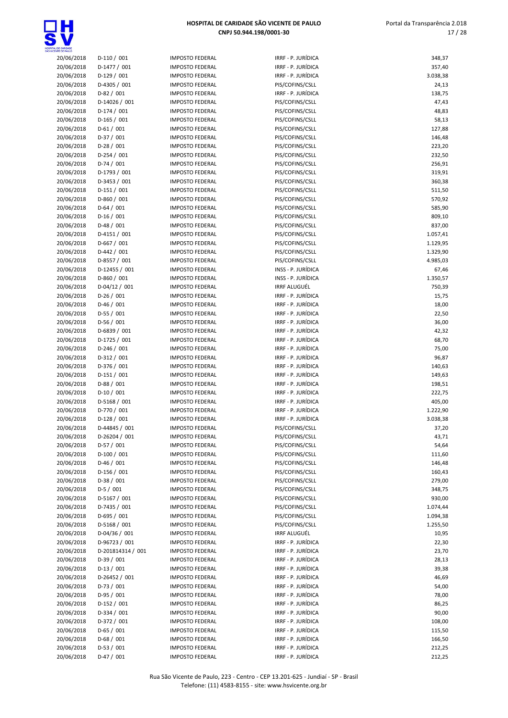

| ENTE DE PAULO |                   |                        |
|---------------|-------------------|------------------------|
| 20/06/2018    | D-110 / 001       | IMPOSTO FEDERAL        |
| 20/06/2018    | D-1477 / 001      | <b>IMPOSTO FEDERAL</b> |
| 20/06/2018    | D-129 / 001       | <b>IMPOSTO FEDERAL</b> |
| 20/06/2018    | D-4305 / 001      | <b>IMPOSTO FEDERAL</b> |
| 20/06/2018    | D-82 / 001        | <b>IMPOSTO FEDERAL</b> |
| 20/06/2018    | D-14026 / 001     | <b>IMPOSTO FEDERAL</b> |
|               |                   |                        |
| 20/06/2018    | D-174 / 001       | <b>IMPOSTO FEDERAL</b> |
| 20/06/2018    | D-165 / 001       | <b>IMPOSTO FEDERAL</b> |
| 20/06/2018    | $D-61/001$        | <b>IMPOSTO FEDERAL</b> |
| 20/06/2018    | D-37 / 001        | <b>IMPOSTO FEDERAL</b> |
| 20/06/2018    | $D-28/001$        | <b>IMPOSTO FEDERAL</b> |
| 20/06/2018    | D-254 / 001       | <b>IMPOSTO FEDERAL</b> |
| 20/06/2018    | D-74 / 001        | <b>IMPOSTO FEDERAL</b> |
| 20/06/2018    | D-1793 / 001      | <b>IMPOSTO FEDERAL</b> |
| 20/06/2018    | D-3453 / 001      | <b>IMPOSTO FEDERAL</b> |
|               |                   |                        |
| 20/06/2018    | $D-151/001$       | <b>IMPOSTO FEDERAL</b> |
| 20/06/2018    | D-860 / 001       | <b>IMPOSTO FEDERAL</b> |
| 20/06/2018    | D-64 / 001        | <b>IMPOSTO FEDERAL</b> |
| 20/06/2018    | $D-16/001$        | <b>IMPOSTO FEDERAL</b> |
| 20/06/2018    | D-48 / 001        | <b>IMPOSTO FEDERAL</b> |
| 20/06/2018    | $D-4151/001$      | <b>IMPOSTO FEDERAL</b> |
| 20/06/2018    | D-667 / 001       | <b>IMPOSTO FEDERAL</b> |
| 20/06/2018    | D-442 / 001       | <b>IMPOSTO FEDERAL</b> |
|               |                   |                        |
| 20/06/2018    | D-8557 / 001      | <b>IMPOSTO FEDERAL</b> |
| 20/06/2018    | D-12455 / 001     | <b>IMPOSTO FEDERAL</b> |
| 20/06/2018    | D-860 / 001       | <b>IMPOSTO FEDERAL</b> |
| 20/06/2018    | D-04/12 / 001     | <b>IMPOSTO FEDERAL</b> |
| 20/06/2018    | $D-26/001$        | <b>IMPOSTO FEDERAL</b> |
| 20/06/2018    | D-46 / 001        | <b>IMPOSTO FEDERAL</b> |
| 20/06/2018    | D-55 / 001        | <b>IMPOSTO FEDERAL</b> |
| 20/06/2018    | D-56 / 001        | <b>IMPOSTO FEDERAL</b> |
| 20/06/2018    | D-6839 / 001      | <b>IMPOSTO FEDERAL</b> |
|               |                   |                        |
| 20/06/2018    | D-1725 / 001      | <b>IMPOSTO FEDERAL</b> |
| 20/06/2018    | D-246 / 001       | <b>IMPOSTO FEDERAL</b> |
| 20/06/2018    | D-312 / 001       | <b>IMPOSTO FEDERAL</b> |
| 20/06/2018    | D-376 / 001       | <b>IMPOSTO FEDERAL</b> |
| 20/06/2018    | D-151 / 001       | <b>IMPOSTO FEDERAL</b> |
| 20/06/2018    | D-88 / 001        | <b>IMPOSTO FEDERAL</b> |
| 20/06/2018    | $D-10/001$        | <b>IMPOSTO FEDERAL</b> |
| 20/06/2018    | D-5168 / 001      | <b>IMPOSTO FEDERAL</b> |
|               |                   |                        |
| 20/06/2018    | D-770 / 001       | <b>IMPOSTO FEDERAL</b> |
| 20/06/2018    | $D-128/001$       | <b>IMPOSTO FEDERAL</b> |
| 20/06/2018    | D-44845 / 001     | <b>IMPOSTO FEDERAL</b> |
| 20/06/2018    | D-26204 / 001     | <b>IMPOSTO FEDERAL</b> |
| 20/06/2018    | D-57 / 001        | <b>IMPOSTO FEDERAL</b> |
| 20/06/2018    | D-100 / 001       | <b>IMPOSTO FEDERAL</b> |
| 20/06/2018    | D-46 / 001        | <b>IMPOSTO FEDERAL</b> |
| 20/06/2018    | D-156 / 001       | <b>IMPOSTO FEDERAL</b> |
| 20/06/2018    | D-38 / 001        | <b>IMPOSTO FEDERAL</b> |
|               |                   |                        |
| 20/06/2018    | D-5 / 001         | <b>IMPOSTO FEDERAL</b> |
| 20/06/2018    | D-5167 / 001      | <b>IMPOSTO FEDERAL</b> |
| 20/06/2018    | D-7435 / 001      | <b>IMPOSTO FEDERAL</b> |
| 20/06/2018    | D-695 / 001       | <b>IMPOSTO FEDERAL</b> |
| 20/06/2018    | D-5168 / 001      | <b>IMPOSTO FEDERAL</b> |
| 20/06/2018    | D-04/36 / 001     | <b>IMPOSTO FEDERAL</b> |
| 20/06/2018    | D-96723 / 001     | <b>IMPOSTO FEDERAL</b> |
| 20/06/2018    | D-201814314 / 001 | <b>IMPOSTO FEDERAL</b> |
|               |                   |                        |
| 20/06/2018    | D-39 / 001        | <b>IMPOSTO FEDERAL</b> |
| 20/06/2018    | $D-13/001$        | <b>IMPOSTO FEDERAL</b> |
| 20/06/2018    | D-26452 / 001     | <b>IMPOSTO FEDERAL</b> |
| 20/06/2018    | D-73 / 001        | <b>IMPOSTO FEDERAL</b> |
| 20/06/2018    | D-95 / 001        | <b>IMPOSTO FEDERAL</b> |
| 20/06/2018    | D-152 / 001       | <b>IMPOSTO FEDERAL</b> |
| 20/06/2018    | D-334 / 001       | <b>IMPOSTO FEDERAL</b> |
| 20/06/2018    | D-372 / 001       | <b>IMPOSTO FEDERAL</b> |
|               | $D-65/001$        | <b>IMPOSTO FEDERAL</b> |
| 20/06/2018    |                   |                        |
| 20/06/2018    | D-68 / 001        | <b>IMPOSTO FEDERAL</b> |
| 20/06/2018    | D-53 / 001        | <b>IMPOSTO FEDERAL</b> |

| LOC CARIDADO             |                                |                                                  |                                          |                   |
|--------------------------|--------------------------------|--------------------------------------------------|------------------------------------------|-------------------|
| 20/06/2018               | $D-110/001$                    | <b>IMPOSTO FEDERAL</b>                           | IRRF - P. JURÍDICA                       | 348,37            |
| 20/06/2018               | D-1477 / 001                   | <b>IMPOSTO FEDERAL</b>                           | IRRF - P. JURÍDICA                       | 357,40            |
| 20/06/2018               | $D-129/001$                    | <b>IMPOSTO FEDERAL</b>                           | IRRF - P. JURÍDICA                       | 3.038,38          |
| 20/06/2018<br>20/06/2018 | D-4305 / 001<br>$D-82/001$     | <b>IMPOSTO FEDERAL</b><br><b>IMPOSTO FEDERAL</b> | PIS/COFINS/CSLL<br>IRRF - P. JURÍDICA    | 24,13<br>138,75   |
| 20/06/2018               | D-14026 / 001                  | <b>IMPOSTO FEDERAL</b>                           | PIS/COFINS/CSLL                          | 47,43             |
| 20/06/2018               | $D-174/001$                    | <b>IMPOSTO FEDERAL</b>                           | PIS/COFINS/CSLL                          | 48,83             |
| 20/06/2018               | $D-165/001$                    | <b>IMPOSTO FEDERAL</b>                           | PIS/COFINS/CSLL                          | 58,13             |
| 20/06/2018               | $D-61/001$                     | <b>IMPOSTO FEDERAL</b>                           | PIS/COFINS/CSLL                          | 127,88            |
| 20/06/2018               | $D-37/001$                     | <b>IMPOSTO FEDERAL</b>                           | PIS/COFINS/CSLL                          | 146,48            |
| 20/06/2018               | $D-28/001$                     | <b>IMPOSTO FEDERAL</b>                           | PIS/COFINS/CSLL                          | 223,20            |
| 20/06/2018               | $D-254/001$                    | <b>IMPOSTO FEDERAL</b>                           | PIS/COFINS/CSLL                          | 232,50            |
| 20/06/2018               | $D-74/001$                     | <b>IMPOSTO FEDERAL</b>                           | PIS/COFINS/CSLL                          | 256,91            |
| 20/06/2018               | D-1793 / 001                   | <b>IMPOSTO FEDERAL</b>                           | PIS/COFINS/CSLL                          | 319,91            |
| 20/06/2018               | D-3453 / 001                   | <b>IMPOSTO FEDERAL</b>                           | PIS/COFINS/CSLL                          | 360,38            |
| 20/06/2018               | $D-151/001$                    | <b>IMPOSTO FEDERAL</b>                           | PIS/COFINS/CSLL                          | 511,50            |
| 20/06/2018               | $D-860/001$                    | <b>IMPOSTO FEDERAL</b>                           | PIS/COFINS/CSLL                          | 570,92            |
| 20/06/2018               | $D-64/001$                     | <b>IMPOSTO FEDERAL</b>                           | PIS/COFINS/CSLL                          | 585,90            |
| 20/06/2018               | $D-16/001$                     | <b>IMPOSTO FEDERAL</b>                           | PIS/COFINS/CSLL                          | 809,10            |
| 20/06/2018               | $D-48/001$                     | <b>IMPOSTO FEDERAL</b>                           | PIS/COFINS/CSLL                          | 837,00            |
| 20/06/2018               | $D-4151/001$                   | <b>IMPOSTO FEDERAL</b>                           | PIS/COFINS/CSLL                          | 1.057,41          |
| 20/06/2018               | $D-667/001$                    | <b>IMPOSTO FEDERAL</b>                           | PIS/COFINS/CSLL                          | 1.129,95          |
| 20/06/2018               | $D-442 / 001$                  | <b>IMPOSTO FEDERAL</b>                           | PIS/COFINS/CSLL                          | 1.329,90          |
| 20/06/2018               | D-8557 / 001                   | <b>IMPOSTO FEDERAL</b>                           | PIS/COFINS/CSLL<br>INSS - P. JURÍDICA    | 4.985,03          |
| 20/06/2018<br>20/06/2018 | D-12455 / 001<br>$D-860/001$   | <b>IMPOSTO FEDERAL</b><br><b>IMPOSTO FEDERAL</b> | INSS - P. JURÍDICA                       | 67,46<br>1.350,57 |
| 20/06/2018               | $D-04/12/001$                  | <b>IMPOSTO FEDERAL</b>                           | <b>IRRF ALUGUÉL</b>                      | 750,39            |
| 20/06/2018               | $D-26/001$                     | <b>IMPOSTO FEDERAL</b>                           | IRRF - P. JURÍDICA                       | 15,75             |
| 20/06/2018               | $D-46/001$                     | <b>IMPOSTO FEDERAL</b>                           | IRRF - P. JURÍDICA                       | 18,00             |
| 20/06/2018               | $D-55/001$                     | <b>IMPOSTO FEDERAL</b>                           | IRRF - P. JURÍDICA                       | 22,50             |
| 20/06/2018               | $D-56/001$                     | <b>IMPOSTO FEDERAL</b>                           | IRRF - P. JURÍDICA                       | 36,00             |
| 20/06/2018               | D-6839 / 001                   | <b>IMPOSTO FEDERAL</b>                           | IRRF - P. JURÍDICA                       | 42,32             |
| 20/06/2018               | D-1725 / 001                   | <b>IMPOSTO FEDERAL</b>                           | IRRF - P. JURÍDICA                       | 68,70             |
| 20/06/2018               | $D-246/001$                    | <b>IMPOSTO FEDERAL</b>                           | IRRF - P. JURÍDICA                       | 75,00             |
| 20/06/2018               | $D-312/001$                    | <b>IMPOSTO FEDERAL</b>                           | IRRF - P. JURÍDICA                       | 96,87             |
| 20/06/2018               | $D-376/001$                    | <b>IMPOSTO FEDERAL</b>                           | IRRF - P. JURÍDICA                       | 140,63            |
| 20/06/2018               | $D-151/001$                    | <b>IMPOSTO FEDERAL</b>                           | IRRF - P. JURÍDICA                       | 149,63            |
| 20/06/2018               | D-88 / 001                     | <b>IMPOSTO FEDERAL</b>                           | IRRF - P. JURÍDICA                       | 198,51            |
| 20/06/2018               | $D-10/001$                     | <b>IMPOSTO FEDERAL</b>                           | IRRF - P. JURÍDICA                       | 222,75            |
| 20/06/2018               | $D-5168/001$                   | <b>IMPOSTO FEDERAL</b>                           | IRRF - P. JURÍDICA                       | 405,00            |
| 20/06/2018               | D-770 / 001                    | <b>IMPOSTO FEDERAL</b>                           | IRRF - P. JURÍDICA                       | 1.222,90          |
| 20/06/2018               | $D-128/001$                    | <b>IMPOSTO FEDERAL</b>                           | IRRF - P. JURÍDICA                       | 3.038,38          |
| 20/06/2018<br>20/06/2018 | D-44845 / 001<br>D-26204 / 001 | <b>IMPOSTO FEDERAL</b><br><b>IMPOSTO FEDERAL</b> | PIS/COFINS/CSLL<br>PIS/COFINS/CSLL       | 37,20<br>43,71    |
| 20/06/2018               | D-57 / 001                     | <b>IMPOSTO FEDERAL</b>                           | PIS/COFINS/CSLL                          | 54,64             |
| 20/06/2018               | $D-100/001$                    | <b>IMPOSTO FEDERAL</b>                           | PIS/COFINS/CSLL                          | 111,60            |
| 20/06/2018               | $D-46/001$                     | <b>IMPOSTO FEDERAL</b>                           | PIS/COFINS/CSLL                          | 146,48            |
| 20/06/2018               | $D-156/001$                    | <b>IMPOSTO FEDERAL</b>                           | PIS/COFINS/CSLL                          | 160,43            |
| 20/06/2018               | $D-38/001$                     | <b>IMPOSTO FEDERAL</b>                           | PIS/COFINS/CSLL                          | 279,00            |
| 20/06/2018               | $D-5/001$                      | <b>IMPOSTO FEDERAL</b>                           | PIS/COFINS/CSLL                          | 348,75            |
| 20/06/2018               | D-5167 / 001                   | <b>IMPOSTO FEDERAL</b>                           | PIS/COFINS/CSLL                          | 930,00            |
| 20/06/2018               | D-7435 / 001                   | <b>IMPOSTO FEDERAL</b>                           | PIS/COFINS/CSLL                          | 1.074,44          |
| 20/06/2018               | $D-695/001$                    | <b>IMPOSTO FEDERAL</b>                           | PIS/COFINS/CSLL                          | 1.094,38          |
| 20/06/2018               | $D-5168 / 001$                 | <b>IMPOSTO FEDERAL</b>                           | PIS/COFINS/CSLL                          | 1.255,50          |
| 20/06/2018               | $D-04/36/001$                  | <b>IMPOSTO FEDERAL</b>                           | IRRF ALUGUÉL                             | 10,95             |
| 20/06/2018               | D-96723 / 001                  | <b>IMPOSTO FEDERAL</b>                           | IRRF - P. JURÍDICA                       | 22,30             |
| 20/06/2018               | D-201814314 / 001              | <b>IMPOSTO FEDERAL</b>                           | IRRF - P. JURÍDICA                       | 23,70             |
| 20/06/2018               | $D-39/001$                     | <b>IMPOSTO FEDERAL</b>                           | IRRF - P. JURÍDICA                       | 28,13             |
| 20/06/2018               | $D-13/001$                     | <b>IMPOSTO FEDERAL</b>                           | IRRF - P. JURÍDICA                       | 39,38             |
| 20/06/2018               | D-26452 / 001                  | <b>IMPOSTO FEDERAL</b>                           | IRRF - P. JURÍDICA                       | 46,69             |
| 20/06/2018               | $D-73/001$                     | <b>IMPOSTO FEDERAL</b>                           | IRRF - P. JURÍDICA                       | 54,00             |
| 20/06/2018               | $D-95/001$                     | <b>IMPOSTO FEDERAL</b>                           | IRRF - P. JURÍDICA<br>IRRF - P. JURÍDICA | 78,00             |
| 20/06/2018               | $D-152/001$<br>$D-334/001$     | <b>IMPOSTO FEDERAL</b><br><b>IMPOSTO FEDERAL</b> | IRRF - P. JURÍDICA                       | 86,25             |
| 20/06/2018<br>20/06/2018 | $D-372/001$                    | <b>IMPOSTO FEDERAL</b>                           | IRRF - P. JURÍDICA                       | 90,00<br>108,00   |
| 20/06/2018               | $D-65/001$                     | <b>IMPOSTO FEDERAL</b>                           | IRRF - P. JURÍDICA                       | 115,50            |
| 20/06/2018               | $D-68/001$                     | <b>IMPOSTO FEDERAL</b>                           | IRRF - P. JURÍDICA                       | 166,50            |
| 20/06/2018               | $D-53 / 001$                   | <b>IMPOSTO FEDERAL</b>                           | IRRF - P. JURÍDICA                       | 212,25            |
| 20/06/2018               | $D-47/001$                     | <b>IMPOSTO FEDERAL</b>                           | IRRF - P. JURÍDICA                       | 212,25            |
|                          |                                |                                                  |                                          |                   |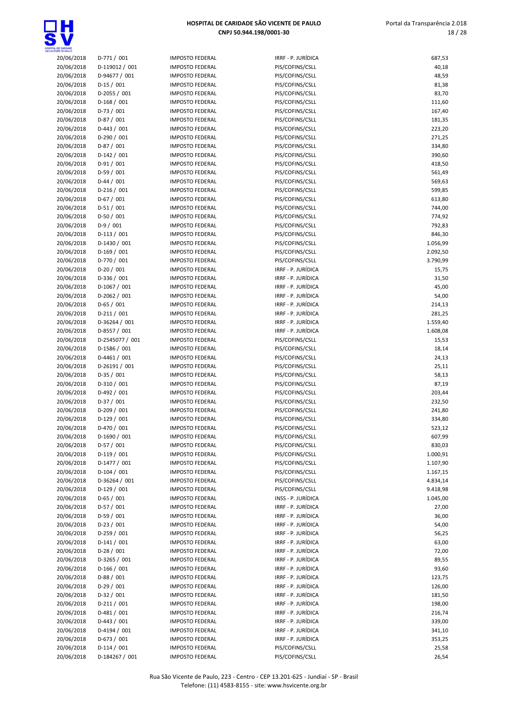

| .de Carldade<br>NTE de Paulo |                            |
|------------------------------|----------------------------|
| 20/06/2018                   | D-771/001                  |
| 20/06/2018                   | D-119012 / 001             |
| 20/06/2018                   | D-94677 / 001              |
| 20/06/2018                   | $D-15/001$                 |
| 20/06/2018                   | D-2055 / 001               |
| 20/06/2018                   | D-168 / 001                |
| 20/06/2018                   | $D-73 / 001$               |
| 20/06/2018                   | D-87 / 001                 |
| 20/06/2018                   | D-443 / 001                |
| 20/06/2018                   | D-290/001                  |
| 20/06/2018                   | D-87 / 001                 |
| 20/06/2018                   | D-142 / 001                |
| 20/06/2018                   | D-91 / 001                 |
| 20/06/2018                   | D-59 / 001                 |
| 20/06/2018                   | $D-44 / 001$               |
| 20/06/2018                   | D-216 / 001                |
| 20/06/2018                   | D-67 / 001                 |
| 20/06/2018                   | $D-51/001$                 |
| 20/06/2018                   | D-50 / 001                 |
| 20/06/2018                   | $D-9/001$                  |
| 20/06/2018                   | D-113 / 001                |
| 20/06/2018                   | D-1430 / 001               |
| 20/06/2018                   | D-169 / 001                |
| 20/06/2018                   | D-770 / 001                |
| 20/06/2018                   | $D-20/001$                 |
| 20/06/2018                   | D-336 / 001                |
| 20/06/2018                   | D-1067 / 001               |
| 20/06/2018                   | D-2062 / 001               |
| 20/06/2018                   | D-65 / 001                 |
| 20/06/2018                   | D-211/001<br>D-36264 / 001 |
| 20/06/2018<br>20/06/2018     | D-8557 / 001               |
| 20/06/2018                   | D-2545077 / 001            |
| 20/06/2018                   | D-1586 / 001               |
| 20/06/2018                   | D-4461 / 001               |
| 20/06/2018                   | D-26191 / 001              |
| 20/06/2018                   | D-35 / 001                 |
| 20/06/2018                   | D-310 / 001                |
| 20/06/2018                   | D-492 / 001                |
| 20/06/2018                   | D-37 / 001                 |
| 20/06/2018                   | D-209 / 001                |
| 20/06/2018                   | D-129 / 001                |
| 20/06/2018                   | D-470/001                  |
| 20/06/2018                   | D-1690 / 001               |
| 20/06/2018                   | D-57 / 001                 |
| 20/06/2018                   | D-119 / 001                |
| 20/06/2018                   | D-1477 / 001               |
| 20/06/2018                   | $D-104/001$                |
| 20/06/2018                   | D-36264 / 001              |
| 20/06/2018                   | $D-129/001$                |
| 20/06/2018                   | D-65 / 001<br>D-57 / 001   |
| 20/06/2018<br>20/06/2018     | D-59 / 001                 |
| 20/06/2018                   | $D-23/001$                 |
| 20/06/2018                   | D-259 / 001                |
| 20/06/2018                   | D-141 / 001                |
| 20/06/2018                   | $D-28/001$                 |
| 20/06/2018                   | D-3265 / 001               |
| 20/06/2018                   | $D-166/001$                |
| 20/06/2018                   | D-88 / 001                 |
| 20/06/2018                   | D-29 / 001                 |
| 20/06/2018                   | D-32 / 001                 |
| 20/06/2018                   | D-211/001                  |
| 20/06/2018                   | D-481 / 001                |
| 20/06/2018                   | $D-443 / 001$              |
| 20/06/2018                   | D-4194 / 001               |
| 20/06/2018                   | D-673 / 001                |
| 20/06/2018                   | $D-114/001$                |

| 20/06/2018               | $D-771/001$                  | <b>IMPOSTO FEDERAL</b>                           | IRRF - P. JURÍDICA                       | 687,53               |
|--------------------------|------------------------------|--------------------------------------------------|------------------------------------------|----------------------|
| 20/06/2018               | D-119012 / 001               | <b>IMPOSTO FEDERAL</b>                           | PIS/COFINS/CSLL                          | 40,18                |
| 20/06/2018               | D-94677 / 001                | <b>IMPOSTO FEDERAL</b>                           | PIS/COFINS/CSLL                          | 48,59                |
| 20/06/2018               | $D-15/001$                   | <b>IMPOSTO FEDERAL</b>                           | PIS/COFINS/CSLL                          | 81,38                |
| 20/06/2018               | D-2055 / 001                 | <b>IMPOSTO FEDERAL</b>                           | PIS/COFINS/CSLL                          | 83,70                |
| 20/06/2018               | D-168 / 001                  | <b>IMPOSTO FEDERAL</b>                           | PIS/COFINS/CSLL                          | 111,60               |
| 20/06/2018<br>20/06/2018 | $D-73/001$<br>$D-87/001$     | <b>IMPOSTO FEDERAL</b><br><b>IMPOSTO FEDERAL</b> | PIS/COFINS/CSLL<br>PIS/COFINS/CSLL       | 167,40<br>181,35     |
| 20/06/2018               | $D-443 / 001$                | <b>IMPOSTO FEDERAL</b>                           | PIS/COFINS/CSLL                          | 223,20               |
| 20/06/2018               | D-290 / 001                  | <b>IMPOSTO FEDERAL</b>                           | PIS/COFINS/CSLL                          | 271,25               |
| 20/06/2018               | $D-87/001$                   | <b>IMPOSTO FEDERAL</b>                           | PIS/COFINS/CSLL                          | 334,80               |
| 20/06/2018               | $D-142/001$                  | <b>IMPOSTO FEDERAL</b>                           | PIS/COFINS/CSLL                          | 390,60               |
| 20/06/2018               | $D-91/001$                   | <b>IMPOSTO FEDERAL</b>                           | PIS/COFINS/CSLL                          | 418,50               |
| 20/06/2018               | $D-59/001$                   | <b>IMPOSTO FEDERAL</b>                           | PIS/COFINS/CSLL                          | 561,49               |
| 20/06/2018               | $D-44 / 001$                 | <b>IMPOSTO FEDERAL</b>                           | PIS/COFINS/CSLL                          | 569,63               |
| 20/06/2018               | $D-216/001$                  | <b>IMPOSTO FEDERAL</b>                           | PIS/COFINS/CSLL                          | 599,85               |
| 20/06/2018               | $D-67/001$                   | <b>IMPOSTO FEDERAL</b>                           | PIS/COFINS/CSLL                          | 613,80               |
| 20/06/2018               | $D-51/001$                   | <b>IMPOSTO FEDERAL</b>                           | PIS/COFINS/CSLL                          | 744,00               |
| 20/06/2018               | $D-50/001$                   | <b>IMPOSTO FEDERAL</b>                           | PIS/COFINS/CSLL                          | 774,92               |
| 20/06/2018               | $D-9/001$                    | <b>IMPOSTO FEDERAL</b>                           | PIS/COFINS/CSLL                          | 792,83               |
| 20/06/2018               | $D-113/001$                  | <b>IMPOSTO FEDERAL</b>                           | PIS/COFINS/CSLL                          | 846,30               |
| 20/06/2018<br>20/06/2018 | D-1430 / 001<br>D-169 / 001  | <b>IMPOSTO FEDERAL</b><br><b>IMPOSTO FEDERAL</b> | PIS/COFINS/CSLL<br>PIS/COFINS/CSLL       | 1.056,99<br>2.092,50 |
| 20/06/2018               | D-770 / 001                  | <b>IMPOSTO FEDERAL</b>                           | PIS/COFINS/CSLL                          | 3.790,99             |
| 20/06/2018               | $D-20/001$                   | <b>IMPOSTO FEDERAL</b>                           | IRRF - P. JURÍDICA                       | 15,75                |
| 20/06/2018               | D-336 / 001                  | <b>IMPOSTO FEDERAL</b>                           | IRRF - P. JURÍDICA                       | 31,50                |
| 20/06/2018               | D-1067 / 001                 | <b>IMPOSTO FEDERAL</b>                           | IRRF - P. JURÍDICA                       | 45,00                |
| 20/06/2018               | $D-2062 / 001$               | <b>IMPOSTO FEDERAL</b>                           | IRRF - P. JURÍDICA                       | 54,00                |
| 20/06/2018               | $D-65/001$                   | <b>IMPOSTO FEDERAL</b>                           | IRRF - P. JURÍDICA                       | 214,13               |
| 20/06/2018               | $D-211/001$                  | <b>IMPOSTO FEDERAL</b>                           | IRRF - P. JURÍDICA                       | 281,25               |
| 20/06/2018               | D-36264 / 001                | <b>IMPOSTO FEDERAL</b>                           | IRRF - P. JURÍDICA                       | 1.559,40             |
| 20/06/2018               | D-8557 / 001                 | <b>IMPOSTO FEDERAL</b>                           | IRRF - P. JURÍDICA                       | 1.608,08             |
| 20/06/2018               | D-2545077 / 001              | <b>IMPOSTO FEDERAL</b>                           | PIS/COFINS/CSLL                          | 15,53                |
| 20/06/2018               | D-1586 / 001                 | <b>IMPOSTO FEDERAL</b>                           | PIS/COFINS/CSLL                          | 18,14                |
| 20/06/2018               | $D-4461 / 001$               | <b>IMPOSTO FEDERAL</b>                           | PIS/COFINS/CSLL                          | 24,13                |
| 20/06/2018               | D-26191 / 001                | <b>IMPOSTO FEDERAL</b>                           | PIS/COFINS/CSLL                          | 25,11                |
| 20/06/2018               | $D-35/001$                   | <b>IMPOSTO FEDERAL</b>                           | PIS/COFINS/CSLL                          | 58,13                |
| 20/06/2018<br>20/06/2018 | $D-310/001$<br>D-492 / 001   | <b>IMPOSTO FEDERAL</b><br><b>IMPOSTO FEDERAL</b> | PIS/COFINS/CSLL<br>PIS/COFINS/CSLL       | 87,19<br>203,44      |
| 20/06/2018               | $D-37/001$                   | <b>IMPOSTO FEDERAL</b>                           | PIS/COFINS/CSLL                          | 232,50               |
| 20/06/2018               | $D-209/001$                  | <b>IMPOSTO FEDERAL</b>                           | PIS/COFINS/CSLL                          | 241,80               |
| 20/06/2018               | $D-129/001$                  | <b>IMPOSTO FEDERAL</b>                           | PIS/COFINS/CSLL                          | 334,80               |
| 20/06/2018               | D-470 / 001                  | <b>IMPOSTO FEDERAL</b>                           | PIS/COFINS/CSLL                          | 523,12               |
| 20/06/2018               | D-1690 / 001                 | <b>IMPOSTO FEDERAL</b>                           | PIS/COFINS/CSLL                          | 607,99               |
| 20/06/2018               | $D-57/001$                   | <b>IMPOSTO FEDERAL</b>                           | PIS/COFINS/CSLL                          | 830,03               |
| 20/06/2018               | $D-119/001$                  | <b>IMPOSTO FEDERAL</b>                           | PIS/COFINS/CSLL                          | 1.000,91             |
| 20/06/2018               | $D-1477/001$                 | <b>IMPOSTO FEDERAL</b>                           | PIS/COFINS/CSLL                          | 1.107,90             |
| 20/06/2018               | $D-104 / 001$                | <b>IMPOSTO FEDERAL</b>                           | PIS/COFINS/CSLL                          | 1.167,15             |
| 20/06/2018               | D-36264 / 001                | <b>IMPOSTO FEDERAL</b>                           | PIS/COFINS/CSLL                          | 4.834,14             |
| 20/06/2018               | $D-129/001$                  | <b>IMPOSTO FEDERAL</b>                           | PIS/COFINS/CSLL                          | 9.418,98             |
| 20/06/2018               | $D-65/001$                   | <b>IMPOSTO FEDERAL</b>                           | INSS - P. JURÍDICA                       | 1.045,00             |
| 20/06/2018               | $D-57/001$                   | <b>IMPOSTO FEDERAL</b>                           | IRRF - P. JURÍDICA                       | 27,00                |
| 20/06/2018<br>20/06/2018 | $D-59/001$<br>$D-23/001$     | <b>IMPOSTO FEDERAL</b><br><b>IMPOSTO FEDERAL</b> | IRRF - P. JURÍDICA<br>IRRF - P. JURÍDICA | 36,00<br>54,00       |
| 20/06/2018               | $D-259/001$                  | <b>IMPOSTO FEDERAL</b>                           | IRRF - P. JURÍDICA                       | 56,25                |
| 20/06/2018               | $D-141/001$                  | <b>IMPOSTO FEDERAL</b>                           | IRRF - P. JURÍDICA                       | 63,00                |
| 20/06/2018               | $D-28/001$                   | <b>IMPOSTO FEDERAL</b>                           | IRRF - P. JURÍDICA                       | 72,00                |
| 20/06/2018               | D-3265 / 001                 | <b>IMPOSTO FEDERAL</b>                           | IRRF - P. JURÍDICA                       | 89,55                |
| 20/06/2018               | $D-166/001$                  | <b>IMPOSTO FEDERAL</b>                           | IRRF - P. JURÍDICA                       | 93,60                |
| 20/06/2018               | $D-88/001$                   | <b>IMPOSTO FEDERAL</b>                           | IRRF - P. JURÍDICA                       | 123,75               |
| 20/06/2018               | $D-29/001$                   | <b>IMPOSTO FEDERAL</b>                           | IRRF - P. JURÍDICA                       | 126,00               |
| 20/06/2018               | $D-32 / 001$                 | <b>IMPOSTO FEDERAL</b>                           | IRRF - P. JURÍDICA                       | 181,50               |
| 20/06/2018               | $D-211/001$                  | <b>IMPOSTO FEDERAL</b>                           | IRRF - P. JURÍDICA                       | 198,00               |
| 20/06/2018               | $D-481/001$                  | <b>IMPOSTO FEDERAL</b>                           | IRRF - P. JURÍDICA                       | 216,74               |
| 20/06/2018               | $D-443 / 001$                | <b>IMPOSTO FEDERAL</b>                           | IRRF - P. JURÍDICA                       | 339,00               |
| 20/06/2018               | D-4194 / 001                 | <b>IMPOSTO FEDERAL</b>                           | IRRF - P. JURÍDICA                       | 341,10               |
| 20/06/2018<br>20/06/2018 | $D-673 / 001$<br>$D-114/001$ | <b>IMPOSTO FEDERAL</b><br><b>IMPOSTO FEDERAL</b> | IRRF - P. JURÍDICA<br>PIS/COFINS/CSLL    | 353,25<br>25,58      |
| 20/06/2018               | D-184267 / 001               | <b>IMPOSTO FEDERAL</b>                           | PIS/COFINS/CSLL                          | 26,54                |
|                          |                              |                                                  |                                          |                      |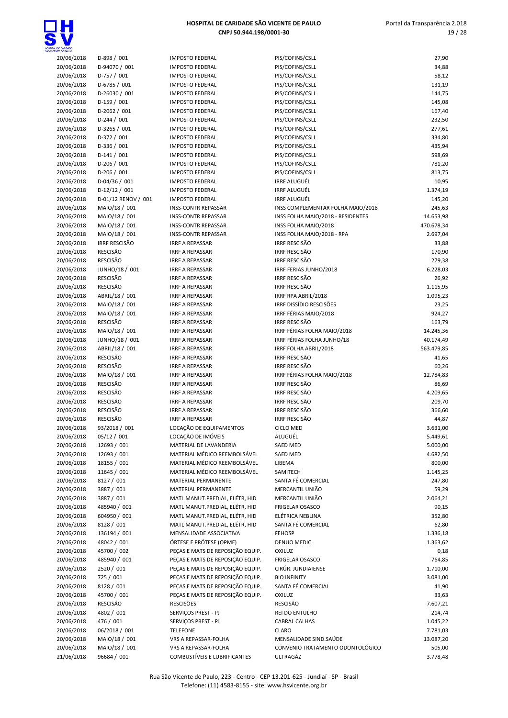

 Portal da Transparência 2.018 19 / 28

| 20/06/2018                 | D-898 / 001                         | <b>IMPOSTO FED</b>                         |
|----------------------------|-------------------------------------|--------------------------------------------|
| 20/06/2018                 | D-94070 / 001                       | <b>IMPOSTO FEI</b>                         |
| 20/06/2018                 | $D-757/001$                         | <b>IMPOSTO FED</b>                         |
| 20/06/2018                 | D-6785 / 001                        | <b>IMPOSTO FEI</b>                         |
| 20/06/2018                 | D-26030 / 001                       | <b>IMPOSTO FED</b>                         |
| 20/06/2018                 | D-159 / 001                         | <b>IMPOSTO FED</b>                         |
| 20/06/2018                 | D-2062 / 001                        | <b>IMPOSTO FEI</b>                         |
| 20/06/2018                 | $D-244 / 001$                       | <b>IMPOSTO FED</b>                         |
| 20/06/2018                 | D-3265 / 001                        | <b>IMPOSTO FED</b>                         |
| 20/06/2018                 | D-372 / 001                         | <b>IMPOSTO FED</b>                         |
| 20/06/2018                 | D-336 / 001                         | <b>IMPOSTO FED</b>                         |
| 20/06/2018                 | $D-141/001$                         | <b>IMPOSTO FED</b>                         |
| 20/06/2018                 | D-206 / 001                         | <b>IMPOSTO FED</b>                         |
| 20/06/2018                 | D-206 / 001                         | <b>IMPOSTO FED</b>                         |
| 20/06/2018                 | D-04/36 / 001                       | <b>IMPOSTO FED</b>                         |
| 20/06/2018                 | D-12/12 / 001                       | <b>IMPOSTO FED</b>                         |
| 20/06/2018                 | D-01/12 RENOV / 001                 | <b>IMPOSTO FED</b>                         |
| 20/06/2018                 | MAIO/18 / 001                       | INSS-CONTR                                 |
| 20/06/2018                 | MAIO/18 / 001                       | INSS-CONTR                                 |
| 20/06/2018                 | MAIO/18 / 001                       | INSS-CONTR                                 |
| 20/06/2018                 | MAIO/18 / 001                       | INSS-CONTR                                 |
| 20/06/2018                 | IRRF RESCISÃO                       | <b>IRRF A REPAS</b>                        |
| 20/06/2018                 | <b>RESCISÃO</b>                     | <b>IRRF A REPAS</b>                        |
| 20/06/2018                 | <b>RESCISÃO</b>                     | <b>IRRF A REPAS</b>                        |
| 20/06/2018                 | JUNHO/18 / 001                      | <b>IRRF A REPAS</b>                        |
| 20/06/2018                 | <b>RESCISÃO</b><br><b>RESCISÃO</b>  | <b>IRRF A REPAS</b>                        |
| 20/06/2018                 |                                     | <b>IRRF A REPAS</b>                        |
| 20/06/2018                 | ABRIL/18 / 001                      | <b>IRRF A REPAS</b><br><b>IRRF A REPAS</b> |
| 20/06/2018<br>20/06/2018   | MAIO/18 / 001                       | <b>IRRF A REPAS</b>                        |
| 20/06/2018                 | MAIO/18 / 001<br>RESCISÃO           | <b>IRRF A REPAS</b>                        |
| 20/06/2018                 | MAIO/18 / 001                       | <b>IRRF A REPAS</b>                        |
| 20/06/2018                 | JUNHO/18 / 001                      | <b>IRRF A REPAS</b>                        |
| 20/06/2018                 | ABRIL/18 / 001                      | <b>IRRF A REPAS</b>                        |
| 20/06/2018                 | <b>RESCISÃO</b>                     | <b>IRRF A REPAS</b>                        |
| 20/06/2018                 | RESCISÃO                            | <b>IRRF A REPAS</b>                        |
| 20/06/2018                 | MAIO/18 / 001                       | <b>IRRF A REPAS</b>                        |
| 20/06/2018                 | <b>RESCISÃO</b>                     | <b>IRRF A REPAS</b>                        |
| 20/06/2018                 | <b>RESCISÃO</b>                     | <b>IRRF A REPAS</b>                        |
| 20/06/2018                 | RESCISÃO                            | <b>IRRF A REPAS</b>                        |
| 20/06/2018                 | <b>RESCISÃO</b>                     | <b>IRRF A REPAS</b>                        |
| 20/06/2018                 | <b>RESCISÃO</b>                     | <b>IRRF A REPAS</b>                        |
| 20/06/2018                 | 93/2018 / 001                       | LOCAÇÃO DE                                 |
| 20/06/2018                 | 05/12/001                           | LOCAÇÃO DE                                 |
| 20/06/2018                 | 12693 / 001                         | <b>MATERIAL DE</b>                         |
| 20/06/2018                 | 12693 / 001                         | <b>MATERIAL M</b>                          |
| 20/06/2018                 | 18155 / 001                         | <b>MATERIAL M</b>                          |
| 20/06/2018                 | 11645 / 001                         | <b>MATERIAL M</b>                          |
| 20/06/2018                 | 8127 / 001                          | <b>MATERIAL PE</b>                         |
| 20/06/2018                 | 3887 / 001                          | <b>MATERIAL PE</b>                         |
| 20/06/2018                 | 3887 / 001                          | MATL MANU                                  |
| 20/06/2018                 | 485940 / 001                        | MATL MANU                                  |
| 20/06/2018                 | 604950 / 001                        | MATL MANU                                  |
| 20/06/2018                 | 8128 / 001                          | MATL MANU                                  |
| 20/06/2018                 | 136194 / 001                        | MENSALIDAD                                 |
| 20/06/2018                 | 48042 / 001                         | <b>ÓRTESE E PRO</b>                        |
| 20/06/2018                 | 45700 / 002                         | PEÇAS E MAT                                |
| 20/06/2018                 | 485940 / 001                        | PEÇAS E MAT                                |
| 20/06/2018                 | 2520 / 001                          | PEÇAS E MAT                                |
| 20/06/2018                 | 725 / 001                           | PEÇAS E MAT                                |
| 20/06/2018                 | 8128 / 001                          | PEÇAS E MAT                                |
| 20/06/2018                 | 45700 / 001                         | PEÇAS E MAT                                |
| 20/06/2018                 | RESCISÃO                            | <b>RESCISÕES</b>                           |
| 20/06/2018                 | 4802 / 001                          | SERVIÇOS PRI                               |
| 20/06/2018                 | 476 / 001                           | SERVIÇOS PRI                               |
| 20/06/2018                 | 06/2018 / 001                       | <b>TELEFONE</b>                            |
| 20/06/2018<br>$20/06/2010$ | MAIO/18 / 001<br><b>MAIO/10/001</b> | <b>VRS A REPASS</b><br><b>VDC A DEDACK</b> |
|                            |                                     |                                            |

| IMPOSTO FEDERAL                     | PIS/COFINS/CSLL           |
|-------------------------------------|---------------------------|
| IMPOSTO FEDERAL                     | PIS/COFINS/CSLL           |
| <b>IMPOSTO FEDERAL</b>              | PIS/COFINS/CSLL           |
| <b>IMPOSTO FEDERAL</b>              | PIS/COFINS/CSLL           |
| IMPOSTO FEDERAL                     | PIS/COFINS/CSLL           |
| <b>IMPOSTO FEDERAL</b>              | PIS/COFINS/CSLL           |
| <b>IMPOSTO FEDERAL</b>              | PIS/COFINS/CSLL           |
| <b>IMPOSTO FEDERAL</b>              | PIS/COFINS/CSLL           |
| <b>IMPOSTO FEDERAL</b>              | PIS/COFINS/CSLL           |
| <b>IMPOSTO FEDERAL</b>              | PIS/COFINS/CSLL           |
| <b>IMPOSTO FEDERAL</b>              | PIS/COFINS/CSLL           |
| IMPOSTO FEDERAL                     | PIS/COFINS/CSLL           |
| <b>IMPOSTO FEDERAL</b>              | PIS/COFINS/CSLL           |
| <b>IMPOSTO FEDERAL</b>              | PIS/COFINS/CSLL           |
| <b>IMPOSTO FEDERAL</b>              | <b>IRRF ALUGUÉL</b>       |
| <b>IMPOSTO FEDERAL</b>              | <b>IRRF ALUGUÉL</b>       |
| <b>IMPOSTO FEDERAL</b>              | <b>IRRF ALUGUÉL</b>       |
|                                     |                           |
| <b>INSS-CONTR REPASSAR</b>          | <b>INSS COMPLEMEN</b>     |
| <b>INSS-CONTR REPASSAR</b>          | INSS FOLHA MAIO           |
| <b>INSS-CONTR REPASSAR</b>          | INSS FOLHA MAIO           |
| <b>INSS-CONTR REPASSAR</b>          | INSS FOLHA MAIO           |
| <b>IRRF A REPASSAR</b>              | <b>IRRF RESCISÃO</b>      |
| <b>IRRF A REPASSAR</b>              | <b>IRRF RESCISÃO</b>      |
| <b>IRRF A REPASSAR</b>              | <b>IRRF RESCISÃO</b>      |
| <b>IRRF A REPASSAR</b>              | <b>IRRF FERIAS JUNHO</b>  |
| <b>IRRF A REPASSAR</b>              | <b>IRRF RESCISÃO</b>      |
| <b>IRRF A REPASSAR</b>              | <b>IRRF RESCISÃO</b>      |
| <b>IRRF A REPASSAR</b>              | IRRF RPA ABRIL/20         |
| <b>IRRF A REPASSAR</b>              | <b>IRRF DISSÍDIO RESO</b> |
| <b>IRRF A REPASSAR</b>              | IRRF FÉRIAS MAIO          |
| <b>IRRF A REPASSAR</b>              | <b>IRRF RESCISÃO</b>      |
| <b>IRRF A REPASSAR</b>              | <b>IRRF FÉRIAS FOLHA</b>  |
| <b>IRRF A REPASSAR</b>              | <b>IRRF FÉRIAS FOLHA</b>  |
| <b>IRRF A REPASSAR</b>              | <b>IRRF FOLHA ABRIL</b>   |
| <b>IRRF A REPASSAR</b>              | <b>IRRF RESCISÃO</b>      |
| <b>IRRF A REPASSAR</b>              | <b>IRRF RESCISÃO</b>      |
| <b>IRRF A REPASSAR</b>              | <b>IRRF FÉRIAS FOLHA</b>  |
| <b>IRRF A REPASSAR</b>              | <b>IRRF RESCISÃO</b>      |
| <b>IRRF A REPASSAR</b>              | IRRE RESCISÃO             |
| <b>IRRF A REPASSAR</b>              | <b>IRRF RESCISÃO</b>      |
| <b>IRRF A REPASSAR</b>              | <b>IRRF RESCISÃO</b>      |
| <b>IRRF A REPASSAR</b>              | <b>IRRF RESCISÃO</b>      |
| LOCAÇÃO DE EQUIPAMENTOS             | <b>CICLO MED</b>          |
| LOCAÇÃO DE IMÓVEIS                  | ALUGUÉL                   |
| MATERIAL DE LAVANDERIA              | <b>SAED MED</b>           |
| MATERIAL MÉDICO REEMBOLSÁVEL        | <b>SAED MED</b>           |
| MATERIAL MÉDICO REEMBOLSÁVEL        | LIBEMA                    |
| MATERIAL MÉDICO REEMBOLSÁVEL        | SAMITECH                  |
| MATERIAL PERMANENTE                 | SANTA FÉ COMERO           |
| <b>MATERIAL PERMANENTE</b>          |                           |
|                                     | MERCANTIL UNIÃO           |
| MATL MANUT.PREDIAL, ELÉTR, HID      | MERCANTIL UNIÃO           |
| MATL MANUT.PREDIAL, ELÉTR, HID      | <b>FRIGELAR OSASCO</b>    |
| MATL MANUT.PREDIAL, ELÉTR, HID      | ELÉTRICA NEBLINA          |
| MATL MANUT.PREDIAL, ELÉTR, HID      | SANTA FÉ COMERO           |
| MENSALIDADE ASSOCIATIVA             | <b>FEHOSP</b>             |
| ÓRTESE E PRÓTESE (OPME)             | <b>DENUO MEDIC</b>        |
| PEÇAS E MATS DE REPOSIÇÃO EQUIP.    | <b>OXILUZ</b>             |
| PEÇAS E MATS DE REPOSIÇÃO EQUIP.    | <b>FRIGELAR OSASCO</b>    |
| PEÇAS E MATS DE REPOSIÇÃO EQUIP.    | CIRÚR. JUNDIAIEN:         |
| PEÇAS E MATS DE REPOSIÇÃO EQUIP.    | <b>BIO INFINITY</b>       |
| PEÇAS E MATS DE REPOSIÇÃO EQUIP.    | SANTA FÉ COMERO           |
| PEÇAS E MATS DE REPOSIÇÃO EQUIP.    | <b>OXILUZ</b>             |
| <b>RESCISÕES</b>                    | <b>RESCISÃO</b>           |
| SERVIÇOS PREST - PJ                 | REI DO ENTULHO            |
| SERVIÇOS PREST - PJ                 | <b>CABRAL CALHAS</b>      |
| <b>TELEFONE</b>                     | <b>CLARO</b>              |
| VRS A REPASSAR-FOLHA                | <b>MENSALIDADE SIN</b>    |
| VRS A REPASSAR-FOLHA                | <b>CONVENIO TRATAI</b>    |
| <b>COMBUSTÍVEIS E LUBRIFICANTES</b> | ULTRAGÁZ                  |
|                                     |                           |

| INTE DE PAULO |                      |                                  |                                   |            |
|---------------|----------------------|----------------------------------|-----------------------------------|------------|
| 20/06/2018    | $D-898/001$          | <b>IMPOSTO FEDERAL</b>           | PIS/COFINS/CSLL                   | 27,90      |
| 20/06/2018    | D-94070 / 001        | <b>IMPOSTO FEDERAL</b>           | PIS/COFINS/CSLL                   | 34,88      |
| 20/06/2018    | D-757 / 001          | <b>IMPOSTO FEDERAL</b>           | PIS/COFINS/CSLL                   | 58,12      |
| 20/06/2018    | D-6785 / 001         | <b>IMPOSTO FEDERAL</b>           | PIS/COFINS/CSLL                   | 131,19     |
| 20/06/2018    | D-26030 / 001        | <b>IMPOSTO FEDERAL</b>           | PIS/COFINS/CSLL                   | 144,75     |
| 20/06/2018    | $D-159/001$          | <b>IMPOSTO FEDERAL</b>           | PIS/COFINS/CSLL                   | 145,08     |
| 20/06/2018    | $D-2062 / 001$       | <b>IMPOSTO FEDERAL</b>           | PIS/COFINS/CSLL                   | 167,40     |
| 20/06/2018    | $D-244 / 001$        | <b>IMPOSTO FEDERAL</b>           | PIS/COFINS/CSLL                   | 232,50     |
| 20/06/2018    | D-3265 / 001         | <b>IMPOSTO FEDERAL</b>           | PIS/COFINS/CSLL                   | 277,61     |
| 20/06/2018    | D-372 / 001          | <b>IMPOSTO FEDERAL</b>           | PIS/COFINS/CSLL                   | 334,80     |
| 20/06/2018    | D-336 / 001          | <b>IMPOSTO FEDERAL</b>           | PIS/COFINS/CSLL                   | 435,94     |
| 20/06/2018    | $D-141/001$          | <b>IMPOSTO FEDERAL</b>           | PIS/COFINS/CSLL                   | 598,69     |
| 20/06/2018    | $D-206/001$          | <b>IMPOSTO FEDERAL</b>           | PIS/COFINS/CSLL                   | 781,20     |
| 20/06/2018    | $D-206/001$          | <b>IMPOSTO FEDERAL</b>           | PIS/COFINS/CSLL                   | 813,75     |
| 20/06/2018    | $D-04/36/001$        | <b>IMPOSTO FEDERAL</b>           | <b>IRRF ALUGUÉL</b>               | 10,95      |
| 20/06/2018    | $D-12/12/001$        | <b>IMPOSTO FEDERAL</b>           | <b>IRRF ALUGUÉL</b>               | 1.374,19   |
| 20/06/2018    | D-01/12 RENOV / 001  | <b>IMPOSTO FEDERAL</b>           | <b>IRRF ALUGUÉL</b>               | 145,20     |
| 20/06/2018    | MAIO/18 / 001        | <b>INSS-CONTR REPASSAR</b>       | INSS COMPLEMENTAR FOLHA MAIO/2018 | 245,63     |
| 20/06/2018    | MAIO/18 / 001        | <b>INSS-CONTR REPASSAR</b>       | INSS FOLHA MAIO/2018 - RESIDENTES | 14.653,98  |
| 20/06/2018    | MAIO/18 / 001        | <b>INSS-CONTR REPASSAR</b>       | INSS FOLHA MAIO/2018              | 470.678,34 |
| 20/06/2018    | MAIO/18 / 001        | <b>INSS-CONTR REPASSAR</b>       | INSS FOLHA MAIO/2018 - RPA        | 2.697,04   |
| 20/06/2018    | <b>IRRF RESCISÃO</b> | <b>IRRF A REPASSAR</b>           | <b>IRRF RESCISÃO</b>              | 33,88      |
| 20/06/2018    | <b>RESCISÃO</b>      | <b>IRRF A REPASSAR</b>           | <b>IRRF RESCISÃO</b>              | 170,90     |
| 20/06/2018    | <b>RESCISÃO</b>      | <b>IRRF A REPASSAR</b>           | <b>IRRF RESCISÃO</b>              | 279,38     |
| 20/06/2018    | JUNHO/18 / 001       | <b>IRRF A REPASSAR</b>           | IRRF FERIAS JUNHO/2018            | 6.228,03   |
| 20/06/2018    | <b>RESCISÃO</b>      | <b>IRRF A REPASSAR</b>           | <b>IRRF RESCISÃO</b>              | 26,92      |
| 20/06/2018    | <b>RESCISÃO</b>      | <b>IRRF A REPASSAR</b>           | <b>IRRF RESCISÃO</b>              | 1.115,95   |
| 20/06/2018    | ABRIL/18 / 001       | <b>IRRF A REPASSAR</b>           | IRRF RPA ABRIL/2018               | 1.095,23   |
| 20/06/2018    | MAIO/18 / 001        | <b>IRRF A REPASSAR</b>           | IRRF DISSÍDIO RESCISÕES           | 23,25      |
| 20/06/2018    | MAIO/18 / 001        | <b>IRRF A REPASSAR</b>           | IRRF FÉRIAS MAIO/2018             | 924,27     |
| 20/06/2018    | <b>RESCISÃO</b>      | <b>IRRF A REPASSAR</b>           | <b>IRRF RESCISÃO</b>              | 163,79     |
| 20/06/2018    | MAIO/18 / 001        | <b>IRRF A REPASSAR</b>           | IRRF FÉRIAS FOLHA MAIO/2018       | 14.245,36  |
| 20/06/2018    | JUNHO/18 / 001       | <b>IRRF A REPASSAR</b>           | IRRF FÉRIAS FOLHA JUNHO/18        | 40.174,49  |
| 20/06/2018    | ABRIL/18 / 001       | <b>IRRF A REPASSAR</b>           | IRRF FOLHA ABRIL/2018             | 563.479,85 |
| 20/06/2018    | <b>RESCISÃO</b>      | <b>IRRF A REPASSAR</b>           | <b>IRRF RESCISÃO</b>              | 41,65      |
| 20/06/2018    | <b>RESCISÃO</b>      | <b>IRRF A REPASSAR</b>           | <b>IRRF RESCISÃO</b>              | 60,26      |
| 20/06/2018    | MAIO/18 / 001        | <b>IRRF A REPASSAR</b>           | IRRF FÉRIAS FOLHA MAIO/2018       | 12.784,83  |
| 20/06/2018    | <b>RESCISÃO</b>      | <b>IRRF A REPASSAR</b>           | <b>IRRF RESCISÃO</b>              | 86,69      |
| 20/06/2018    | <b>RESCISÃO</b>      | <b>IRRF A REPASSAR</b>           | <b>IRRF RESCISÃO</b>              | 4.209,65   |
| 20/06/2018    | <b>RESCISÃO</b>      | <b>IRRF A REPASSAR</b>           | <b>IRRF RESCISÃO</b>              | 209,70     |
| 20/06/2018    | <b>RESCISÃO</b>      | <b>IRRF A REPASSAR</b>           | <b>IRRF RESCISÃO</b>              | 366,60     |
| 20/06/2018    | <b>RESCISÃO</b>      | <b>IRRF A REPASSAR</b>           | <b>IRRF RESCISÃO</b>              | 44,87      |
| 20/06/2018    | 93/2018 / 001        | LOCAÇÃO DE EQUIPAMENTOS          | <b>CICLO MED</b>                  | 3.631,00   |
| 20/06/2018    | 05/12 / 001          | LOCAÇÃO DE IMÓVEIS               | ALUGUÉL                           | 5.449,61   |
| 20/06/2018    | 12693 / 001          | MATERIAL DE LAVANDERIA           | SAED MED                          | 5.000,00   |
| 20/06/2018    | 12693 / 001          | MATERIAL MÉDICO REEMBOLSÁVEL     | SAED MED                          | 4.682,50   |
| 20/06/2018    | 18155 / 001          | MATERIAL MÉDICO REEMBOLSÁVEL     | LIBEMA                            | 800,00     |
| 20/06/2018    | 11645 / 001          | MATERIAL MÉDICO REEMBOLSÁVEL     | SAMITECH                          | 1.145,25   |
| 20/06/2018    | 8127 / 001           | MATERIAL PERMANENTE              | SANTA FÉ COMERCIAL                | 247,80     |
| 20/06/2018    | 3887 / 001           | MATERIAL PERMANENTE              | MERCANTIL UNIÃO                   | 59,29      |
| 20/06/2018    | 3887 / 001           | MATL MANUT.PREDIAL, ELÉTR, HID   | MERCANTIL UNIÃO                   | 2.064,21   |
| 20/06/2018    | 485940 / 001         | MATL MANUT.PREDIAL, ELÉTR, HID   | <b>FRIGELAR OSASCO</b>            | 90,15      |
| 20/06/2018    | 604950 / 001         | MATL MANUT.PREDIAL, ELÉTR, HID   | ELÉTRICA NEBLINA                  | 352,80     |
| 20/06/2018    | 8128 / 001           | MATL MANUT.PREDIAL, ELÉTR, HID   | SANTA FÉ COMERCIAL                | 62,80      |
| 20/06/2018    | 136194 / 001         | MENSALIDADE ASSOCIATIVA          | <b>FEHOSP</b>                     | 1.336,18   |
| 20/06/2018    | 48042 / 001          | ÓRTESE E PRÓTESE (OPME)          | <b>DENUO MEDIC</b>                | 1.363,62   |
| 20/06/2018    | 45700 / 002          | PEÇAS E MATS DE REPOSIÇÃO EQUIP. | <b>OXILUZ</b>                     | 0,18       |
| 20/06/2018    | 485940 / 001         | PEÇAS E MATS DE REPOSIÇÃO EQUIP. | <b>FRIGELAR OSASCO</b>            | 764,85     |
| 20/06/2018    | 2520 / 001           | PEÇAS E MATS DE REPOSIÇÃO EQUIP. | CIRÚR. JUNDIAIENSE                | 1.710,00   |
| 20/06/2018    | 725 / 001            | PEÇAS E MATS DE REPOSIÇÃO EQUIP. | <b>BIO INFINITY</b>               | 3.081,00   |
| 20/06/2018    | 8128 / 001           | PEÇAS E MATS DE REPOSIÇÃO EQUIP. | SANTA FÉ COMERCIAL                | 41,90      |
| 20/06/2018    | 45700 / 001          | PEÇAS E MATS DE REPOSIÇÃO EQUIP. | OXILUZ                            | 33,63      |
| 20/06/2018    | <b>RESCISÃO</b>      | <b>RESCISÕES</b>                 | <b>RESCISÃO</b>                   | 7.607,21   |
| 20/06/2018    | 4802 / 001           | SERVIÇOS PREST - PJ              | REI DO ENTULHO                    | 214,74     |
| 20/06/2018    | 476 / 001            | SERVIÇOS PREST - PJ              | CABRAL CALHAS                     | 1.045,22   |
| 20/06/2018    | 06/2018 / 001        | <b>TELEFONE</b>                  | <b>CLARO</b>                      | 7.781,03   |
| 20/06/2018    | MAIO/18 / 001        | VRS A REPASSAR-FOLHA             | MENSALIDADE SIND.SAÚDE            | 13.087,20  |
| 20/06/2018    | MAIO/18 / 001        | VRS A REPASSAR-FOLHA             | CONVENIO TRATAMENTO ODONTOLÓGICO  | 505,00     |
| 21/06/2018    | 96684 / 001          | COMBUSTÍVEIS E LUBRIFICANTES     | ULTRAGÁZ                          | 3.778,48   |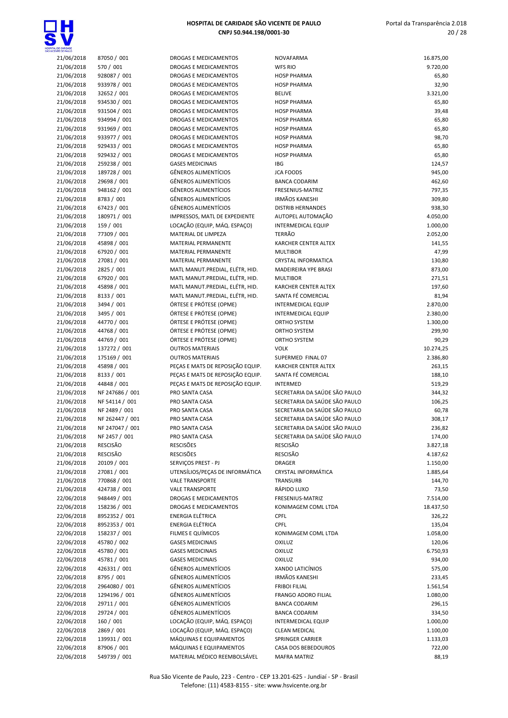

| CENTE DE PAULO<br>21/06/2018 | 87050 / 001     | DROGAS E MEDICAMENTOS            | NOVAFARMA                     | 16.875,00 |
|------------------------------|-----------------|----------------------------------|-------------------------------|-----------|
| 21/06/2018                   | 570 / 001       | DROGAS E MEDICAMENTOS            | <b>WFS RIO</b>                | 9.720,00  |
| 21/06/2018                   | 928087 / 001    | DROGAS E MEDICAMENTOS            | <b>HOSP PHARMA</b>            | 65,80     |
| 21/06/2018                   | 933978 / 001    | DROGAS E MEDICAMENTOS            | <b>HOSP PHARMA</b>            | 32,90     |
| 21/06/2018                   | 32652 / 001     | DROGAS E MEDICAMENTOS            | <b>BELIVE</b>                 | 3.321,00  |
| 21/06/2018                   | 934530 / 001    | DROGAS E MEDICAMENTOS            | <b>HOSP PHARMA</b>            | 65,80     |
| 21/06/2018                   | 931504 / 001    | DROGAS E MEDICAMENTOS            | <b>HOSP PHARMA</b>            | 39,48     |
| 21/06/2018                   | 934994 / 001    | DROGAS E MEDICAMENTOS            | <b>HOSP PHARMA</b>            | 65,80     |
| 21/06/2018                   | 931969 / 001    | DROGAS E MEDICAMENTOS            | <b>HOSP PHARMA</b>            | 65,80     |
| 21/06/2018                   | 933977 / 001    | DROGAS E MEDICAMENTOS            | <b>HOSP PHARMA</b>            | 98,70     |
| 21/06/2018                   | 929433 / 001    | <b>DROGAS E MEDICAMENTOS</b>     | <b>HOSP PHARMA</b>            | 65,80     |
| 21/06/2018                   | 929432 / 001    | <b>DROGAS E MEDICAMENTOS</b>     | <b>HOSP PHARMA</b>            | 65,80     |
| 21/06/2018                   | 259238 / 001    | <b>GASES MEDICINAIS</b>          | IBG                           | 124,57    |
| 21/06/2018                   | 189728 / 001    | <b>GÊNEROS ALIMENTÍCIOS</b>      | <b>JCA FOODS</b>              | 945,00    |
| 21/06/2018                   | 29698 / 001     | <b>GÊNEROS ALIMENTÍCIOS</b>      | <b>BANCA CODARIM</b>          | 462,60    |
|                              | 948162 / 001    | <b>GÊNEROS ALIMENTÍCIOS</b>      | FRESENIUS-MATRIZ              | 797,35    |
| 21/06/2018                   | 8783 / 001      | <b>GÊNEROS ALIMENTÍCIOS</b>      | <b>IRMÃOS KANESHI</b>         |           |
| 21/06/2018                   |                 | <b>GÊNEROS ALIMENTÍCIOS</b>      |                               | 309,80    |
| 21/06/2018                   | 67423 / 001     |                                  | <b>DISTRIB HERNANDES</b>      | 938,30    |
| 21/06/2018                   | 180971 / 001    | IMPRESSOS, MATL DE EXPEDIENTE    | AUTOPEL AUTOMAÇÃO             | 4.050,00  |
| 21/06/2018                   | 159 / 001       | LOCAÇÃO (EQUIP, MÁQ. ESPAÇO)     | <b>INTERMEDICAL EQUIP</b>     | 1.000,00  |
| 21/06/2018                   | 77309 / 001     | MATERIAL DE LIMPEZA              | <b>TERRÃO</b>                 | 2.052,00  |
| 21/06/2018                   | 45898 / 001     | MATERIAL PERMANENTE              | KARCHER CENTER ALTEX          | 141,55    |
| 21/06/2018                   | 67920 / 001     | MATERIAL PERMANENTE              | <b>MULTIBOR</b>               | 47,99     |
| 21/06/2018                   | 27081 / 001     | MATERIAL PERMANENTE              | <b>CRYSTAL INFORMATICA</b>    | 130,80    |
| 21/06/2018                   | 2825 / 001      | MATL MANUT.PREDIAL, ELÉTR, HID.  | MADEIREIRA YPE BRASI          | 873,00    |
| 21/06/2018                   | 67920 / 001     | MATL MANUT.PREDIAL, ELÉTR, HID.  | <b>MULTIBOR</b>               | 271,51    |
| 21/06/2018                   | 45898 / 001     | MATL MANUT.PREDIAL, ELÉTR, HID.  | KARCHER CENTER ALTEX          | 197,60    |
| 21/06/2018                   | 8133 / 001      | MATL MANUT.PREDIAL, ELÉTR, HID.  | SANTA FÉ COMERCIAL            | 81,94     |
| 21/06/2018                   | 3494 / 001      | ÓRTESE E PRÓTESE (OPME)          | <b>INTERMEDICAL EQUIP</b>     | 2.870,00  |
| 21/06/2018                   | 3495 / 001      | ÓRTESE E PRÓTESE (OPME)          | <b>INTERMEDICAL EQUIP</b>     | 2.380,00  |
| 21/06/2018                   | 44770 / 001     | ÓRTESE E PRÓTESE (OPME)          | ORTHO SYSTEM                  | 1.300,00  |
| 21/06/2018                   | 44768 / 001     | ÓRTESE E PRÓTESE (OPME)          | ORTHO SYSTEM                  | 299,90    |
| 21/06/2018                   | 44769 / 001     | ÓRTESE E PRÓTESE (OPME)          | ORTHO SYSTEM                  | 90,29     |
| 21/06/2018                   | 137272 / 001    | <b>OUTROS MATERIAIS</b>          | <b>VOLK</b>                   | 10.274,25 |
| 21/06/2018                   | 175169 / 001    | <b>OUTROS MATERIAIS</b>          | SUPERMED FINAL 07             | 2.386,80  |
| 21/06/2018                   | 45898 / 001     | PEÇAS E MATS DE REPOSIÇÃO EQUIP. | KARCHER CENTER ALTEX          | 263,15    |
| 21/06/2018                   | 8133 / 001      | PEÇAS E MATS DE REPOSIÇÃO EQUIP. | SANTA FÉ COMERCIAL            | 188,10    |
| 21/06/2018                   | 44848 / 001     | PEÇAS E MATS DE REPOSIÇÃO EQUIP. | INTERMED                      | 519,29    |
| 21/06/2018                   | NF 247686 / 001 | PRO SANTA CASA                   | SECRETARIA DA SAÚDE SÃO PAULO | 344,32    |
| 21/06/2018                   | NF 54114 / 001  | PRO SANTA CASA                   | SECRETARIA DA SAÚDE SÃO PAULO | 106,25    |
| 21/06/2018                   | NF 2489 / 001   | PRO SANTA CASA                   | SECRETARIA DA SAÚDE SÃO PAULO | 60,78     |
| 21/06/2018                   | NF 262447 / 001 | PRO SANTA CASA                   | SECRETARIA DA SAÚDE SÃO PAULO | 308,17    |
| 21/06/2018                   | NF 247047 / 001 | PRO SANTA CASA                   | SECRETARIA DA SAÚDE SÃO PAULO | 236,82    |
| 21/06/2018                   | NF 2457 / 001   | PRO SANTA CASA                   | SECRETARIA DA SAÚDE SÃO PAULO | 174,00    |
| 21/06/2018                   | <b>RESCISÃO</b> | <b>RESCISÕES</b>                 | <b>RESCISÃO</b>               | 3.827,18  |
| 21/06/2018                   | RESCISÃO        | <b>RESCISÕES</b>                 | RESCISÃO                      | 4.187,62  |
| 21/06/2018                   | 20109 / 001     | SERVIÇOS PREST - PJ              | <b>DRAGER</b>                 | 1.150,00  |
| 21/06/2018                   | 27081 / 001     | UTENSÍLIOS/PEÇAS DE INFORMÁTICA  | <b>CRYSTAL INFORMÁTICA</b>    | 1.885,64  |
| 21/06/2018                   | 770868 / 001    | <b>VALE TRANSPORTE</b>           | TRANSURB                      | 144,70    |
| 21/06/2018                   | 424738 / 001    | <b>VALE TRANSPORTE</b>           | RÁPIDO LUXO                   | 73,50     |
| 22/06/2018                   | 948449 / 001    | DROGAS E MEDICAMENTOS            | FRESENIUS-MATRIZ              | 7.514,00  |
| 22/06/2018                   | 158236 / 001    | DROGAS E MEDICAMENTOS            | KONIMAGEM COML LTDA           | 18.437,50 |
| 22/06/2018                   | 8952352 / 001   | <b>ENERGIA ELÉTRICA</b>          | CPFL                          | 326,22    |
| 22/06/2018                   | 8952353 / 001   | <b>ENERGIA ELÉTRICA</b>          | <b>CPFL</b>                   | 135,04    |
| 22/06/2018                   | 158237 / 001    | FILMES E QUÍMICOS                | KONIMAGEM COML LTDA           | 1.058,00  |
| 22/06/2018                   | 45780 / 002     | <b>GASES MEDICINAIS</b>          | <b>OXILUZ</b>                 | 120,06    |
| 22/06/2018                   | 45780 / 001     | <b>GASES MEDICINAIS</b>          | <b>OXILUZ</b>                 | 6.750,93  |
| 22/06/2018                   | 45781 / 001     | <b>GASES MEDICINAIS</b>          | <b>OXILUZ</b>                 | 934,00    |
| 22/06/2018                   | 426331 / 001    | <b>GÊNEROS ALIMENTÍCIOS</b>      | XANDO LATICÍNIOS              | 575,00    |
| 22/06/2018                   | 8795 / 001      | <b>GÊNEROS ALIMENTÍCIOS</b>      | <b>IRMÃOS KANESHI</b>         | 233,45    |
| 22/06/2018                   | 2964080 / 001   | <b>GÊNEROS ALIMENTÍCIOS</b>      | <b>FRIBOI FILIAL</b>          | 1.561,54  |
| 22/06/2018                   | 1294196 / 001   | <b>GÊNEROS ALIMENTÍCIOS</b>      | <b>FRANGO ADORO FILIAL</b>    | 1.080,00  |
| 22/06/2018                   | 29711 / 001     | <b>GÊNEROS ALIMENTÍCIOS</b>      | <b>BANCA CODARIM</b>          | 296,15    |
| 22/06/2018                   | 29724 / 001     | <b>GÊNEROS ALIMENTÍCIOS</b>      | <b>BANCA CODARIM</b>          | 334,50    |
| 22/06/2018                   | 160 / 001       | LOCAÇÃO (EQUIP, MÁQ. ESPAÇO)     | INTERMEDICAL EQUIP            | 1.000,00  |
| 22/06/2018                   | 2869 / 001      | LOCAÇÃO (EQUIP, MÁQ. ESPAÇO)     | <b>CLEAN MEDICAL</b>          | 1.100,00  |
| 22/06/2018                   | 139931 / 001    | MÁQUINAS E EQUIPAMENTOS          | SPRINGER CARRIER              | 1.133,03  |
| 22/06/2018                   | 87906 / 001     | MÁQUINAS E EQUIPAMENTOS          | CASA DOS BEBEDOUROS           | 722,00    |
| 22/06/2018                   | 549739 / 001    | MATERIAL MÉDICO REEMBOLSÁVEL     | <b>MAFRA MATRIZ</b>           | 88,19     |
|                              |                 |                                  |                               |           |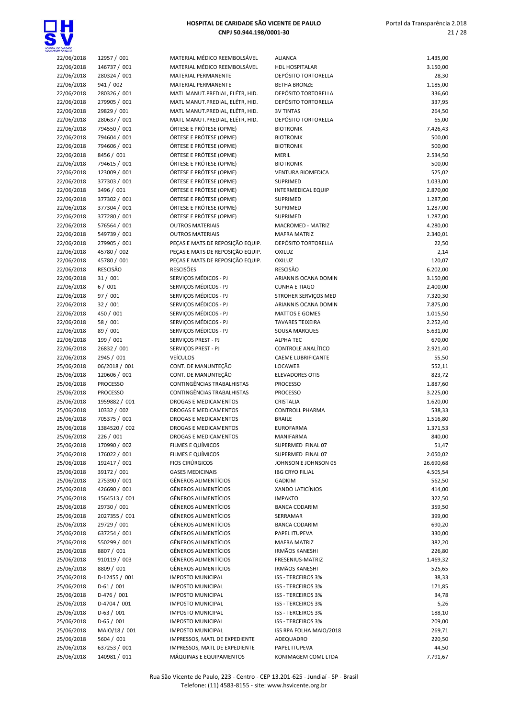

| <b>CENTE DE PAULO</b> |                 |                                  |                            |           |
|-----------------------|-----------------|----------------------------------|----------------------------|-----------|
| 22/06/2018            | 12957 / 001     | MATERIAL MÉDICO REEMBOLSÁVEL     | <b>ALIANCA</b>             | 1.435,00  |
| 22/06/2018            | 146737 / 001    | MATERIAL MÉDICO REEMBOLSÁVEL     | <b>HDL HOSPITALAR</b>      | 3.150,00  |
| 22/06/2018            | 280324 / 001    | MATERIAL PERMANENTE              | DEPÓSITO TORTORELLA        | 28,30     |
| 22/06/2018            | 941 / 002       | MATERIAL PERMANENTE              | <b>BETHA BRONZE</b>        | 1.185,00  |
| 22/06/2018            | 280326 / 001    | MATL MANUT.PREDIAL, ELÉTR, HID.  | <b>DEPÓSITO TORTORELLA</b> | 336,60    |
| 22/06/2018            | 279905 / 001    | MATL MANUT.PREDIAL, ELÉTR, HID.  | DEPÓSITO TORTORELLA        | 337,95    |
|                       |                 |                                  |                            |           |
| 22/06/2018            | 29829 / 001     | MATL MANUT.PREDIAL, ELÉTR, HID.  | <b>3V TINTAS</b>           | 264,50    |
| 22/06/2018            | 280637 / 001    | MATL MANUT.PREDIAL, ELÉTR, HID.  | DEPÓSITO TORTORELLA        | 65,00     |
| 22/06/2018            | 794550 / 001    | ÓRTESE E PRÓTESE (OPME)          | <b>BIOTRONIK</b>           | 7.426,43  |
| 22/06/2018            | 794604 / 001    | ÓRTESE E PRÓTESE (OPME)          | <b>BIOTRONIK</b>           | 500,00    |
| 22/06/2018            | 794606 / 001    | ÓRTESE E PRÓTESE (OPME)          | <b>BIOTRONIK</b>           | 500,00    |
| 22/06/2018            | 8456 / 001      | ÓRTESE E PRÓTESE (OPME)          | <b>MERIL</b>               | 2.534,50  |
| 22/06/2018            | 794615 / 001    | ÓRTESE E PRÓTESE (OPME)          | <b>BIOTRONIK</b>           | 500,00    |
|                       |                 |                                  |                            |           |
| 22/06/2018            | 123009 / 001    | ÓRTESE E PRÓTESE (OPME)          | VENTURA BIOMEDICA          | 525,02    |
| 22/06/2018            | 377303 / 001    | ÓRTESE E PRÓTESE (OPME)          | SUPRIMED                   | 1.033,00  |
| 22/06/2018            | 3496 / 001      | ÓRTESE E PRÓTESE (OPME)          | <b>INTERMEDICAL EQUIP</b>  | 2.870,00  |
| 22/06/2018            | 377302 / 001    | ÓRTESE E PRÓTESE (OPME)          | SUPRIMED                   | 1.287,00  |
| 22/06/2018            | 377304 / 001    | ÓRTESE E PRÓTESE (OPME)          | SUPRIMED                   | 1.287,00  |
| 22/06/2018            | 377280 / 001    | ÓRTESE E PRÓTESE (OPME)          | <b>SUPRIMED</b>            | 1.287,00  |
|                       |                 | <b>OUTROS MATERIAIS</b>          |                            |           |
| 22/06/2018            | 576564 / 001    |                                  | MACROMED - MATRIZ          | 4.280,00  |
| 22/06/2018            | 549739 / 001    | <b>OUTROS MATERIAIS</b>          | <b>MAFRA MATRIZ</b>        | 2.340,01  |
| 22/06/2018            | 279905 / 001    | PEÇAS E MATS DE REPOSIÇÃO EQUIP. | <b>DEPÓSITO TORTORELLA</b> | 22,50     |
| 22/06/2018            | 45780 / 002     | PEÇAS E MATS DE REPOSIÇÃO EQUIP. | OXILUZ                     | 2,14      |
| 22/06/2018            | 45780 / 001     | PEÇAS E MATS DE REPOSIÇÃO EQUIP. | OXILUZ                     | 120,07    |
| 22/06/2018            | RESCISÃO        | <b>RESCISÕES</b>                 | <b>RESCISÃO</b>            | 6.202,00  |
|                       | 31/001          | SERVICOS MÉDICOS - PJ            | ARIANNIS OCANA DOMIN       |           |
| 22/06/2018            |                 |                                  |                            | 3.150,00  |
| 22/06/2018            | 6/001           | SERVIÇOS MÉDICOS - PJ            | <b>CUNHA E TIAGO</b>       | 2.400,00  |
| 22/06/2018            | 97 / 001        | SERVICOS MÉDICOS - PJ            | STROHER SERVICOS MED       | 7.320,30  |
| 22/06/2018            | 32 / 001        | SERVIÇOS MÉDICOS - PJ            | ARIANNIS OCANA DOMIN       | 7.875,00  |
| 22/06/2018            | 450 / 001       | SERVIÇOS MÉDICOS - PJ            | <b>MATTOS E GOMES</b>      | 1.015,50  |
| 22/06/2018            | 58 / 001        | SERVIÇOS MÉDICOS - PJ            | <b>TAVARES TEIXEIRA</b>    | 2.252,40  |
| 22/06/2018            | 89 / 001        | SERVIÇOS MÉDICOS - PJ            | SOUSA MARQUES              | 5.631,00  |
|                       |                 |                                  |                            |           |
| 22/06/2018            | 199 / 001       | SERVIÇOS PREST - PJ              | <b>ALPHA TEC</b>           | 670,00    |
| 22/06/2018            | 26832 / 001     | SERVIÇOS PREST - PJ              | CONTROLE ANALÍTICO         | 2.921,40  |
| 22/06/2018            | 2945 / 001      | <b>VEÍCULOS</b>                  | CAEME LUBRIFICANTE         | 55,50     |
| 25/06/2018            | 06/2018 / 001   | CONT. DE MANUNTEÇÃO              | <b>LOCAWEB</b>             | 552,11    |
| 25/06/2018            | 120606 / 001    | CONT. DE MANUNTEÇÃO              | <b>ELEVADORES OTIS</b>     | 823,72    |
| 25/06/2018            | <b>PROCESSO</b> | CONTINGÊNCIAS TRABALHISTAS       | <b>PROCESSO</b>            | 1.887,60  |
|                       |                 |                                  |                            |           |
| 25/06/2018            | <b>PROCESSO</b> | CONTINGÊNCIAS TRABALHISTAS       | <b>PROCESSO</b>            | 3.225,00  |
| 25/06/2018            | 1959882 / 001   | DROGAS E MEDICAMENTOS            | CRISTALIA                  | 1.620,00  |
| 25/06/2018            | 10332 / 002     | DROGAS E MEDICAMENTOS            | <b>CONTROLL PHARMA</b>     | 538,33    |
| 25/06/2018            | 705375 / 001    | DROGAS E MEDICAMENTOS            | <b>BRAILE</b>              | 1.516,80  |
| 25/06/2018            | 1384520 / 002   | <b>DROGAS E MEDICAMENTOS</b>     | <b>EUROFARMA</b>           | 1.371,53  |
| 25/06/2018            | 226 / 001       | DROGAS E MEDICAMENTOS            | MANIFARMA                  | 840,00    |
| 25/06/2018            |                 | FILMES E QUÍMICOS                | SUPERMED FINAL 07          |           |
|                       | 170990 / 002    |                                  |                            | 51,47     |
| 25/06/2018            | 176022 / 001    | FILMES E QUÍMICOS                | SUPERMED FINAL 07          | 2.050,02  |
| 25/06/2018            | 192417 / 001    | <b>FIOS CIRÚRGICOS</b>           | JOHNSON E JOHNSON 05       | 26.690,68 |
| 25/06/2018            | 39172 / 001     | <b>GASES MEDICINAIS</b>          | <b>IBG CRYO FILIAL</b>     | 4.505,54  |
| 25/06/2018            | 275390 / 001    | <b>GÊNEROS ALIMENTÍCIOS</b>      | <b>GADKIM</b>              | 562,50    |
| 25/06/2018            | 426690 / 001    | <b>GÊNEROS ALIMENTÍCIOS</b>      | XANDO LATICÍNIOS           | 414,00    |
| 25/06/2018            | 1564513 / 001   | <b>GÊNEROS ALIMENTÍCIOS</b>      | <b>IMPAKTO</b>             | 322,50    |
|                       |                 |                                  |                            |           |
| 25/06/2018            | 29730 / 001     | <b>GÊNEROS ALIMENTÍCIOS</b>      | <b>BANCA CODARIM</b>       | 359,50    |
| 25/06/2018            | 2027355 / 001   | <b>GÊNEROS ALIMENTÍCIOS</b>      | SERRAMAR                   | 399,00    |
| 25/06/2018            | 29729 / 001     | <b>GÊNEROS ALIMENTÍCIOS</b>      | <b>BANCA CODARIM</b>       | 690,20    |
| 25/06/2018            | 637254 / 001    | <b>GÊNEROS ALIMENTÍCIOS</b>      | PAPEL ITUPEVA              | 330,00    |
| 25/06/2018            | 550299 / 001    | GÊNEROS ALIMENTÍCIOS             | <b>MAFRA MATRIZ</b>        | 382,20    |
| 25/06/2018            | 8807 / 001      | <b>GÊNEROS ALIMENTÍCIOS</b>      | <b>IRMÃOS KANESHI</b>      | 226,80    |
|                       | 910119 / 003    | <b>GÊNEROS ALIMENTÍCIOS</b>      | FRESENIUS-MATRIZ           |           |
| 25/06/2018            |                 |                                  |                            | 1.469,32  |
| 25/06/2018            | 8809 / 001      | <b>GÊNEROS ALIMENTÍCIOS</b>      | <b>IRMÃOS KANESHI</b>      | 525,65    |
| 25/06/2018            | D-12455 / 001   | <b>IMPOSTO MUNICIPAL</b>         | ISS - TERCEIROS 3%         | 38,33     |
| 25/06/2018            | $D-61/001$      | <b>IMPOSTO MUNICIPAL</b>         | ISS - TERCEIROS 3%         | 171,85    |
| 25/06/2018            | $D-476/001$     | <b>IMPOSTO MUNICIPAL</b>         | ISS - TERCEIROS 3%         | 34,78     |
| 25/06/2018            | D-4704 / 001    | <b>IMPOSTO MUNICIPAL</b>         | ISS - TERCEIROS 3%         | 5,26      |
| 25/06/2018            | $D-63 / 001$    | <b>IMPOSTO MUNICIPAL</b>         | ISS - TERCEIROS 3%         | 188,10    |
|                       |                 |                                  |                            |           |
| 25/06/2018            | $D-65/001$      | <b>IMPOSTO MUNICIPAL</b>         | ISS - TERCEIROS 3%         | 209,00    |
| 25/06/2018            | MAIO/18 / 001   | <b>IMPOSTO MUNICIPAL</b>         | ISS RPA FOLHA MAIO/2018    | 269,71    |
| 25/06/2018            | 5604 / 001      | IMPRESSOS, MATL DE EXPEDIENTE    | ADEQUADRO                  | 220,50    |
| 25/06/2018            | 637253 / 001    | IMPRESSOS, MATL DE EXPEDIENTE    | PAPEL ITUPEVA              | 44,50     |
| 25/06/2018            | 140981 / 011    | MÁQUINAS E EQUIPAMENTOS          | KONIMAGEM COML LTDA        | 7.791,67  |
|                       |                 |                                  |                            |           |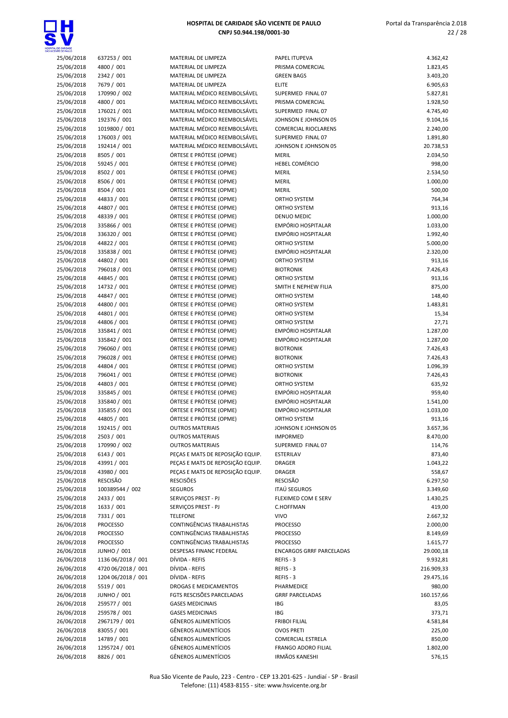

 Portal da Transparência 2.018 22 / 28

| 25/06/2018 | 637253 / 001                | MATERIAL DE LIMPEZA                                | <b>PAPEL ITUPEVA</b>             | 4.362,42           |
|------------|-----------------------------|----------------------------------------------------|----------------------------------|--------------------|
| 25/06/2018 | 4800 / 001                  | MATERIAL DE LIMPEZA                                | PRISMA COMERCIAL                 | 1.823,45           |
| 25/06/2018 | 2342 / 001                  | MATERIAL DE LIMPEZA                                | <b>GREEN BAGS</b>                | 3.403,20           |
| 25/06/2018 | 7679 / 001                  | MATERIAL DE LIMPEZA                                | <b>ELITE</b>                     | 6.905,63           |
| 25/06/2018 | 170990 / 002                | MATERIAL MÉDICO REEMBOLSÁVEL                       | SUPERMED FINAL 07                | 5.827,81           |
| 25/06/2018 | 4800 / 001                  | MATERIAL MÉDICO REEMBOLSÁVEL                       | PRISMA COMERCIAL                 | 1.928,50           |
| 25/06/2018 | 176021 / 001                | MATERIAL MÉDICO REEMBOLSÁVEL                       | SUPERMED FINAL 07                | 4.745,40           |
| 25/06/2018 | 192376 / 001                | MATERIAL MÉDICO REEMBOLSÁVEL                       | JOHNSON E JOHNSON 05             | 9.104,16           |
| 25/06/2018 | 1019800 / 001               | MATERIAL MÉDICO REEMBOLSÁVEL                       | <b>COMERCIAL RIOCLARENS</b>      | 2.240,00           |
| 25/06/2018 | 176003 / 001                | MATERIAL MÉDICO REEMBOLSÁVEL                       | SUPERMED FINAL 07                | 1.891,80           |
| 25/06/2018 | 192414 / 001                | MATERIAL MÉDICO REEMBOLSÁVEL                       | JOHNSON E JOHNSON 05             | 20.738,53          |
| 25/06/2018 | 8505 / 001                  | ÓRTESE E PRÓTESE (OPME)                            | <b>MERIL</b>                     | 2.034,50           |
| 25/06/2018 | 59245 / 001                 | ÓRTESE E PRÓTESE (OPME)                            | HEBEL COMÉRCIO                   | 998,00             |
| 25/06/2018 | 8502 / 001                  | ÓRTESE E PRÓTESE (OPME)                            | <b>MERIL</b>                     | 2.534,50           |
| 25/06/2018 | 8506 / 001                  | ÓRTESE E PRÓTESE (OPME)                            | MERIL                            | 1.000,00           |
| 25/06/2018 | 8504 / 001                  | ÓRTESE E PRÓTESE (OPME)                            | <b>MERIL</b>                     | 500,00             |
| 25/06/2018 | 44833 / 001                 | ÓRTESE E PRÓTESE (OPME)                            | ORTHO SYSTEM                     | 764,34             |
| 25/06/2018 | 44807 / 001                 | ÓRTESE E PRÓTESE (OPME)                            | ORTHO SYSTEM                     | 913,16             |
| 25/06/2018 | 48339 / 001                 | ÓRTESE E PRÓTESE (OPME)                            | DENUO MEDIC                      | 1.000,00           |
| 25/06/2018 | 335866 / 001                | ÓRTESE E PRÓTESE (OPME)                            | EMPÓRIO HOSPITALAR               | 1.033,00           |
| 25/06/2018 | 336320 / 001                | ÓRTESE E PRÓTESE (OPME)                            | EMPÓRIO HOSPITALAR               | 1.992,40           |
| 25/06/2018 | 44822 / 001                 | ÓRTESE E PRÓTESE (OPME)                            | ORTHO SYSTEM                     | 5.000,00           |
| 25/06/2018 | 335838 / 001                | ÓRTESE E PRÓTESE (OPME)                            | EMPÓRIO HOSPITALAR               | 2.320,00           |
| 25/06/2018 | 44802 / 001                 | ÓRTESE E PRÓTESE (OPME)                            | ORTHO SYSTEM                     | 913,16             |
| 25/06/2018 | 796018 / 001                | ÓRTESE E PRÓTESE (OPME)                            | <b>BIOTRONIK</b>                 | 7.426,43           |
| 25/06/2018 | 44845 / 001                 | ÓRTESE E PRÓTESE (OPME)                            | ORTHO SYSTEM                     | 913,16             |
| 25/06/2018 | 14732 / 001                 | ÓRTESE E PRÓTESE (OPME)                            | SMITH E NEPHEW FILIA             | 875,00             |
| 25/06/2018 | 44847 / 001                 | ÓRTESE E PRÓTESE (OPME)                            | ORTHO SYSTEM                     | 148,40             |
| 25/06/2018 | 44800 / 001                 | ÓRTESE E PRÓTESE (OPME)                            | ORTHO SYSTEM                     | 1.483,81           |
| 25/06/2018 | 44801 / 001                 | ÓRTESE E PRÓTESE (OPME)                            | ORTHO SYSTEM                     | 15,34              |
| 25/06/2018 | 44806 / 001                 | ÓRTESE E PRÓTESE (OPME)                            | ORTHO SYSTEM                     | 27,71              |
| 25/06/2018 | 335841 / 001                | ÓRTESE E PRÓTESE (OPME)                            | EMPÓRIO HOSPITALAR               | 1.287,00           |
| 25/06/2018 | 335842 / 001                | ÓRTESE E PRÓTESE (OPME)                            | EMPÓRIO HOSPITALAR               | 1.287,00           |
| 25/06/2018 | 796060 / 001                | ÓRTESE E PRÓTESE (OPME)                            | <b>BIOTRONIK</b>                 | 7.426,43           |
|            | 796028 / 001                | ÓRTESE E PRÓTESE (OPME)                            | <b>BIOTRONIK</b>                 |                    |
| 25/06/2018 | 44804 / 001                 |                                                    |                                  | 7.426,43           |
| 25/06/2018 |                             | ÓRTESE E PRÓTESE (OPME)                            | ORTHO SYSTEM                     | 1.096,39           |
| 25/06/2018 | 796041 / 001<br>44803 / 001 | ÓRTESE E PRÓTESE (OPME)<br>ÓRTESE E PRÓTESE (OPME) | <b>BIOTRONIK</b><br>ORTHO SYSTEM | 7.426,43<br>635,92 |
| 25/06/2018 |                             | ÓRTESE E PRÓTESE (OPME)                            | EMPÓRIO HOSPITALAR               |                    |
| 25/06/2018 | 335845 / 001                |                                                    |                                  | 959,40             |
| 25/06/2018 | 335840 / 001                | ÓRTESE E PRÓTESE (OPME)                            | EMPÓRIO HOSPITALAR               | 1.541,00           |
| 25/06/2018 | 335855 / 001                | ÓRTESE E PRÓTESE (OPME)                            | EMPÓRIO HOSPITALAR               | 1.033,00           |
| 25/06/2018 | 44805 / 001                 | ÓRTESE E PRÓTESE (OPME)                            | ORTHO SYSTEM                     | 913,16             |
| 25/06/2018 | 192415 / 001                | <b>OUTROS MATERIAIS</b>                            | JOHNSON E JOHNSON 05             | 3.657,36           |
| 25/06/2018 | 2503 / 001                  | <b>OUTROS MATERIAIS</b>                            | <b>IMPORMED</b>                  | 8.470,00           |
| 25/06/2018 | 170990 / 002                | <b>OUTROS MATERIAIS</b>                            | SUPERMED FINAL 07                | 114,76             |
| 25/06/2018 | 6143 / 001                  | PEÇAS E MATS DE REPOSIÇÃO EQUIP.                   | ESTERILAV                        | 873,40             |
| 25/06/2018 | 43991 / 001                 | PECAS E MATS DE REPOSIÇÃO EQUIP.                   | DRAGER                           | 1.043,22           |
| 25/06/2018 | 43980 / 001                 | PECAS E MATS DE REPOSIÇÃO EQUIP.                   | <b>DRAGER</b>                    | 558,67             |
| 25/06/2018 | RESCISÃO                    | <b>RESCISÕES</b>                                   | <b>RESCISÃO</b>                  | 6.297,50           |
| 25/06/2018 | 100389544 / 002             | <b>SEGUROS</b>                                     | <b>ITAÚ SEGUROS</b>              | 3.349,60           |
| 25/06/2018 | 2433 / 001                  | SERVIÇOS PREST - PJ                                | FLEXIMED COM E SERV              | 1.430,25           |
| 25/06/2018 | 1633 / 001                  | SERVIÇOS PREST - PJ                                | C.HOFFMAN                        | 419,00             |
| 25/06/2018 | 7331 / 001                  | <b>TELEFONE</b>                                    | <b>VIVO</b>                      | 2.667,32           |
| 26/06/2018 | <b>PROCESSO</b>             | CONTINGÊNCIAS TRABALHISTAS                         | <b>PROCESSO</b>                  | 2.000,00           |
| 26/06/2018 | <b>PROCESSO</b>             | CONTINGÊNCIAS TRABALHISTAS                         | <b>PROCESSO</b>                  | 8.149,69           |
| 26/06/2018 | <b>PROCESSO</b>             | CONTINGÊNCIAS TRABALHISTAS                         | <b>PROCESSO</b>                  | 1.615,77           |
| 26/06/2018 | <b>JUNHO / 001</b>          | DESPESAS FINANC FEDERAL                            | <b>ENCARGOS GRRF PARCELADAS</b>  | 29.000,18          |
| 26/06/2018 | 1136 06/2018 / 001          | DÍVIDA - REFIS                                     | REFIS-3                          | 9.932,81           |
| 26/06/2018 | 4720 06/2018 / 001          | DÍVIDA - REFIS                                     | REFIS-3                          | 216.909,33         |
| 26/06/2018 | 1204 06/2018 / 001          | DÍVIDA - REFIS                                     | REFIS-3                          | 29.475,16          |
| 26/06/2018 | 5519 / 001                  | DROGAS E MEDICAMENTOS                              | PHARMEDICE                       | 980,00             |
| 26/06/2018 | <b>JUNHO / 001</b>          | FGTS RESCISÕES PARCELADAS                          | <b>GRRF PARCELADAS</b>           | 160.157,66         |
| 26/06/2018 | 259577 / 001                | <b>GASES MEDICINAIS</b>                            | IBG                              | 83,05              |
| 26/06/2018 | 259578 / 001                | <b>GASES MEDICINAIS</b>                            | IBG                              | 373,71             |
| 26/06/2018 | 2967179 / 001               | <b>GÊNEROS ALIMENTÍCIOS</b>                        | <b>FRIBOI FILIAL</b>             | 4.581,84           |
| 26/06/2018 | 83055 / 001                 | <b>GÊNEROS ALIMENTÍCIOS</b>                        | <b>OVOS PRETI</b>                | 225,00             |
| 26/06/2018 | 14789 / 001                 | <b>GÊNEROS ALIMENTÍCIOS</b>                        | <b>COMERCIAL ESTRELA</b>         | 850,00             |
| 26/06/2018 | 1295724 / 001               | GÊNEROS ALIMENTÍCIOS                               | FRANGO ADORO FILIAL              | 1.802,00           |
| 26/06/2018 | 8826 / 001                  | GÊNEROS ALIMENTÍCIOS                               | <b>IRMÃOS KANESHI</b>            | 576,15             |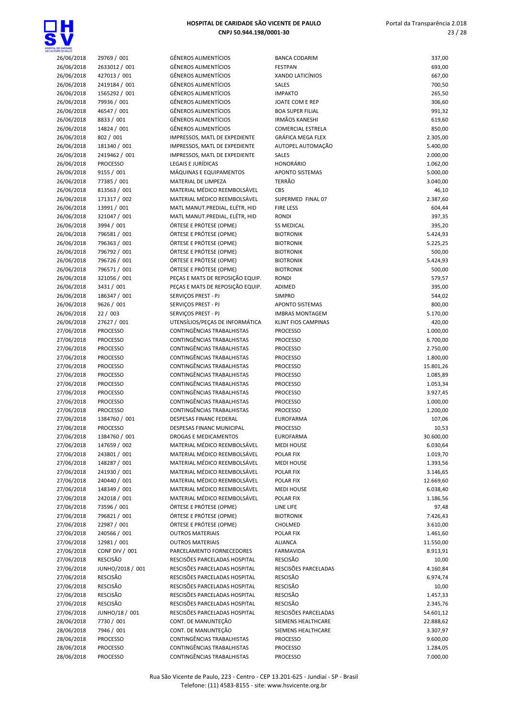

| 26/06/2018 | 29769 / 001      | <b>GÊNEROS ALIMENTÍCIOS</b>      | <b>BANCA CODARIM</b>     | 337,00    |
|------------|------------------|----------------------------------|--------------------------|-----------|
| 26/06/2018 | 2633012 / 001    | <b>GÊNEROS ALIMENTÍCIOS</b>      | <b>FESTPAN</b>           | 693,00    |
| 26/06/2018 | 427013 / 001     | <b>GÊNEROS ALIMENTÍCIOS</b>      | <b>XANDO LATICÍNIOS</b>  | 667,00    |
| 26/06/2018 | 2419184 / 001    | <b>GÊNEROS ALIMENTÍCIOS</b>      | SALES                    | 700,50    |
| 26/06/2018 | 1565292 / 001    | <b>GÊNEROS ALIMENTÍCIOS</b>      | <b>IMPAKTO</b>           | 265,50    |
| 26/06/2018 | 79936 / 001      | <b>GÊNEROS ALIMENTÍCIOS</b>      | JOATE COM E REP          | 306,60    |
|            |                  | <b>GÊNEROS ALIMENTÍCIOS</b>      | <b>BOA SUPER FILIAL</b>  |           |
| 26/06/2018 | 46547 / 001      |                                  |                          | 991,32    |
| 26/06/2018 | 8833 / 001       | GÊNEROS ALIMENTÍCIOS             | <b>IRMÃOS KANESHI</b>    | 619,60    |
| 26/06/2018 | 14824 / 001      | <b>GÊNEROS ALIMENTÍCIOS</b>      | <b>COMERCIAL ESTRELA</b> | 850,00    |
| 26/06/2018 | 802 / 001        | IMPRESSOS, MATL DE EXPEDIENTE    | <b>GRÁFICA MEGA FLEX</b> | 2.305,00  |
| 26/06/2018 | 181340 / 001     | IMPRESSOS, MATL DE EXPEDIENTE    | AUTOPEL AUTOMAÇÃO        | 5.400,00  |
| 26/06/2018 | 2419462 / 001    | IMPRESSOS, MATL DE EXPEDIENTE    | SALES                    | 2.000,00  |
| 26/06/2018 | <b>PROCESSO</b>  | <b>LEGAIS E JURÍDICAS</b>        | <b>HONORÁRIO</b>         | 1.062,00  |
| 26/06/2018 | 9155 / 001       | MÁQUINAS E EQUIPAMENTOS          | <b>APONTO SISTEMAS</b>   | 5.000,00  |
| 26/06/2018 | 77385 / 001      | MATERIAL DE LIMPEZA              | <b>TERRÃO</b>            | 3.040,00  |
| 26/06/2018 | 813563 / 001     | MATERIAL MÉDICO REEMBOLSÁVEL     | <b>CBS</b>               | 46,10     |
| 26/06/2018 | 171317 / 002     | MATERIAL MÉDICO REEMBOLSÁVEL     | SUPERMED FINAL 07        | 2.387,60  |
| 26/06/2018 | 13991 / 001      | MATL MANUT.PREDIAL, ELÉTR, HID   | <b>FIRE LESS</b>         | 604,44    |
| 26/06/2018 | 321047 / 001     | MATL MANUT.PREDIAL, ELÉTR, HID   | <b>RONDI</b>             | 397,35    |
| 26/06/2018 | 3994 / 001       | ÓRTESE E PRÓTESE (OPME)          | <b>SS MEDICAL</b>        | 395,20    |
| 26/06/2018 | 796581 / 001     | ÓRTESE E PRÓTESE (OPME)          | <b>BIOTRONIK</b>         | 5.424,93  |
| 26/06/2018 | 796363 / 001     | ÓRTESE E PRÓTESE (OPME)          | <b>BIOTRONIK</b>         | 5.225,25  |
| 26/06/2018 | 796792 / 001     | ÓRTESE E PRÓTESE (OPME)          | <b>BIOTRONIK</b>         | 500,00    |
| 26/06/2018 | 796726 / 001     | ÓRTESE E PRÓTESE (OPME)          | <b>BIOTRONIK</b>         | 5.424,93  |
|            |                  |                                  |                          |           |
| 26/06/2018 | 796571 / 001     | ÓRTESE E PRÓTESE (OPME)          | <b>BIOTRONIK</b>         | 500,00    |
| 26/06/2018 | 321056 / 001     | PEÇAS E MATS DE REPOSIÇÃO EQUIP. | <b>RONDI</b>             | 579,57    |
| 26/06/2018 | 3431 / 001       | PEÇAS E MATS DE REPOSIÇÃO EQUIP. | ADIMED                   | 395,00    |
| 26/06/2018 | 186347 / 001     | SERVIÇOS PREST - PJ              | <b>SIMPRO</b>            | 544,02    |
| 26/06/2018 | 9626 / 001       | SERVIÇOS PREST - PJ              | APONTO SISTEMAS          | 800,00    |
| 26/06/2018 | 22/003           | SERVIÇOS PREST - PJ              | <b>IMBRAS MONTAGEM</b>   | 5.170,00  |
| 26/06/2018 | 27627 / 001      | UTENSÍLIOS/PEÇAS DE INFORMÁTICA  | KLINT FIOS CAMPINAS      | 420,00    |
| 27/06/2018 | <b>PROCESSO</b>  | CONTINGÊNCIAS TRABALHISTAS       | <b>PROCESSO</b>          | 1.000,00  |
| 27/06/2018 | <b>PROCESSO</b>  | CONTINGÊNCIAS TRABALHISTAS       | <b>PROCESSO</b>          | 6.700,00  |
| 27/06/2018 | <b>PROCESSO</b>  | CONTINGÊNCIAS TRABALHISTAS       | <b>PROCESSO</b>          | 2.750,00  |
| 27/06/2018 | <b>PROCESSO</b>  | CONTINGÊNCIAS TRABALHISTAS       | <b>PROCESSO</b>          | 1.800,00  |
| 27/06/2018 | <b>PROCESSO</b>  | CONTINGÊNCIAS TRABALHISTAS       | <b>PROCESSO</b>          | 15.801,26 |
| 27/06/2018 | <b>PROCESSO</b>  | CONTINGÊNCIAS TRABALHISTAS       | <b>PROCESSO</b>          | 1.085,89  |
| 27/06/2018 | <b>PROCESSO</b>  | CONTINGÊNCIAS TRABALHISTAS       | <b>PROCESSO</b>          | 1.053,34  |
| 27/06/2018 | <b>PROCESSO</b>  | CONTINGÊNCIAS TRABALHISTAS       | <b>PROCESSO</b>          | 3.927,45  |
| 27/06/2018 | <b>PROCESSO</b>  | CONTINGÊNCIAS TRABALHISTAS       | <b>PROCESSO</b>          | 1.000,00  |
| 27/06/2018 | <b>PROCESSO</b>  | CONTINGÊNCIAS TRABALHISTAS       | <b>PROCESSO</b>          | 1.200,00  |
|            | 1384760 / 001    | DESPESAS FINANC FEDERAL          | <b>EUROFARMA</b>         | 107,06    |
| 27/06/2018 |                  |                                  |                          |           |
| 27/06/2018 | <b>PROCESSO</b>  | DESPESAS FINANC MUNICIPAL        | <b>PROCESSO</b>          | 10,53     |
| 27/06/2018 | 1384760 / 001    | DROGAS E MEDICAMENTOS            | EUROFARMA                | 30.600,00 |
| 27/06/2018 | 147659 / 002     | MATERIAL MÉDICO REEMBOLSÁVEL     | <b>MEDI HOUSE</b>        | 6.030,64  |
| 27/06/2018 | 243801 / 001     | MATERIAL MÉDICO REEMBOLSÁVEL     | POLAR FIX                | 1.019,70  |
| 27/06/2018 | 148287 / 001     | MATERIAL MÉDICO REEMBOLSÁVEL     | <b>MEDI HOUSE</b>        | 1.393,56  |
| 27/06/2018 | 241930 / 001     | MATERIAL MÉDICO REEMBOLSÁVEL     | POLAR FIX                | 3.146,65  |
| 27/06/2018 | 240440 / 001     | MATERIAL MÉDICO REEMBOLSÁVEL     | POLAR FIX                | 12.669,60 |
| 27/06/2018 | 148349 / 001     | MATERIAL MÉDICO REEMBOLSÁVEL     | <b>MEDI HOUSE</b>        | 6.038,40  |
| 27/06/2018 | 242018 / 001     | MATERIAL MÉDICO REEMBOLSÁVEL     | POLAR FIX                | 1.186,56  |
| 27/06/2018 | 73596 / 001      | ÓRTESE E PRÓTESE (OPME)          | LINE LIFE                | 97,48     |
| 27/06/2018 | 796821 / 001     | ÓRTESE E PRÓTESE (OPME)          | <b>BIOTRONIK</b>         | 7.426,43  |
| 27/06/2018 | 22987 / 001      | ÓRTESE E PRÓTESE (OPME)          | CHOLMED                  | 3.610,00  |
| 27/06/2018 | 240566 / 001     | <b>OUTROS MATERIAIS</b>          | POLAR FIX                | 1.461,60  |
| 27/06/2018 | 12981 / 001      | <b>OUTROS MATERIAIS</b>          | <b>ALIANCA</b>           | 11.550,00 |
| 27/06/2018 | CONF DIV / 001   | PARCELAMENTO FORNECEDORES        | <b>FARMAVIDA</b>         | 8.913,91  |
| 27/06/2018 | <b>RESCISÃO</b>  | RESCISÕES PARCELADAS HOSPITAL    | RESCISÃO                 | 10,00     |
|            | JUNHO/2018 / 001 | RESCISÕES PARCELADAS HOSPITAL    | RESCISÕES PARCELADAS     |           |
| 27/06/2018 | <b>RESCISÃO</b>  | RESCISÕES PARCELADAS HOSPITAL    | RESCISÃO                 | 4.160,84  |
| 27/06/2018 |                  |                                  |                          | 6.974,74  |
| 27/06/2018 | <b>RESCISÃO</b>  | RESCISÕES PARCELADAS HOSPITAL    | <b>RESCISÃO</b>          | 10,00     |
| 27/06/2018 | RESCISÃO         | RESCISÕES PARCELADAS HOSPITAL    | RESCISÃO                 | 1.457,33  |
| 27/06/2018 | <b>RESCISÃO</b>  | RESCISÕES PARCELADAS HOSPITAL    | RESCISÃO                 | 2.345,76  |
| 27/06/2018 | JUNHO/18 / 001   | RESCISÕES PARCELADAS HOSPITAL    | RESCISÕES PARCELADAS     | 54.601,12 |
| 28/06/2018 | 7730 / 001       | CONT. DE MANUNTEÇÃO              | SIEMENS HEALTHCARE       | 22.888,62 |
| 28/06/2018 | 7946 / 001       | CONT. DE MANUNTEÇÃO              | SIEMENS HEALTHCARE       | 3.307,97  |
| 28/06/2018 | <b>PROCESSO</b>  | CONTINGÊNCIAS TRABALHISTAS       | <b>PROCESSO</b>          | 9.600,00  |
| 28/06/2018 | <b>PROCESSO</b>  | CONTINGÊNCIAS TRABALHISTAS       | PROCESSO                 | 1.284,05  |
| 28/06/2018 | <b>PROCESSO</b>  | CONTINGÊNCIAS TRABALHISTAS       | <b>PROCESSO</b>          | 7.000,00  |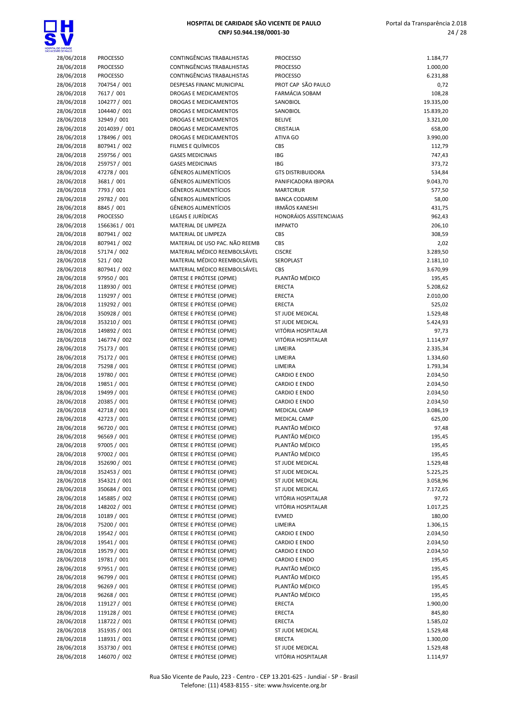

| <b><i>STELLE PAULU</i></b> |                               |                                                    |                                                         |                      |
|----------------------------|-------------------------------|----------------------------------------------------|---------------------------------------------------------|----------------------|
| 28/06/2018                 | <b>PROCESSO</b>               | CONTINGÊNCIAS TRABALHISTAS                         | <b>PROCESSO</b>                                         | 1.184,77             |
| 28/06/2018                 | <b>PROCESSO</b>               | CONTINGÊNCIAS TRABALHISTAS                         | <b>PROCESSO</b>                                         | 1.000,00             |
| 28/06/2018                 | <b>PROCESSO</b>               | CONTINGÊNCIAS TRABALHISTAS                         | <b>PROCESSO</b>                                         | 6.231,88             |
| 28/06/2018                 | 704754 / 001                  | DESPESAS FINANC MUNICIPAL                          | PROT CAP SÃO PAULO                                      | 0,72                 |
| 28/06/2018                 | 7617 / 001                    | DROGAS E MEDICAMENTOS                              | <b>FARMÁCIA SOBAM</b>                                   | 108,28               |
| 28/06/2018                 | 104277 / 001                  | DROGAS E MEDICAMENTOS                              | SANOBIOL                                                | 19.335,00            |
| 28/06/2018                 | 104440 / 001                  | <b>DROGAS E MEDICAMENTOS</b>                       | SANOBIOL                                                | 15.839,20            |
| 28/06/2018                 | 32949 / 001                   | DROGAS E MEDICAMENTOS                              | <b>BELIVE</b>                                           | 3.321,00             |
| 28/06/2018                 | 2014039 / 001                 | DROGAS E MEDICAMENTOS                              | CRISTALIA                                               | 658,00               |
| 28/06/2018                 | 178496 / 001                  | DROGAS E MEDICAMENTOS                              | ATIVA GO                                                | 3.990,00             |
| 28/06/2018                 | 807941 / 002                  | FILMES E QUÍMICOS                                  | CBS                                                     | 112,79               |
| 28/06/2018                 | 259756 / 001                  | <b>GASES MEDICINAIS</b>                            | IBG                                                     | 747,43               |
| 28/06/2018                 | 259757 / 001                  | <b>GASES MEDICINAIS</b>                            | IBG                                                     | 373,72               |
| 28/06/2018                 | 47278 / 001                   | GÊNEROS ALIMENTÍCIOS                               | <b>GTS DISTRIBUIDORA</b>                                | 534,84               |
| 28/06/2018                 | 3681 / 001                    | <b>GÊNEROS ALIMENTÍCIOS</b>                        | PANIFICADORA IBIPORA                                    | 9.043,70             |
| 28/06/2018                 | 7793 / 001                    | <b>GÊNEROS ALIMENTÍCIOS</b>                        | <b>MARTCIRUR</b>                                        | 577,50               |
| 28/06/2018                 | 29782 / 001                   | <b>GÊNEROS ALIMENTÍCIOS</b>                        | <b>BANCA CODARIM</b>                                    | 58,00                |
| 28/06/2018<br>28/06/2018   | 8845 / 001<br><b>PROCESSO</b> | <b>GÊNEROS ALIMENTÍCIOS</b><br>LEGAIS E JURÍDICAS  | <b>IRMÃOS KANESHI</b><br><b>HONORÁIOS ASSITENCIAIAS</b> | 431,75<br>962,43     |
|                            | 1566361 / 001                 | MATERIAL DE LIMPEZA                                | <b>IMPAKTO</b>                                          |                      |
| 28/06/2018<br>28/06/2018   | 807941 / 002                  | MATERIAL DE LIMPEZA                                | CBS                                                     | 206,10<br>308,59     |
| 28/06/2018                 | 807941 / 002                  | MATERIAL DE USO PAC. NÃO REEMB                     | CBS                                                     | 2,02                 |
| 28/06/2018                 | 57174 / 002                   | MATERIAL MÉDICO REEMBOLSÁVEL                       | <b>CISCRE</b>                                           | 3.289,50             |
| 28/06/2018                 | 521 / 002                     | MATERIAL MÉDICO REEMBOLSÁVEL                       | SEROPLAST                                               | 2.181,10             |
| 28/06/2018                 | 807941 / 002                  | MATERIAL MÉDICO REEMBOLSÁVEL                       | CBS                                                     | 3.670,99             |
| 28/06/2018                 | 97950 / 001                   | ÓRTESE E PRÓTESE (OPME)                            | PLANTÃO MÉDICO                                          | 195,45               |
| 28/06/2018                 | 118930 / 001                  | ÓRTESE E PRÓTESE (OPME)                            | <b>ERECTA</b>                                           | 5.208,62             |
| 28/06/2018                 | 119297 / 001                  | ÓRTESE E PRÓTESE (OPME)                            | <b>ERECTA</b>                                           | 2.010,00             |
| 28/06/2018                 | 119292 / 001                  | ÓRTESE E PRÓTESE (OPME)                            | <b>ERECTA</b>                                           | 525,02               |
| 28/06/2018                 | 350928 / 001                  | ÓRTESE E PRÓTESE (OPME)                            | ST JUDE MEDICAL                                         | 1.529,48             |
| 28/06/2018                 | 353210 / 001                  | ÓRTESE E PRÓTESE (OPME)                            | ST JUDE MEDICAL                                         | 5.424,93             |
| 28/06/2018                 | 149892 / 001                  | ÓRTESE E PRÓTESE (OPME)                            | VITÓRIA HOSPITALAR                                      | 97,73                |
| 28/06/2018                 | 146774 / 002                  | ÓRTESE E PRÓTESE (OPME)                            | VITÓRIA HOSPITALAR                                      | 1.114,97             |
| 28/06/2018                 | 75173 / 001                   | ÓRTESE E PRÓTESE (OPME)                            | LIMEIRA                                                 | 2.335,34             |
| 28/06/2018                 | 75172 / 001                   | ÓRTESE E PRÓTESE (OPME)                            | LIMEIRA                                                 | 1.334,60             |
| 28/06/2018                 | 75298 / 001                   | ÓRTESE E PRÓTESE (OPME)                            | LIMEIRA                                                 | 1.793,34             |
| 28/06/2018                 | 19780 / 001                   | ÓRTESE E PRÓTESE (OPME)                            | <b>CARDIO E ENDO</b>                                    | 2.034,50             |
| 28/06/2018                 | 19851 / 001                   | ÓRTESE E PRÓTESE (OPME)                            | <b>CARDIO E ENDO</b>                                    | 2.034,50             |
| 28/06/2018                 | 19499 / 001                   | ÓRTESE E PRÓTESE (OPME)                            | <b>CARDIO E ENDO</b>                                    | 2.034,50             |
| 28/06/2018                 | 20385 / 001                   | ÓRTESE E PRÓTESE (OPME)                            | <b>CARDIO E ENDO</b>                                    | 2.034,50             |
| 28/06/2018                 | 42718 / 001                   | ÓRTESE E PRÓTESE (OPME)                            | <b>MEDICAL CAMP</b>                                     | 3.086,19             |
| 28/06/2018                 | 42723 / 001                   | ÓRTESE E PRÓTESE (OPME)                            | <b>MEDICAL CAMP</b>                                     | 625,00               |
| 28/06/2018                 | 96720 / 001                   | ÓRTESE E PRÓTESE (OPME)                            | PLANTÃO MÉDICO                                          | 97,48                |
| 28/06/2018                 | 96569 / 001                   | ÓRTESE E PRÓTESE (OPME)                            | PLANTÃO MÉDICO                                          | 195,45               |
| 28/06/2018                 | 97005 / 001                   | ÓRTESE E PRÓTESE (OPME)                            | PLANTÃO MÉDICO                                          | 195,45               |
| 28/06/2018                 | 97002 / 001                   | ÓRTESE E PRÓTESE (OPME)                            | PLANTÃO MÉDICO                                          | 195,45               |
| 28/06/2018                 | 352690 / 001                  | ÓRTESE E PRÓTESE (OPME)                            | ST JUDE MEDICAL                                         | 1.529,48             |
| 28/06/2018                 | 352453 / 001                  | ÓRTESE E PRÓTESE (OPME)                            | ST JUDE MEDICAL                                         | 5.225,25             |
| 28/06/2018                 | 354321 / 001                  | ÓRTESE E PRÓTESE (OPME)                            | ST JUDE MEDICAL                                         | 3.058,96             |
| 28/06/2018                 | 350684 / 001                  | ÓRTESE E PRÓTESE (OPME)                            | ST JUDE MEDICAL                                         | 7.172,65             |
| 28/06/2018                 | 145885 / 002                  | ÓRTESE E PRÓTESE (OPME)                            | VITÓRIA HOSPITALAR                                      | 97,72                |
| 28/06/2018                 | 148202 / 001                  | ÓRTESE E PRÓTESE (OPME)                            | VITÓRIA HOSPITALAR                                      | 1.017,25             |
| 28/06/2018                 | 10189 / 001                   | ÓRTESE E PRÓTESE (OPME)                            | <b>EVMED</b>                                            | 180,00               |
| 28/06/2018                 | 75200 / 001                   | ÓRTESE E PRÓTESE (OPME)                            | LIMEIRA                                                 | 1.306,15             |
| 28/06/2018                 | 19542 / 001                   | ÓRTESE E PRÓTESE (OPME)                            | <b>CARDIO E ENDO</b>                                    | 2.034,50             |
| 28/06/2018                 | 19541 / 001                   | ÓRTESE E PRÓTESE (OPME)                            | <b>CARDIO E ENDO</b>                                    | 2.034,50             |
| 28/06/2018                 | 19579 / 001                   | ÓRTESE E PRÓTESE (OPME)                            | <b>CARDIO E ENDO</b>                                    | 2.034,50             |
| 28/06/2018                 | 19781 / 001                   | ÓRTESE E PRÓTESE (OPME)                            | <b>CARDIO E ENDO</b>                                    | 195,45               |
| 28/06/2018                 | 97951 / 001                   | ÓRTESE E PRÓTESE (OPME)                            | PLANTÃO MÉDICO                                          | 195,45               |
| 28/06/2018                 | 96799 / 001                   | ÓRTESE E PRÓTESE (OPME)                            | PLANTÃO MÉDICO                                          | 195,45               |
| 28/06/2018                 | 96269 / 001                   | ÓRTESE E PRÓTESE (OPME)                            | PLANTÃO MÉDICO                                          | 195,45               |
| 28/06/2018                 | 96268 / 001                   | ÓRTESE E PRÓTESE (OPME)                            | PLANTÃO MÉDICO                                          | 195,45               |
| 28/06/2018                 | 119127 / 001<br>119128 / 001  | ÓRTESE E PRÓTESE (OPME)<br>ÓRTESE E PRÓTESE (OPME) | <b>ERECTA</b><br>ERECTA                                 | 1.900,00             |
| 28/06/2018<br>28/06/2018   |                               | ÓRTESE E PRÓTESE (OPME)                            |                                                         | 845,80               |
|                            | 118722 / 001                  | ÓRTESE E PRÓTESE (OPME)                            | <b>ERECTA</b>                                           | 1.585,02             |
| 28/06/2018                 | 351935 / 001                  |                                                    | ST JUDE MEDICAL                                         | 1.529,48             |
| 28/06/2018<br>28/06/2018   | 118931 / 001<br>353730 / 001  | ÓRTESE E PRÓTESE (OPME)<br>ÓRTESE E PRÓTESE (OPME) | ERECTA<br><b>ST JUDE MEDICAL</b>                        | 1.300,00<br>1.529.48 |
|                            |                               |                                                    |                                                         |                      |

| L DE CARLDADE<br>ENTE DE PAULO |                            |                                                              |                                            |                        |
|--------------------------------|----------------------------|--------------------------------------------------------------|--------------------------------------------|------------------------|
| 28/06/2018                     | <b>PROCESSO</b>            | CONTINGÊNCIAS TRABALHISTAS                                   | <b>PROCESSO</b>                            | 1.184,77               |
| 28/06/2018                     | <b>PROCESSO</b>            | CONTINGÊNCIAS TRABALHISTAS                                   | <b>PROCESSO</b>                            | 1.000,00               |
| 28/06/2018                     | <b>PROCESSO</b>            | CONTINGÊNCIAS TRABALHISTAS                                   | <b>PROCESSO</b>                            | 6.231,88               |
| 28/06/2018                     | 704754 / 001               | DESPESAS FINANC MUNICIPAL                                    | PROT CAP SÃO PAULO                         | 0,72                   |
| 28/06/2018                     | 7617 / 001<br>104277 / 001 | DROGAS E MEDICAMENTOS                                        | <b>FARMÁCIA SOBAM</b>                      | 108,28                 |
| 28/06/2018<br>28/06/2018       | 104440 / 001               | DROGAS E MEDICAMENTOS<br>DROGAS E MEDICAMENTOS               | SANOBIOL<br>SANOBIOL                       | 19.335,00<br>15.839,20 |
| 28/06/2018                     | 32949 / 001                | DROGAS E MEDICAMENTOS                                        | <b>BELIVE</b>                              | 3.321,00               |
| 28/06/2018                     | 2014039 / 001              | DROGAS E MEDICAMENTOS                                        | CRISTALIA                                  | 658,00                 |
| 28/06/2018                     | 178496 / 001               | <b>DROGAS E MEDICAMENTOS</b>                                 | ATIVA GO                                   | 3.990,00               |
| 28/06/2018                     | 807941 / 002               | FILMES E QUÍMICOS                                            | CBS                                        | 112,79                 |
| 28/06/2018                     | 259756 / 001               | <b>GASES MEDICINAIS</b>                                      | IBG                                        | 747,43                 |
| 28/06/2018                     | 259757 / 001               | <b>GASES MEDICINAIS</b>                                      | IBG                                        | 373,72                 |
| 28/06/2018                     | 47278 / 001                | <b>GÊNEROS ALIMENTÍCIOS</b>                                  | <b>GTS DISTRIBUIDORA</b>                   | 534,84                 |
| 28/06/2018                     | 3681 / 001                 | <b>GÊNEROS ALIMENTÍCIOS</b>                                  | PANIFICADORA IBIPORA                       | 9.043,70               |
| 28/06/2018                     | 7793 / 001                 | <b>GÊNEROS ALIMENTÍCIOS</b>                                  | <b>MARTCIRUR</b>                           | 577,50                 |
| 28/06/2018                     | 29782 / 001                | <b>GÊNEROS ALIMENTÍCIOS</b>                                  | <b>BANCA CODARIM</b>                       | 58,00                  |
| 28/06/2018                     | 8845 / 001                 | <b>GÊNEROS ALIMENTÍCIOS</b>                                  | <b>IRMÃOS KANESHI</b>                      | 431,75                 |
| 28/06/2018                     | <b>PROCESSO</b>            | LEGAIS E JURÍDICAS                                           | <b>HONORÁIOS ASSITENCIAIAS</b>             | 962,43                 |
| 28/06/2018                     | 1566361 / 001              | MATERIAL DE LIMPEZA                                          | <b>IMPAKTO</b>                             | 206,10                 |
| 28/06/2018                     | 807941 / 002               | MATERIAL DE LIMPEZA                                          | CBS                                        | 308,59                 |
| 28/06/2018                     | 807941 / 002               | MATERIAL DE USO PAC. NÃO REEMB                               | CBS                                        | 2,02                   |
| 28/06/2018                     | 57174 / 002                | MATERIAL MÉDICO REEMBOLSÁVEL                                 | <b>CISCRE</b>                              | 3.289,50               |
| 28/06/2018                     | 521 / 002<br>807941 / 002  | MATERIAL MÉDICO REEMBOLSÁVEL<br>MATERIAL MÉDICO REEMBOLSÁVEL | SEROPLAST<br><b>CBS</b>                    | 2.181,10               |
| 28/06/2018<br>28/06/2018       | 97950 / 001                | ÓRTESE E PRÓTESE (OPME)                                      | PLANTÃO MÉDICO                             | 3.670,99<br>195,45     |
| 28/06/2018                     | 118930 / 001               | ÓRTESE E PRÓTESE (OPME)                                      | <b>ERECTA</b>                              | 5.208,62               |
| 28/06/2018                     | 119297 / 001               | ÓRTESE E PRÓTESE (OPME)                                      | <b>ERECTA</b>                              | 2.010,00               |
| 28/06/2018                     | 119292 / 001               | ÓRTESE E PRÓTESE (OPME)                                      | ERECTA                                     | 525,02                 |
| 28/06/2018                     | 350928 / 001               | ÓRTESE E PRÓTESE (OPME)                                      | ST JUDE MEDICAL                            | 1.529,48               |
| 28/06/2018                     | 353210 / 001               | ÓRTESE E PRÓTESE (OPME)                                      | ST JUDE MEDICAL                            | 5.424,93               |
| 28/06/2018                     | 149892 / 001               | ÓRTESE E PRÓTESE (OPME)                                      | VITÓRIA HOSPITALAR                         | 97,73                  |
| 28/06/2018                     | 146774 / 002               | ÓRTESE E PRÓTESE (OPME)                                      | VITÓRIA HOSPITALAR                         | 1.114,97               |
| 28/06/2018                     | 75173 / 001                | ÓRTESE E PRÓTESE (OPME)                                      | LIMEIRA                                    | 2.335,34               |
| 28/06/2018                     | 75172 / 001                | ÓRTESE E PRÓTESE (OPME)                                      | LIMEIRA                                    | 1.334,60               |
| 28/06/2018                     | 75298 / 001                | ÓRTESE E PRÓTESE (OPME)                                      | LIMEIRA                                    | 1.793,34               |
| 28/06/2018                     | 19780 / 001                | ÓRTESE E PRÓTESE (OPME)                                      | <b>CARDIO E ENDO</b>                       | 2.034,50               |
| 28/06/2018                     | 19851 / 001                | ÓRTESE E PRÓTESE (OPME)                                      | <b>CARDIO E ENDO</b>                       | 2.034,50               |
| 28/06/2018                     | 19499 / 001                | ÓRTESE E PRÓTESE (OPME)                                      | <b>CARDIO E ENDO</b>                       | 2.034,50               |
| 28/06/2018                     | 20385 / 001                | ÓRTESE E PRÓTESE (OPME)                                      | <b>CARDIO E ENDO</b>                       | 2.034,50               |
| 28/06/2018<br>28/06/2018       | 42718 / 001<br>42723 / 001 | ÓRTESE E PRÓTESE (OPME)<br>ÓRTESE E PRÓTESE (OPME)           | <b>MEDICAL CAMP</b><br><b>MEDICAL CAMP</b> | 3.086,19<br>625,00     |
| 28/06/2018                     | 96720 / 001                | ÓRTESE E PRÓTESE (OPME)                                      | PLANTÃO MÉDICO                             | 97,48                  |
| 28/06/2018                     | 96569 / 001                | ÓRTESE E PRÓTESE (OPME)                                      | PLANTÃO MÉDICO                             | 195,45                 |
| 28/06/2018                     | 97005 / 001                | ÓRTESE E PRÓTESE (OPME)                                      | PLANTÃO MÉDICO                             | 195,45                 |
| 28/06/2018                     | 97002 / 001                | ÓRTESE E PRÓTESE (OPME)                                      | PLANTÃO MÉDICO                             | 195,45                 |
| 28/06/2018                     | 352690 / 001               | ÓRTESE E PRÓTESE (OPME)                                      | ST JUDE MEDICAL                            | 1.529,48               |
| 28/06/2018                     | 352453 / 001               | ÓRTESE E PRÓTESE (OPME)                                      | ST JUDE MEDICAL                            | 5.225,25               |
| 28/06/2018                     | 354321 / 001               | ÓRTESE E PRÓTESE (OPME)                                      | ST JUDE MEDICAL                            | 3.058,96               |
| 28/06/2018                     | 350684 / 001               | ÓRTESE E PRÓTESE (OPME)                                      | ST JUDE MEDICAL                            | 7.172,65               |
| 28/06/2018                     | 145885 / 002               | ÓRTESE E PRÓTESE (OPME)                                      | VITÓRIA HOSPITALAR                         | 97,72                  |
| 28/06/2018                     | 148202 / 001               | ÓRTESE E PRÓTESE (OPME)                                      | VITÓRIA HOSPITALAR                         | 1.017,25               |
| 28/06/2018                     | 10189 / 001                | ÓRTESE E PRÓTESE (OPME)                                      | <b>EVMED</b>                               | 180,00                 |
| 28/06/2018                     | 75200 / 001                | ÓRTESE E PRÓTESE (OPME)                                      | LIMEIRA                                    | 1.306,15               |
| 28/06/2018                     | 19542 / 001                | ÓRTESE E PRÓTESE (OPME)                                      | <b>CARDIO E ENDO</b>                       | 2.034,50               |
| 28/06/2018                     | 19541 / 001                | ÓRTESE E PRÓTESE (OPME)                                      | <b>CARDIO E ENDO</b>                       | 2.034,50               |
| 28/06/2018                     | 19579 / 001                | ÓRTESE E PRÓTESE (OPME)                                      | <b>CARDIO E ENDO</b>                       | 2.034,50               |
| 28/06/2018                     | 19781 / 001                | ÓRTESE E PRÓTESE (OPME)                                      | <b>CARDIO E ENDO</b><br>PLANTÃO MÉDICO     | 195,45                 |
| 28/06/2018<br>28/06/2018       | 97951 / 001<br>96799 / 001 | ÓRTESE E PRÓTESE (OPME)<br>ÓRTESE E PRÓTESE (OPME)           | PLANTÃO MÉDICO                             | 195,45                 |
| 28/06/2018                     | 96269 / 001                | ÓRTESE E PRÓTESE (OPME)                                      | PLANTÃO MÉDICO                             | 195,45<br>195,45       |
| 28/06/2018                     | 96268 / 001                | ÓRTESE E PRÓTESE (OPME)                                      | PLANTÃO MÉDICO                             | 195,45                 |
| 28/06/2018                     | 119127 / 001               | ÓRTESE E PRÓTESE (OPME)                                      | ERECTA                                     | 1.900,00               |
| 28/06/2018                     | 119128 / 001               | ÓRTESE E PRÓTESE (OPME)                                      | ERECTA                                     | 845,80                 |
| 28/06/2018                     | 118722 / 001               | ÓRTESE E PRÓTESE (OPME)                                      | ERECTA                                     | 1.585,02               |
| 28/06/2018                     | 351935 / 001               | ÓRTESE E PRÓTESE (OPME)                                      | ST JUDE MEDICAL                            | 1.529,48               |
| 28/06/2018                     | 118931 / 001               | ÓRTESE E PRÓTESE (OPME)                                      | ERECTA                                     | 1.300,00               |
| 28/06/2018                     | 353730 / 001               | ÓRTESE E PRÓTESE (OPME)                                      | ST JUDE MEDICAL                            | 1.529,48               |
| 28/06/2018                     | 146070 / 002               | ÓRTESE E PRÓTESE (OPME)                                      | VITÓRIA HOSPITALAR                         | 1.114,97               |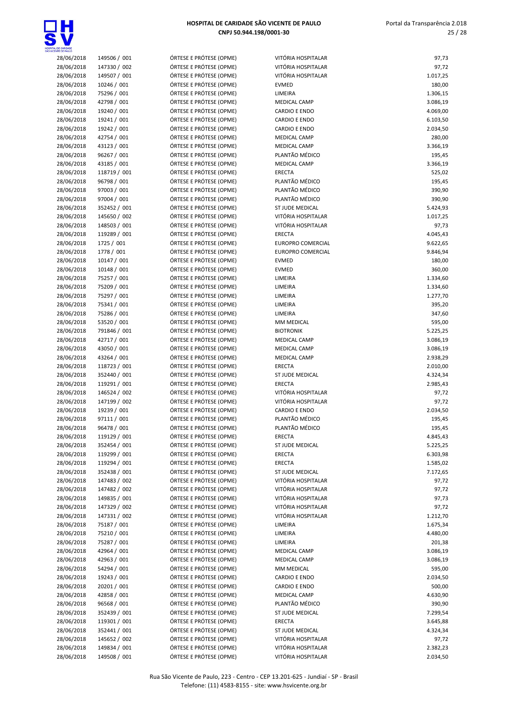

| 28/06/2018 | 149506 / 001 | ÓRTESE E PRÓTESE (OPME) | VITÓRIA HOSPITALAR       | 97,73    |
|------------|--------------|-------------------------|--------------------------|----------|
| 28/06/2018 | 147330 / 002 | ÓRTESE E PRÓTESE (OPME) | VITÓRIA HOSPITALAR       | 97,72    |
| 28/06/2018 | 149507 / 001 | ÓRTESE E PRÓTESE (OPME) | VITÓRIA HOSPITALAR       | 1.017,25 |
| 28/06/2018 | 10246 / 001  | ÓRTESE E PRÓTESE (OPME) | <b>EVMED</b>             | 180,00   |
| 28/06/2018 | 75296 / 001  | ÓRTESE E PRÓTESE (OPME) | LIMEIRA                  | 1.306,15 |
| 28/06/2018 | 42798 / 001  | ÓRTESE E PRÓTESE (OPME) | <b>MEDICAL CAMP</b>      | 3.086,19 |
| 28/06/2018 | 19240 / 001  | ÓRTESE E PRÓTESE (OPME) | <b>CARDIO E ENDO</b>     | 4.069,00 |
| 28/06/2018 | 19241 / 001  | ÓRTESE E PRÓTESE (OPME) | <b>CARDIO E ENDO</b>     | 6.103,50 |
| 28/06/2018 | 19242 / 001  | ÓRTESE E PRÓTESE (OPME) | <b>CARDIO E ENDO</b>     | 2.034,50 |
| 28/06/2018 | 42754 / 001  | ÓRTESE E PRÓTESE (OPME) | <b>MEDICAL CAMP</b>      | 280,00   |
| 28/06/2018 | 43123 / 001  | ÓRTESE E PRÓTESE (OPME) | <b>MEDICAL CAMP</b>      | 3.366,19 |
| 28/06/2018 | 96267 / 001  | ÓRTESE E PRÓTESE (OPME) | PLANTÃO MÉDICO           | 195,45   |
| 28/06/2018 | 43185 / 001  | ÓRTESE E PRÓTESE (OPME) | MEDICAL CAMP             | 3.366,19 |
| 28/06/2018 | 118719 / 001 | ÓRTESE E PRÓTESE (OPME) | <b>ERECTA</b>            | 525,02   |
| 28/06/2018 | 96798 / 001  | ÓRTESE E PRÓTESE (OPME) | PLANTÃO MÉDICO           | 195,45   |
| 28/06/2018 | 97003 / 001  | ÓRTESE E PRÓTESE (OPME) | PLANTÃO MÉDICO           | 390,90   |
| 28/06/2018 | 97004 / 001  | ÓRTESE E PRÓTESE (OPME) | PLANTÃO MÉDICO           | 390,90   |
| 28/06/2018 | 352452 / 001 | ÓRTESE E PRÓTESE (OPME) | ST JUDE MEDICAL          | 5.424,93 |
| 28/06/2018 | 145650 / 002 | ÓRTESE E PRÓTESE (OPME) | VITÓRIA HOSPITALAR       | 1.017,25 |
| 28/06/2018 | 148503 / 001 | ÓRTESE E PRÓTESE (OPME) | VITÓRIA HOSPITALAR       | 97,73    |
| 28/06/2018 | 119289 / 001 | ÓRTESE E PRÓTESE (OPME) | <b>ERECTA</b>            | 4.045,43 |
| 28/06/2018 | 1725 / 001   | ÓRTESE E PRÓTESE (OPME) | <b>EUROPRO COMERCIAL</b> | 9.622,65 |
| 28/06/2018 | 1778 / 001   | ÓRTESE E PRÓTESE (OPME) | <b>EUROPRO COMERCIAL</b> | 9.846,94 |
| 28/06/2018 | 10147 / 001  | ÓRTESE E PRÓTESE (OPME) | <b>EVMED</b>             | 180,00   |
| 28/06/2018 | 10148 / 001  | ÓRTESE E PRÓTESE (OPME) | <b>EVMED</b>             | 360,00   |
| 28/06/2018 | 75257 / 001  | ÓRTESE E PRÓTESE (OPME) | LIMEIRA                  | 1.334,60 |
| 28/06/2018 | 75209 / 001  | ÓRTESE E PRÓTESE (OPME) | LIMEIRA                  | 1.334,60 |
| 28/06/2018 | 75297 / 001  | ÓRTESE E PRÓTESE (OPME) | LIMEIRA                  | 1.277,70 |
| 28/06/2018 | 75341 / 001  | ÓRTESE E PRÓTESE (OPME) | LIMEIRA                  | 395,20   |
| 28/06/2018 | 75286 / 001  | ÓRTESE E PRÓTESE (OPME) | LIMEIRA                  | 347,60   |
| 28/06/2018 | 53520 / 001  | ÓRTESE E PRÓTESE (OPME) | MM MEDICAL               | 595,00   |
| 28/06/2018 | 791846 / 001 | ÓRTESE E PRÓTESE (OPME) | <b>BIOTRONIK</b>         | 5.225,25 |
| 28/06/2018 | 42717 / 001  | ÓRTESE E PRÓTESE (OPME) | <b>MEDICAL CAMP</b>      | 3.086,19 |
| 28/06/2018 | 43050 / 001  | ÓRTESE E PRÓTESE (OPME) | <b>MEDICAL CAMP</b>      | 3.086,19 |
| 28/06/2018 | 43264 / 001  | ÓRTESE E PRÓTESE (OPME) | <b>MEDICAL CAMP</b>      | 2.938,29 |
| 28/06/2018 | 118723 / 001 | ÓRTESE E PRÓTESE (OPME) | <b>ERECTA</b>            | 2.010,00 |
| 28/06/2018 | 352440 / 001 | ÓRTESE E PRÓTESE (OPME) | ST JUDE MEDICAL          | 4.324,34 |
| 28/06/2018 | 119291 / 001 | ÓRTESE E PRÓTESE (OPME) | <b>ERECTA</b>            | 2.985,43 |
| 28/06/2018 | 146524 / 002 | ÓRTESE E PRÓTESE (OPME) | VITÓRIA HOSPITALAR       | 97,72    |
| 28/06/2018 | 147199 / 002 | ÓRTESE E PRÓTESE (OPME) | VITÓRIA HOSPITALAR       | 97,72    |
| 28/06/2018 | 19239 / 001  | ÓRTESE E PRÓTESE (OPME) | <b>CARDIO E ENDO</b>     | 2.034,50 |
| 28/06/2018 | 97111 / 001  | ÓRTESE E PRÓTESE (OPME) | PLANTÃO MÉDICO           | 195,45   |
| 28/06/2018 | 96478 / 001  | ÓRTESE E PRÓTESE (OPME) | PLANTÃO MÉDICO           | 195,45   |
| 28/06/2018 | 119129 / 001 | ÓRTESE E PRÓTESE (OPME) | ERECTA                   | 4.845,43 |
| 28/06/2018 | 352454 / 001 | ÓRTESE E PRÓTESE (OPME) | ST JUDE MEDICAL          | 5.225,25 |
| 28/06/2018 | 119299 / 001 | ÓRTESE E PRÓTESE (OPME) | ERECTA                   | 6.303,98 |
| 28/06/2018 | 119294 / 001 | ÓRTESE E PRÓTESE (OPME) | ERECTA                   | 1.585,02 |
| 28/06/2018 | 352438 / 001 | ÓRTESE E PRÓTESE (OPME) | ST JUDE MEDICAL          | 7.172,65 |
| 28/06/2018 | 147483 / 002 | ÓRTESE E PRÓTESE (OPME) | VITÓRIA HOSPITALAR       | 97,72    |
| 28/06/2018 | 147482 / 002 | ÓRTESE E PRÓTESE (OPME) | VITÓRIA HOSPITALAR       | 97,72    |
| 28/06/2018 | 149835 / 001 | ÓRTESE E PRÓTESE (OPME) | VITÓRIA HOSPITALAR       | 97,73    |
| 28/06/2018 | 147329 / 002 | ÓRTESE E PRÓTESE (OPME) | VITÓRIA HOSPITALAR       | 97,72    |
| 28/06/2018 | 147331 / 002 | ÓRTESE E PRÓTESE (OPME) | VITÓRIA HOSPITALAR       | 1.212,70 |
| 28/06/2018 | 75187 / 001  | ÓRTESE E PRÓTESE (OPME) | LIMEIRA                  | 1.675,34 |
| 28/06/2018 | 75210 / 001  | ÓRTESE E PRÓTESE (OPME) | LIMEIRA                  | 4.480,00 |
| 28/06/2018 | 75287 / 001  | ÓRTESE E PRÓTESE (OPME) | LIMEIRA                  | 201,38   |
| 28/06/2018 | 42964 / 001  | ÓRTESE E PRÓTESE (OPME) | <b>MEDICAL CAMP</b>      | 3.086,19 |
| 28/06/2018 | 42963 / 001  | ÓRTESE E PRÓTESE (OPME) | MEDICAL CAMP             | 3.086,19 |
| 28/06/2018 | 54294 / 001  | ÓRTESE E PRÓTESE (OPME) | MM MEDICAL               | 595,00   |
| 28/06/2018 | 19243 / 001  | ÓRTESE E PRÓTESE (OPME) | CARDIO E ENDO            | 2.034,50 |
| 28/06/2018 | 20201 / 001  | ÓRTESE E PRÓTESE (OPME) | CARDIO E ENDO            | 500,00   |
| 28/06/2018 | 42858 / 001  | ÓRTESE E PRÓTESE (OPME) | MEDICAL CAMP             | 4.630,90 |
| 28/06/2018 | 96568 / 001  | ÓRTESE E PRÓTESE (OPME) | PLANTÃO MÉDICO           | 390,90   |
| 28/06/2018 | 352439 / 001 | ÓRTESE E PRÓTESE (OPME) | ST JUDE MEDICAL          | 7.299,54 |
| 28/06/2018 | 119301 / 001 | ÓRTESE E PRÓTESE (OPME) | <b>ERECTA</b>            | 3.645,88 |
| 28/06/2018 | 352441 / 001 | ÓRTESE E PRÓTESE (OPME) | ST JUDE MEDICAL          | 4.324,34 |
| 28/06/2018 | 145652 / 002 | ÓRTESE E PRÓTESE (OPME) | VITÓRIA HOSPITALAR       | 97,72    |
| 28/06/2018 | 149834 / 001 | ÓRTESE E PRÓTESE (OPME) | VITÓRIA HOSPITALAR       | 2.382,23 |
| 28/06/2018 | 149508 / 001 | ÓRTESE E PRÓTESE (OPME) | VITÓRIA HOSPITALAR       | 2.034,50 |
|            |              |                         |                          |          |

| VITÓRIA HOSPITALAR              | 97,73                |
|---------------------------------|----------------------|
| VITÓRIA HOSPITALAR              | 97,72                |
| VITÓRIA HOSPITALAR              | 1.017,25             |
| EVMED                           | 180,00               |
| LIMEIRA<br><b>MEDICAL CAMP</b>  | 1.306,15<br>3.086,19 |
| <b>CARDIO E ENDO</b>            | 4.069,00             |
| <b>CARDIO E ENDO</b>            | 6.103,50             |
| <b>CARDIO E ENDO</b>            | 2.034,50             |
| <b>MEDICAL CAMP</b>             | 280,00               |
| <b>MEDICAL CAMP</b>             | 3.366,19             |
| PLANTÃO MÉDICO                  | 195,45               |
| <b>MEDICAL CAMP</b>             | 3.366,19             |
| <b>ERECTA</b><br>PLANTÃO MÉDICO | 525,02               |
| PLANTÃO MÉDICO                  | 195,45<br>390,90     |
| PLANTÃO MÉDICO                  | 390,90               |
| ST JUDE MEDICAL                 | 5.424,93             |
| VITÓRIA HOSPITALAR              | 1.017,25             |
| VITÓRIA HOSPITALAR              | 97,73                |
| <b>ERECTA</b>                   | 4.045,43             |
| <b>EUROPRO COMERCIAL</b>        | 9.622,65             |
| <b>EUROPRO COMERCIAL</b>        | 9.846,94             |
| EVMED                           | 180,00               |
| EVMED<br>LIMEIRA                | 360,00<br>1.334,60   |
| LIMEIRA                         | 1.334,60             |
| LIMEIRA                         | 1.277,70             |
| LIMEIRA                         | 395,20               |
| LIMEIRA                         | 347,60               |
| MM MEDICAL                      | 595,00               |
| <b>BIOTRONIK</b>                | 5.225,25             |
| <b>MEDICAL CAMP</b>             | 3.086,19             |
| <b>MEDICAL CAMP</b>             | 3.086,19             |
| <b>MEDICAL CAMP</b><br>ERECTA   | 2.938,29<br>2.010,00 |
| ST JUDE MEDICAL                 | 4.324,34             |
| <b>ERECTA</b>                   | 2.985,43             |
| VITÓRIA HOSPITALAR              | 97,72                |
| VITÓRIA HOSPITALAR              | 97,72                |
| <b>CARDIO E ENDO</b>            | 2.034,50             |
| PLANTÃO MÉDICO                  | 195,45               |
| PLANTÃO MÉDICO                  | 195,45               |
| ERECTA<br>ST JUDE MEDICAL       | 4.845,43             |
| ERECTA                          | 5.225,25<br>6.303,98 |
| <b>ERECTA</b>                   | 1.585,02             |
| ST JUDE MEDICAL                 | 7.172,65             |
| VITÓRIA HOSPITALAR              | 97,72                |
| VITÓRIA HOSPITALAR              | 97,72                |
| VITÓRIA HOSPITALAR              | 97,73                |
| VITÓRIA HOSPITALAR              | 97,72                |
| VITÓRIA HOSPITALAR              | 1.212,70             |
| LIMEIRA<br>LIMEIRA              | 1.675,34<br>4.480,00 |
| LIMEIRA                         | 201,38               |
| <b>MEDICAL CAMP</b>             | 3.086,19             |
| <b>MEDICAL CAMP</b>             | 3.086,19             |
| MM MEDICAL                      | 595,00               |
| <b>CARDIO E ENDO</b>            | 2.034,50             |
| CARDIO E ENDO                   | 500,00               |
| <b>MEDICAL CAMP</b>             | 4.630,90             |
| PLANTÃO MÉDICO                  | 390,90               |
| ST JUDE MEDICAL                 | 7.299,54             |
| ERECTA<br>ST JUDE MEDICAL       | 3.645,88<br>4.324,34 |
| VITÓRIA HOSPITALAR              | 97,72                |
| VITÓRIA HOSPITALAR              | 2.382,23             |
| VITÓRIA HOSPITALAR              | 2.034,50             |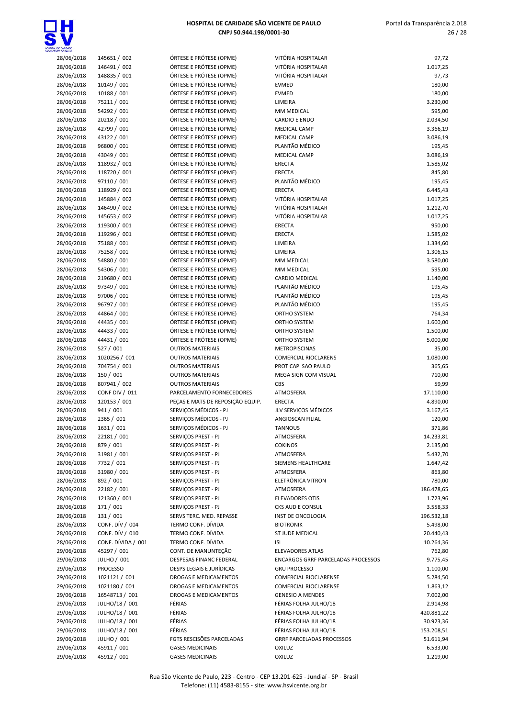

| ENTE DE PAULO |                       |                                  |                                           |            |
|---------------|-----------------------|----------------------------------|-------------------------------------------|------------|
| 28/06/2018    | 145651 / 002          | ÓRTESE E PRÓTESE (OPME)          | VITÓRIA HOSPITALAR                        | 97,72      |
| 28/06/2018    | 146491 / 002          | ÓRTESE E PRÓTESE (OPME)          | VITÓRIA HOSPITALAR                        | 1.017,25   |
| 28/06/2018    | 148835 / 001          | ÓRTESE E PRÓTESE (OPME)          | VITÓRIA HOSPITALAR                        | 97,73      |
| 28/06/2018    | 10149 / 001           | ÓRTESE E PRÓTESE (OPME)          | <b>EVMED</b>                              | 180,00     |
| 28/06/2018    | 10188 / 001           | ÓRTESE E PRÓTESE (OPME)          | <b>EVMED</b>                              | 180,00     |
| 28/06/2018    | 75211 / 001           | ÓRTESE E PRÓTESE (OPME)          | LIMEIRA                                   | 3.230,00   |
| 28/06/2018    | 54292 / 001           | ÓRTESE E PRÓTESE (OPME)          | MM MEDICAL                                | 595,00     |
| 28/06/2018    | 20218 / 001           | ÓRTESE E PRÓTESE (OPME)          | <b>CARDIO E ENDO</b>                      | 2.034,50   |
| 28/06/2018    | 42799 / 001           | ÓRTESE E PRÓTESE (OPME)          | <b>MEDICAL CAMP</b>                       | 3.366,19   |
|               |                       |                                  |                                           |            |
| 28/06/2018    | 43122 / 001           | ÓRTESE E PRÓTESE (OPME)          | <b>MEDICAL CAMP</b>                       | 3.086,19   |
| 28/06/2018    | 96800 / 001           | ÓRTESE E PRÓTESE (OPME)          | PLANTÃO MÉDICO                            | 195,45     |
| 28/06/2018    | 43049 / 001           | ÓRTESE E PRÓTESE (OPME)          | <b>MEDICAL CAMP</b>                       | 3.086,19   |
| 28/06/2018    | 118932 / 001          | ÓRTESE E PRÓTESE (OPME)          | ERECTA                                    | 1.585,02   |
| 28/06/2018    | 118720 / 001          | ÓRTESE E PRÓTESE (OPME)          | <b>ERECTA</b>                             | 845,80     |
| 28/06/2018    | 97110 / 001           | ÓRTESE E PRÓTESE (OPME)          | PLANTÃO MÉDICO                            | 195,45     |
| 28/06/2018    | 118929 / 001          | ÓRTESE E PRÓTESE (OPME)          | <b>ERECTA</b>                             | 6.445,43   |
| 28/06/2018    | 145884 / 002          | ÓRTESE E PRÓTESE (OPME)          | VITÓRIA HOSPITALAR                        | 1.017,25   |
| 28/06/2018    | 146490 / 002          | ÓRTESE E PRÓTESE (OPME)          | VITÓRIA HOSPITALAR                        | 1.212,70   |
| 28/06/2018    | 145653 / 002          | ÓRTESE E PRÓTESE (OPME)          | VITÓRIA HOSPITALAR                        | 1.017,25   |
|               |                       |                                  |                                           |            |
| 28/06/2018    | 119300 / 001          | ÓRTESE E PRÓTESE (OPME)          | <b>ERECTA</b>                             | 950,00     |
| 28/06/2018    | 119296 / 001          | ÓRTESE E PRÓTESE (OPME)          | <b>ERECTA</b>                             | 1.585,02   |
| 28/06/2018    | 75188 / 001           | ÓRTESE E PRÓTESE (OPME)          | LIMEIRA                                   | 1.334,60   |
| 28/06/2018    | 75258 / 001           | ÓRTESE E PRÓTESE (OPME)          | LIMEIRA                                   | 1.306,15   |
| 28/06/2018    | 54880 / 001           | ÓRTESE E PRÓTESE (OPME)          | MM MEDICAL                                | 3.580,00   |
| 28/06/2018    | 54306 / 001           | ÓRTESE E PRÓTESE (OPME)          | MM MEDICAL                                | 595,00     |
| 28/06/2018    | 219680 / 001          | ÓRTESE E PRÓTESE (OPME)          | <b>CARDIO MEDICAL</b>                     | 1.140,00   |
| 28/06/2018    | 97349 / 001           | ÓRTESE E PRÓTESE (OPME)          | PLANTÃO MÉDICO                            | 195,45     |
| 28/06/2018    | 97006 / 001           | ÓRTESE E PRÓTESE (OPME)          | PLANTÃO MÉDICO                            | 195,45     |
|               | 96797 / 001           | ÓRTESE E PRÓTESE (OPME)          | PLANTÃO MÉDICO                            |            |
| 28/06/2018    |                       |                                  |                                           | 195,45     |
| 28/06/2018    | 44864 / 001           | ÓRTESE E PRÓTESE (OPME)          | ORTHO SYSTEM                              | 764,34     |
| 28/06/2018    | 44435 / 001           | ÓRTESE E PRÓTESE (OPME)          | ORTHO SYSTEM                              | 1.600,00   |
| 28/06/2018    | 44433 / 001           | ÓRTESE E PRÓTESE (OPME)          | <b>ORTHO SYSTEM</b>                       | 1.500,00   |
| 28/06/2018    | 44431 / 001           | ÓRTESE E PRÓTESE (OPME)          | ORTHO SYSTEM                              | 5.000,00   |
| 28/06/2018    | 527 / 001             | <b>OUTROS MATERIAIS</b>          | <b>METROPISCINAS</b>                      | 35,00      |
| 28/06/2018    | 1020256 / 001         | <b>OUTROS MATERIAIS</b>          | <b>COMERCIAL RIOCLARENS</b>               | 1.080,00   |
| 28/06/2018    | 704754 / 001          | <b>OUTROS MATERIAIS</b>          | PROT CAP SAO PAULO                        | 365,65     |
| 28/06/2018    | 150 / 001             | <b>OUTROS MATERIAIS</b>          | MEGA SIGN COM VISUAL                      | 710,00     |
| 28/06/2018    | 807941 / 002          | <b>OUTROS MATERIAIS</b>          | CBS                                       | 59,99      |
|               |                       |                                  |                                           |            |
| 28/06/2018    | <b>CONF DIV / 011</b> | PARCELAMENTO FORNECEDORES        | ATMOSFERA                                 | 17.110,00  |
| 28/06/2018    | 120153 / 001          | PECAS E MATS DE REPOSIÇÃO EQUIP. | <b>ERECTA</b>                             | 4.890,00   |
| 28/06/2018    | 941 / 001             | SERVIÇOS MÉDICOS - PJ            | JLV SERVIÇOS MÉDICOS                      | 3.167,45   |
| 28/06/2018    | 2365 / 001            | SERVICOS MÉDICOS - PJ            | ANGIOSCAN FILIAL                          | 120,00     |
| 28/06/2018    | 1631 / 001            | SERVICOS MÉDICOS - PJ            | <b>TANNOUS</b>                            | 371,86     |
| 28/06/2018    | 22181 / 001           | SERVIÇOS PREST - PJ              | ATMOSFERA                                 | 14.233,81  |
| 28/06/2018    | 879 / 001             | SERVICOS PREST - PJ              | <b>COKINOS</b>                            | 2.135,00   |
| 28/06/2018    | 31981 / 001           | SERVIÇOS PREST - PJ              | ATMOSFERA                                 | 5.432,70   |
| 28/06/2018    | 7732 / 001            | SERVIÇOS PREST - PJ              | SIEMENS HEALTHCARE                        | 1.647,42   |
|               | 31980 / 001           | SERVICOS PREST - PJ              |                                           |            |
| 28/06/2018    |                       |                                  | ATMOSFERA                                 | 863,80     |
| 28/06/2018    | 892 / 001             | SERVIÇOS PREST - PJ              | ELETRÔNICA VITRON                         | 780,00     |
| 28/06/2018    | 22182 / 001           | SERVIÇOS PREST - PJ              | ATMOSFERA                                 | 186.478,65 |
| 28/06/2018    | 121360 / 001          | SERVIÇOS PREST - PJ              | <b>ELEVADORES OTIS</b>                    | 1.723,96   |
| 28/06/2018    | 171 / 001             | SERVIÇOS PREST - PJ              | CKS AUD E CONSUL                          | 3.558,33   |
| 28/06/2018    | 131 / 001             | SERVS TERC. MED. REPASSE         | INST DE ONCOLOGIA                         | 196.532,18 |
| 28/06/2018    | CONF. DÍV / 004       | TERMO CONF. DÍVIDA               | <b>BIOTRONIK</b>                          | 5.498,00   |
| 28/06/2018    | CONF. DÍV / 010       | TERMO CONF. DÍVIDA               | ST JUDE MEDICAL                           | 20.440,43  |
| 28/06/2018    | CONF. DÍVIDA / 001    | TERMO CONF. DÍVIDA               | <b>ISI</b>                                | 10.264,36  |
| 29/06/2018    | 45297 / 001           | CONT. DE MANUNTEÇÃO              | <b>ELEVADORES ATLAS</b>                   | 762,80     |
|               |                       |                                  |                                           |            |
| 29/06/2018    | <b>JULHO / 001</b>    | DESPESAS FINANC FEDERAL          | <b>ENCARGOS GRRF PARCELADAS PROCESSOS</b> | 9.775,45   |
| 29/06/2018    | <b>PROCESSO</b>       | DESPS LEGAIS E JURÍDICAS         | <b>GRU PROCESSO</b>                       | 1.100,00   |
| 29/06/2018    | 1021121 / 001         | DROGAS E MEDICAMENTOS            | COMERCIAL RIOCLARENSE                     | 5.284,50   |
| 29/06/2018    | 1021180 / 001         | DROGAS E MEDICAMENTOS            | COMERCIAL RIOCLARENSE                     | 1.863,12   |
| 29/06/2018    | 16548713 / 001        | DROGAS E MEDICAMENTOS            | <b>GENESIO A MENDES</b>                   | 7.002,00   |
| 29/06/2018    | JULHO/18 / 001        | FÉRIAS                           | FÉRIAS FOLHA JULHO/18                     | 2.914,98   |
| 29/06/2018    | JULHO/18 / 001        | FÉRIAS                           | FÉRIAS FOLHA JULHO/18                     | 420.881,22 |
| 29/06/2018    | JULHO/18 / 001        | FÉRIAS                           | FÉRIAS FOLHA JULHO/18                     | 30.923,36  |
| 29/06/2018    | JULHO/18 / 001        | FÉRIAS                           | FÉRIAS FOLHA JULHO/18                     | 153.208,51 |
| 29/06/2018    | JULHO / 001           | FGTS RESCISÕES PARCELADAS        | <b>GRRF PARCELADAS PROCESSOS</b>          |            |
|               |                       |                                  |                                           | 51.611,94  |
| 29/06/2018    | 45911 / 001           | <b>GASES MEDICINAIS</b>          | <b>OXILUZ</b>                             | 6.533,00   |
| 29/06/2018    | 45912 / 001           | <b>GASES MEDICINAIS</b>          | <b>OXILUZ</b>                             | 1.219,00   |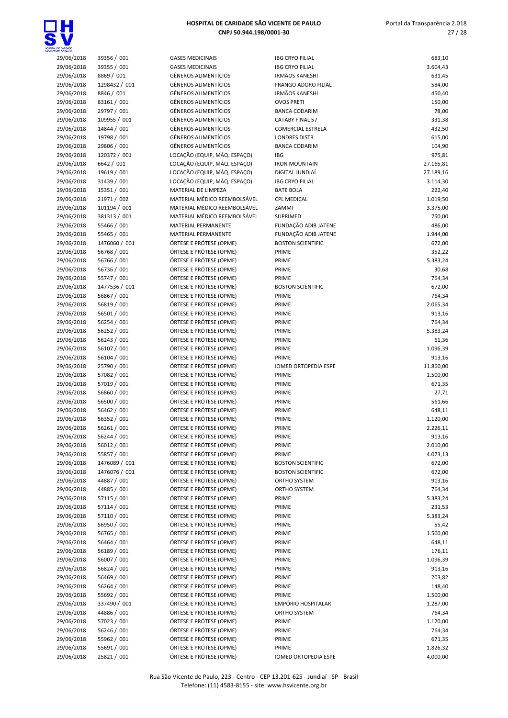

| NTE OE PAULO             |                             |                                                            |
|--------------------------|-----------------------------|------------------------------------------------------------|
| 29/06/2018               | 39356 / 001                 | <b>GASES MEDICINAIS</b>                                    |
| 29/06/2018               | 39355 / 001                 | <b>GASES MEDICINAIS</b>                                    |
| 29/06/2018               | 8869 / 001                  | <b>GÊNEROS ALIMENTÍCIOS</b>                                |
| 29/06/2018               | 1298432 / 001               | <b>GÊNEROS ALIMENTÍCIOS</b>                                |
| 29/06/2018               | 8846 / 001                  | <b>GÊNEROS ALIMENTÍCIOS</b>                                |
| 29/06/2018               | 83161 / 001                 | <b>GÊNEROS ALIMENTÍCIOS</b>                                |
| 29/06/2018               | 29797 / 001                 | <b>GÊNEROS ALIMENTÍCIOS</b>                                |
| 29/06/2018               | 109955 / 001                | <b>GÊNEROS ALIMENTÍCIOS</b>                                |
| 29/06/2018               | 14844 / 001                 | <b>GÊNEROS ALIMENTÍCIOS</b><br><b>GÊNEROS ALIMENTÍCIOS</b> |
| 29/06/2018               | 19798 / 001                 | <b>GÊNEROS ALIMENTÍCIOS</b>                                |
| 29/06/2018<br>29/06/2018 | 29806 / 001<br>120372 / 001 | LOCAÇÃO (EQUIP, MÁQ. ES                                    |
| 29/06/2018               | 6642 / 001                  | LOCAÇÃO (EQUIP, MÁQ. ES                                    |
| 29/06/2018               | 19619 / 001                 | LOCAÇÃO (EQUIP, MÁQ. ES                                    |
| 29/06/2018               | 31439 / 001                 | LOCAÇÃO (EQUIP, MÁQ. ES                                    |
| 29/06/2018               | 15351 / 001                 | MATERIAL DE LIMPEZA                                        |
| 29/06/2018               | 21971 / 002                 | MATERIAL MÉDICO REEMB                                      |
| 29/06/2018               | 101194 / 001                | MATERIAL MÉDICO REEMB                                      |
| 29/06/2018               | 381313 / 001                | MATERIAL MÉDICO REEMB                                      |
| 29/06/2018               | 55466 / 001                 | <b>MATERIAL PERMANENTE</b>                                 |
| 29/06/2018               | 55465 / 001                 | MATERIAL PERMANENTE                                        |
| 29/06/2018               | 1476060 / 001               | ÓRTESE E PRÓTESE (OPME)                                    |
| 29/06/2018               | 56768 / 001                 | ÓRTESE E PRÓTESE (OPME)                                    |
| 29/06/2018               | 56766 / 001                 | ÓRTESE E PRÓTESE (OPME)                                    |
| 29/06/2018               | 56736 / 001                 | ÓRTESE E PRÓTESE (OPME)                                    |
| 29/06/2018               | 55747 / 001                 | ÓRTESE E PRÓTESE (OPME)                                    |
| 29/06/2018               | 1477536 / 001               | ÓRTESE E PRÓTESE (OPME)                                    |
| 29/06/2018               | 56867 / 001                 | ÓRTESE E PRÓTESE (OPME)                                    |
| 29/06/2018               | 56819 / 001                 | ÓRTESE E PRÓTESE (OPME)                                    |
| 29/06/2018               | 56501 / 001                 | ÓRTESE E PRÓTESE (OPME)                                    |
| 29/06/2018               | 56254 / 001                 | ÓRTESE E PRÓTESE (OPME)                                    |
| 29/06/2018               | 56252 / 001                 | ÓRTESE E PRÓTESE (OPME)                                    |
| 29/06/2018               | 56243 / 001                 | ÓRTESE E PRÓTESE (OPME)                                    |
| 29/06/2018               | 56107 / 001                 | ÓRTESE E PRÓTESE (OPME)                                    |
| 29/06/2018               | 56104 / 001                 | ÓRTESE E PRÓTESE (OPME)                                    |
| 29/06/2018               | 25790 / 001                 | ÓRTESE E PRÓTESE (OPME)                                    |
| 29/06/2018               | 57082 / 001                 | ÓRTESE E PRÓTESE (OPME)                                    |
| 29/06/2018               | 57019 / 001                 | ÓRTESE E PRÓTESE (OPME)                                    |
| 29/06/2018               | 56860 / 001                 | ÓRTESE E PRÓTESE (OPME)                                    |
| 29/06/2018               | 56500 / 001                 | ÓRTESE E PRÓTESE (OPME)                                    |
| 29/06/2018               | 56462 / 001                 | ÓRTESE E PRÓTESE (OPME)                                    |
| 29/06/2018               | 56352 / 001                 | ÓRTESE E PRÓTESE (OPME)                                    |
| 29/06/2018               | 56261/001                   | ÓRTESE E PRÓTESE (OPME)                                    |
| 29/06/2018               | 56244 / 001<br>56012 / 001  | ÓRTESE E PRÓTESE (OPME)<br>ÓRTESE E PRÓTESE (OPME)         |
| 29/06/2018<br>29/06/2018 | 55857 / 001                 | ÓRTESE E PRÓTESE (OPME)                                    |
| 29/06/2018               | 1476089 / 001               | ÓRTESE E PRÓTESE (OPME)                                    |
| 29/06/2018               | 1476076 / 001               | ÓRTESE E PRÓTESE (OPME)                                    |
| 29/06/2018               | 44887 / 001                 | ÓRTESE E PRÓTESE (OPME)                                    |
| 29/06/2018               | 44885 / 001                 | ÓRTESE E PRÓTESE (OPME)                                    |
| 29/06/2018               | 57115 / 001                 | ÓRTESE E PRÓTESE (OPME)                                    |
| 29/06/2018               | 57114 / 001                 | ÓRTESE E PRÓTESE (OPME)                                    |
| 29/06/2018               | 57110 / 001                 | ÓRTESE E PRÓTESE (OPME)                                    |
| 29/06/2018               | 56950 / 001                 | ÓRTESE E PRÓTESE (OPME)                                    |
| 29/06/2018               | 56765 / 001                 | ÓRTESE E PRÓTESE (OPME)                                    |
| 29/06/2018               | 56464 / 001                 | ÓRTESE E PRÓTESE (OPME)                                    |
| 29/06/2018               | 56189 / 001                 | ÓRTESE E PRÓTESE (OPME)                                    |
| 29/06/2018               | 56007 / 001                 | ÓRTESE E PRÓTESE (OPME)                                    |
| 29/06/2018               | 56824 / 001                 | ÓRTESE E PRÓTESE (OPME)                                    |
| 29/06/2018               | 56469 / 001                 | ÓRTESE E PRÓTESE (OPME)                                    |
| 29/06/2018               | 56264 / 001                 | ÓRTESE E PRÓTESE (OPME)                                    |
| 29/06/2018               | 55692 / 001                 | ÓRTESE E PRÓTESE (OPME)                                    |
| 29/06/2018               | 337490 / 001                | ÓRTESE E PRÓTESE (OPME)                                    |
| 29/06/2018               | 44886 / 001                 | ÓRTESE E PRÓTESE (OPME)                                    |
| 29/06/2018               | 57023 / 001                 | ÓRTESE E PRÓTESE (OPME)                                    |
| 29/06/2018               | 56246 / 001                 | ÓRTESE E PRÓTESE (OPME)                                    |
| 29/06/2018               | 55962 / 001                 | ÓRTESE E PRÓTESE (OPME)                                    |

| DE CARIDADE<br>(TE CE PAULO |                              |                                                            |                                                  |                    |
|-----------------------------|------------------------------|------------------------------------------------------------|--------------------------------------------------|--------------------|
| 29/06/2018                  | 39356 / 001                  | <b>GASES MEDICINAIS</b>                                    | <b>IBG CRYO FILIAL</b>                           | 683,10             |
| 29/06/2018                  | 39355 / 001                  | <b>GASES MEDICINAIS</b>                                    | <b>IBG CRYO FILIAL</b>                           | 3.604,43           |
| 29/06/2018                  | 8869 / 001                   | <b>GÊNEROS ALIMENTÍCIOS</b>                                | <b>IRMÃOS KANESHI</b>                            | 631,45             |
| 29/06/2018                  | 1298432 / 001                | <b>GÊNEROS ALIMENTÍCIOS</b>                                | <b>FRANGO ADORO FILIAL</b>                       | 584,00             |
| 29/06/2018<br>29/06/2018    | 8846 / 001<br>83161 / 001    | <b>GÊNEROS ALIMENTÍCIOS</b><br><b>GÊNEROS ALIMENTÍCIOS</b> | <b>IRMÃOS KANESHI</b><br><b>OVOS PRETI</b>       | 450,40<br>150,00   |
| 29/06/2018                  | 29797 / 001                  | <b>GÊNEROS ALIMENTÍCIOS</b>                                | <b>BANCA CODARIM</b>                             | 78,00              |
| 29/06/2018                  | 109955 / 001                 | <b>GÊNEROS ALIMENTÍCIOS</b>                                | <b>CATABY FINAL 57</b>                           | 331,38             |
| 29/06/2018                  | 14844 / 001                  | <b>GÊNEROS ALIMENTÍCIOS</b>                                | <b>COMERCIAL ESTRELA</b>                         | 432,50             |
| 29/06/2018                  | 19798 / 001                  | <b>GÊNEROS ALIMENTÍCIOS</b>                                | <b>LONDRES DISTR</b>                             | 615,00             |
| 29/06/2018                  | 29806 / 001                  | <b>GÊNEROS ALIMENTÍCIOS</b>                                | <b>BANCA CODARIM</b>                             | 104,90             |
| 29/06/2018                  | 120372 / 001                 | LOCAÇÃO (EQUIP, MÁQ. ESPAÇO)                               | IBG                                              | 975,81             |
| 29/06/2018                  | 6642 / 001                   | LOCAÇÃO (EQUIP, MÁQ. ESPAÇO)                               | <b>IRON MOUNTAIN</b>                             | 27.165,81          |
| 29/06/2018                  | 19619 / 001                  | LOCAÇÃO (EQUIP, MÁQ. ESPAÇO)                               | DIGITAL JUNDIAÍ                                  | 27.189,16          |
| 29/06/2018                  | 31439 / 001                  | LOCAÇÃO (EQUIP, MÁQ. ESPAÇO)                               | <b>IBG CRYO FILIAL</b>                           | 3.114,30           |
| 29/06/2018                  | 15351 / 001                  | MATERIAL DE LIMPEZA                                        | <b>BATE BOLA</b>                                 | 222,40             |
| 29/06/2018                  | 21971 / 002                  | MATERIAL MÉDICO REEMBOLSÁVEL                               | <b>CPL MEDICAL</b>                               | 1.019,50           |
| 29/06/2018                  | 101194 / 001                 | MATERIAL MÉDICO REEMBOLSÁVEL                               | ZAMMI                                            | 3.375,00           |
| 29/06/2018                  | 381313 / 001                 | MATERIAL MÉDICO REEMBOLSÁVEL                               | <b>SUPRIMED</b>                                  | 750,00             |
| 29/06/2018<br>29/06/2018    | 55466 / 001                  | <b>MATERIAL PERMANENTE</b><br><b>MATERIAL PERMANENTE</b>   | FUNDAÇÃO ADIB JATENE                             | 486,00             |
| 29/06/2018                  | 55465 / 001<br>1476060 / 001 | ÓRTESE E PRÓTESE (OPME)                                    | FUNDAÇÃO ADIB JATENE<br><b>BOSTON SCIENTIFIC</b> | 1.944,00<br>672,00 |
| 29/06/2018                  | 56768 / 001                  | ÓRTESE E PRÓTESE (OPME)                                    | PRIME                                            | 352,22             |
| 29/06/2018                  | 56766 / 001                  | ÓRTESE E PRÓTESE (OPME)                                    | PRIME                                            | 5.383,24           |
| 29/06/2018                  | 56736 / 001                  | ÓRTESE E PRÓTESE (OPME)                                    | PRIME                                            | 30,68              |
| 29/06/2018                  | 55747 / 001                  | ÓRTESE E PRÓTESE (OPME)                                    | PRIME                                            | 764,34             |
| 29/06/2018                  | 1477536 / 001                | ÓRTESE E PRÓTESE (OPME)                                    | <b>BOSTON SCIENTIFIC</b>                         | 672,00             |
| 29/06/2018                  | 56867 / 001                  | ÓRTESE E PRÓTESE (OPME)                                    | PRIME                                            | 764,34             |
| 29/06/2018                  | 56819 / 001                  | ÓRTESE E PRÓTESE (OPME)                                    | PRIME                                            | 2.065,34           |
| 29/06/2018                  | 56501 / 001                  | ÓRTESE E PRÓTESE (OPME)                                    | PRIME                                            | 913,16             |
| 29/06/2018                  | 56254 / 001                  | ÓRTESE E PRÓTESE (OPME)                                    | PRIME                                            | 764,34             |
| 29/06/2018                  | 56252 / 001                  | ÓRTESE E PRÓTESE (OPME)                                    | PRIME                                            | 5.383,24           |
| 29/06/2018                  | 56243 / 001                  | ÓRTESE E PRÓTESE (OPME)                                    | PRIME                                            | 61,36              |
| 29/06/2018                  | 56107 / 001                  | ÓRTESE E PRÓTESE (OPME)                                    | PRIME                                            | 1.096,39           |
| 29/06/2018                  | 56104 / 001                  | ÓRTESE E PRÓTESE (OPME)                                    | PRIME                                            | 913,16             |
| 29/06/2018                  | 25790 / 001                  | ÓRTESE E PRÓTESE (OPME)                                    | <b>IOMED ORTOPEDIA ESPE</b>                      | 11.860,00          |
| 29/06/2018                  | 57082 / 001                  | ÓRTESE E PRÓTESE (OPME)                                    | PRIME                                            | 1.500,00           |
| 29/06/2018<br>29/06/2018    | 57019 / 001<br>56860 / 001   | ÓRTESE E PRÓTESE (OPME)<br>ÓRTESE E PRÓTESE (OPME)         | PRIME<br>PRIME                                   | 671,35<br>27,71    |
| 29/06/2018                  | 56500 / 001                  | ÓRTESE E PRÓTESE (OPME)                                    | PRIME                                            | 561,66             |
| 29/06/2018                  | 56462 / 001                  | ÓRTESE E PRÓTESE (OPME)                                    | PRIME                                            | 648,11             |
| 29/06/2018                  | 56352 / 001                  | ÓRTESE E PRÓTESE (OPME)                                    | PRIME                                            | 1.120,00           |
| 29/06/2018                  | 56261 / 001                  | ÓRTESE E PRÓTESE (OPME)                                    | PRIME                                            | 2.226,11           |
| 29/06/2018                  | 56244 / 001                  | ÓRTESE E PRÓTESE (OPME)                                    | PRIME                                            | 913,16             |
| 29/06/2018                  | 56012 / 001                  | ÓRTESE E PRÓTESE (OPME)                                    | PRIME                                            | 2.010,00           |
| 29/06/2018                  | 55857 / 001                  | ÓRTESE E PRÓTESE (OPME)                                    | PRIME                                            | 4.073,13           |
| 29/06/2018                  | 1476089 / 001                | ÓRTESE E PRÓTESE (OPME)                                    | <b>BOSTON SCIENTIFIC</b>                         | 672,00             |
| 29/06/2018                  | 1476076 / 001                | ÓRTESE E PRÓTESE (OPME)                                    | <b>BOSTON SCIENTIFIC</b>                         | 672,00             |
| 29/06/2018                  | 44887 / 001                  | ÓRTESE E PRÓTESE (OPME)                                    | ORTHO SYSTEM                                     | 913,16             |
| 29/06/2018                  | 44885 / 001                  | ÓRTESE E PRÓTESE (OPME)                                    | ORTHO SYSTEM                                     | 764,34             |
| 29/06/2018                  | 57115 / 001                  | ÓRTESE E PRÓTESE (OPME)                                    | PRIME                                            | 5.383,24           |
| 29/06/2018                  | 57114 / 001                  | ÓRTESE E PRÓTESE (OPME)                                    | PRIME                                            | 231,53             |
| 29/06/2018<br>29/06/2018    | 57110 / 001<br>56950 / 001   | ÓRTESE E PRÓTESE (OPME)<br>ÓRTESE E PRÓTESE (OPME)         | PRIME                                            | 5.383,24           |
| 29/06/2018                  | 56765 / 001                  | ÓRTESE E PRÓTESE (OPME)                                    | PRIME<br>PRIME                                   | 55,42<br>1.500,00  |
| 29/06/2018                  | 56464 / 001                  | ÓRTESE E PRÓTESE (OPME)                                    | PRIME                                            | 648,11             |
| 29/06/2018                  | 56189 / 001                  | ÓRTESE E PRÓTESE (OPME)                                    | PRIME                                            | 176,11             |
| 29/06/2018                  | 56007 / 001                  | ÓRTESE E PRÓTESE (OPME)                                    | PRIME                                            | 1.096,39           |
| 29/06/2018                  | 56824 / 001                  | ÓRTESE E PRÓTESE (OPME)                                    | PRIME                                            | 913,16             |
| 29/06/2018                  | 56469 / 001                  | ÓRTESE E PRÓTESE (OPME)                                    | PRIME                                            | 203,82             |
| 29/06/2018                  | 56264 / 001                  | ÓRTESE E PRÓTESE (OPME)                                    | PRIME                                            | 148,40             |
| 29/06/2018                  | 55692 / 001                  | ÓRTESE E PRÓTESE (OPME)                                    | PRIME                                            | 1.500,00           |
| 29/06/2018                  | 337490 / 001                 | ÓRTESE E PRÓTESE (OPME)                                    | <b>EMPÓRIO HOSPITALAR</b>                        | 1.287,00           |
| 29/06/2018                  | 44886 / 001                  | ÓRTESE E PRÓTESE (OPME)                                    | ORTHO SYSTEM                                     | 764,34             |
| 29/06/2018                  | 57023 / 001                  | ÓRTESE E PRÓTESE (OPME)                                    | PRIME                                            | 1.120,00           |
| 29/06/2018                  | 56246 / 001                  | ÓRTESE E PRÓTESE (OPME)                                    | PRIME                                            | 764,34             |
| 29/06/2018                  | 55962 / 001                  | ÓRTESE E PRÓTESE (OPME)                                    | PRIME                                            | 671,35             |
| 29/06/2018                  | 55691 / 001                  | ÓRTESE E PRÓTESE (OPME)                                    | PRIME                                            | 1.826,32           |
| 29/06/2018                  | 25821 / 001                  | ÓRTESE E PRÓTESE (OPME)                                    | IOMED ORTOPEDIA ESPE                             | 4.000,00           |